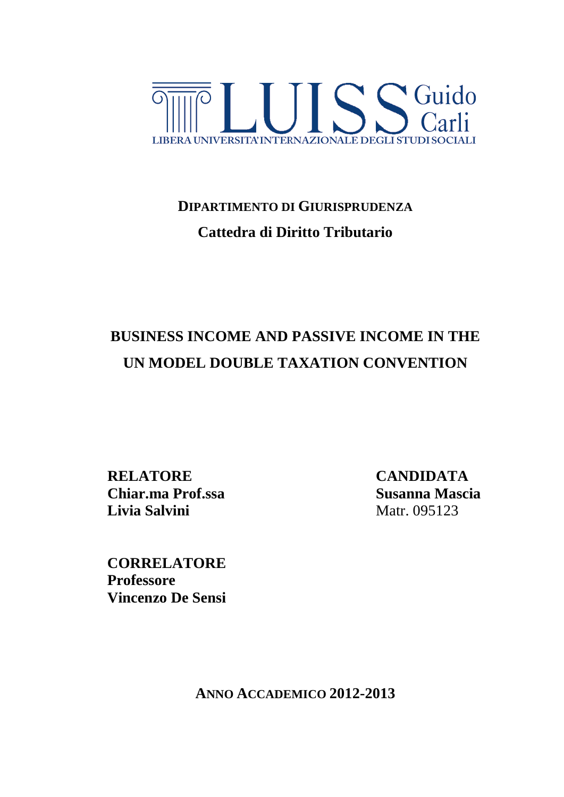

# **DIPARTIMENTO DI GIURISPRUDENZA Cattedra di Diritto Tributario**

# **BUSINESS INCOME AND PASSIVE INCOME IN THE UN MODEL DOUBLE TAXATION CONVENTION**

**RELATORE CANDIDATA Chiar.ma Prof.ssa Susanna Mascia Livia Salvini** Matr. 095123

<span id="page-0-0"></span>**CORRELATORE Professore Vincenzo De Sensi**

**ANNO ACCADEMICO 2012-2013**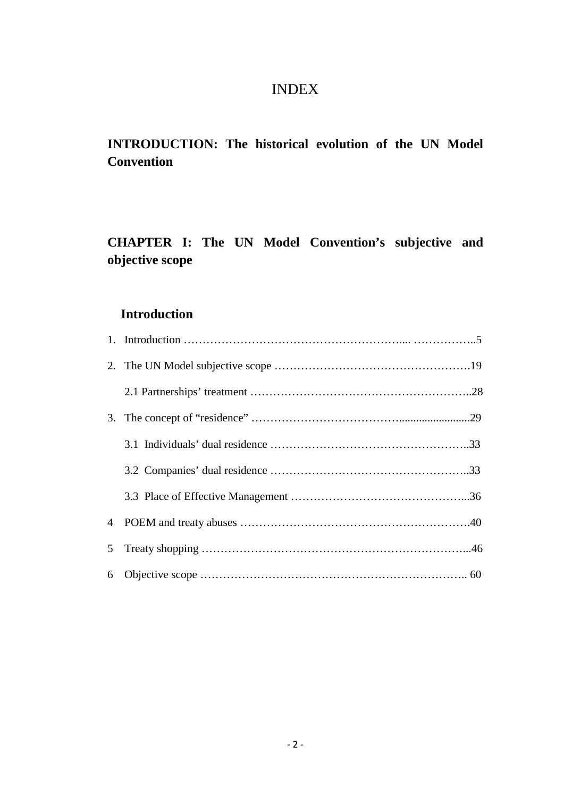### INDEX

## **INTRODUCTION: The historical evolution of the UN Model Convention**

## **CHAPTER I: The UN Model Convention's subjective and objective scope**

### **Introduction**

| 5 <sup>5</sup> |  |
|----------------|--|
|                |  |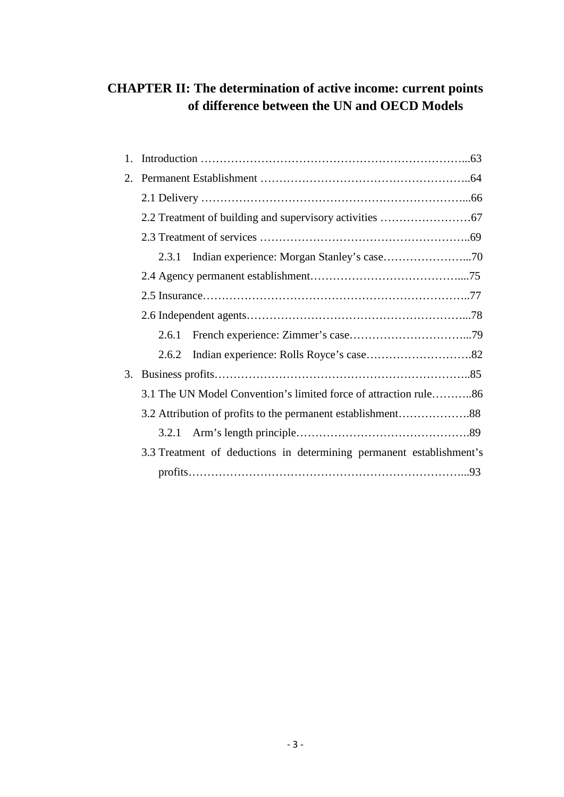### **CHAPTER II: The determination of active income: current points of difference between the UN and OECD Models**

| 1. |                                                                      |  |  |  |  |  |
|----|----------------------------------------------------------------------|--|--|--|--|--|
| 2. |                                                                      |  |  |  |  |  |
|    |                                                                      |  |  |  |  |  |
|    |                                                                      |  |  |  |  |  |
|    |                                                                      |  |  |  |  |  |
|    | 2.3.1                                                                |  |  |  |  |  |
|    |                                                                      |  |  |  |  |  |
|    |                                                                      |  |  |  |  |  |
|    |                                                                      |  |  |  |  |  |
|    | 2.6.1                                                                |  |  |  |  |  |
|    | 2.6.2                                                                |  |  |  |  |  |
| 3. |                                                                      |  |  |  |  |  |
|    | 3.1 The UN Model Convention's limited force of attraction rule86     |  |  |  |  |  |
|    |                                                                      |  |  |  |  |  |
|    |                                                                      |  |  |  |  |  |
|    | 3.3 Treatment of deductions in determining permanent establishment's |  |  |  |  |  |
|    |                                                                      |  |  |  |  |  |
|    |                                                                      |  |  |  |  |  |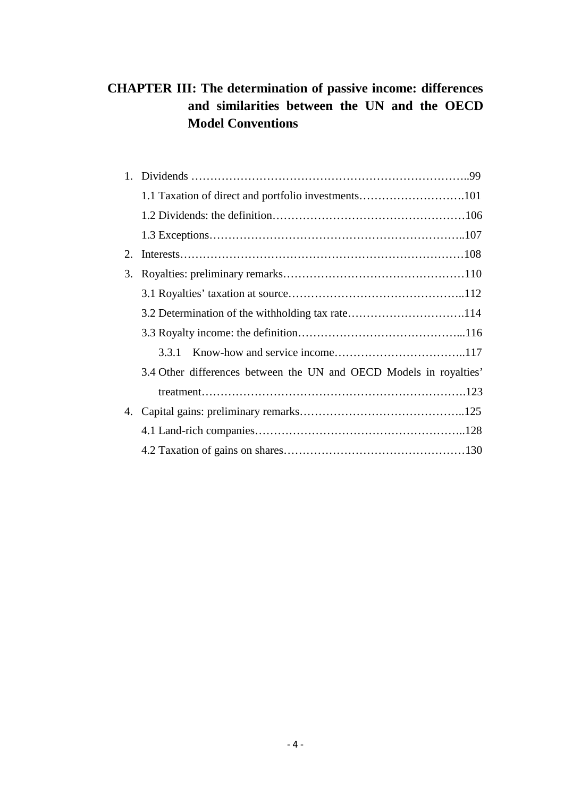### **CHAPTER III: The determination of passive income: differences and similarities between the UN and the OECD Model Conventions**

| 1. |                                                                    |  |
|----|--------------------------------------------------------------------|--|
|    |                                                                    |  |
|    |                                                                    |  |
|    |                                                                    |  |
| 2. |                                                                    |  |
| 3. |                                                                    |  |
|    |                                                                    |  |
|    | 3.2 Determination of the withholding tax rate114                   |  |
|    |                                                                    |  |
|    |                                                                    |  |
|    | 3.4 Other differences between the UN and OECD Models in royalties' |  |
|    |                                                                    |  |
| 4. |                                                                    |  |
|    |                                                                    |  |
|    |                                                                    |  |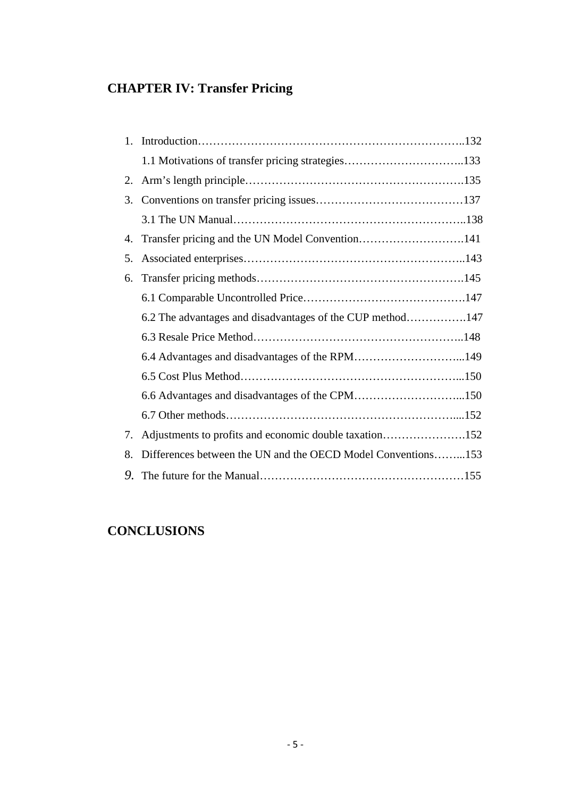## **CHAPTER IV: Transfer Pricing**

| 1. |                                                              |  |
|----|--------------------------------------------------------------|--|
|    | 1.1 Motivations of transfer pricing strategies133            |  |
| 2. |                                                              |  |
| 3. |                                                              |  |
|    |                                                              |  |
| 4. | Transfer pricing and the UN Model Convention141              |  |
| 5. |                                                              |  |
| 6. |                                                              |  |
|    |                                                              |  |
|    | 6.2 The advantages and disadvantages of the CUP method147    |  |
|    |                                                              |  |
|    | 6.4 Advantages and disadvantages of the RPM149               |  |
|    |                                                              |  |
|    | 6.6 Advantages and disadvantages of the CPM150               |  |
|    |                                                              |  |
| 7. | Adjustments to profits and economic double taxation152       |  |
| 8. | Differences between the UN and the OECD Model Conventions153 |  |
|    |                                                              |  |

## **CONCLUSIONS**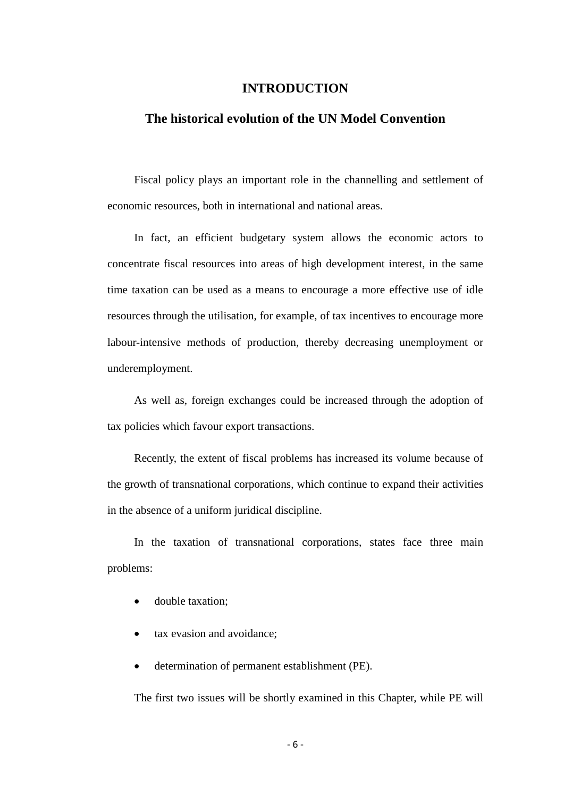#### **INTRODUCTION**

#### **The historical evolution of the UN Model Convention**

Fiscal policy plays an important role in the channelling and settlement of economic resources, both in international and national areas.

In fact, an efficient budgetary system allows the economic actors to concentrate fiscal resources into areas of high development interest, in the same time taxation can be used as a means to encourage a more effective use of idle resources through the utilisation, for example, of tax incentives to encourage more labour-intensive methods of production, thereby decreasing unemployment or underemployment.

As well as, foreign exchanges could be increased through the adoption of tax policies which favour export transactions.

Recently, the extent of fiscal problems has increased its volume because of the growth of transnational corporations, which continue to expand their activities in the absence of a uniform juridical discipline.

In the taxation of transnational corporations, states face three main problems:

- double taxation:
- tax evasion and avoidance;
- determination of permanent establishment (PE).

The first two issues will be shortly examined in this Chapter, while PE will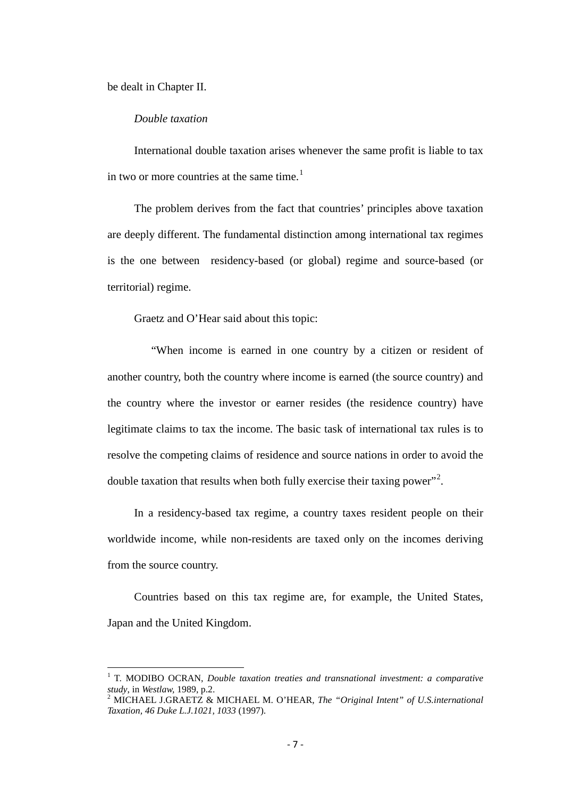be dealt in Chapter II.

#### *Double taxation*

International double taxation arises whenever the same profit is liable to tax in two or more countries at the same time.<sup>[1](#page-0-0)</sup>

The problem derives from the fact that countries' principles above taxation are deeply different. The fundamental distinction among international tax regimes is the one between residency-based (or global) regime and source-based (or territorial) regime.

Graetz and O'Hear said about this topic:

 "When income is earned in one country by a citizen or resident of another country, both the country where income is earned (the source country) and the country where the investor or earner resides (the residence country) have legitimate claims to tax the income. The basic task of international tax rules is to resolve the competing claims of residence and source nations in order to avoid the double taxation that results when both fully exercise their taxing power"<sup>[2](#page-6-0)</sup>.

In a residency-based tax regime, a country taxes resident people on their worldwide income, while non-residents are taxed only on the incomes deriving from the source country.

Countries based on this tax regime are, for example, the United States, Japan and the United Kingdom.

<sup>&</sup>lt;sup>1</sup> T. MODIBO OCRAN, *Double taxation treaties and transnational investment: a comparative study, in Westlaw, 1989, p.2.* 

<span id="page-6-1"></span><span id="page-6-0"></span><sup>&</sup>lt;sup>2</sup> MICHAEL J.GRAETZ & MICHAEL M. O'HEAR, *The "Original Intent" of U.S.international Taxation, 46 Duke L.J.1021, 1033* (1997).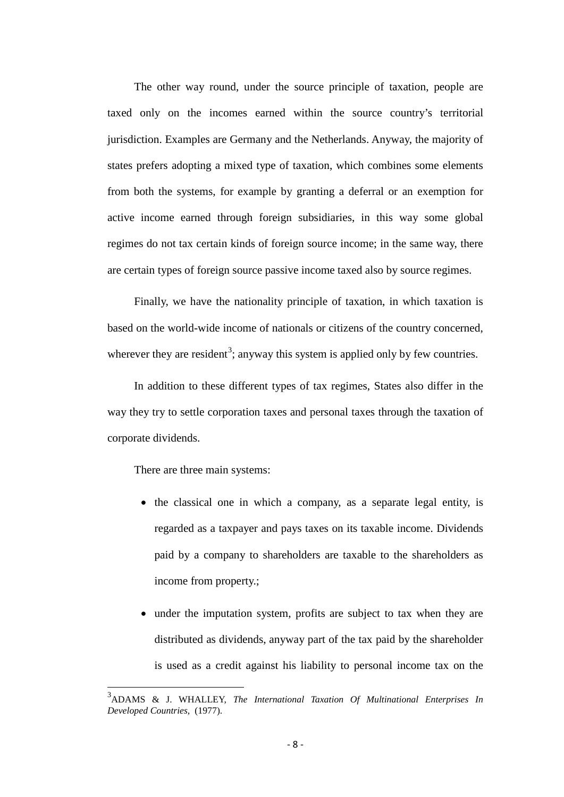The other way round, under the source principle of taxation, people are taxed only on the incomes earned within the source country's territorial jurisdiction. Examples are Germany and the Netherlands. Anyway, the majority of states prefers adopting a mixed type of taxation, which combines some elements from both the systems, for example by granting a deferral or an exemption for active income earned through foreign subsidiaries, in this way some global regimes do not tax certain kinds of foreign source income; in the same way, there are certain types of foreign source passive income taxed also by source regimes.

Finally, we have the nationality principle of taxation, in which taxation is based on the world-wide income of nationals or citizens of the country concerned, wherever they are resident<sup>[3](#page-6-1)</sup>; anyway this system is applied only by few countries.

In addition to these different types of tax regimes, States also differ in the way they try to settle corporation taxes and personal taxes through the taxation of corporate dividends.

There are three main systems:

- the classical one in which a company, as a separate legal entity, is regarded as a taxpayer and pays taxes on its taxable income. Dividends paid by a company to shareholders are taxable to the shareholders as income from property.;
- under the imputation system, profits are subject to tax when they are distributed as dividends, anyway part of the tax paid by the shareholder is used as a credit against his liability to personal income tax on the

<span id="page-7-0"></span>3 ADAMS & J. WHALLEY, *The International Taxation Of Multinational Enterprises In Developed Countries,* (1977).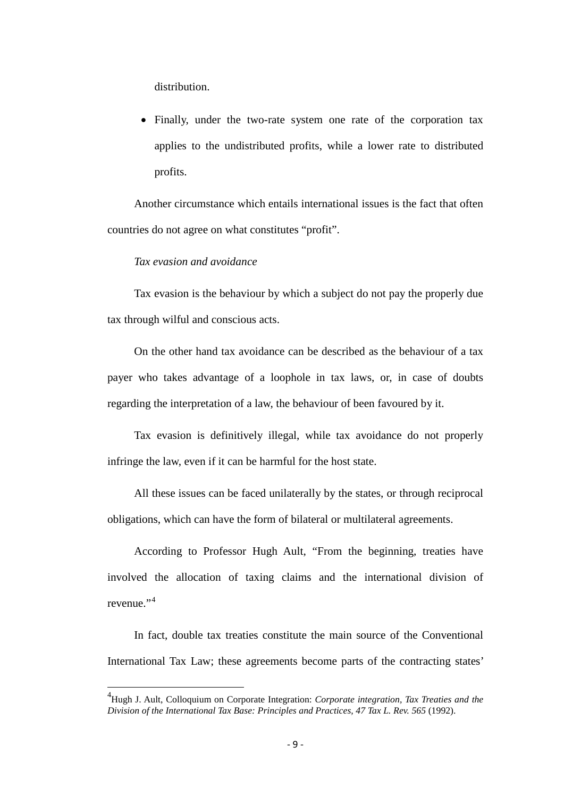distribution.

• Finally, under the two-rate system one rate of the corporation tax applies to the undistributed profits, while a lower rate to distributed profits.

Another circumstance which entails international issues is the fact that often countries do not agree on what constitutes "profit".

#### *Tax evasion and avoidance*

Tax evasion is the behaviour by which a subject do not pay the properly due tax through wilful and conscious acts.

On the other hand tax avoidance can be described as the behaviour of a tax payer who takes advantage of a loophole in tax laws, or, in case of doubts regarding the interpretation of a law, the behaviour of been favoured by it.

Tax evasion is definitively illegal, while tax avoidance do not properly infringe the law, even if it can be harmful for the host state.

All these issues can be faced unilaterally by the states, or through reciprocal obligations, which can have the form of bilateral or multilateral agreements.

According to Professor Hugh Ault, "From the beginning, treaties have involved the allocation of taxing claims and the international division of revenue."[4](#page-7-0)

In fact, double tax treaties constitute the main source of the Conventional International Tax Law; these agreements become parts of the contracting states'

<span id="page-8-0"></span>4 Hugh J. Ault, Colloquium on Corporate Integration: *Corporate integration, Tax Treaties and the Division of the International Tax Base: Principles and Practices, 47 Tax L. Rev. 565* (1992).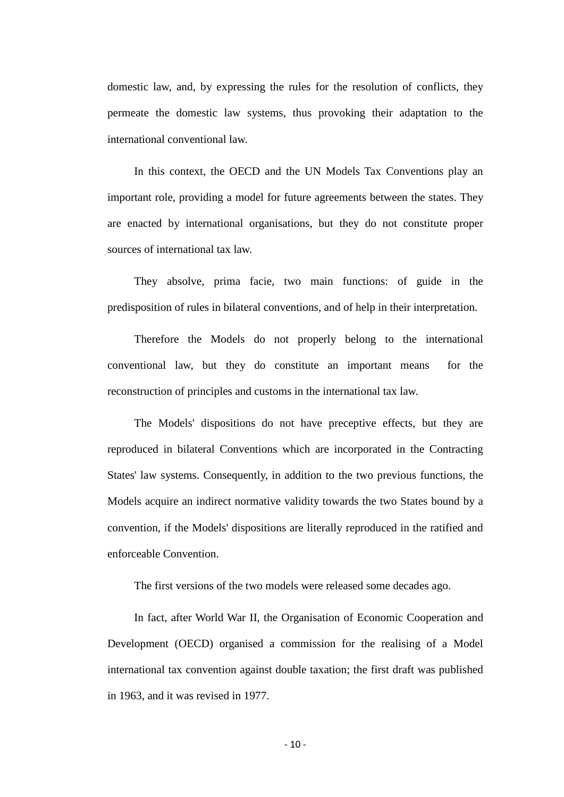domestic law, and, by expressing the rules for the resolution of conflicts, they permeate the domestic law systems, thus provoking their adaptation to the international conventional law.

In this context, the OECD and the UN Models Tax Conventions play an important role, providing a model for future agreements between the states. They are enacted by international organisations, but they do not constitute proper sources of international tax law.

They absolve, prima facie, two main functions: of guide in the predisposition of rules in bilateral conventions, and of help in their interpretation.

Therefore the Models do not properly belong to the international conventional law, but they do constitute an important means for the reconstruction of principles and customs in the international tax law.

The Models' dispositions do not have preceptive effects, but they are reproduced in bilateral Conventions which are incorporated in the Contracting States' law systems. Consequently, in addition to the two previous functions, the Models acquire an indirect normative validity towards the two States bound by a convention, if the Models' dispositions are literally reproduced in the ratified and enforceable Convention.

The first versions of the two models were released some decades ago.

In fact, after World War II, the Organisation of Economic Cooperation and Development (OECD) organised a commission for the realising of a Model international tax convention against double taxation; the first draft was published in 1963, and it was revised in 1977.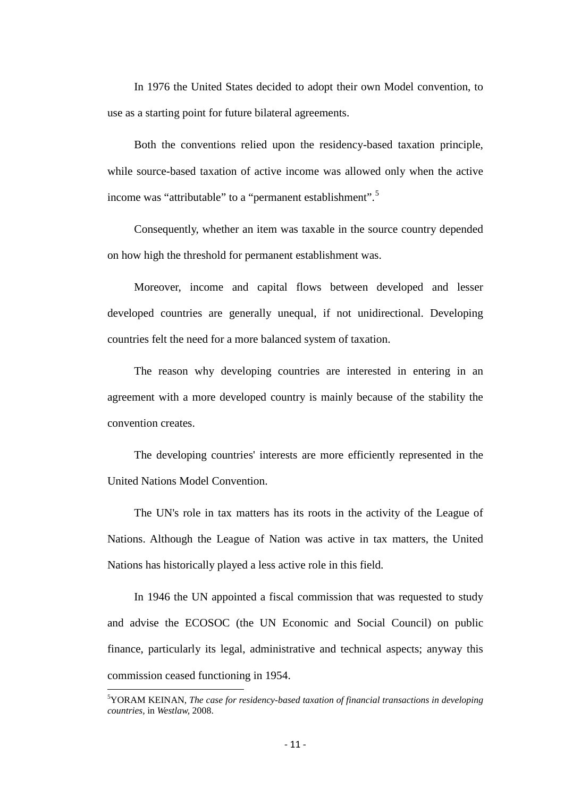In 1976 the United States decided to adopt their own Model convention, to use as a starting point for future bilateral agreements.

Both the conventions relied upon the residency-based taxation principle, while source-based taxation of active income was allowed only when the active income was "attributable" to a "permanent establishment".<sup>[5](#page-8-0)</sup>

Consequently, whether an item was taxable in the source country depended on how high the threshold for permanent establishment was.

Moreover, income and capital flows between developed and lesser developed countries are generally unequal, if not unidirectional. Developing countries felt the need for a more balanced system of taxation.

The reason why developing countries are interested in entering in an agreement with a more developed country is mainly because of the stability the convention creates.

The developing countries' interests are more efficiently represented in the United Nations Model Convention.

The UN's role in tax matters has its roots in the activity of the League of Nations. Although the League of Nation was active in tax matters, the United Nations has historically played a less active role in this field.

In 1946 the UN appointed a fiscal commission that was requested to study and advise the ECOSOC (the UN Economic and Social Council) on public finance, particularly its legal, administrative and technical aspects; anyway this commission ceased functioning in 1954.

<span id="page-10-0"></span><sup>-&</sup>lt;br>5 YORAM KEINAN, *The case for residency-based taxation of financial transactions in developing countries,* in *Westlaw,* 2008.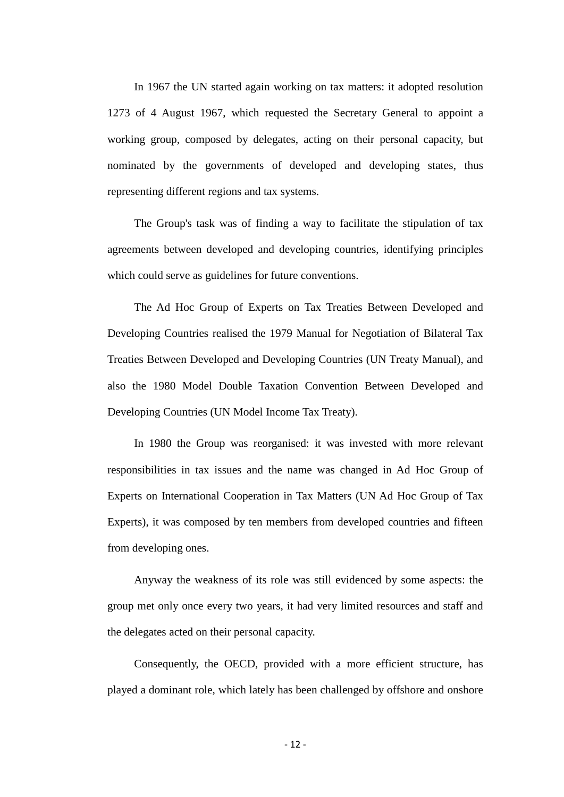In 1967 the UN started again working on tax matters: it adopted resolution 1273 of 4 August 1967, which requested the Secretary General to appoint a working group, composed by delegates, acting on their personal capacity, but nominated by the governments of developed and developing states, thus representing different regions and tax systems.

The Group's task was of finding a way to facilitate the stipulation of tax agreements between developed and developing countries, identifying principles which could serve as guidelines for future conventions.

The Ad Hoc Group of Experts on Tax Treaties Between Developed and Developing Countries realised the 1979 Manual for Negotiation of Bilateral Tax Treaties Between Developed and Developing Countries (UN Treaty Manual), and also the 1980 Model Double Taxation Convention Between Developed and Developing Countries (UN Model Income Tax Treaty).

In 1980 the Group was reorganised: it was invested with more relevant responsibilities in tax issues and the name was changed in Ad Hoc Group of Experts on International Cooperation in Tax Matters (UN Ad Hoc Group of Tax Experts), it was composed by ten members from developed countries and fifteen from developing ones.

Anyway the weakness of its role was still evidenced by some aspects: the group met only once every two years, it had very limited resources and staff and the delegates acted on their personal capacity.

Consequently, the OECD, provided with a more efficient structure, has played a dominant role, which lately has been challenged by offshore and onshore

- 12 -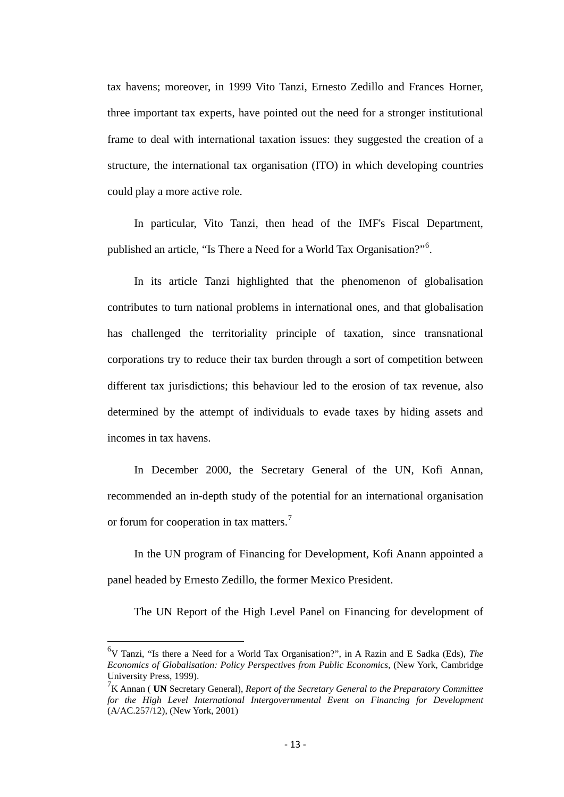tax havens; moreover, in 1999 Vito Tanzi, Ernesto Zedillo and Frances Horner, three important tax experts, have pointed out the need for a stronger institutional frame to deal with international taxation issues: they suggested the creation of a structure, the international tax organisation (ITO) in which developing countries could play a more active role.

In particular, Vito Tanzi, then head of the IMF's Fiscal Department, published an article, "Is There a Need for a World Tax Organisation?"<sup>[6](#page-10-0)</sup>.

In its article Tanzi highlighted that the phenomenon of globalisation contributes to turn national problems in international ones, and that globalisation has challenged the territoriality principle of taxation, since transnational corporations try to reduce their tax burden through a sort of competition between different tax jurisdictions; this behaviour led to the erosion of tax revenue, also determined by the attempt of individuals to evade taxes by hiding assets and incomes in tax havens.

In December 2000, the Secretary General of the UN, Kofi Annan, recommended an in-depth study of the potential for an international organisation or forum for cooperation in tax matters.<sup>[7](#page-12-0)</sup>

In the UN program of Financing for Development, Kofi Anann appointed a panel headed by Ernesto Zedillo, the former Mexico President.

The UN Report of the High Level Panel on Financing for development of

6 V Tanzi, "Is there a Need for a World Tax Organisation?", in A Razin and E Sadka (Eds), *The Economics of Globalisation: Policy Perspectives from Public Economics*, (New York, Cambridge University Press, 1999).

<span id="page-12-1"></span><span id="page-12-0"></span><sup>7</sup> K Annan ( **UN** Secretary General), *Report of the Secretary General to the Preparatory Committee for the High Level International Intergovernmental Event on Financing for Development*  $(A/AC.257/12)$ , (New York, 2001)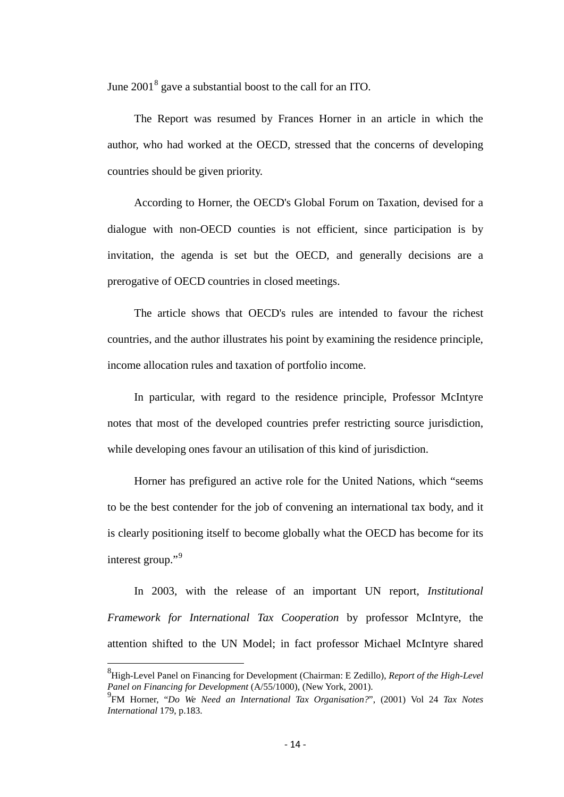June  $2001<sup>8</sup>$  $2001<sup>8</sup>$  $2001<sup>8</sup>$  gave a substantial boost to the call for an ITO.

The Report was resumed by Frances Horner in an article in which the author, who had worked at the OECD, stressed that the concerns of developing countries should be given priority.

According to Horner, the OECD's Global Forum on Taxation, devised for a dialogue with non-OECD counties is not efficient, since participation is by invitation, the agenda is set but the OECD, and generally decisions are a prerogative of OECD countries in closed meetings.

The article shows that OECD's rules are intended to favour the richest countries, and the author illustrates his point by examining the residence principle, income allocation rules and taxation of portfolio income.

In particular, with regard to the residence principle, Professor McIntyre notes that most of the developed countries prefer restricting source jurisdiction, while developing ones favour an utilisation of this kind of jurisdiction.

Horner has prefigured an active role for the United Nations, which "seems to be the best contender for the job of convening an international tax body, and it is clearly positioning itself to become globally what the OECD has become for its interest group."<sup>[9](#page-13-0)</sup>

In 2003, with the release of an important UN report, *Institutional Framework for International Tax Cooperation* by professor McIntyre, the attention shifted to the UN Model; in fact professor Michael McIntyre shared

<span id="page-13-1"></span>8 High-Level Panel on Financing for Development (Chairman: E Zedillo), *Report of the High-Level Panel on Financing for Development* (A/55/1000), (New York, 2001).

<span id="page-13-0"></span><sup>9</sup> FM Horner, "*Do We Need an International Tax Organisation?*", (2001) Vol 24 *Tax Notes International* 179, p.183.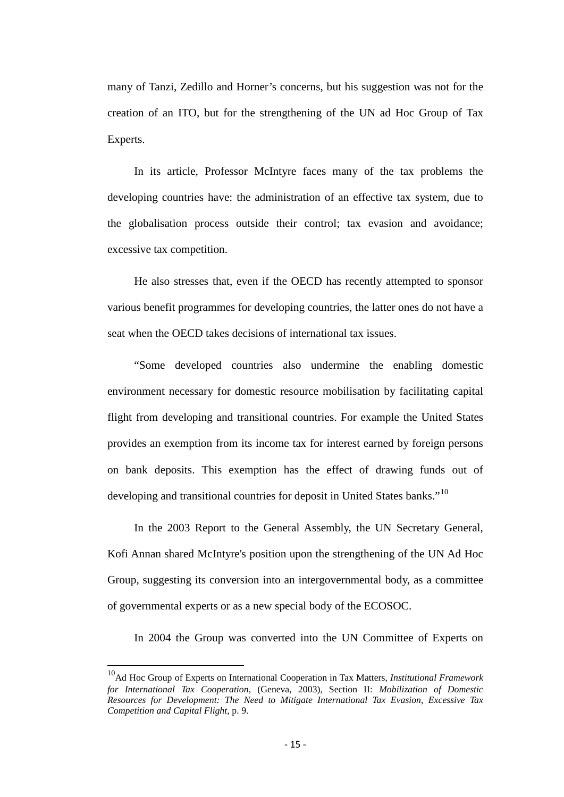many of Tanzi, Zedillo and Horner's concerns, but his suggestion was not for the creation of an ITO, but for the strengthening of the UN ad Hoc Group of Tax Experts.

In its article, Professor McIntyre faces many of the tax problems the developing countries have: the administration of an effective tax system, due to the globalisation process outside their control; tax evasion and avoidance; excessive tax competition.

He also stresses that, even if the OECD has recently attempted to sponsor various benefit programmes for developing countries, the latter ones do not have a seat when the OECD takes decisions of international tax issues.

"Some developed countries also undermine the enabling domestic environment necessary for domestic resource mobilisation by facilitating capital flight from developing and transitional countries. For example the United States provides an exemption from its income tax for interest earned by foreign persons on bank deposits. This exemption has the effect of drawing funds out of developing and transitional countries for deposit in United States banks."<sup>[10](#page-13-1)</sup>

In the 2003 Report to the General Assembly, the UN Secretary General, Kofi Annan shared McIntyre's position upon the strengthening of the UN Ad Hoc Group, suggesting its conversion into an intergovernmental body, as a committee of governmental experts or as a new special body of the ECOSOC.

In 2004 the Group was converted into the UN Committee of Experts on

<span id="page-14-0"></span>10Ad Hoc Group of Experts on International Cooperation in Tax Matters, *Institutional Framework for International Tax Cooperation*, (Geneva, 2003), Section II: *Mobilization of Domestic Resources for Development: The Need to Mitigate International Tax Evasion, Excessive Tax Competition and Capital Flight*, p. 9.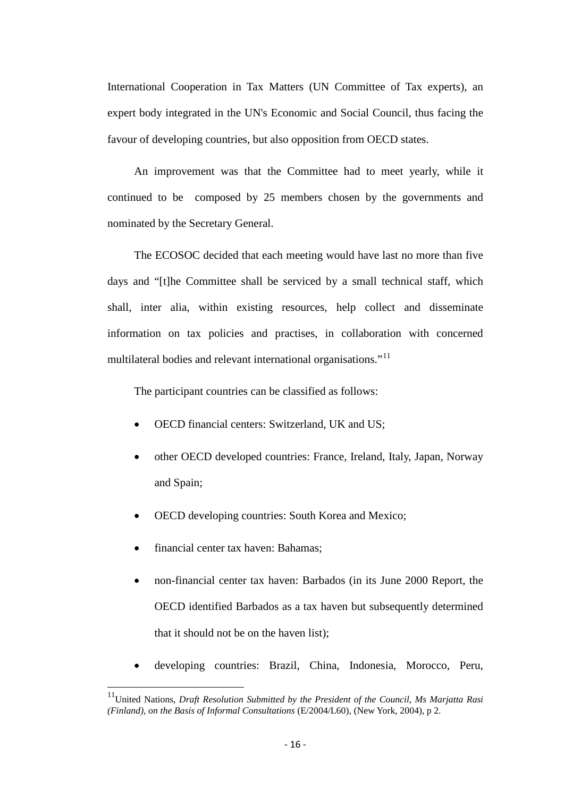International Cooperation in Tax Matters (UN Committee of Tax experts), an expert body integrated in the UN's Economic and Social Council, thus facing the favour of developing countries, but also opposition from OECD states.

An improvement was that the Committee had to meet yearly, while it continued to be composed by 25 members chosen by the governments and nominated by the Secretary General.

The ECOSOC decided that each meeting would have last no more than five days and "[t]he Committee shall be serviced by a small technical staff, which shall, inter alia, within existing resources, help collect and disseminate information on tax policies and practises, in collaboration with concerned multilateral bodies and relevant international organisations."<sup>[11](#page-14-0)</sup>

The participant countries can be classified as follows:

- OECD financial centers: Switzerland, UK and US;
- other OECD developed countries: France, Ireland, Italy, Japan, Norway and Spain;
- OECD developing countries: South Korea and Mexico;
- financial center tax haven: Bahamas:
- non-financial center tax haven: Barbados (in its June 2000 Report, the OECD identified Barbados as a tax haven but subsequently determined that it should not be on the haven list);
- developing countries: Brazil, China, Indonesia, Morocco, Peru,

<span id="page-15-0"></span>11United Nations, *Draft Resolution Submitted by the President of the Council, Ms Marjatta Rasi (Finland), on the Basis of Informal Consultations* (E/2004/L60), (New York, 2004), p 2.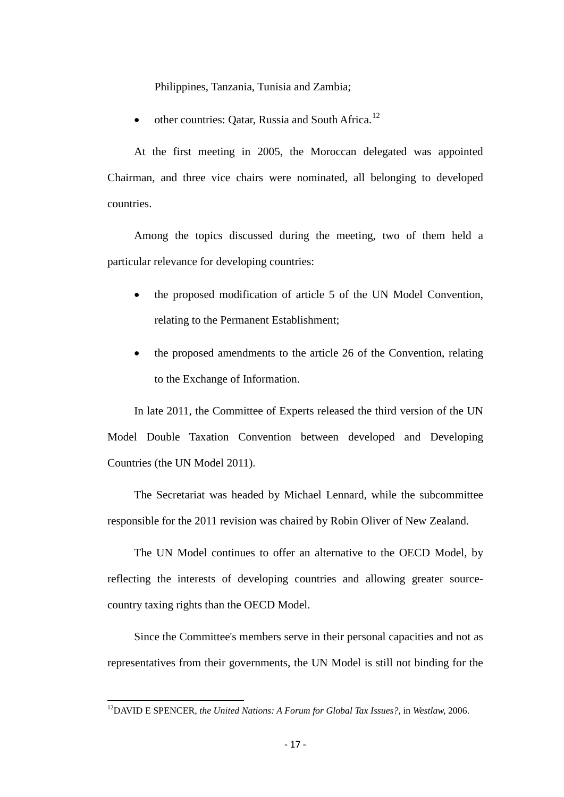Philippines, Tanzania, Tunisia and Zambia;

• other countries: Oatar, Russia and South Africa.<sup>[12](#page-15-0)</sup>

At the first meeting in 2005, the Moroccan delegated was appointed Chairman, and three vice chairs were nominated, all belonging to developed countries.

Among the topics discussed during the meeting, two of them held a particular relevance for developing countries:

- the proposed modification of article 5 of the UN Model Convention, relating to the Permanent Establishment;
- the proposed amendments to the article 26 of the Convention, relating to the Exchange of Information.

In late 2011, the Committee of Experts released the third version of the UN Model Double Taxation Convention between developed and Developing Countries (the UN Model 2011).

The Secretariat was headed by Michael Lennard, while the subcommittee responsible for the 2011 revision was chaired by Robin Oliver of New Zealand.

The UN Model continues to offer an alternative to the OECD Model, by reflecting the interests of developing countries and allowing greater sourcecountry taxing rights than the OECD Model.

Since the Committee's members serve in their personal capacities and not as representatives from their governments, the UN Model is still not binding for the

<span id="page-16-0"></span>12DAVID E SPENCER, *the United Nations: A Forum for Global Tax Issues?,* in *Westlaw,* 2006.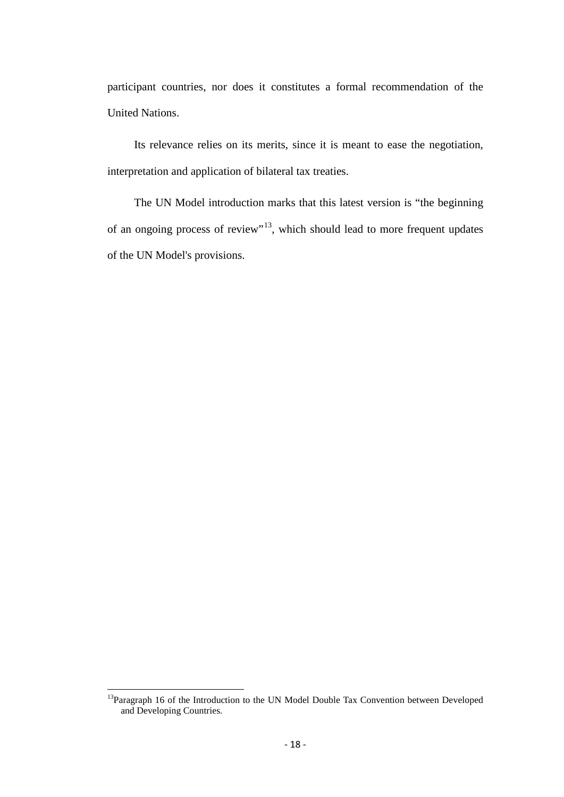participant countries, nor does it constitutes a formal recommendation of the United Nations.

Its relevance relies on its merits, since it is meant to ease the negotiation, interpretation and application of bilateral tax treaties.

The UN Model introduction marks that this latest version is "the beginning of an ongoing process of review"<sup>[13](#page-16-0)</sup>, which should lead to more frequent updates of the UN Model's provisions.

<span id="page-17-0"></span><sup>&</sup>lt;sup>13</sup>Paragraph 16 of the Introduction to the UN Model Double Tax Convention between Developed and Developing Countries.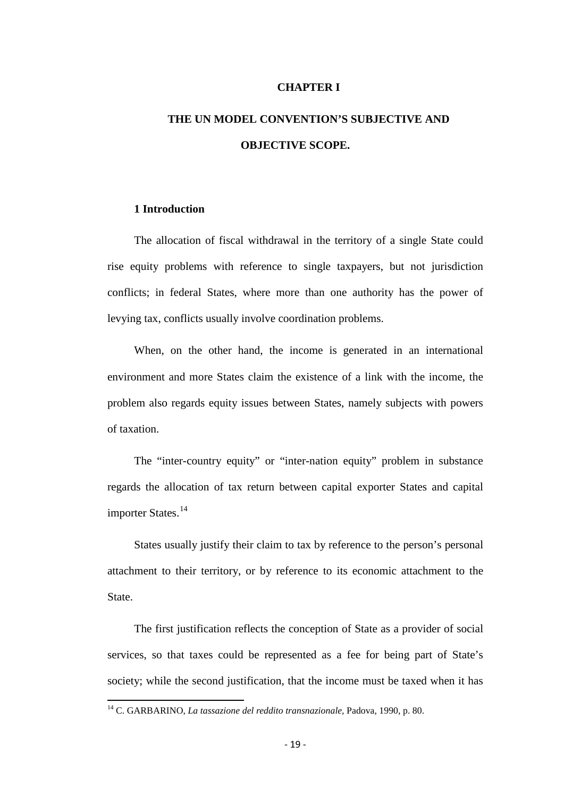#### **CHAPTER I**

# **THE UN MODEL CONVENTION'S SUBJECTIVE AND OBJECTIVE SCOPE.**

#### **1 Introduction**

The allocation of fiscal withdrawal in the territory of a single State could rise equity problems with reference to single taxpayers, but not jurisdiction conflicts; in federal States, where more than one authority has the power of levying tax, conflicts usually involve coordination problems.

When, on the other hand, the income is generated in an international environment and more States claim the existence of a link with the income, the problem also regards equity issues between States, namely subjects with powers of taxation.

The "inter-country equity" or "inter-nation equity" problem in substance regards the allocation of tax return between capital exporter States and capital importer States.<sup>[14](#page-17-0)</sup>

States usually justify their claim to tax by reference to the person's personal attachment to their territory, or by reference to its economic attachment to the State.

The first justification reflects the conception of State as a provider of social services, so that taxes could be represented as a fee for being part of State's society; while the second justification, that the income must be taxed when it has

<span id="page-18-0"></span><sup>14</sup> C. GARBARINO, *La tassazione del reddito transnazionale,* Padova, 1990, p. 80.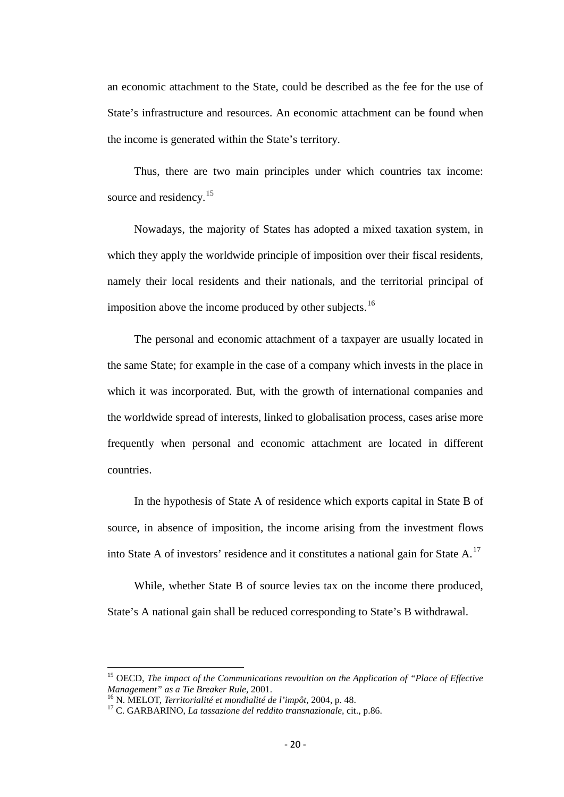an economic attachment to the State, could be described as the fee for the use of State's infrastructure and resources. An economic attachment can be found when the income is generated within the State's territory.

Thus, there are two main principles under which countries tax income: source and residency.<sup>[15](#page-18-0)</sup>

Nowadays, the majority of States has adopted a mixed taxation system, in which they apply the worldwide principle of imposition over their fiscal residents, namely their local residents and their nationals, and the territorial principal of imposition above the income produced by other subjects.<sup>[16](#page-19-0)</sup>

The personal and economic attachment of a taxpayer are usually located in the same State; for example in the case of a company which invests in the place in which it was incorporated. But, with the growth of international companies and the worldwide spread of interests, linked to globalisation process, cases arise more frequently when personal and economic attachment are located in different countries.

In the hypothesis of State A of residence which exports capital in State B of source, in absence of imposition, the income arising from the investment flows into State A of investors' residence and it constitutes a national gain for State A.<sup>[17](#page-19-1)</sup>

While, whether State B of source levies tax on the income there produced. State's A national gain shall be reduced corresponding to State's B withdrawal.

<sup>&</sup>lt;sup>15</sup> OECD, *The impact of the Communications revoultion on the Application of "Place of Effective Management" as a Tie Breaker Rule, 2001.* 

<span id="page-19-1"></span><span id="page-19-0"></span><sup>&</sup>lt;sup>16</sup> N. MELOT, *Territorialité et mondialité de l'impôt*, 2004, p. 48.<br><sup>17</sup> C. GARBARINO, *La tassazione del reddito transnazionale*, cit., p.86.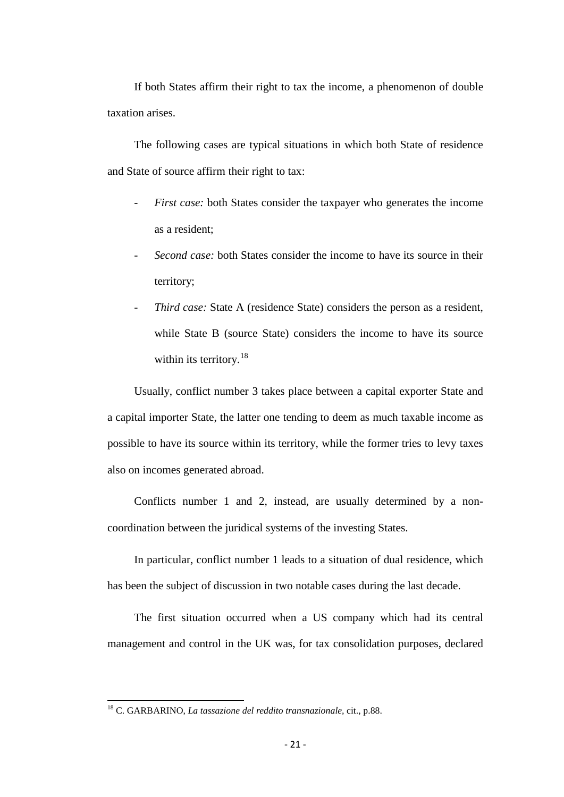If both States affirm their right to tax the income, a phenomenon of double taxation arises.

The following cases are typical situations in which both State of residence and State of source affirm their right to tax:

- First case: both States consider the taxpayer who generates the income as a resident;
- *Second case:* both States consider the income to have its source in their territory;
- *Third case:* State A (residence State) considers the person as a resident, while State B (source State) considers the income to have its source within its territory.<sup>[18](#page-19-1)</sup>

Usually, conflict number 3 takes place between a capital exporter State and a capital importer State, the latter one tending to deem as much taxable income as possible to have its source within its territory, while the former tries to levy taxes also on incomes generated abroad.

Conflicts number 1 and 2, instead, are usually determined by a noncoordination between the juridical systems of the investing States.

In particular, conflict number 1 leads to a situation of dual residence, which has been the subject of discussion in two notable cases during the last decade.

The first situation occurred when a US company which had its central management and control in the UK was, for tax consolidation purposes, declared

<span id="page-20-0"></span><sup>18</sup> C. GARBARINO, *La tassazione del reddito transnazionale,* cit., p.88.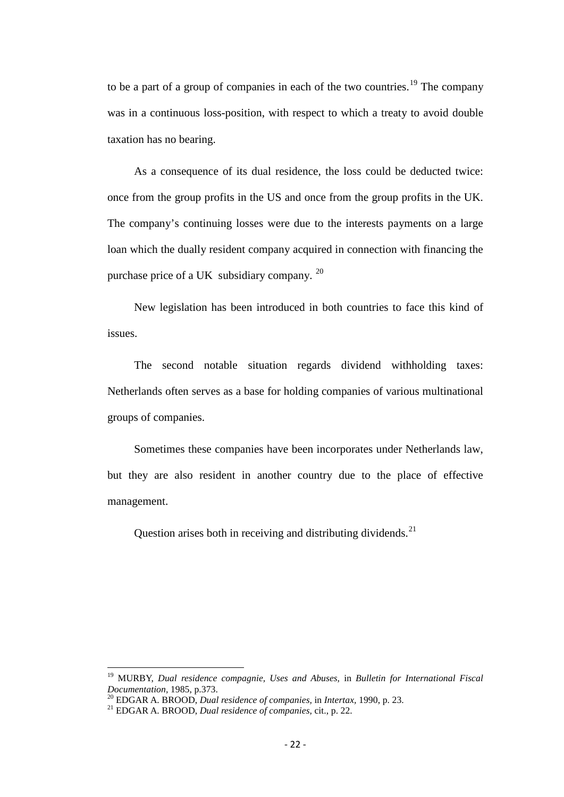to be a part of a group of companies in each of the two countries.<sup>[19](#page-20-0)</sup> The company was in a continuous loss-position, with respect to which a treaty to avoid double taxation has no bearing.

As a consequence of its dual residence, the loss could be deducted twice: once from the group profits in the US and once from the group profits in the UK. The company's continuing losses were due to the interests payments on a large loan which the dually resident company acquired in connection with financing the purchase price of a UK subsidiary company. <sup>20</sup>

New legislation has been introduced in both countries to face this kind of issues.

The second notable situation regards dividend withholding taxes: Netherlands often serves as a base for holding companies of various multinational groups of companies.

Sometimes these companies have been incorporates under Netherlands law, but they are also resident in another country due to the place of effective management.

Question arises both in receiving and distributing dividends.  $21$ 

<sup>&</sup>lt;sup>19</sup> MURBY, *Dual residence compagnie, Uses and Abuses*, in *Bulletin for International Fiscal Documentation*, 1985, p.373.

<span id="page-21-2"></span><span id="page-21-0"></span>*Documentation,* 1985, p.373. <sup>20</sup> EDGAR A. BROOD, *Dual residence of companies,* in *Intertax,* 1990, p. 23. <sup>21</sup> EDGAR A. BROOD, *Dual residence of companies,* cit., p. 22.

<span id="page-21-1"></span>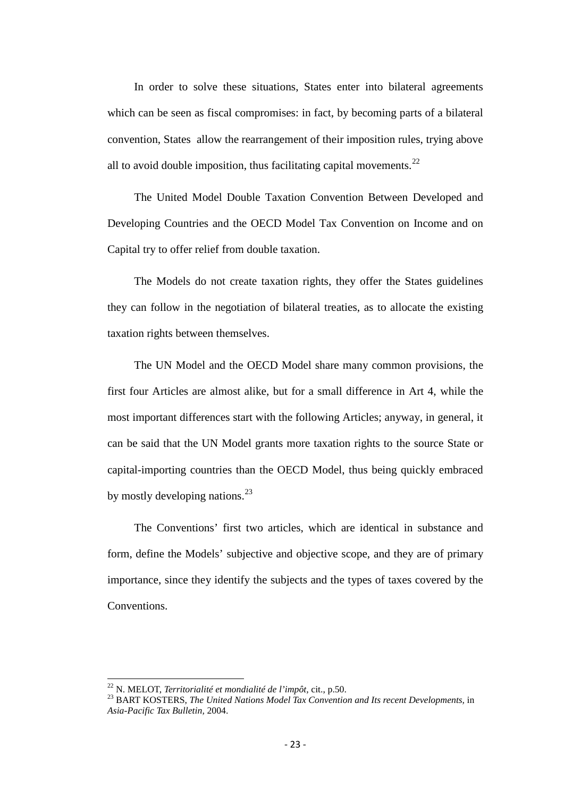In order to solve these situations, States enter into bilateral agreements which can be seen as fiscal compromises: in fact, by becoming parts of a bilateral convention, States allow the rearrangement of their imposition rules, trying above all to avoid double imposition, thus facilitating capital movements.<sup>[22](#page-21-2)</sup>

The United Model Double Taxation Convention Between Developed and Developing Countries and the OECD Model Tax Convention on Income and on Capital try to offer relief from double taxation.

The Models do not create taxation rights, they offer the States guidelines they can follow in the negotiation of bilateral treaties, as to allocate the existing taxation rights between themselves.

The UN Model and the OECD Model share many common provisions, the first four Articles are almost alike, but for a small difference in Art 4, while the most important differences start with the following Articles; anyway, in general, it can be said that the UN Model grants more taxation rights to the source State or capital-importing countries than the OECD Model, thus being quickly embraced by mostly developing nations. $^{23}$  $^{23}$  $^{23}$ 

The Conventions' first two articles, which are identical in substance and form, define the Models' subjective and objective scope, and they are of primary importance, since they identify the subjects and the types of taxes covered by the Conventions.

<span id="page-22-1"></span><span id="page-22-0"></span><sup>&</sup>lt;sup>22</sup> N. MELOT, *Territorialité et mondialité de l'impôt*, cit., p.50.<br><sup>23</sup> BART KOSTERS, *The United Nations Model Tax Convention and Its recent Developments, in Asia-Pacific Tax Bulletin,* 2004.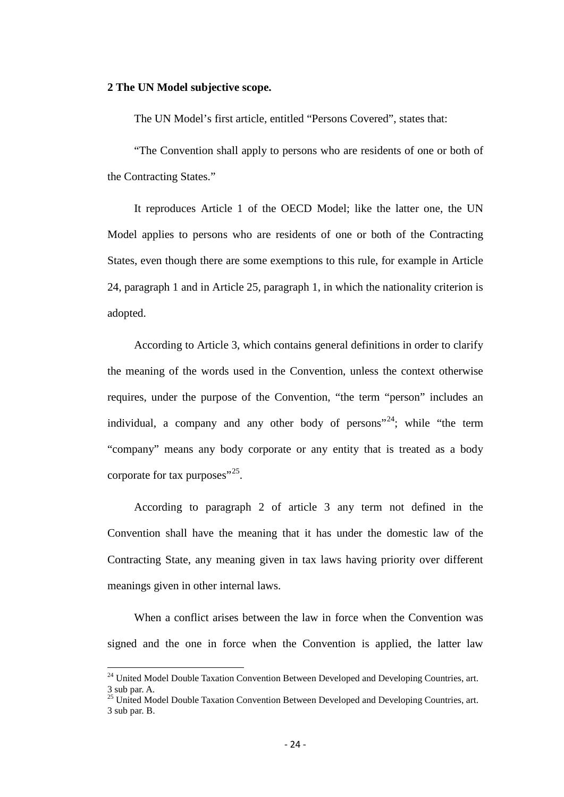#### **2 The UN Model subjective scope.**

The UN Model's first article, entitled "Persons Covered", states that:

"The Convention shall apply to persons who are residents of one or both of the Contracting States."

It reproduces Article 1 of the OECD Model; like the latter one, the UN Model applies to persons who are residents of one or both of the Contracting States, even though there are some exemptions to this rule, for example in Article 24, paragraph 1 and in Article 25, paragraph 1, in which the nationality criterion is adopted.

According to Article 3, which contains general definitions in order to clarify the meaning of the words used in the Convention, unless the context otherwise requires, under the purpose of the Convention, "the term "person" includes an individual, a company and any other body of persons<sup> $24$ </sup>; while "the term "company" means any body corporate or any entity that is treated as a body corporate for tax purposes"<sup>[25](#page-23-0)</sup>.

According to paragraph 2 of article 3 any term not defined in the Convention shall have the meaning that it has under the domestic law of the Contracting State, any meaning given in tax laws having priority over different meanings given in other internal laws.

When a conflict arises between the law in force when the Convention was signed and the one in force when the Convention is applied, the latter law

<span id="page-23-1"></span><sup>&</sup>lt;sup>24</sup> United Model Double Taxation Convention Between Developed and Developing Countries, art. 3 sub par. A.

<span id="page-23-0"></span><sup>&</sup>lt;sup>25</sup> United Model Double Taxation Convention Between Developed and Developing Countries, art. 3 sub par. B.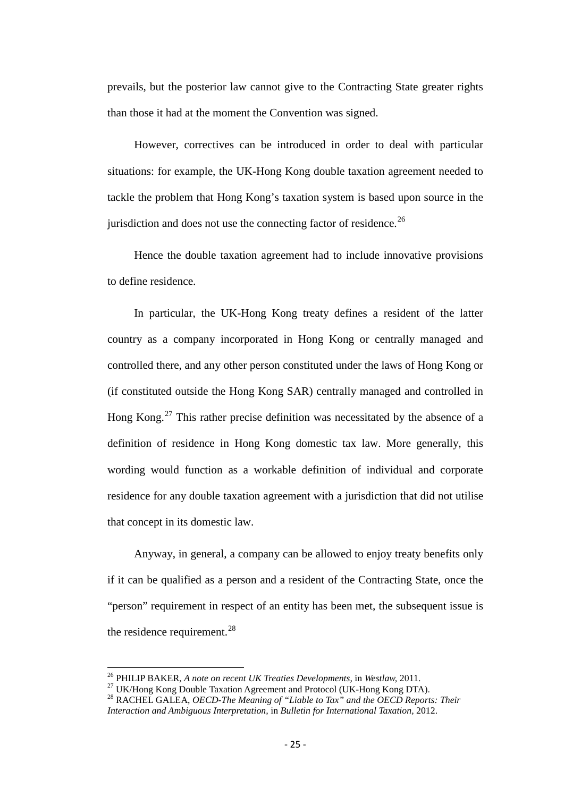prevails, but the posterior law cannot give to the Contracting State greater rights than those it had at the moment the Convention was signed.

However, correctives can be introduced in order to deal with particular situations: for example, the UK-Hong Kong double taxation agreement needed to tackle the problem that Hong Kong's taxation system is based upon source in the jurisdiction and does not use the connecting factor of residence.<sup>[26](#page-23-1)</sup>

Hence the double taxation agreement had to include innovative provisions to define residence.

In particular, the UK-Hong Kong treaty defines a resident of the latter country as a company incorporated in Hong Kong or centrally managed and controlled there, and any other person constituted under the laws of Hong Kong or (if constituted outside the Hong Kong SAR) centrally managed and controlled in Hong Kong.<sup>[27](#page-24-0)</sup> This rather precise definition was necessitated by the absence of a definition of residence in Hong Kong domestic tax law. More generally, this wording would function as a workable definition of individual and corporate residence for any double taxation agreement with a jurisdiction that did not utilise that concept in its domestic law.

Anyway, in general, a company can be allowed to enjoy treaty benefits only if it can be qualified as a person and a resident of the Contracting State, once the "person" requirement in respect of an entity has been met, the subsequent issue is the residence requirement. $^{28}$  $^{28}$  $^{28}$ 

<sup>&</sup>lt;sup>26</sup> PHILIP BAKER, *A note on recent UK Treaties Developments*, in Westlaw, 2011.<br><sup>27</sup> UK/Hong Kong Double Taxation Agreement and Protocol (UK-Hong Kong DTA).<br><sup>28</sup> RACHEL GALEA, *OECD-The Meaning of "Liable to Tax" and th* 

<span id="page-24-2"></span><span id="page-24-1"></span><span id="page-24-0"></span>*Interaction and Ambiguous Interpretation,* in *Bulletin for International Taxation,* 2012.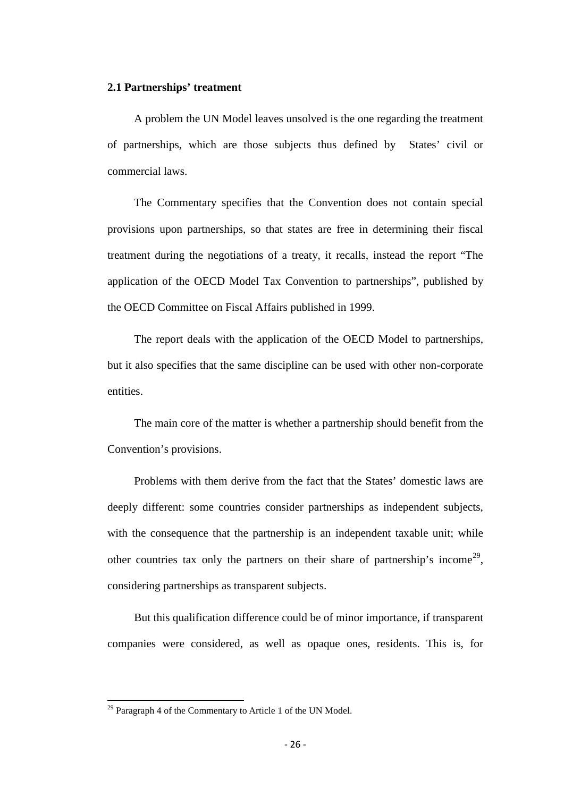#### **2.1 Partnerships' treatment**

A problem the UN Model leaves unsolved is the one regarding the treatment of partnerships, which are those subjects thus defined by States' civil or commercial laws.

The Commentary specifies that the Convention does not contain special provisions upon partnerships, so that states are free in determining their fiscal treatment during the negotiations of a treaty, it recalls, instead the report "The application of the OECD Model Tax Convention to partnerships", published by the OECD Committee on Fiscal Affairs published in 1999.

The report deals with the application of the OECD Model to partnerships, but it also specifies that the same discipline can be used with other non-corporate entities.

The main core of the matter is whether a partnership should benefit from the Convention's provisions.

Problems with them derive from the fact that the States' domestic laws are deeply different: some countries consider partnerships as independent subjects, with the consequence that the partnership is an independent taxable unit; while other countries tax only the partners on their share of partnership's income<sup>[29](#page-24-2)</sup>, considering partnerships as transparent subjects.

But this qualification difference could be of minor importance, if transparent companies were considered, as well as opaque ones, residents. This is, for

<span id="page-25-0"></span> $29$  Paragraph 4 of the Commentary to Article 1 of the UN Model.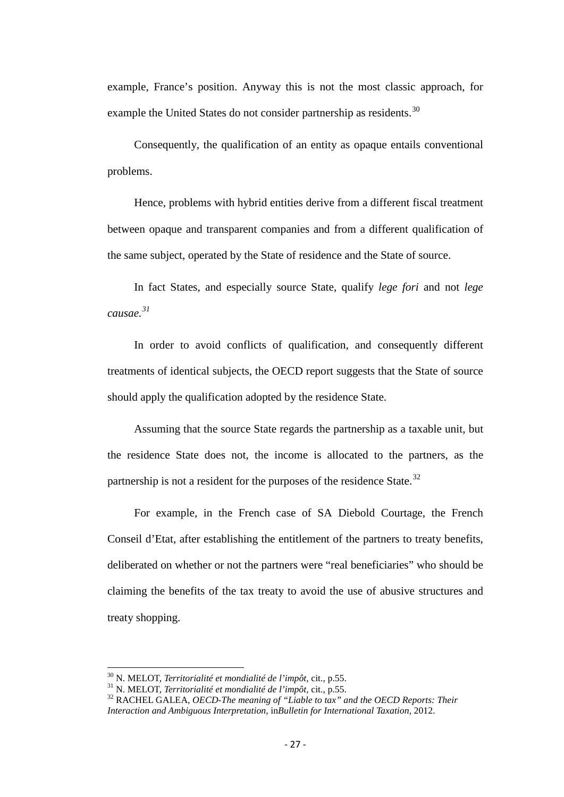example, France's position. Anyway this is not the most classic approach, for example the United States do not consider partnership as residents.<sup>[30](#page-25-0)</sup>

Consequently, the qualification of an entity as opaque entails conventional problems.

Hence, problems with hybrid entities derive from a different fiscal treatment between opaque and transparent companies and from a different qualification of the same subject, operated by the State of residence and the State of source.

In fact States, and especially source State, qualify *lege fori* and not *lege causae. [31](#page-26-0)*

In order to avoid conflicts of qualification, and consequently different treatments of identical subjects, the OECD report suggests that the State of source should apply the qualification adopted by the residence State.

Assuming that the source State regards the partnership as a taxable unit, but the residence State does not, the income is allocated to the partners, as the partnership is not a resident for the purposes of the residence State.<sup>[32](#page-26-1)</sup>

For example, in the French case of SA Diebold Courtage, the French Conseil d'Etat, after establishing the entitlement of the partners to treaty benefits, deliberated on whether or not the partners were "real beneficiaries" who should be claiming the benefits of the tax treaty to avoid the use of abusive structures and treaty shopping.

<span id="page-26-1"></span><span id="page-26-0"></span>

<span id="page-26-2"></span><sup>&</sup>lt;sup>30</sup> N. MELOT, *Territorialité et mondialité de l'impôt*, cit., p.55.<br><sup>31</sup> N. MELOT, *Territorialité et mondialité de l'impôt*, cit., p.55.<br><sup>32</sup> RACHEL GALEA, *OECD-The meaning of "Liable to tax" and the OECD Reports: The Interaction and Ambiguous Interpretation,* in*Bulletin for International Taxation,* 2012.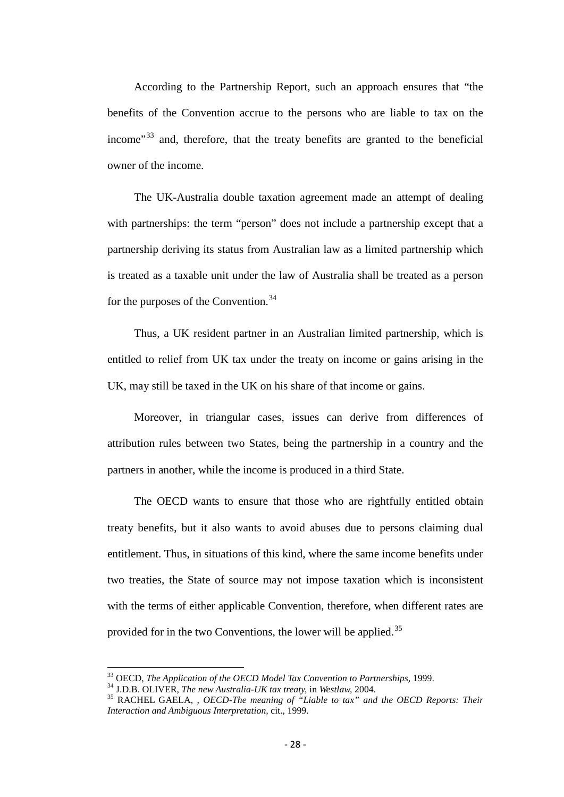According to the Partnership Report, such an approach ensures that "the benefits of the Convention accrue to the persons who are liable to tax on the income<sup> $33$ </sup> and, therefore, that the treaty benefits are granted to the beneficial owner of the income.

The UK-Australia double taxation agreement made an attempt of dealing with partnerships: the term "person" does not include a partnership except that a partnership deriving its status from Australian law as a limited partnership which is treated as a taxable unit under the law of Australia shall be treated as a person for the purposes of the Convention.<sup>[34](#page-27-0)</sup>

Thus, a UK resident partner in an Australian limited partnership, which is entitled to relief from UK tax under the treaty on income or gains arising in the UK, may still be taxed in the UK on his share of that income or gains.

Moreover, in triangular cases, issues can derive from differences of attribution rules between two States, being the partnership in a country and the partners in another, while the income is produced in a third State.

The OECD wants to ensure that those who are rightfully entitled obtain treaty benefits, but it also wants to avoid abuses due to persons claiming dual entitlement. Thus, in situations of this kind, where the same income benefits under two treaties, the State of source may not impose taxation which is inconsistent with the terms of either applicable Convention, therefore, when different rates are provided for in the two Conventions, the lower will be applied.<sup>[35](#page-27-1)</sup>

<span id="page-27-1"></span>

<span id="page-27-0"></span><sup>&</sup>lt;sup>33</sup> OECD, *The Application of the OECD Model Tax Convention to Partnerships*, 1999.<br><sup>34</sup> J.D.B. OLIVER, *The new Australia-UK tax treaty*, in *Westlaw*, 2004.<br><sup>35</sup> RACHEL GAELA, , *OECD-The meaning of "Liable to tax" and Interaction and Ambiguous Interpretation,* cit., 1999.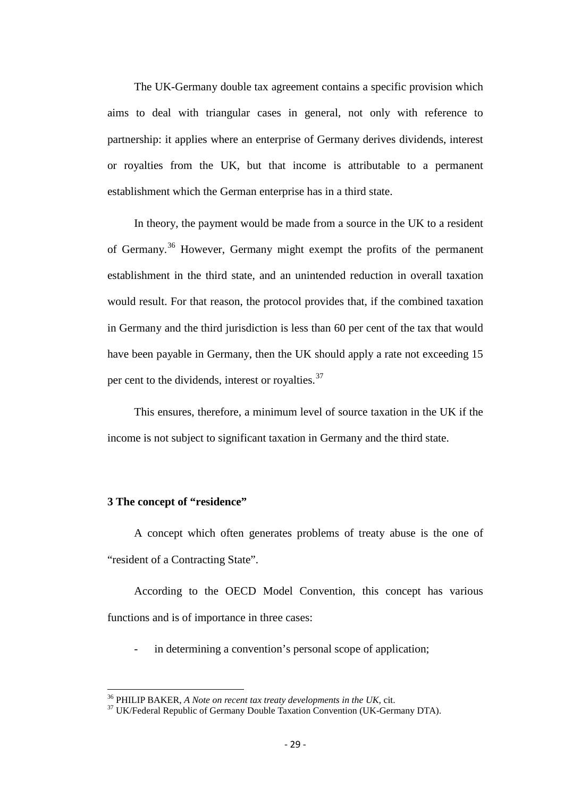The UK-Germany double tax agreement contains a specific provision which aims to deal with triangular cases in general, not only with reference to partnership: it applies where an enterprise of Germany derives dividends, interest or royalties from the UK, but that income is attributable to a permanent establishment which the German enterprise has in a third state.

In theory, the payment would be made from a source in the UK to a resident of Germany.[36](#page-27-1) However, Germany might exempt the profits of the permanent establishment in the third state, and an unintended reduction in overall taxation would result. For that reason, the protocol provides that, if the combined taxation in Germany and the third jurisdiction is less than 60 per cent of the tax that would have been payable in Germany, then the UK should apply a rate not exceeding 15 per cent to the dividends, interest or royalties.<sup>[37](#page-28-0)</sup>

This ensures, therefore, a minimum level of source taxation in the UK if the income is not subject to significant taxation in Germany and the third state.

#### **3 The concept of "residence"**

A concept which often generates problems of treaty abuse is the one of "resident of a Contracting State".

According to the OECD Model Convention, this concept has various functions and is of importance in three cases:

in determining a convention's personal scope of application;

<span id="page-28-1"></span><span id="page-28-0"></span><sup>&</sup>lt;sup>36</sup> PHILIP BAKER, *A Note on recent tax treaty developments in the UK*, cit. <sup>37</sup> UK/Federal Republic of Germany Double Taxation Convention (UK-Germany DTA).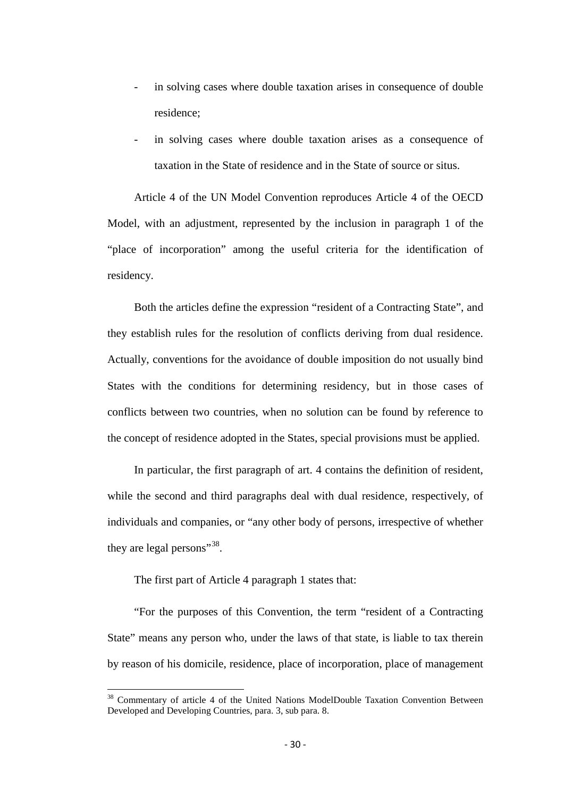- in solving cases where double taxation arises in consequence of double residence;
- in solving cases where double taxation arises as a consequence of taxation in the State of residence and in the State of source or situs.

Article 4 of the UN Model Convention reproduces Article 4 of the OECD Model, with an adjustment, represented by the inclusion in paragraph 1 of the "place of incorporation" among the useful criteria for the identification of residency.

Both the articles define the expression "resident of a Contracting State", and they establish rules for the resolution of conflicts deriving from dual residence. Actually, conventions for the avoidance of double imposition do not usually bind States with the conditions for determining residency, but in those cases of conflicts between two countries, when no solution can be found by reference to the concept of residence adopted in the States, special provisions must be applied.

In particular, the first paragraph of art. 4 contains the definition of resident, while the second and third paragraphs deal with dual residence, respectively, of individuals and companies, or "any other body of persons, irrespective of whether they are legal persons"<sup>38</sup>.

The first part of Article 4 paragraph 1 states that:

"For the purposes of this Convention, the term "resident of a Contracting State" means any person who, under the laws of that state, is liable to tax therein by reason of his domicile, residence, place of incorporation, place of management

<span id="page-29-0"></span><sup>&</sup>lt;sup>38</sup> Commentary of article 4 of the United Nations ModelDouble Taxation Convention Between Developed and Developing Countries, para. 3, sub para. 8.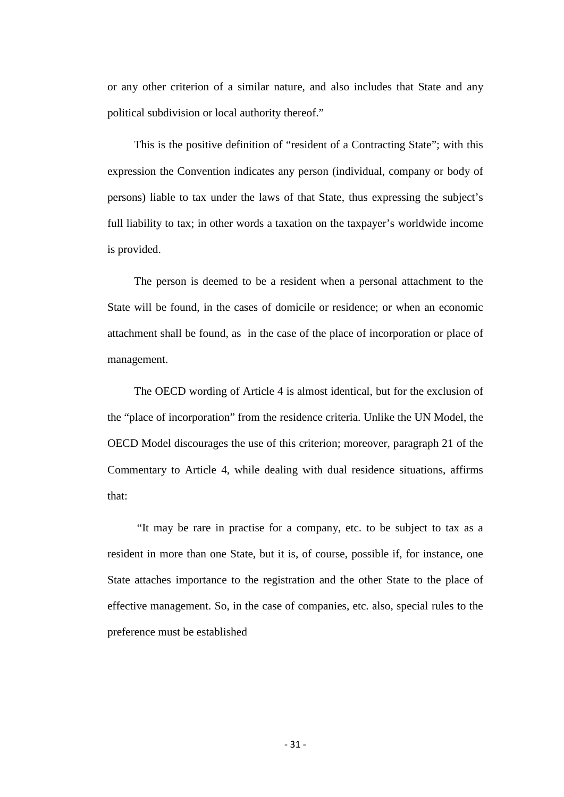or any other criterion of a similar nature, and also includes that State and any political subdivision or local authority thereof."

This is the positive definition of "resident of a Contracting State"; with this expression the Convention indicates any person (individual, company or body of persons) liable to tax under the laws of that State, thus expressing the subject's full liability to tax; in other words a taxation on the taxpayer's worldwide income is provided.

The person is deemed to be a resident when a personal attachment to the State will be found, in the cases of domicile or residence; or when an economic attachment shall be found, as in the case of the place of incorporation or place of management.

The OECD wording of Article 4 is almost identical, but for the exclusion of the "place of incorporation" from the residence criteria. Unlike the UN Model, the OECD Model discourages the use of this criterion; moreover, paragraph 21 of the Commentary to Article 4, while dealing with dual residence situations, affirms that:

"It may be rare in practise for a company, etc. to be subject to tax as a resident in more than one State, but it is, of course, possible if, for instance, one State attaches importance to the registration and the other State to the place of effective management. So, in the case of companies, etc. also, special rules to the preference must be established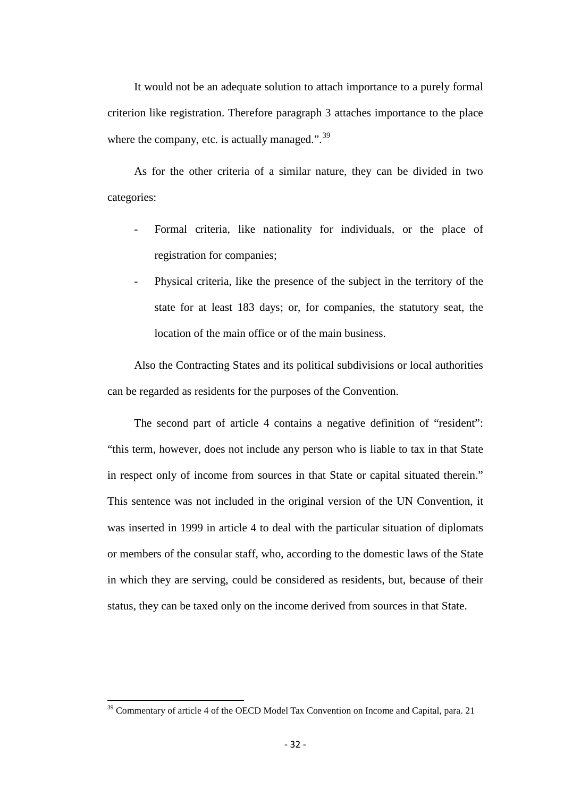It would not be an adequate solution to attach importance to a purely formal criterion like registration. Therefore paragraph 3 attaches importance to the place where the company, etc. is actually managed.".<sup>[39](#page-29-0)</sup>

As for the other criteria of a similar nature, they can be divided in two categories:

- Formal criteria, like nationality for individuals, or the place of registration for companies;
- Physical criteria, like the presence of the subject in the territory of the state for at least 183 days; or, for companies, the statutory seat, the location of the main office or of the main business.

Also the Contracting States and its political subdivisions or local authorities can be regarded as residents for the purposes of the Convention.

The second part of article 4 contains a negative definition of "resident": "this term, however, does not include any person who is liable to tax in that State in respect only of income from sources in that State or capital situated therein." This sentence was not included in the original version of the UN Convention, it was inserted in 1999 in article 4 to deal with the particular situation of diplomats or members of the consular staff, who, according to the domestic laws of the State in which they are serving, could be considered as residents, but, because of their status, they can be taxed only on the income derived from sources in that State.

<span id="page-31-0"></span><sup>&</sup>lt;sup>39</sup> Commentary of article 4 of the OECD Model Tax Convention on Income and Capital, para. 21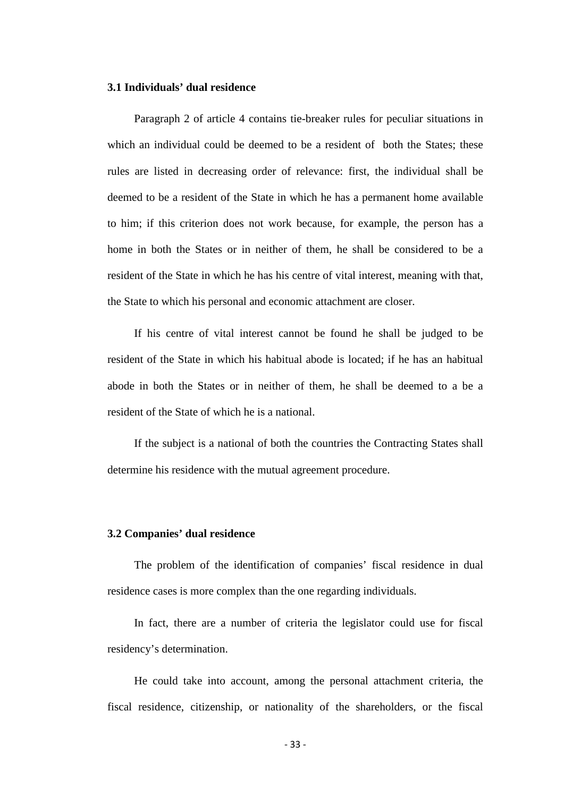#### **3.1 Individuals' dual residence**

Paragraph 2 of article 4 contains tie-breaker rules for peculiar situations in which an individual could be deemed to be a resident of both the States; these rules are listed in decreasing order of relevance: first, the individual shall be deemed to be a resident of the State in which he has a permanent home available to him; if this criterion does not work because, for example, the person has a home in both the States or in neither of them, he shall be considered to be a resident of the State in which he has his centre of vital interest, meaning with that, the State to which his personal and economic attachment are closer.

If his centre of vital interest cannot be found he shall be judged to be resident of the State in which his habitual abode is located; if he has an habitual abode in both the States or in neither of them, he shall be deemed to a be a resident of the State of which he is a national.

If the subject is a national of both the countries the Contracting States shall determine his residence with the mutual agreement procedure.

#### **3.2 Companies' dual residence**

The problem of the identification of companies' fiscal residence in dual residence cases is more complex than the one regarding individuals.

In fact, there are a number of criteria the legislator could use for fiscal residency's determination.

He could take into account, among the personal attachment criteria, the fiscal residence, citizenship, or nationality of the shareholders, or the fiscal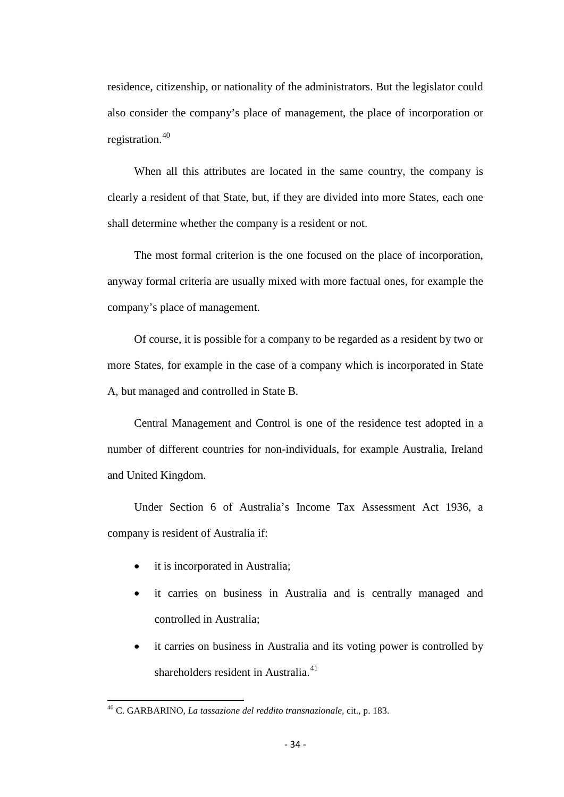residence, citizenship, or nationality of the administrators. But the legislator could also consider the company's place of management, the place of incorporation or registration.<sup>[40](#page-31-0)</sup>

When all this attributes are located in the same country, the company is clearly a resident of that State, but, if they are divided into more States, each one shall determine whether the company is a resident or not.

The most formal criterion is the one focused on the place of incorporation, anyway formal criteria are usually mixed with more factual ones, for example the company's place of management.

Of course, it is possible for a company to be regarded as a resident by two or more States, for example in the case of a company which is incorporated in State A, but managed and controlled in State B.

Central Management and Control is one of the residence test adopted in a number of different countries for non-individuals, for example Australia, Ireland and United Kingdom.

Under Section 6 of Australia's Income Tax Assessment Act 1936, a company is resident of Australia if:

- it is incorporated in Australia;
- it carries on business in Australia and is centrally managed and controlled in Australia;
- it carries on business in Australia and its voting power is controlled by shareholders resident in Australia. $41$

<span id="page-33-1"></span><span id="page-33-0"></span><sup>40</sup> C. GARBARINO, *La tassazione del reddito transnazionale,* cit., p. 183.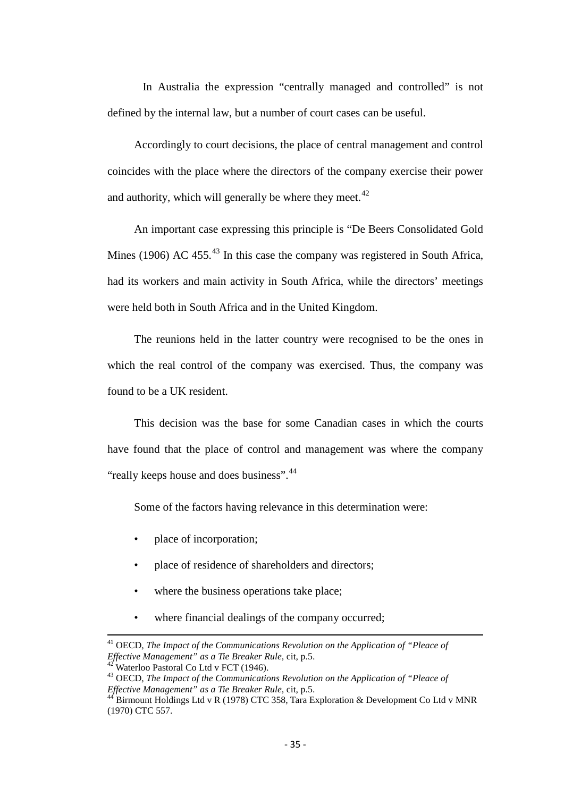In Australia the expression "centrally managed and controlled" is not defined by the internal law, but a number of court cases can be useful.

Accordingly to court decisions, the place of central management and control coincides with the place where the directors of the company exercise their power and authority, which will generally be where they meet.<sup>[42](#page-33-1)</sup>

An important case expressing this principle is "De Beers Consolidated Gold Mines (1906) AC 455.<sup>[43](#page-34-0)</sup> In this case the company was registered in South Africa, had its workers and main activity in South Africa, while the directors' meetings were held both in South Africa and in the United Kingdom.

The reunions held in the latter country were recognised to be the ones in which the real control of the company was exercised. Thus, the company was found to be a UK resident.

This decision was the base for some Canadian cases in which the courts have found that the place of control and management was where the company "really keeps house and does business".<sup>[44](#page-34-1)</sup>

Some of the factors having relevance in this determination were:

- place of incorporation;
- place of residence of shareholders and directors;
- where the business operations take place;
- where financial dealings of the company occurred;

<sup>&</sup>lt;sup>41</sup> OECD, *The Impact of the Communications Revolution on the Application of "Pleace of Effective Management" as a Tie Breaker Rule, cit,*  $p.5$ *.* 

<span id="page-34-0"></span><sup>&</sup>lt;sup>42"</sup> Waterloo Pastoral Co Ltd v FCT (1946).<br><sup>43</sup> OECD, *The Impact of the Communications Revolution on the Application of "Pleace of <i>Effective Management" as a Tie Breaker Rule*, cit, p.5.<br><sup>44</sup> Plime

<span id="page-34-1"></span>*Birmount Holdings Ltd v R (1978) CTC 358, Tara Exploration & Development Co Ltd v MNR* (1970) CTC 557.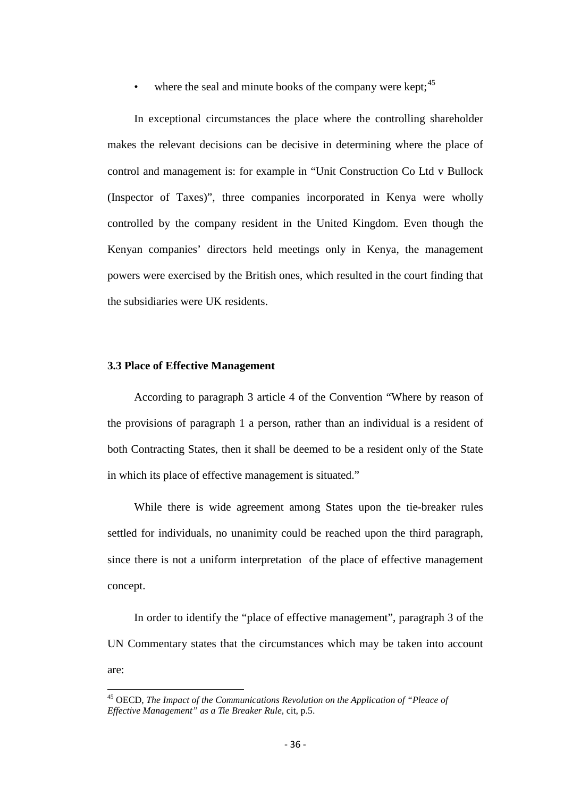where the seal and minute books of the company were kept;  $45$ 

In exceptional circumstances the place where the controlling shareholder makes the relevant decisions can be decisive in determining where the place of control and management is: for example in "Unit Construction Co Ltd v Bullock (Inspector of Taxes)", three companies incorporated in Kenya were wholly controlled by the company resident in the United Kingdom. Even though the Kenyan companies' directors held meetings only in Kenya, the management powers were exercised by the British ones, which resulted in the court finding that the subsidiaries were UK residents.

#### **3.3 Place of Effective Management**

According to paragraph 3 article 4 of the Convention "Where by reason of the provisions of paragraph 1 a person, rather than an individual is a resident of both Contracting States, then it shall be deemed to be a resident only of the State in which its place of effective management is situated."

While there is wide agreement among States upon the tie-breaker rules settled for individuals, no unanimity could be reached upon the third paragraph, since there is not a uniform interpretation of the place of effective management concept.

In order to identify the "place of effective management", paragraph 3 of the UN Commentary states that the circumstances which may be taken into account are:

<sup>45</sup> OECD, *The Impact of the Communications Revolution on the Application of "Pleace of Effective Management" as a Tie Breaker Rule,* cit, p.5.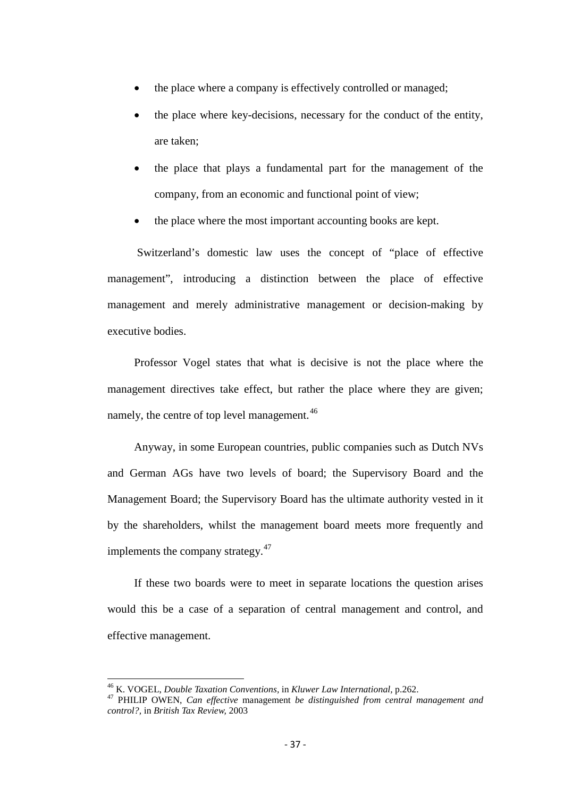- the place where a company is effectively controlled or managed;
- the place where key-decisions, necessary for the conduct of the entity, are taken;
- the place that plays a fundamental part for the management of the company, from an economic and functional point of view;
- the place where the most important accounting books are kept.

Switzerland's domestic law uses the concept of "place of effective management", introducing a distinction between the place of effective management and merely administrative management or decision-making by executive bodies.

Professor Vogel states that what is decisive is not the place where the management directives take effect, but rather the place where they are given; namely, the centre of top level management.<sup>[46](#page-35-0)</sup>

Anyway, in some European countries, public companies such as Dutch NVs and German AGs have two levels of board; the Supervisory Board and the Management Board; the Supervisory Board has the ultimate authority vested in it by the shareholders, whilst the management board meets more frequently and implements the company strategy.<sup>[47](#page-36-0)</sup>

If these two boards were to meet in separate locations the question arises would this be a case of a separation of central management and control, and effective management.

<span id="page-36-1"></span><span id="page-36-0"></span><sup>46</sup> K. VOGEL, *Double Taxation Conventions,* in *Kluwer Law International,* p.262. <sup>47</sup> PHILIP OWEN, *Can effective* management *be distinguished from central management and control?,* in *British Tax Review,* 2003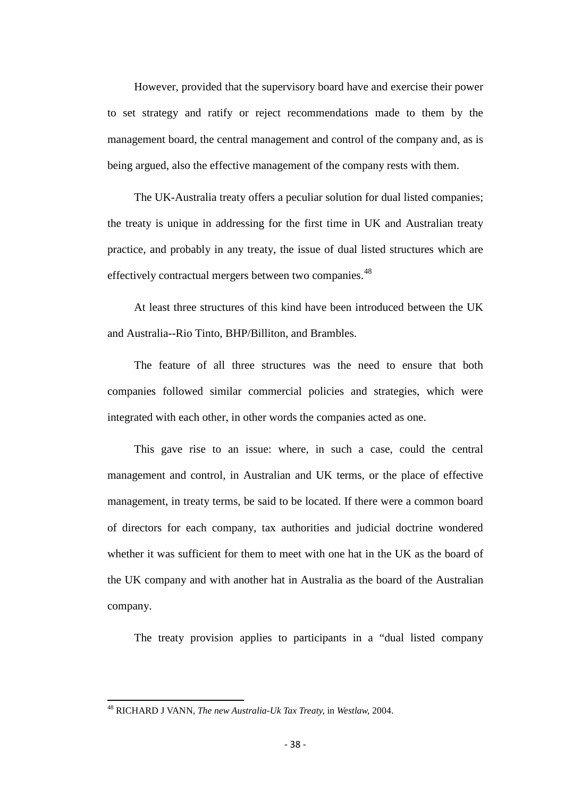However, provided that the supervisory board have and exercise their power to set strategy and ratify or reject recommendations made to them by the management board, the central management and control of the company and, as is being argued, also the effective management of the company rests with them.

The UK-Australia treaty offers a peculiar solution for dual listed companies; the treaty is unique in addressing for the first time in UK and Australian treaty practice, and probably in any treaty, the issue of dual listed structures which are effectively contractual mergers between two companies.<sup>[48](#page-36-1)</sup>

At least three structures of this kind have been introduced between the UK and Australia--Rio Tinto, BHP/Billiton, and Brambles.

The feature of all three structures was the need to ensure that both companies followed similar commercial policies and strategies, which were integrated with each other, in other words the companies acted as one.

This gave rise to an issue: where, in such a case, could the central management and control, in Australian and UK terms, or the place of effective management, in treaty terms, be said to be located. If there were a common board of directors for each company, tax authorities and judicial doctrine wondered whether it was sufficient for them to meet with one hat in the UK as the board of the UK company and with another hat in Australia as the board of the Australian company.

The treaty provision applies to participants in a "dual listed company

<span id="page-37-0"></span><sup>48</sup> RICHARD J VANN, *The new Australia-Uk Tax Treaty,* in *Westlaw,* 2004.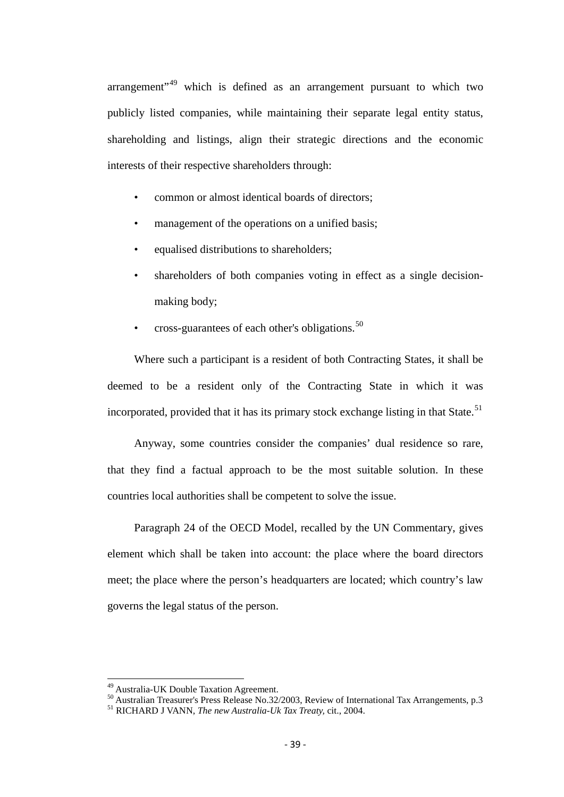arrangement"<sup>[49](#page-37-0)</sup> which is defined as an arrangement pursuant to which two publicly listed companies, while maintaining their separate legal entity status, shareholding and listings, align their strategic directions and the economic interests of their respective shareholders through:

- common or almost identical boards of directors:
- management of the operations on a unified basis;
- equalised distributions to shareholders;
- shareholders of both companies voting in effect as a single decisionmaking body;
- cross-guarantees of each other's obligations. $50$

Where such a participant is a resident of both Contracting States, it shall be deemed to be a resident only of the Contracting State in which it was incorporated, provided that it has its primary stock exchange listing in that State.<sup>[51](#page-38-1)</sup>

Anyway, some countries consider the companies' dual residence so rare, that they find a factual approach to be the most suitable solution. In these countries local authorities shall be competent to solve the issue.

Paragraph 24 of the OECD Model, recalled by the UN Commentary, gives element which shall be taken into account: the place where the board directors meet; the place where the person's headquarters are located; which country's law governs the legal status of the person.

<span id="page-38-0"></span><sup>49</sup> Australia-UK Double Taxation Agreement. 50 Australian Treasurer's Press Release No.32/2003, Review of International Tax Arrangements, p.3 <sup>51</sup> RICHARD J VANN, *The new Australia-Uk Tax Treaty,* cit., 2004.

<span id="page-38-1"></span>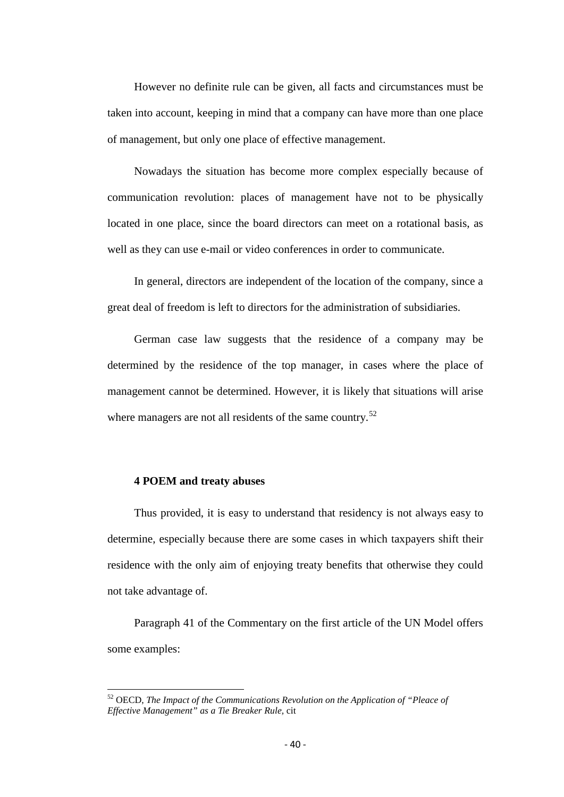However no definite rule can be given, all facts and circumstances must be taken into account, keeping in mind that a company can have more than one place of management, but only one place of effective management.

Nowadays the situation has become more complex especially because of communication revolution: places of management have not to be physically located in one place, since the board directors can meet on a rotational basis, as well as they can use e-mail or video conferences in order to communicate.

In general, directors are independent of the location of the company, since a great deal of freedom is left to directors for the administration of subsidiaries.

German case law suggests that the residence of a company may be determined by the residence of the top manager, in cases where the place of management cannot be determined. However, it is likely that situations will arise where managers are not all residents of the same country. $52$ 

#### **4 POEM and treaty abuses**

Thus provided, it is easy to understand that residency is not always easy to determine, especially because there are some cases in which taxpayers shift their residence with the only aim of enjoying treaty benefits that otherwise they could not take advantage of.

Paragraph 41 of the Commentary on the first article of the UN Model offers some examples:

<span id="page-39-0"></span><sup>52</sup> OECD, *The Impact of the Communications Revolution on the Application of "Pleace of Effective Management" as a Tie Breaker Rule,* cit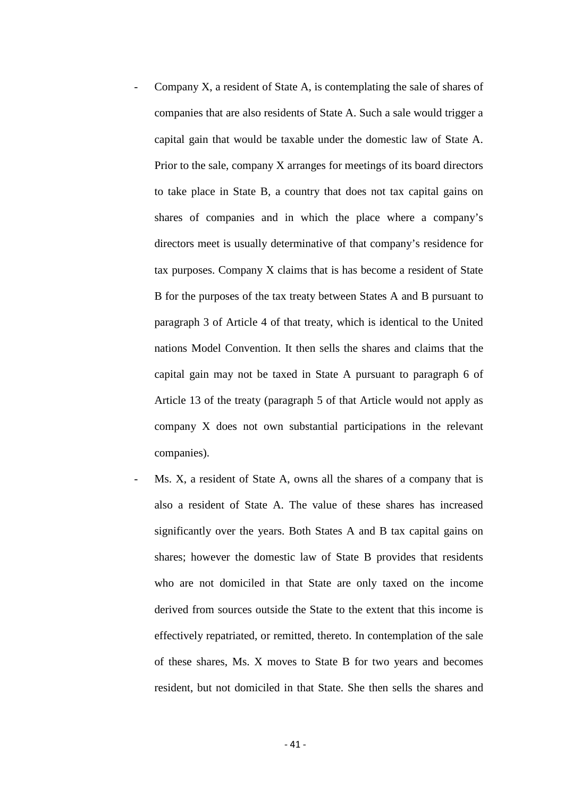- Company X, a resident of State A, is contemplating the sale of shares of companies that are also residents of State A. Such a sale would trigger a capital gain that would be taxable under the domestic law of State A. Prior to the sale, company X arranges for meetings of its board directors to take place in State B, a country that does not tax capital gains on shares of companies and in which the place where a company's directors meet is usually determinative of that company's residence for tax purposes. Company X claims that is has become a resident of State B for the purposes of the tax treaty between States A and B pursuant to paragraph 3 of Article 4 of that treaty, which is identical to the United nations Model Convention. It then sells the shares and claims that the capital gain may not be taxed in State A pursuant to paragraph 6 of Article 13 of the treaty (paragraph 5 of that Article would not apply as company X does not own substantial participations in the relevant companies).
- Ms. X, a resident of State A, owns all the shares of a company that is also a resident of State A. The value of these shares has increased significantly over the years. Both States A and B tax capital gains on shares; however the domestic law of State B provides that residents who are not domiciled in that State are only taxed on the income derived from sources outside the State to the extent that this income is effectively repatriated, or remitted, thereto. In contemplation of the sale of these shares, Ms. X moves to State B for two years and becomes resident, but not domiciled in that State. She then sells the shares and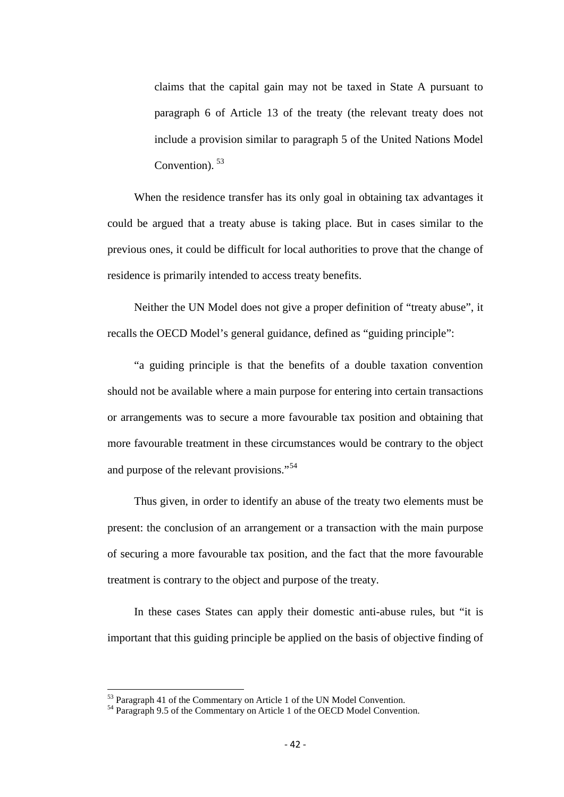claims that the capital gain may not be taxed in State A pursuant to paragraph 6 of Article 13 of the treaty (the relevant treaty does not include a provision similar to paragraph 5 of the United Nations Model Convention). [53](#page-39-0)

When the residence transfer has its only goal in obtaining tax advantages it could be argued that a treaty abuse is taking place. But in cases similar to the previous ones, it could be difficult for local authorities to prove that the change of residence is primarily intended to access treaty benefits.

Neither the UN Model does not give a proper definition of "treaty abuse", it recalls the OECD Model's general guidance, defined as "guiding principle":

"a guiding principle is that the benefits of a double taxation convention should not be available where a main purpose for entering into certain transactions or arrangements was to secure a more favourable tax position and obtaining that more favourable treatment in these circumstances would be contrary to the object and purpose of the relevant provisions."<sup>[54](#page-41-0)</sup>

Thus given, in order to identify an abuse of the treaty two elements must be present: the conclusion of an arrangement or a transaction with the main purpose of securing a more favourable tax position, and the fact that the more favourable treatment is contrary to the object and purpose of the treaty.

In these cases States can apply their domestic anti-abuse rules, but "it is important that this guiding principle be applied on the basis of objective finding of

<span id="page-41-0"></span>

 $53$  Paragraph 41 of the Commentary on Article 1 of the UN Model Convention.<br> $54$  Paragraph 9.5 of the Commentary on Article 1 of the OECD Model Convention.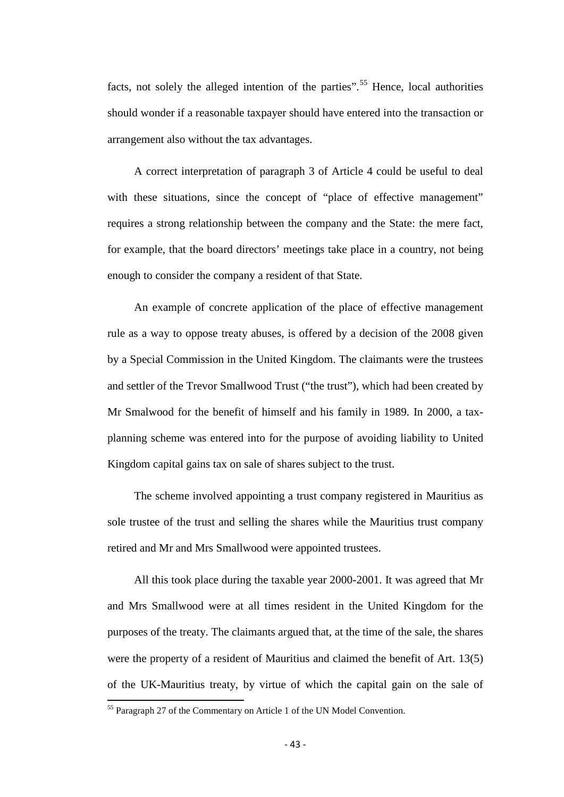facts, not solely the alleged intention of the parties".<sup>[55](#page-41-0)</sup> Hence, local authorities should wonder if a reasonable taxpayer should have entered into the transaction or arrangement also without the tax advantages.

A correct interpretation of paragraph 3 of Article 4 could be useful to deal with these situations, since the concept of "place of effective management" requires a strong relationship between the company and the State: the mere fact, for example, that the board directors' meetings take place in a country, not being enough to consider the company a resident of that State.

An example of concrete application of the place of effective management rule as a way to oppose treaty abuses, is offered by a decision of the 2008 given by a Special Commission in the United Kingdom. The claimants were the trustees and settler of the Trevor Smallwood Trust ("the trust"), which had been created by Mr Smalwood for the benefit of himself and his family in 1989. In 2000, a taxplanning scheme was entered into for the purpose of avoiding liability to United Kingdom capital gains tax on sale of shares subject to the trust.

The scheme involved appointing a trust company registered in Mauritius as sole trustee of the trust and selling the shares while the Mauritius trust company retired and Mr and Mrs Smallwood were appointed trustees.

All this took place during the taxable year 2000-2001. It was agreed that Mr and Mrs Smallwood were at all times resident in the United Kingdom for the purposes of the treaty. The claimants argued that, at the time of the sale, the shares were the property of a resident of Mauritius and claimed the benefit of Art. 13(5) of the UK-Mauritius treaty, by virtue of which the capital gain on the sale of

<span id="page-42-0"></span><sup>&</sup>lt;sup>55</sup> Paragraph 27 of the Commentary on Article 1 of the UN Model Convention.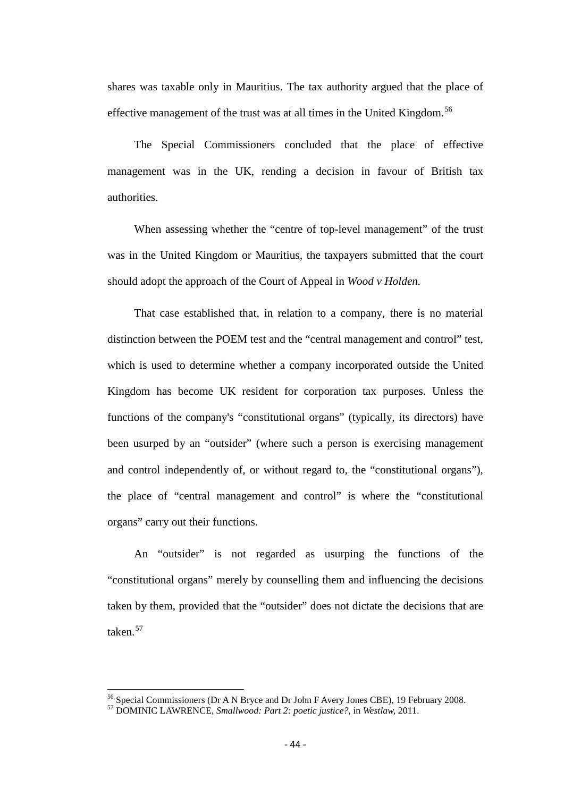shares was taxable only in Mauritius. The tax authority argued that the place of effective management of the trust was at all times in the United Kingdom.<sup>[56](#page-42-0)</sup>

The Special Commissioners concluded that the place of effective management was in the UK, rending a decision in favour of British tax authorities.

When assessing whether the "centre of top-level management" of the trust was in the United Kingdom or Mauritius, the taxpayers submitted that the court should adopt the approach of the Court of Appeal in *Wood v Holden.*

That case established that, in relation to a company, there is no material distinction between the POEM test and the "central management and control" test, which is used to determine whether a company incorporated outside the United Kingdom has become UK resident for corporation tax purposes. Unless the functions of the company's "constitutional organs" (typically, its directors) have been usurped by an "outsider" (where such a person is exercising management and control independently of, or without regard to, the "constitutional organs"), the place of "central management and control" is where the "constitutional organs" carry out their functions.

An "outsider" is not regarded as usurping the functions of the "constitutional organs" merely by counselling them and influencing the decisions taken by them, provided that the "outsider" does not dictate the decisions that are taken.<sup>[57](#page-43-0)</sup>

<span id="page-43-0"></span><sup>56</sup> Special Commissioners (Dr A N Bryce and Dr John F Avery Jones CBE), 19 February 2008. <sup>57</sup> DOMINIC LAWRENCE, *Smallwood: Part 2: poetic justice?,* in *Westlaw,* 2011.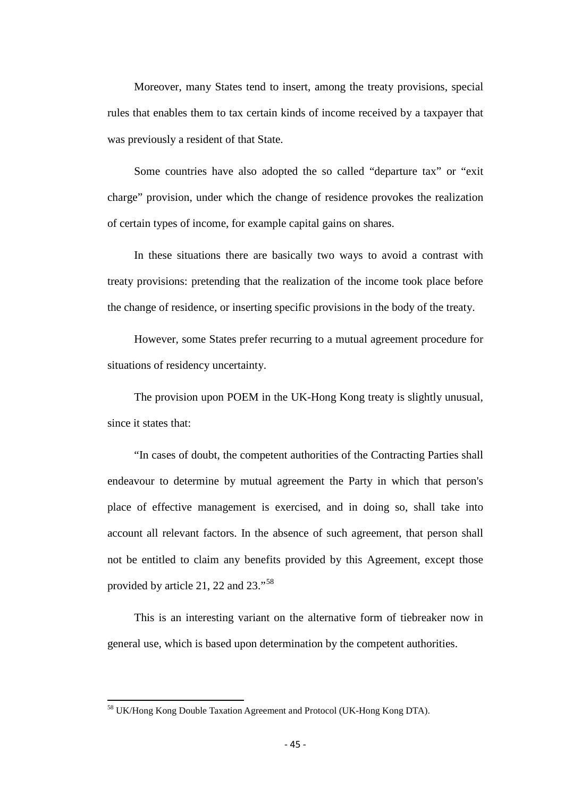Moreover, many States tend to insert, among the treaty provisions, special rules that enables them to tax certain kinds of income received by a taxpayer that was previously a resident of that State.

Some countries have also adopted the so called "departure tax" or "exit charge" provision, under which the change of residence provokes the realization of certain types of income, for example capital gains on shares.

In these situations there are basically two ways to avoid a contrast with treaty provisions: pretending that the realization of the income took place before the change of residence, or inserting specific provisions in the body of the treaty.

However, some States prefer recurring to a mutual agreement procedure for situations of residency uncertainty.

The provision upon POEM in the UK-Hong Kong treaty is slightly unusual, since it states that:

"In cases of doubt, the competent authorities of the Contracting Parties shall endeavour to determine by mutual agreement the Party in which that person's place of effective management is exercised, and in doing so, shall take into account all relevant factors. In the absence of such agreement, that person shall not be entitled to claim any benefits provided by this Agreement, except those provided by article 21, 22 and 23."[58](#page-43-0)

This is an interesting variant on the alternative form of tiebreaker now in general use, which is based upon determination by the competent authorities.

<span id="page-44-0"></span><sup>58</sup> UK/Hong Kong Double Taxation Agreement and Protocol (UK-Hong Kong DTA).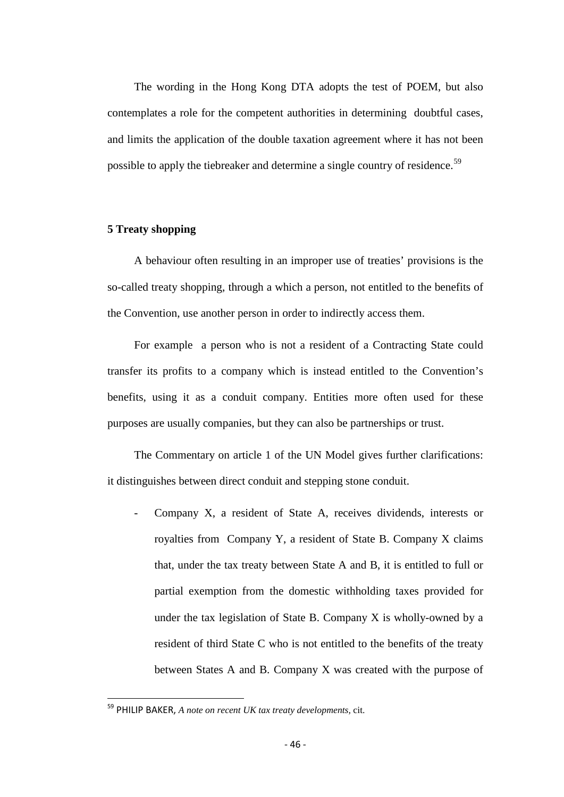The wording in the Hong Kong DTA adopts the test of POEM, but also contemplates a role for the competent authorities in determining doubtful cases, and limits the application of the double taxation agreement where it has not been possible to apply the tiebreaker and determine a single country of residence.<sup>[59](#page-44-0)</sup>

## **5 Treaty shopping**

A behaviour often resulting in an improper use of treaties' provisions is the so-called treaty shopping, through a which a person, not entitled to the benefits of the Convention, use another person in order to indirectly access them.

For example a person who is not a resident of a Contracting State could transfer its profits to a company which is instead entitled to the Convention's benefits, using it as a conduit company. Entities more often used for these purposes are usually companies, but they can also be partnerships or trust.

The Commentary on article 1 of the UN Model gives further clarifications: it distinguishes between direct conduit and stepping stone conduit.

Company X, a resident of State A, receives dividends, interests or royalties from Company Y, a resident of State B. Company X claims that, under the tax treaty between State A and B, it is entitled to full or partial exemption from the domestic withholding taxes provided for under the tax legislation of State B. Company  $X$  is wholly-owned by a resident of third State C who is not entitled to the benefits of the treaty between States A and B. Company X was created with the purpose of

<span id="page-45-0"></span> <sup>59</sup> PHILIP BAKER, *A note on recent UK tax treaty developments,* cit.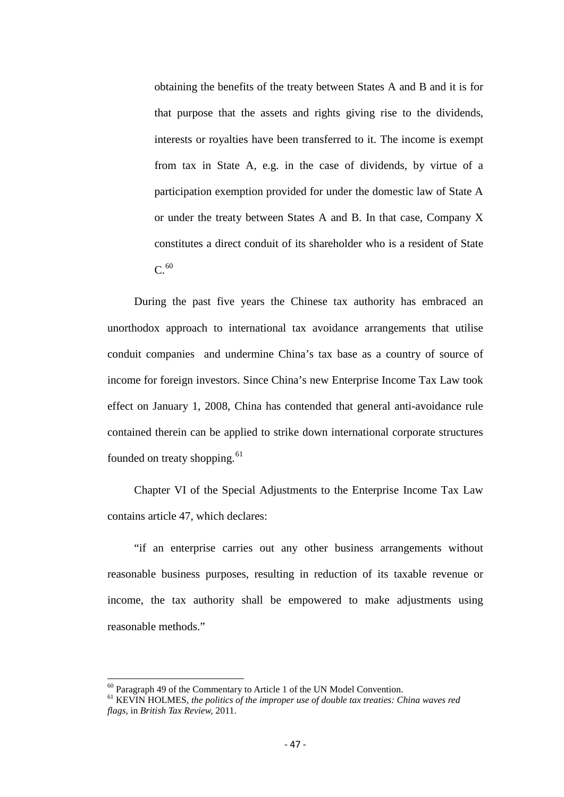obtaining the benefits of the treaty between States A and B and it is for that purpose that the assets and rights giving rise to the dividends, interests or royalties have been transferred to it. The income is exempt from tax in State A, e.g. in the case of dividends, by virtue of a participation exemption provided for under the domestic law of State A or under the treaty between States A and B. In that case, Company X constitutes a direct conduit of its shareholder who is a resident of State  $C.<sup>60</sup>$  $C.<sup>60</sup>$  $C.<sup>60</sup>$ 

During the past five years the Chinese tax authority has embraced an unorthodox approach to international tax avoidance arrangements that utilise conduit companies and undermine China's tax base as a country of source of income for foreign investors. Since China's new Enterprise Income Tax Law took effect on January 1, 2008, China has contended that general anti-avoidance rule contained therein can be applied to strike down international corporate structures founded on treaty shopping.<sup>[61](#page-46-0)</sup>

Chapter VI of the Special Adjustments to the Enterprise Income Tax Law contains article 47, which declares:

"if an enterprise carries out any other business arrangements without reasonable business purposes, resulting in reduction of its taxable revenue or income, the tax authority shall be empowered to make adjustments using reasonable methods."

<span id="page-46-1"></span><span id="page-46-0"></span><sup>&</sup>lt;sup>60</sup> Paragraph 49 of the Commentary to Article 1 of the UN Model Convention.<br><sup>61</sup> KEVIN HOLMES, *the politics of the improper use of double tax treaties: China waves red flags,* in *British Tax Review,* 2011.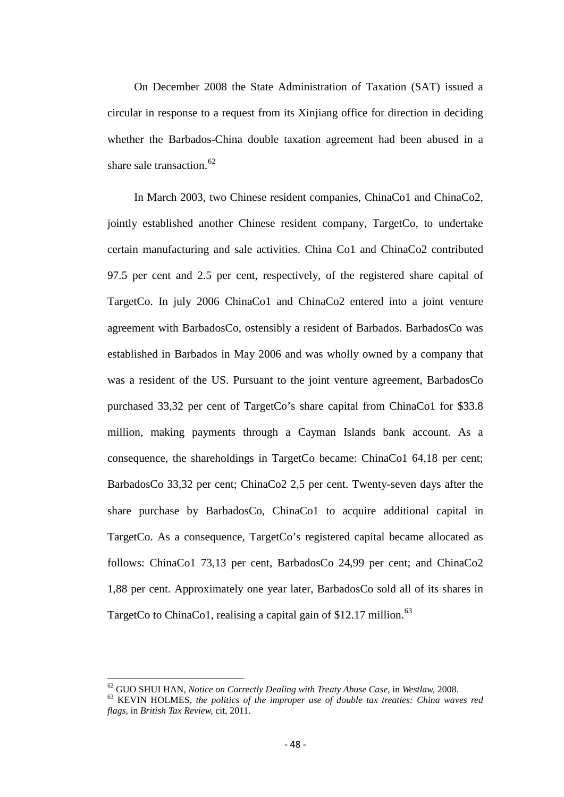On December 2008 the State Administration of Taxation (SAT) issued a circular in response to a request from its Xinjiang office for direction in deciding whether the Barbados-China double taxation agreement had been abused in a share sale transaction. $62$ 

In March 2003, two Chinese resident companies, ChinaCo1 and ChinaCo2, jointly established another Chinese resident company, TargetCo, to undertake certain manufacturing and sale activities. China Co1 and ChinaCo2 contributed 97.5 per cent and 2.5 per cent, respectively, of the registered share capital of TargetCo. In july 2006 ChinaCo1 and ChinaCo2 entered into a joint venture agreement with BarbadosCo, ostensibly a resident of Barbados. BarbadosCo was established in Barbados in May 2006 and was wholly owned by a company that was a resident of the US. Pursuant to the joint venture agreement, BarbadosCo purchased 33,32 per cent of TargetCo's share capital from ChinaCo1 for \$33.8 million, making payments through a Cayman Islands bank account. As a consequence, the shareholdings in TargetCo became: ChinaCo1 64,18 per cent; BarbadosCo 33,32 per cent; ChinaCo2 2,5 per cent. Twenty-seven days after the share purchase by BarbadosCo, ChinaCo1 to acquire additional capital in TargetCo. As a consequence, TargetCo's registered capital became allocated as follows: ChinaCo1 73,13 per cent, BarbadosCo 24,99 per cent; and ChinaCo2 1,88 per cent. Approximately one year later, BarbadosCo sold all of its shares in TargetCo to ChinaCo1, realising a capital gain of  $$12.17$  million.<sup>[63](#page-47-0)</sup>

<span id="page-47-1"></span><span id="page-47-0"></span><sup>&</sup>lt;sup>62</sup> GUO SHUI HAN, *Notice on Correctly Dealing with Treaty Abuse Case*, in *Westlaw, 2008.*<br><sup>63</sup> KEVIN HOLMES, *the politics of the improper use of double tax treaties: China waves red flags,* in *British Tax Review,* cit, 2011.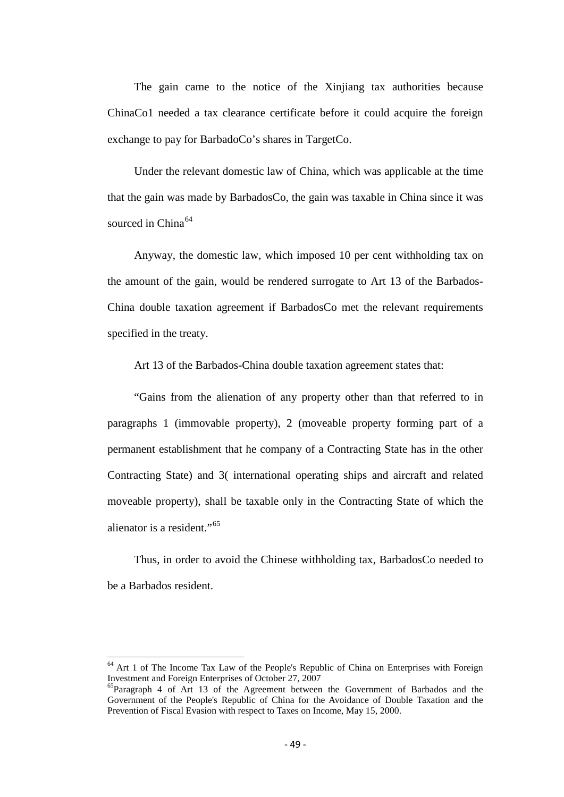The gain came to the notice of the Xinjiang tax authorities because ChinaCo1 needed a tax clearance certificate before it could acquire the foreign exchange to pay for BarbadoCo's shares in TargetCo.

Under the relevant domestic law of China, which was applicable at the time that the gain was made by BarbadosCo, the gain was taxable in China since it was sourced in China $64$ 

Anyway, the domestic law, which imposed 10 per cent withholding tax on the amount of the gain, would be rendered surrogate to Art 13 of the Barbados-China double taxation agreement if BarbadosCo met the relevant requirements specified in the treaty.

Art 13 of the Barbados-China double taxation agreement states that:

"Gains from the alienation of any property other than that referred to in paragraphs 1 (immovable property), 2 (moveable property forming part of a permanent establishment that he company of a Contracting State has in the other Contracting State) and 3( international operating ships and aircraft and related moveable property), shall be taxable only in the Contracting State of which the alienator is a resident."<sup>[65](#page-48-0)</sup>

Thus, in order to avoid the Chinese withholding tax, BarbadosCo needed to be a Barbados resident.

<span id="page-48-1"></span> $64$  Art 1 of The Income Tax Law of the People's Republic of China on Enterprises with Foreign Investment and Foreign Enterprises of October 27, 2007

<span id="page-48-0"></span> ${}^{65}$ Paragraph 4 of Art 13 of the Agreement between the Government of Barbados and the Government of the People's Republic of China for the Avoidance of Double Taxation and the Prevention of Fiscal Evasion with respect to Taxes on Income, May 15, 2000.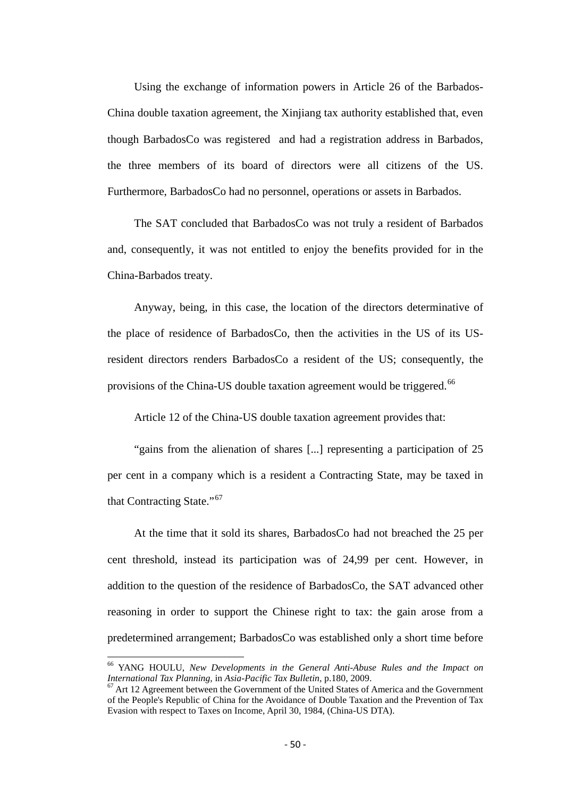Using the exchange of information powers in Article 26 of the Barbados-China double taxation agreement, the Xinjiang tax authority established that, even though BarbadosCo was registered and had a registration address in Barbados, the three members of its board of directors were all citizens of the US. Furthermore, BarbadosCo had no personnel, operations or assets in Barbados.

The SAT concluded that BarbadosCo was not truly a resident of Barbados and, consequently, it was not entitled to enjoy the benefits provided for in the China-Barbados treaty.

Anyway, being, in this case, the location of the directors determinative of the place of residence of BarbadosCo, then the activities in the US of its USresident directors renders BarbadosCo a resident of the US; consequently, the provisions of the China-US double taxation agreement would be triggered.<sup>66</sup>

Article 12 of the China-US double taxation agreement provides that:

"gains from the alienation of shares [...] representing a participation of 25 per cent in a company which is a resident a Contracting State, may be taxed in that Contracting State."<sup>[67](#page-49-0)</sup>

At the time that it sold its shares, BarbadosCo had not breached the 25 per cent threshold, instead its participation was of 24,99 per cent. However, in addition to the question of the residence of BarbadosCo, the SAT advanced other reasoning in order to support the Chinese right to tax: the gain arose from a predetermined arrangement; BarbadosCo was established only a short time before

<sup>&</sup>lt;sup>66</sup> YANG HOULU, *New Developments in the General Anti-Abuse Rules and the Impact on International Tax Planning, in Asia-Pacific Tax Bulletin, p.180, 2009.* 

<span id="page-49-0"></span><sup>&</sup>lt;sup>67</sup> Art 12 Agreement between the Government of the United States of America and the Government of the People's Republic of China for the Avoidance of Double Taxation and the Prevention of Tax Evasion with respect to Taxes on Income, April 30, 1984, (China-US DTA).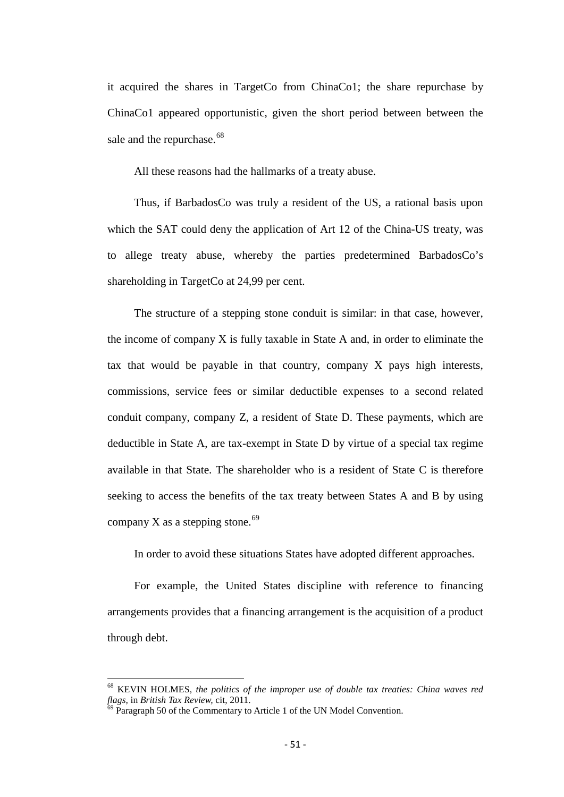it acquired the shares in TargetCo from ChinaCo1; the share repurchase by ChinaCo1 appeared opportunistic, given the short period between between the sale and the repurchase.<sup>[68](#page-49-0)</sup>

All these reasons had the hallmarks of a treaty abuse.

Thus, if BarbadosCo was truly a resident of the US, a rational basis upon which the SAT could deny the application of Art 12 of the China-US treaty, was to allege treaty abuse, whereby the parties predetermined BarbadosCo's shareholding in TargetCo at 24,99 per cent.

The structure of a stepping stone conduit is similar: in that case, however, the income of company X is fully taxable in State A and, in order to eliminate the tax that would be payable in that country, company X pays high interests, commissions, service fees or similar deductible expenses to a second related conduit company, company Z, a resident of State D. These payments, which are deductible in State A, are tax-exempt in State D by virtue of a special tax regime available in that State. The shareholder who is a resident of State C is therefore seeking to access the benefits of the tax treaty between States A and B by using company X as a stepping stone.<sup>[69](#page-50-0)</sup>

In order to avoid these situations States have adopted different approaches.

For example, the United States discipline with reference to financing arrangements provides that a financing arrangement is the acquisition of a product through debt.

<span id="page-50-1"></span> $^{68}$  KEVIN HOLMES, *the politics of the improper use of double tax treaties: China waves red flags,* in *British Tax Review, cit, 2011.* 

<span id="page-50-0"></span> $\hat{P}_{9}$  Paragraph 50 of the Commentary to Article 1 of the UN Model Convention.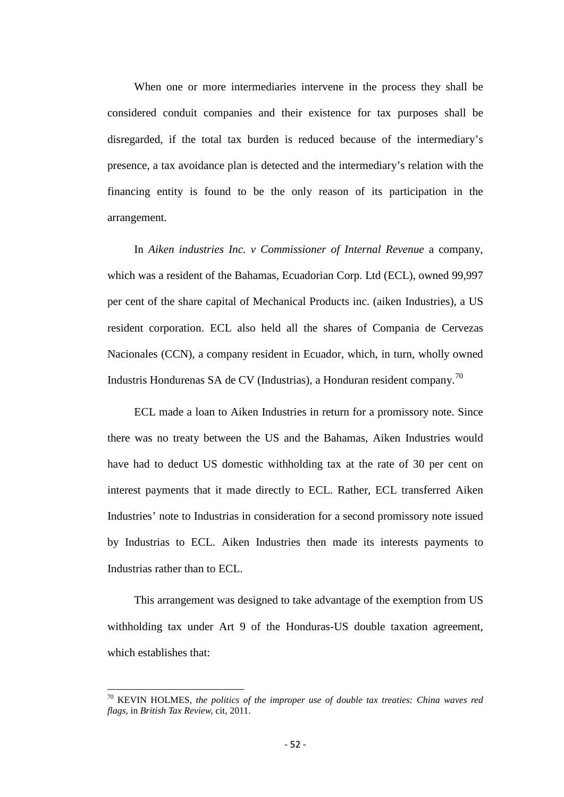When one or more intermediaries intervene in the process they shall be considered conduit companies and their existence for tax purposes shall be disregarded, if the total tax burden is reduced because of the intermediary's presence, a tax avoidance plan is detected and the intermediary's relation with the financing entity is found to be the only reason of its participation in the arrangement.

In *Aiken industries Inc. v Commissioner of Internal Revenue* a company, which was a resident of the Bahamas, Ecuadorian Corp. Ltd (ECL), owned 99,997 per cent of the share capital of Mechanical Products inc. (aiken Industries), a US resident corporation. ECL also held all the shares of Compania de Cervezas Nacionales (CCN), a company resident in Ecuador, which, in turn, wholly owned Industris Hondurenas SA de CV (Industrias), a Honduran resident company.[70](#page-50-1)

ECL made a loan to Aiken Industries in return for a promissory note. Since there was no treaty between the US and the Bahamas, Aiken Industries would have had to deduct US domestic withholding tax at the rate of 30 per cent on interest payments that it made directly to ECL. Rather, ECL transferred Aiken Industries' note to Industrias in consideration for a second promissory note issued by Industrias to ECL. Aiken Industries then made its interests payments to Industrias rather than to ECL.

This arrangement was designed to take advantage of the exemption from US withholding tax under Art 9 of the Honduras-US double taxation agreement, which establishes that:

<span id="page-51-0"></span><sup>70</sup> KEVIN HOLMES, *the politics of the improper use of double tax treaties: China waves red flags,* in *British Tax Review,* cit, 2011.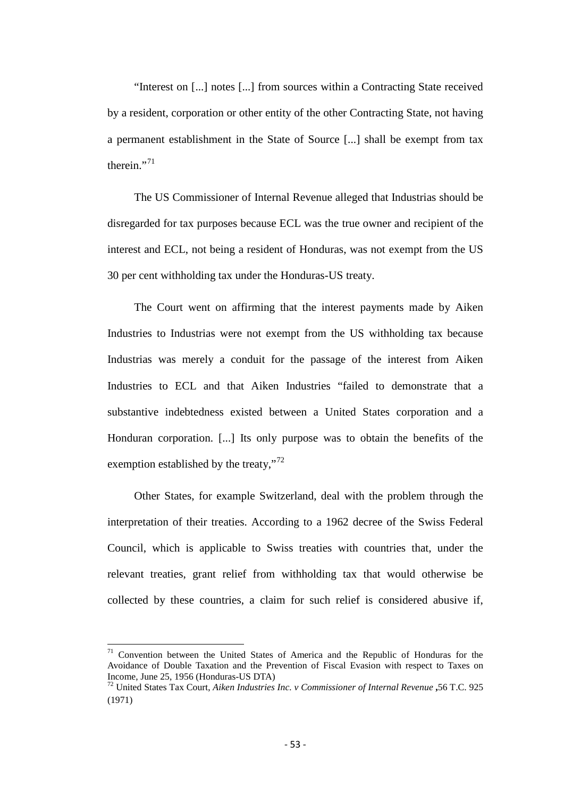"Interest on [...] notes [...] from sources within a Contracting State received by a resident, corporation or other entity of the other Contracting State, not having a permanent establishment in the State of Source [...] shall be exempt from tax therein $"$ <sup>[71](#page-51-0)</sup>

The US Commissioner of Internal Revenue alleged that Industrias should be disregarded for tax purposes because ECL was the true owner and recipient of the interest and ECL, not being a resident of Honduras, was not exempt from the US 30 per cent withholding tax under the Honduras-US treaty.

The Court went on affirming that the interest payments made by Aiken Industries to Industrias were not exempt from the US withholding tax because Industrias was merely a conduit for the passage of the interest from Aiken Industries to ECL and that Aiken Industries "failed to demonstrate that a substantive indebtedness existed between a United States corporation and a Honduran corporation. [...] Its only purpose was to obtain the benefits of the exemption established by the treaty,"<sup>[72](#page-52-0)</sup>

Other States, for example Switzerland, deal with the problem through the interpretation of their treaties. According to a 1962 decree of the Swiss Federal Council, which is applicable to Swiss treaties with countries that, under the relevant treaties, grant relief from withholding tax that would otherwise be collected by these countries, a claim for such relief is considered abusive if,

<sup>71</sup> Convention between the United States of America and the Republic of Honduras for the Avoidance of Double Taxation and the Prevention of Fiscal Evasion with respect to Taxes on

<span id="page-52-1"></span><span id="page-52-0"></span><sup>&</sup>lt;sup>72</sup> United States Tax Court, *Aiken Industries Inc. v Commissioner of Internal Revenue* **,56** T.C. 925 (1971)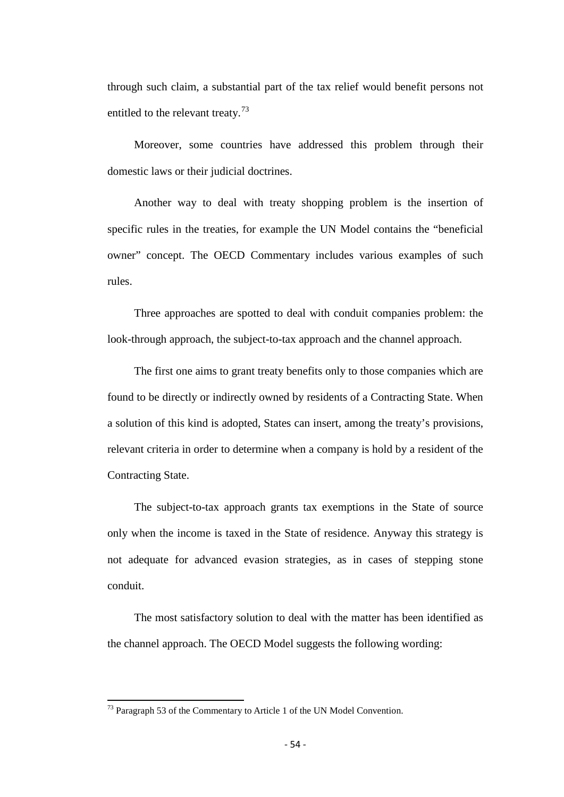through such claim, a substantial part of the tax relief would benefit persons not entitled to the relevant treaty.<sup>[73](#page-52-1)</sup>

Moreover, some countries have addressed this problem through their domestic laws or their judicial doctrines.

Another way to deal with treaty shopping problem is the insertion of specific rules in the treaties, for example the UN Model contains the "beneficial owner" concept. The OECD Commentary includes various examples of such rules.

Three approaches are spotted to deal with conduit companies problem: the look-through approach, the subject-to-tax approach and the channel approach.

The first one aims to grant treaty benefits only to those companies which are found to be directly or indirectly owned by residents of a Contracting State. When a solution of this kind is adopted, States can insert, among the treaty's provisions, relevant criteria in order to determine when a company is hold by a resident of the Contracting State.

The subject-to-tax approach grants tax exemptions in the State of source only when the income is taxed in the State of residence. Anyway this strategy is not adequate for advanced evasion strategies, as in cases of stepping stone conduit.

The most satisfactory solution to deal with the matter has been identified as the channel approach. The OECD Model suggests the following wording:

<span id="page-53-0"></span><sup>&</sup>lt;sup>73</sup> Paragraph 53 of the Commentary to Article 1 of the UN Model Convention.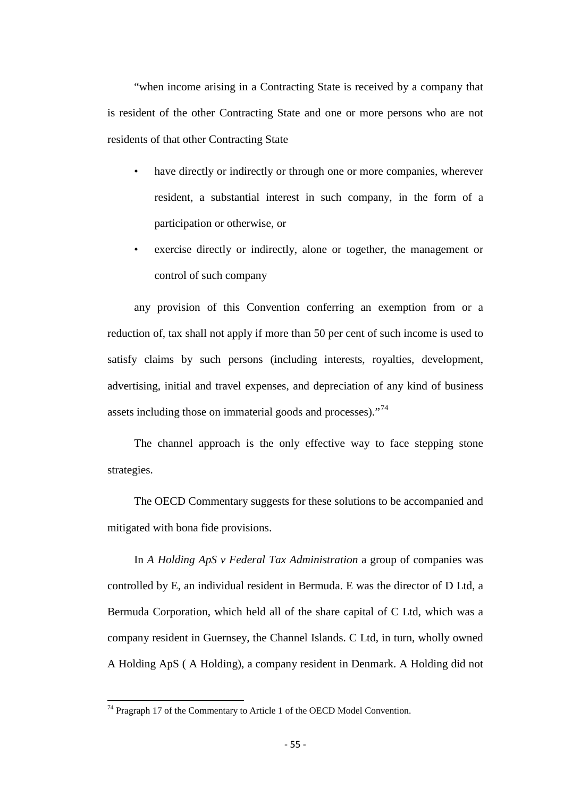"when income arising in a Contracting State is received by a company that is resident of the other Contracting State and one or more persons who are not residents of that other Contracting State

- have directly or indirectly or through one or more companies, wherever resident, a substantial interest in such company, in the form of a participation or otherwise, or
- exercise directly or indirectly, alone or together, the management or control of such company

any provision of this Convention conferring an exemption from or a reduction of, tax shall not apply if more than 50 per cent of such income is used to satisfy claims by such persons (including interests, royalties, development, advertising, initial and travel expenses, and depreciation of any kind of business assets including those on immaterial goods and processes)."<sup>[74](#page-53-0)</sup>

The channel approach is the only effective way to face stepping stone strategies.

The OECD Commentary suggests for these solutions to be accompanied and mitigated with bona fide provisions.

In *A Holding ApS v Federal Tax Administration* a group of companies was controlled by E, an individual resident in Bermuda. E was the director of D Ltd, a Bermuda Corporation, which held all of the share capital of C Ltd, which was a company resident in Guernsey, the Channel Islands. C Ltd, in turn, wholly owned A Holding ApS ( A Holding), a company resident in Denmark. A Holding did not

<span id="page-54-0"></span> $74$  Pragraph 17 of the Commentary to Article 1 of the OECD Model Convention.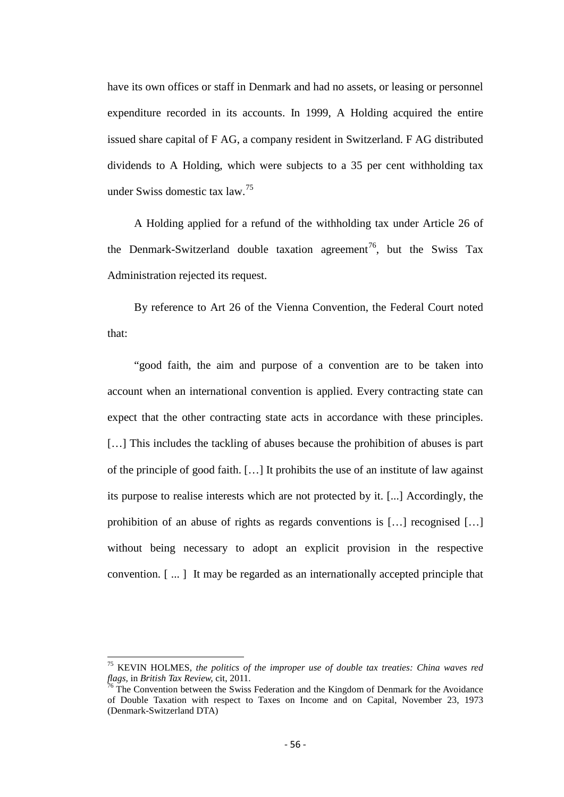have its own offices or staff in Denmark and had no assets, or leasing or personnel expenditure recorded in its accounts. In 1999, A Holding acquired the entire issued share capital of F AG, a company resident in Switzerland. F AG distributed dividends to A Holding, which were subjects to a 35 per cent withholding tax under Swiss domestic tax law.[75](#page-54-0)

A Holding applied for a refund of the withholding tax under Article 26 of the Denmark-Switzerland double taxation agreement<sup>[76](#page-55-0)</sup>, but the Swiss Tax Administration rejected its request.

By reference to Art 26 of the Vienna Convention, the Federal Court noted that:

"good faith, the aim and purpose of a convention are to be taken into account when an international convention is applied. Every contracting state can expect that the other contracting state acts in accordance with these principles. [...] This includes the tackling of abuses because the prohibition of abuses is part of the principle of good faith. […] It prohibits the use of an institute of law against its purpose to realise interests which are not protected by it. [...] Accordingly, the prohibition of an abuse of rights as regards conventions is […] recognised […] without being necessary to adopt an explicit provision in the respective convention. [ ... ] It may be regarded as an internationally accepted principle that

<sup>&</sup>lt;sup>75</sup> KEVIN HOLMES, *the politics of the improper use of double tax treaties: China waves red flags, in British Tax Review, cit, 2011.* 

<span id="page-55-1"></span><span id="page-55-0"></span><sup>&</sup>lt;sup>76</sup> The Convention between the Swiss Federation and the Kingdom of Denmark for the Avoidance of Double Taxation with respect to Taxes on Income and on Capital, November 23, 1973 (Denmark-Switzerland DTA)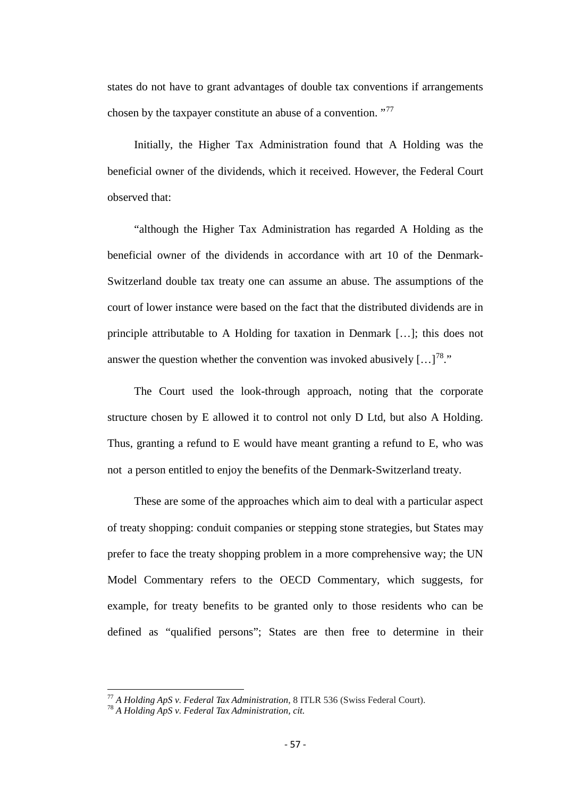states do not have to grant advantages of double tax conventions if arrangements chosen by the taxpayer constitute an abuse of a convention. "<sup>[77](#page-55-1)</sup>

Initially, the Higher Tax Administration found that A Holding was the beneficial owner of the dividends, which it received. However, the Federal Court observed that:

"although the Higher Tax Administration has regarded A Holding as the beneficial owner of the dividends in accordance with art 10 of the Denmark-Switzerland double tax treaty one can assume an abuse. The assumptions of the court of lower instance were based on the fact that the distributed dividends are in principle attributable to A Holding for taxation in Denmark […]; this does not answer the question whether the convention was invoked abusively  $\left[ \ldots \right]^{78}$  $\left[ \ldots \right]^{78}$  $\left[ \ldots \right]^{78}$ ."

The Court used the look-through approach, noting that the corporate structure chosen by E allowed it to control not only D Ltd, but also A Holding. Thus, granting a refund to E would have meant granting a refund to E, who was not a person entitled to enjoy the benefits of the Denmark-Switzerland treaty.

These are some of the approaches which aim to deal with a particular aspect of treaty shopping: conduit companies or stepping stone strategies, but States may prefer to face the treaty shopping problem in a more comprehensive way; the UN Model Commentary refers to the OECD Commentary, which suggests, for example, for treaty benefits to be granted only to those residents who can be defined as "qualified persons"; States are then free to determine in their

<span id="page-56-1"></span><span id="page-56-0"></span><sup>77</sup> *A Holding ApS v*. *Federal Tax Administration*, 8 ITLR 536 (Swiss Federal Court). <sup>78</sup> *A Holding ApS v*. *Federal Tax Administration, cit.*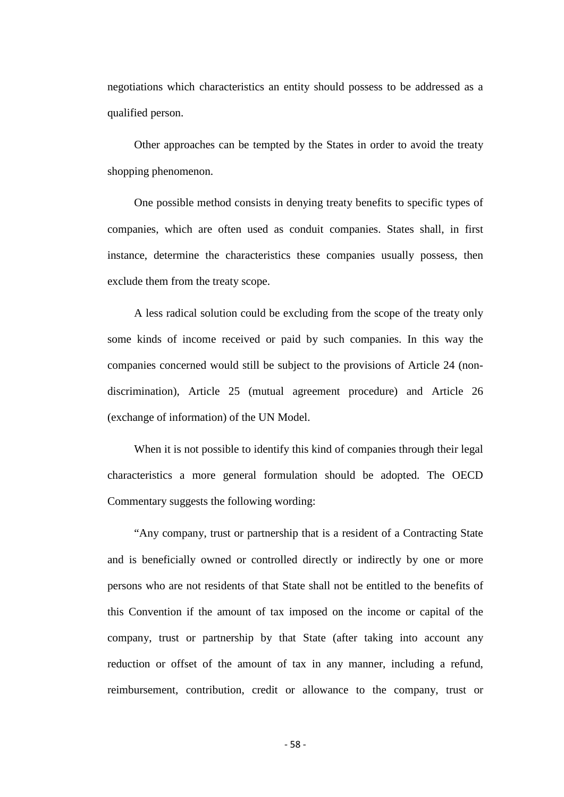negotiations which characteristics an entity should possess to be addressed as a qualified person.

Other approaches can be tempted by the States in order to avoid the treaty shopping phenomenon.

One possible method consists in denying treaty benefits to specific types of companies, which are often used as conduit companies. States shall, in first instance, determine the characteristics these companies usually possess, then exclude them from the treaty scope.

A less radical solution could be excluding from the scope of the treaty only some kinds of income received or paid by such companies. In this way the companies concerned would still be subject to the provisions of Article 24 (nondiscrimination), Article 25 (mutual agreement procedure) and Article 26 (exchange of information) of the UN Model.

When it is not possible to identify this kind of companies through their legal characteristics a more general formulation should be adopted. The OECD Commentary suggests the following wording:

"Any company, trust or partnership that is a resident of a Contracting State and is beneficially owned or controlled directly or indirectly by one or more persons who are not residents of that State shall not be entitled to the benefits of this Convention if the amount of tax imposed on the income or capital of the company, trust or partnership by that State (after taking into account any reduction or offset of the amount of tax in any manner, including a refund, reimbursement, contribution, credit or allowance to the company, trust or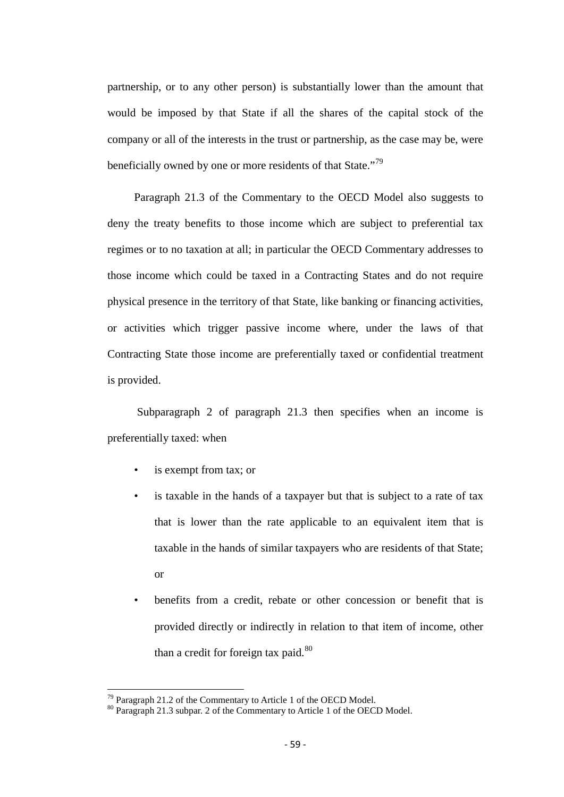partnership, or to any other person) is substantially lower than the amount that would be imposed by that State if all the shares of the capital stock of the company or all of the interests in the trust or partnership, as the case may be, were beneficially owned by one or more residents of that State."<sup>[79](#page-56-1)</sup>

Paragraph 21.3 of the Commentary to the OECD Model also suggests to deny the treaty benefits to those income which are subject to preferential tax regimes or to no taxation at all; in particular the OECD Commentary addresses to those income which could be taxed in a Contracting States and do not require physical presence in the territory of that State, like banking or financing activities, or activities which trigger passive income where, under the laws of that Contracting State those income are preferentially taxed or confidential treatment is provided.

Subparagraph 2 of paragraph 21.3 then specifies when an income is preferentially taxed: when

- is exempt from tax; or
- is taxable in the hands of a taxpayer but that is subject to a rate of tax that is lower than the rate applicable to an equivalent item that is taxable in the hands of similar taxpayers who are residents of that State; or
- benefits from a credit, rebate or other concession or benefit that is provided directly or indirectly in relation to that item of income, other than a credit for foreign tax paid.<sup>[80](#page-58-0)</sup>

<span id="page-58-0"></span>

<sup>&</sup>lt;sup>79</sup> Paragraph 21.2 of the Commentary to Article 1 of the OECD Model.<br><sup>80</sup> Paragraph 21.3 subpar. 2 of the Commentary to Article 1 of the OECD Model.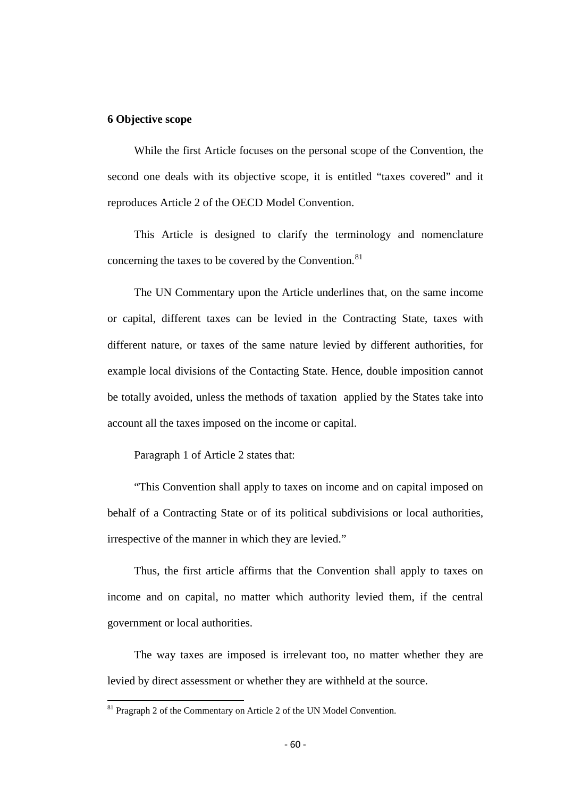## **6 Objective scope**

While the first Article focuses on the personal scope of the Convention, the second one deals with its objective scope, it is entitled "taxes covered" and it reproduces Article 2 of the OECD Model Convention.

This Article is designed to clarify the terminology and nomenclature concerning the taxes to be covered by the Convention.<sup>[81](#page-58-0)</sup>

The UN Commentary upon the Article underlines that, on the same income or capital, different taxes can be levied in the Contracting State, taxes with different nature, or taxes of the same nature levied by different authorities, for example local divisions of the Contacting State. Hence, double imposition cannot be totally avoided, unless the methods of taxation applied by the States take into account all the taxes imposed on the income or capital.

Paragraph 1 of Article 2 states that:

"This Convention shall apply to taxes on income and on capital imposed on behalf of a Contracting State or of its political subdivisions or local authorities, irrespective of the manner in which they are levied."

Thus, the first article affirms that the Convention shall apply to taxes on income and on capital, no matter which authority levied them, if the central government or local authorities.

The way taxes are imposed is irrelevant too, no matter whether they are levied by direct assessment or whether they are withheld at the source.

<span id="page-59-0"></span><sup>&</sup>lt;sup>81</sup> Pragraph 2 of the Commentary on Article 2 of the UN Model Convention.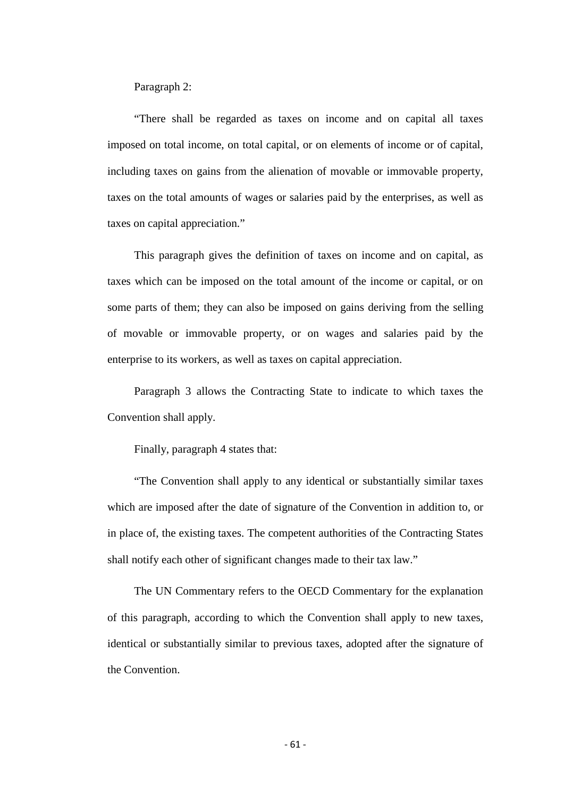Paragraph 2:

"There shall be regarded as taxes on income and on capital all taxes imposed on total income, on total capital, or on elements of income or of capital, including taxes on gains from the alienation of movable or immovable property, taxes on the total amounts of wages or salaries paid by the enterprises, as well as taxes on capital appreciation."

This paragraph gives the definition of taxes on income and on capital, as taxes which can be imposed on the total amount of the income or capital, or on some parts of them; they can also be imposed on gains deriving from the selling of movable or immovable property, or on wages and salaries paid by the enterprise to its workers, as well as taxes on capital appreciation.

Paragraph 3 allows the Contracting State to indicate to which taxes the Convention shall apply.

Finally, paragraph 4 states that:

"The Convention shall apply to any identical or substantially similar taxes which are imposed after the date of signature of the Convention in addition to, or in place of, the existing taxes. The competent authorities of the Contracting States shall notify each other of significant changes made to their tax law."

The UN Commentary refers to the OECD Commentary for the explanation of this paragraph, according to which the Convention shall apply to new taxes, identical or substantially similar to previous taxes, adopted after the signature of the Convention.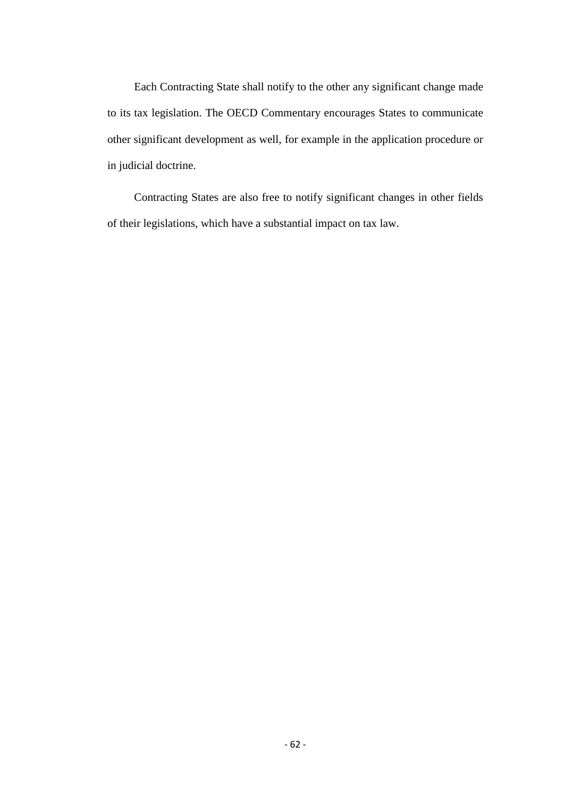Each Contracting State shall notify to the other any significant change made to its tax legislation. The OECD Commentary encourages States to communicate other significant development as well, for example in the application procedure or in judicial doctrine.

Contracting States are also free to notify significant changes in other fields of their legislations, which have a substantial impact on tax law.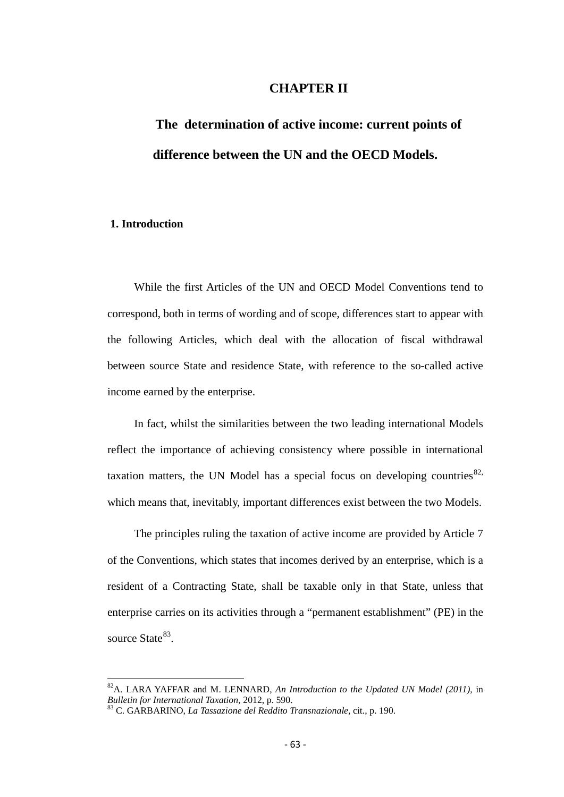# **CHAPTER II**

# **The determination of active income: current points of difference between the UN and the OECD Models.**

## **1. Introduction**

While the first Articles of the UN and OECD Model Conventions tend to correspond, both in terms of wording and of scope, differences start to appear with the following Articles, which deal with the allocation of fiscal withdrawal between source State and residence State, with reference to the so-called active income earned by the enterprise.

In fact, whilst the similarities between the two leading international Models reflect the importance of achieving consistency where possible in international taxation matters, the UN Model has a special focus on developing countries  $82$ , which means that, inevitably, important differences exist between the two Models.

The principles ruling the taxation of active income are provided by Article 7 of the Conventions, which states that incomes derived by an enterprise, which is a resident of a Contracting State, shall be taxable only in that State, unless that enterprise carries on its activities through a "permanent establishment" (PE) in the source State<sup>[83](#page-62-0)</sup>.

<span id="page-62-1"></span><sup>&</sup>lt;sup>82</sup>A. LARA YAFFAR and M. LENNARD, *An Introduction to the Updated UN Model (2011)*, in *Bulletin for International Taxation*, 2012, p. 590.

<span id="page-62-0"></span>*Bulletin for International Taxation,* 2012, p. 590. <sup>83</sup> C. GARBARINO, *La Tassazione del Reddito Transnazionale,* cit., p. 190.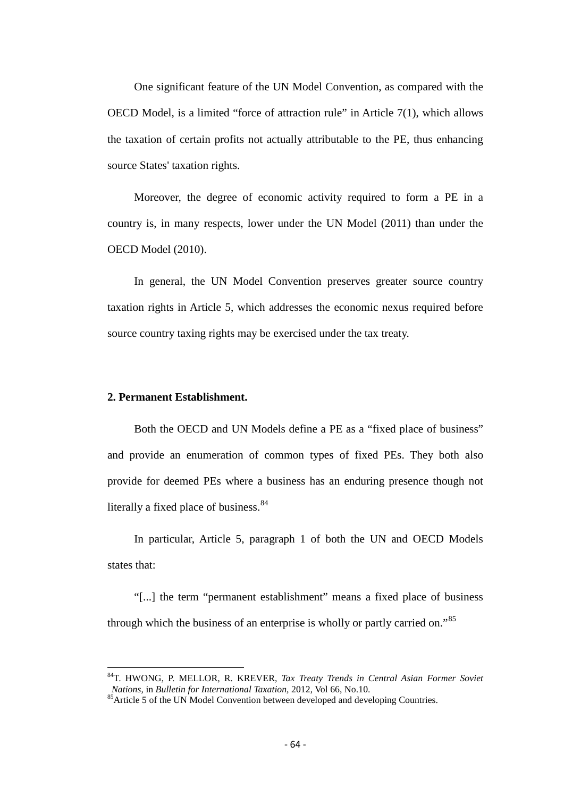One significant feature of the UN Model Convention, as compared with the OECD Model, is a limited "force of attraction rule" in Article 7(1), which allows the taxation of certain profits not actually attributable to the PE, thus enhancing source States' taxation rights.

Moreover, the degree of economic activity required to form a PE in a country is, in many respects, lower under the UN Model (2011) than under the OECD Model (2010).

In general, the UN Model Convention preserves greater source country taxation rights in Article 5, which addresses the economic nexus required before source country taxing rights may be exercised under the tax treaty.

#### **2. Permanent Establishment.**

Both the OECD and UN Models define a PE as a "fixed place of business" and provide an enumeration of common types of fixed PEs. They both also provide for deemed PEs where a business has an enduring presence though not literally a fixed place of business. $84$ 

In particular, Article 5, paragraph 1 of both the UN and OECD Models states that:

"[...] the term "permanent establishment" means a fixed place of business through which the business of an enterprise is wholly or partly carried on."[85](#page-63-0) 

84T. HWONG, P. MELLOR, R. KREVER, *Tax Treaty Trends in Central Asian Former Soviet* 

<span id="page-63-0"></span><sup>&</sup>lt;sup>85</sup> Article 5 of the UN Model Convention between developed and developing Countries.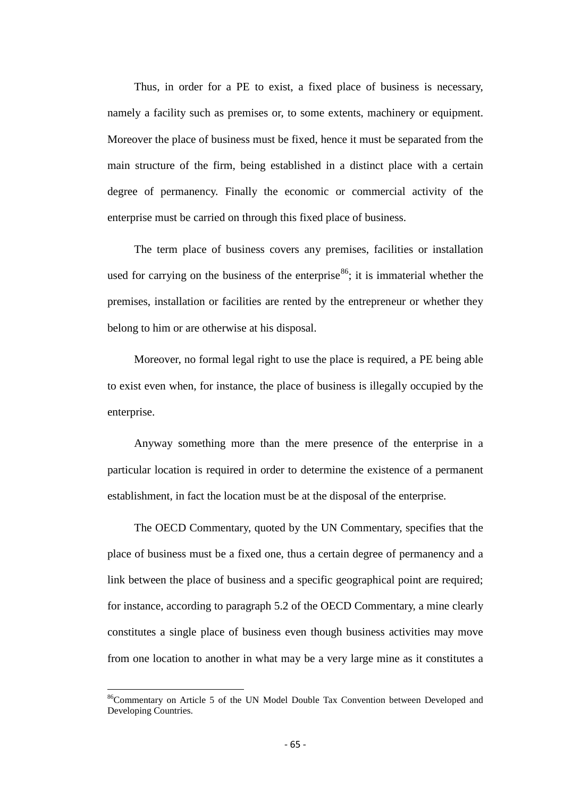Thus, in order for a PE to exist, a fixed place of business is necessary, namely a facility such as premises or, to some extents, machinery or equipment. Moreover the place of business must be fixed, hence it must be separated from the main structure of the firm, being established in a distinct place with a certain degree of permanency. Finally the economic or commercial activity of the enterprise must be carried on through this fixed place of business.

The term place of business covers any premises, facilities or installation used for carrying on the business of the enterprise<sup>[86](#page-63-0)</sup>; it is immaterial whether the premises, installation or facilities are rented by the entrepreneur or whether they belong to him or are otherwise at his disposal.

Moreover, no formal legal right to use the place is required, a PE being able to exist even when, for instance, the place of business is illegally occupied by the enterprise.

Anyway something more than the mere presence of the enterprise in a particular location is required in order to determine the existence of a permanent establishment, in fact the location must be at the disposal of the enterprise.

The OECD Commentary, quoted by the UN Commentary, specifies that the place of business must be a fixed one, thus a certain degree of permanency and a link between the place of business and a specific geographical point are required; for instance, according to paragraph 5.2 of the OECD Commentary, a mine clearly constitutes a single place of business even though business activities may move from one location to another in what may be a very large mine as it constitutes a

<span id="page-64-0"></span><sup>&</sup>lt;sup>86</sup>Commentary on Article 5 of the UN Model Double Tax Convention between Developed and Developing Countries.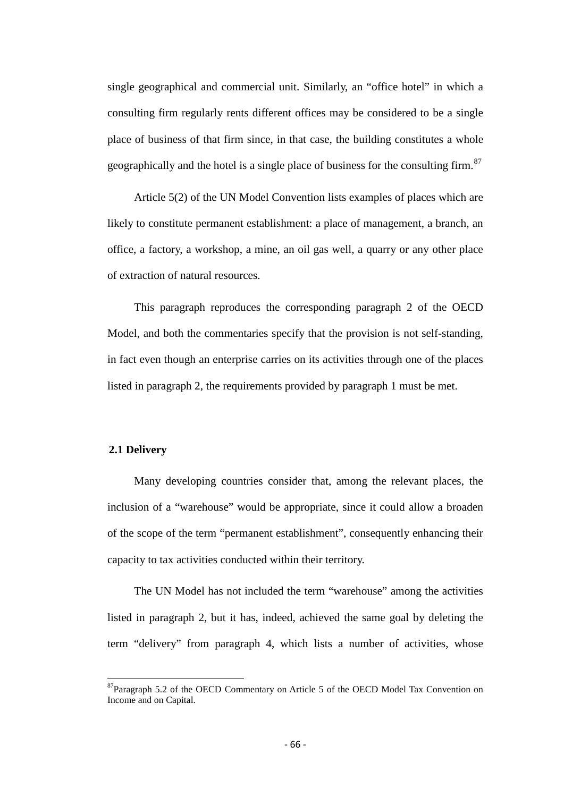single geographical and commercial unit. Similarly, an "office hotel" in which a consulting firm regularly rents different offices may be considered to be a single place of business of that firm since, in that case, the building constitutes a whole geographically and the hotel is a single place of business for the consulting firm.<sup>[87](#page-64-0)</sup>

Article 5(2) of the UN Model Convention lists examples of places which are likely to constitute permanent establishment: a place of management, a branch, an office, a factory, a workshop, a mine, an oil gas well, a quarry or any other place of extraction of natural resources.

This paragraph reproduces the corresponding paragraph 2 of the OECD Model, and both the commentaries specify that the provision is not self-standing, in fact even though an enterprise carries on its activities through one of the places listed in paragraph 2, the requirements provided by paragraph 1 must be met.

#### **2.1 Delivery**

Many developing countries consider that, among the relevant places, the inclusion of a "warehouse" would be appropriate, since it could allow a broaden of the scope of the term "permanent establishment", consequently enhancing their capacity to tax activities conducted within their territory.

The UN Model has not included the term "warehouse" among the activities listed in paragraph 2, but it has, indeed, achieved the same goal by deleting the term "delivery" from paragraph 4, which lists a number of activities, whose

<span id="page-65-0"></span><sup>&</sup>lt;sup>87</sup>Paragraph 5.2 of the OECD Commentary on Article 5 of the OECD Model Tax Convention on Income and on Capital.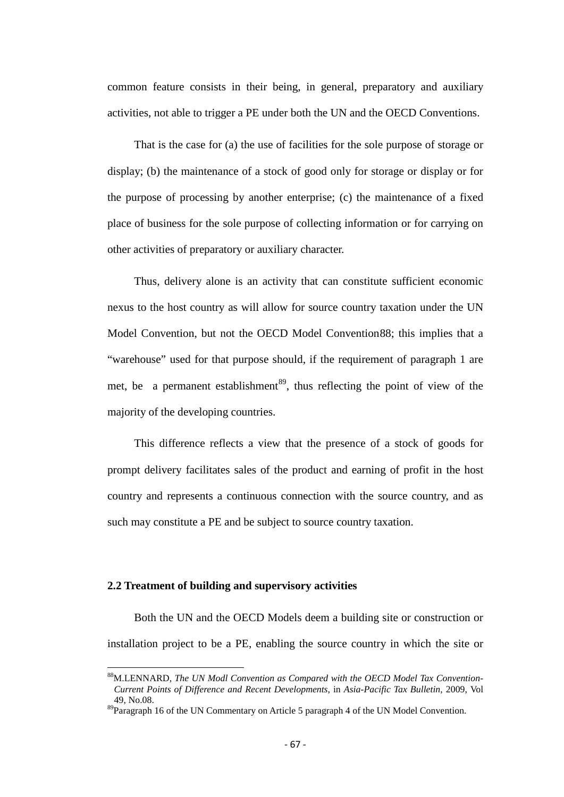common feature consists in their being, in general, preparatory and auxiliary activities, not able to trigger a PE under both the UN and the OECD Conventions.

That is the case for (a) the use of facilities for the sole purpose of storage or display; (b) the maintenance of a stock of good only for storage or display or for the purpose of processing by another enterprise; (c) the maintenance of a fixed place of business for the sole purpose of collecting information or for carrying on other activities of preparatory or auxiliary character.

Thus, delivery alone is an activity that can constitute sufficient economic nexus to the host country as will allow for source country taxation under the UN Model Convention, but not the OECD Model Convention[88](#page-65-0); this implies that a "warehouse" used for that purpose should, if the requirement of paragraph 1 are met, be a permanent establishment<sup>[89](#page-66-0)</sup>, thus reflecting the point of view of the majority of the developing countries.

This difference reflects a view that the presence of a stock of goods for prompt delivery facilitates sales of the product and earning of profit in the host country and represents a continuous connection with the source country, and as such may constitute a PE and be subject to source country taxation.

# **2.2 Treatment of building and supervisory activities**

Both the UN and the OECD Models deem a building site or construction or installation project to be a PE, enabling the source country in which the site or

<span id="page-66-1"></span>88M.LENNARD, *The UN Modl Convention as Compared with the OECD Model Tax Convention-Current Points of Difference and Recent Developments,* in *Asia-Pacific Tax Bulletin,* 2009, Vol 49, No.08.

<span id="page-66-0"></span> $89$ Paragraph 16 of the UN Commentary on Article 5 paragraph 4 of the UN Model Convention.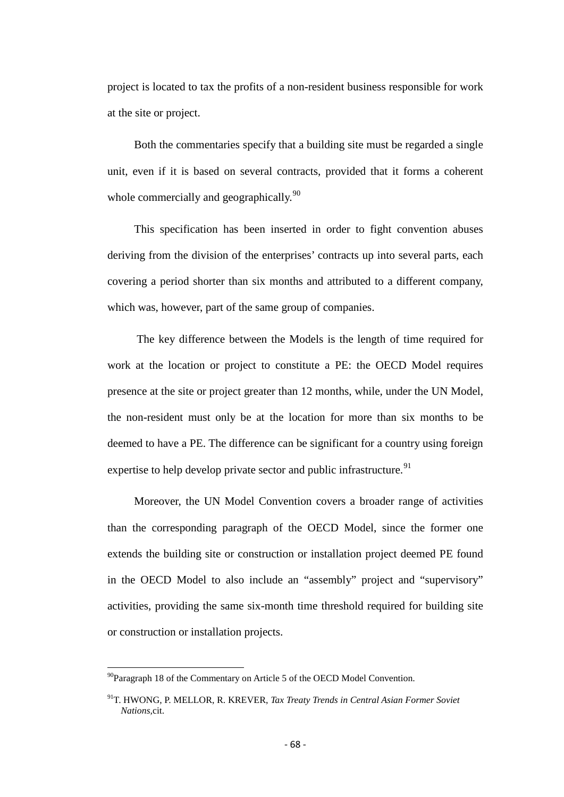project is located to tax the profits of a non-resident business responsible for work at the site or project.

Both the commentaries specify that a building site must be regarded a single unit, even if it is based on several contracts, provided that it forms a coherent whole commercially and geographically.<sup>[90](#page-66-1)</sup>

This specification has been inserted in order to fight convention abuses deriving from the division of the enterprises' contracts up into several parts, each covering a period shorter than six months and attributed to a different company, which was, however, part of the same group of companies.

The key difference between the Models is the length of time required for work at the location or project to constitute a PE: the OECD Model requires presence at the site or project greater than 12 months, while, under the UN Model, the non-resident must only be at the location for more than six months to be deemed to have a PE. The difference can be significant for a country using foreign expertise to help develop private sector and public infrastructure.<sup>[91](#page-67-0)</sup>

Moreover, the UN Model Convention covers a broader range of activities than the corresponding paragraph of the OECD Model, since the former one extends the building site or construction or installation project deemed PE found in the OECD Model to also include an "assembly" project and "supervisory" activities, providing the same six-month time threshold required for building site or construction or installation projects.

 $90$ Paragraph 18 of the Commentary on Article 5 of the OECD Model Convention.

<span id="page-67-1"></span><span id="page-67-0"></span><sup>91</sup>T. HWONG, P. MELLOR, R. KREVER, *Tax Treaty Trends in Central Asian Former Soviet Nations,*cit.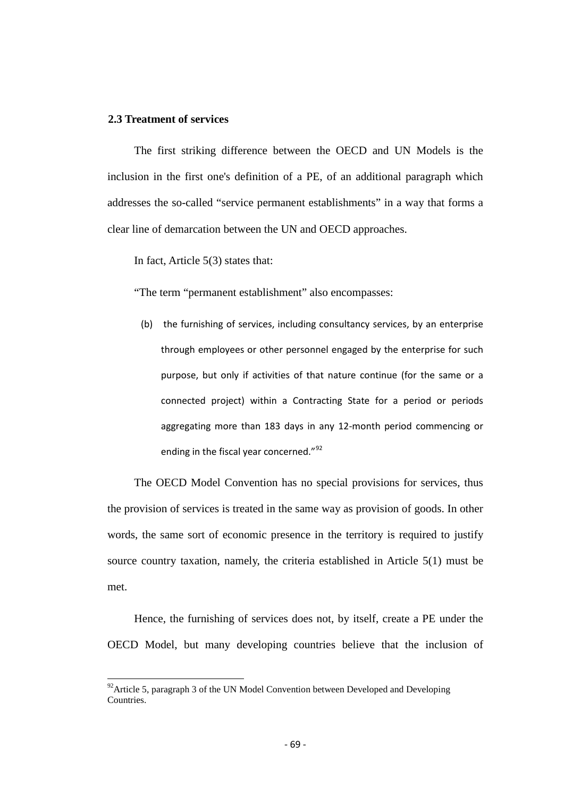#### **2.3 Treatment of services**

The first striking difference between the OECD and UN Models is the inclusion in the first one's definition of a PE, of an additional paragraph which addresses the so-called "service permanent establishments" in a way that forms a clear line of demarcation between the UN and OECD approaches.

In fact, Article 5(3) states that:

"The term "permanent establishment" also encompasses:

(b) the furnishing of services, including consultancy services, by an enterprise through employees or other personnel engaged by the enterprise for such purpose, but only if activities of that nature continue (for the same or a connected project) within a Contracting State for a period or periods aggregating more than 183 days in any 12-month period commencing or ending in the fiscal year concerned."<sup>[92](#page-67-1)</sup>

The OECD Model Convention has no special provisions for services, thus the provision of services is treated in the same way as provision of goods. In other words, the same sort of economic presence in the territory is required to justify source country taxation, namely, the criteria established in Article 5(1) must be met.

Hence, the furnishing of services does not, by itself, create a PE under the OECD Model, but many developing countries believe that the inclusion of

<span id="page-68-0"></span> $92$ Article 5, paragraph 3 of the UN Model Convention between Developed and Developing **Countries**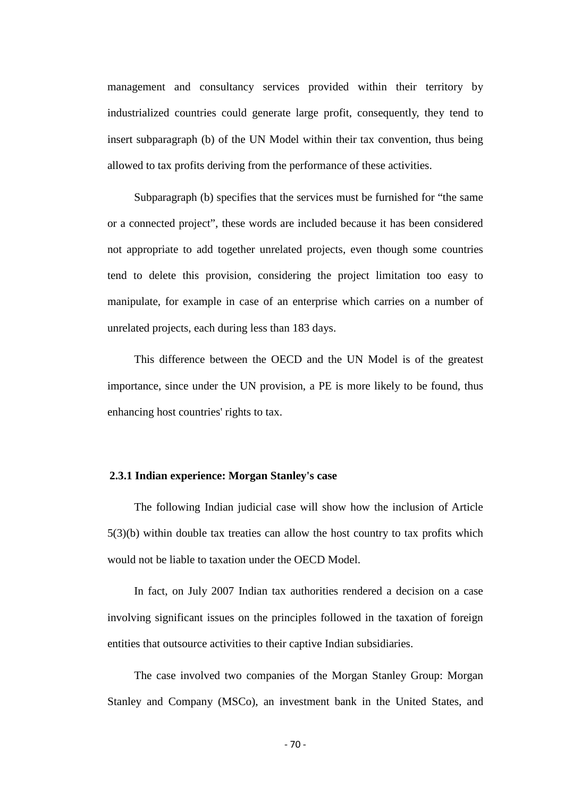management and consultancy services provided within their territory by industrialized countries could generate large profit, consequently, they tend to insert subparagraph (b) of the UN Model within their tax convention, thus being allowed to tax profits deriving from the performance of these activities.

Subparagraph (b) specifies that the services must be furnished for "the same or a connected project", these words are included because it has been considered not appropriate to add together unrelated projects, even though some countries tend to delete this provision, considering the project limitation too easy to manipulate, for example in case of an enterprise which carries on a number of unrelated projects, each during less than 183 days.

This difference between the OECD and the UN Model is of the greatest importance, since under the UN provision, a PE is more likely to be found, thus enhancing host countries' rights to tax.

#### **2.3.1 Indian experience: Morgan Stanley's case**

The following Indian judicial case will show how the inclusion of Article 5(3)(b) within double tax treaties can allow the host country to tax profits which would not be liable to taxation under the OECD Model.

In fact, on July 2007 Indian tax authorities rendered a decision on a case involving significant issues on the principles followed in the taxation of foreign entities that outsource activities to their captive Indian subsidiaries.

The case involved two companies of the Morgan Stanley Group: Morgan Stanley and Company (MSCo), an investment bank in the United States, and

- 70 -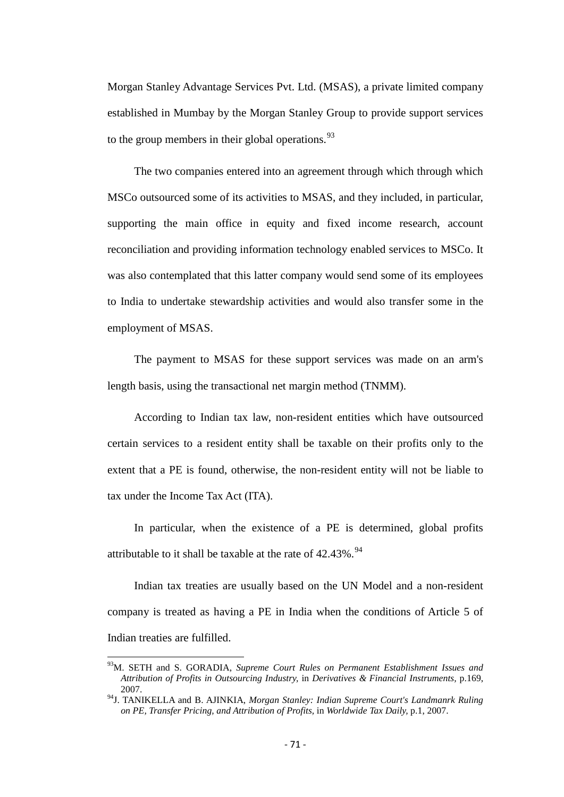Morgan Stanley Advantage Services Pvt. Ltd. (MSAS), a private limited company established in Mumbay by the Morgan Stanley Group to provide support services to the group members in their global operations.  $93$ 

The two companies entered into an agreement through which through which MSCo outsourced some of its activities to MSAS, and they included, in particular, supporting the main office in equity and fixed income research, account reconciliation and providing information technology enabled services to MSCo. It was also contemplated that this latter company would send some of its employees to India to undertake stewardship activities and would also transfer some in the employment of MSAS.

The payment to MSAS for these support services was made on an arm's length basis, using the transactional net margin method (TNMM).

According to Indian tax law, non-resident entities which have outsourced certain services to a resident entity shall be taxable on their profits only to the extent that a PE is found, otherwise, the non-resident entity will not be liable to tax under the Income Tax Act (ITA).

In particular, when the existence of a PE is determined, global profits attributable to it shall be taxable at the rate of  $42.43\%$ . <sup>[94](#page-70-0)</sup>

Indian tax treaties are usually based on the UN Model and a non-resident company is treated as having a PE in India when the conditions of Article 5 of Indian treaties are fulfilled.

93M. SETH and S. GORADIA, *Supreme Court Rules on Permanent Establishment Issues and Attribution of Profits in Outsourcing Industry,* in *Derivatives & Financial Instruments,* p.169, 2007.

<span id="page-70-1"></span><span id="page-70-0"></span><sup>94</sup>J. TANIKELLA and B. AJINKIA, *Morgan Stanley: Indian Supreme Court's Landmanrk Ruling on PE, Transfer Pricing, and Attribution of Profits,* in *Worldwide Tax Daily,* p.1, 2007.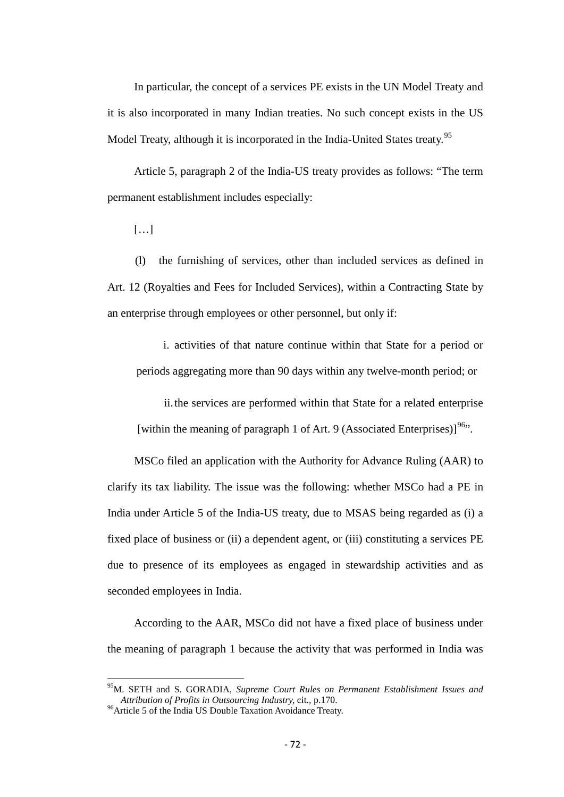In particular, the concept of a services PE exists in the UN Model Treaty and it is also incorporated in many Indian treaties. No such concept exists in the US Model Treaty, although it is incorporated in the India-United States treaty.<sup>[95](#page-70-1)</sup>

Article 5, paragraph 2 of the India-US treaty provides as follows: "The term permanent establishment includes especially:

[…]

(l) the furnishing of services, other than included services as defined in Art. 12 (Royalties and Fees for Included Services), within a Contracting State by an enterprise through employees or other personnel, but only if:

i. activities of that nature continue within that State for a period or periods aggregating more than 90 days within any twelve-month period; or

ii.the services are performed within that State for a related enterprise [within the meaning of paragraph 1 of Art. 9 (Associated Enterprises)]<sup>[96](#page-71-0)</sup>.

MSCo filed an application with the Authority for Advance Ruling (AAR) to clarify its tax liability. The issue was the following: whether MSCo had a PE in India under Article 5 of the India-US treaty, due to MSAS being regarded as (i) a fixed place of business or (ii) a dependent agent, or (iii) constituting a services PE due to presence of its employees as engaged in stewardship activities and as seconded employees in India.

According to the AAR, MSCo did not have a fixed place of business under the meaning of paragraph 1 because the activity that was performed in India was

95M. SETH and S. GORADIA, *Supreme Court Rules on Permanent Establishment Issues and* 

<span id="page-71-0"></span><sup>&</sup>lt;sup>96</sup> Article 5 of the India US Double Taxation Avoidance Treaty.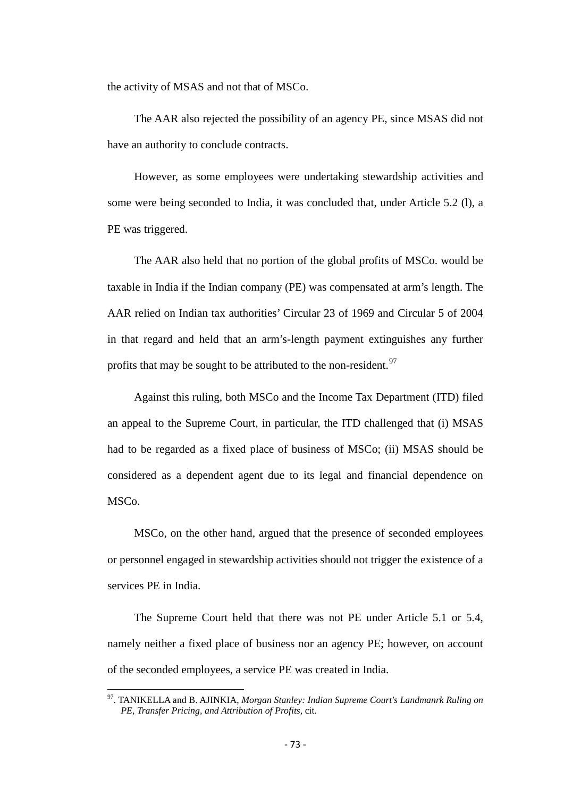the activity of MSAS and not that of MSCo.

The AAR also rejected the possibility of an agency PE, since MSAS did not have an authority to conclude contracts.

However, as some employees were undertaking stewardship activities and some were being seconded to India, it was concluded that, under Article 5.2 (l), a PE was triggered.

The AAR also held that no portion of the global profits of MSCo. would be taxable in India if the Indian company (PE) was compensated at arm's length. The AAR relied on Indian tax authorities' Circular 23 of 1969 and Circular 5 of 2004 in that regard and held that an arm's-length payment extinguishes any further profits that may be sought to be attributed to the non-resident.<sup>[97](#page-71-0)</sup>

Against this ruling, both MSCo and the Income Tax Department (ITD) filed an appeal to the Supreme Court, in particular, the ITD challenged that (i) MSAS had to be regarded as a fixed place of business of MSCo; (ii) MSAS should be considered as a dependent agent due to its legal and financial dependence on MSCo.

MSCo, on the other hand, argued that the presence of seconded employees or personnel engaged in stewardship activities should not trigger the existence of a services PE in India.

The Supreme Court held that there was not PE under Article 5.1 or 5.4, namely neither a fixed place of business nor an agency PE; however, on account of the seconded employees, a service PE was created in India.

<span id="page-72-0"></span>97. TANIKELLA and B. AJINKIA, *Morgan Stanley: Indian Supreme Court's Landmanrk Ruling on PE, Transfer Pricing, and Attribution of Profits,* cit.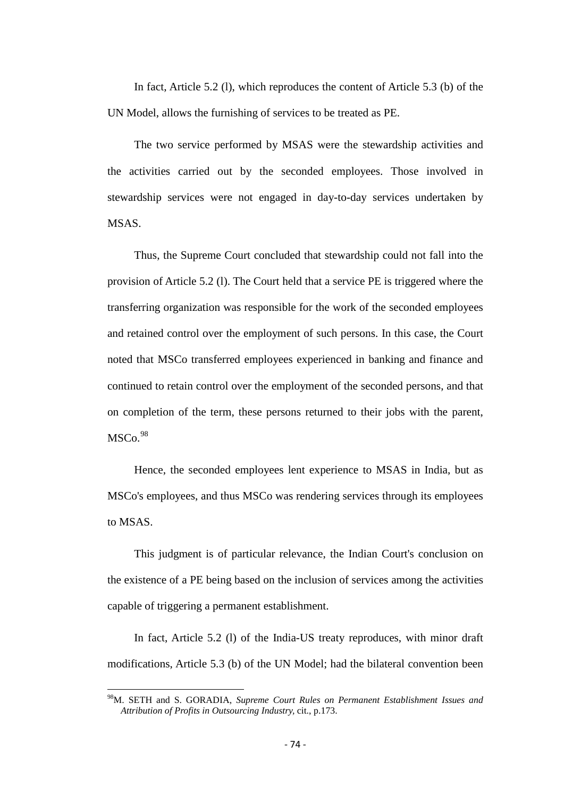In fact, Article 5.2 (l), which reproduces the content of Article 5.3 (b) of the UN Model, allows the furnishing of services to be treated as PE.

The two service performed by MSAS were the stewardship activities and the activities carried out by the seconded employees. Those involved in stewardship services were not engaged in day-to-day services undertaken by MSAS.

Thus, the Supreme Court concluded that stewardship could not fall into the provision of Article 5.2 (l). The Court held that a service PE is triggered where the transferring organization was responsible for the work of the seconded employees and retained control over the employment of such persons. In this case, the Court noted that MSCo transferred employees experienced in banking and finance and continued to retain control over the employment of the seconded persons, and that on completion of the term, these persons returned to their jobs with the parent,  $MSCo.<sup>98</sup>$  $MSCo.<sup>98</sup>$  $MSCo.<sup>98</sup>$ 

Hence, the seconded employees lent experience to MSAS in India, but as MSCo's employees, and thus MSCo was rendering services through its employees to MSAS.

This judgment is of particular relevance, the Indian Court's conclusion on the existence of a PE being based on the inclusion of services among the activities capable of triggering a permanent establishment.

In fact, Article 5.2 (l) of the India-US treaty reproduces, with minor draft modifications, Article 5.3 (b) of the UN Model; had the bilateral convention been

<span id="page-73-0"></span>98M. SETH and S. GORADIA, *Supreme Court Rules on Permanent Establishment Issues and Attribution of Profits in Outsourcing Industry,* cit., p.173.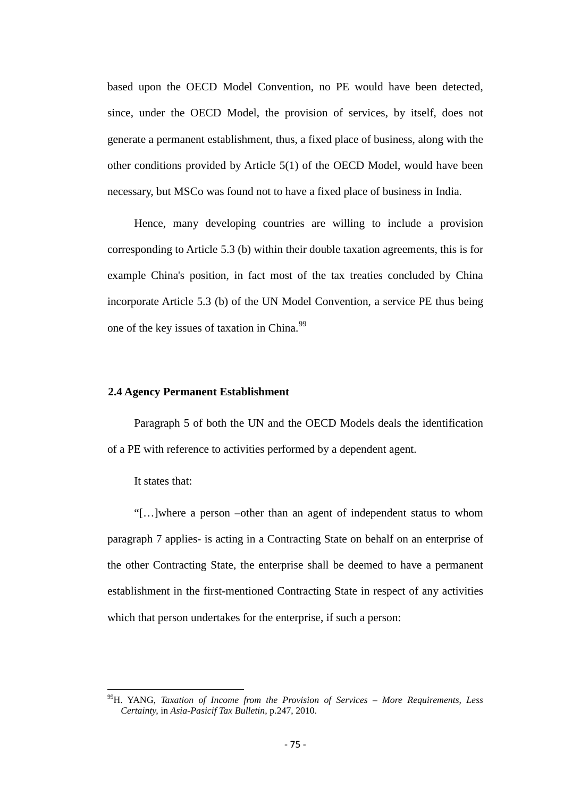based upon the OECD Model Convention, no PE would have been detected, since, under the OECD Model, the provision of services, by itself, does not generate a permanent establishment, thus, a fixed place of business, along with the other conditions provided by Article 5(1) of the OECD Model, would have been necessary, but MSCo was found not to have a fixed place of business in India.

Hence, many developing countries are willing to include a provision corresponding to Article 5.3 (b) within their double taxation agreements, this is for example China's position, in fact most of the tax treaties concluded by China incorporate Article 5.3 (b) of the UN Model Convention, a service PE thus being one of the key issues of taxation in China.<sup>[99](#page-73-0)</sup>

## **2.4 Agency Permanent Establishment**

Paragraph 5 of both the UN and the OECD Models deals the identification of a PE with reference to activities performed by a dependent agent.

It states that:

"[…]where a person –other than an agent of independent status to whom paragraph 7 applies- is acting in a Contracting State on behalf on an enterprise of the other Contracting State, the enterprise shall be deemed to have a permanent establishment in the first-mentioned Contracting State in respect of any activities which that person undertakes for the enterprise, if such a person:

<span id="page-74-0"></span>99H. YANG, *Taxation of Income from the Provision of Services – More Requirements, Less Certainty,* in *Asia-Pasicif Tax Bulletin,* p.247, 2010.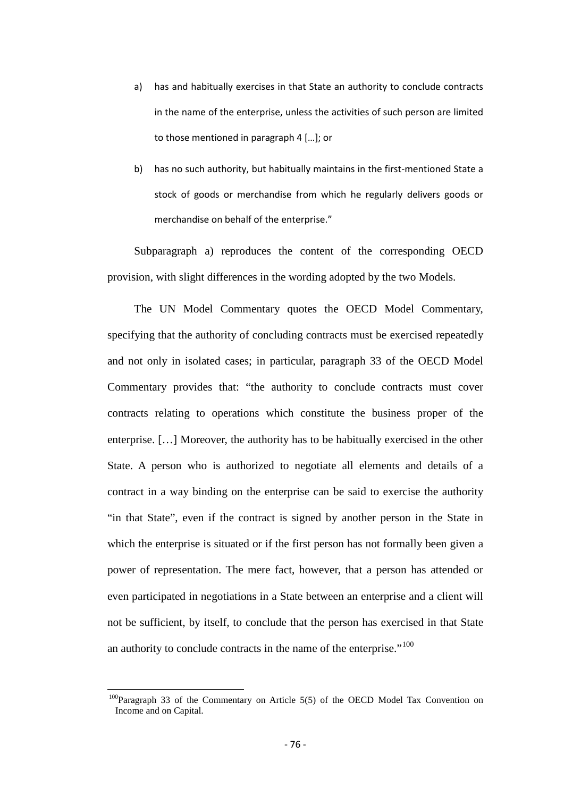- a) has and habitually exercises in that State an authority to conclude contracts in the name of the enterprise, unless the activities of such person are limited to those mentioned in paragraph 4 […]; or
- b) has no such authority, but habitually maintains in the first-mentioned State a stock of goods or merchandise from which he regularly delivers goods or merchandise on behalf of the enterprise."

Subparagraph a) reproduces the content of the corresponding OECD provision, with slight differences in the wording adopted by the two Models.

The UN Model Commentary quotes the OECD Model Commentary, specifying that the authority of concluding contracts must be exercised repeatedly and not only in isolated cases; in particular, paragraph 33 of the OECD Model Commentary provides that: "the authority to conclude contracts must cover contracts relating to operations which constitute the business proper of the enterprise. […] Moreover, the authority has to be habitually exercised in the other State. A person who is authorized to negotiate all elements and details of a contract in a way binding on the enterprise can be said to exercise the authority "in that State", even if the contract is signed by another person in the State in which the enterprise is situated or if the first person has not formally been given a power of representation. The mere fact, however, that a person has attended or even participated in negotiations in a State between an enterprise and a client will not be sufficient, by itself, to conclude that the person has exercised in that State an authority to conclude contracts in the name of the enterprise."<sup>[100](#page-74-0)</sup>

<span id="page-75-0"></span> $100P_{\text{aragraph}}$  33 of the Commentary on Article 5(5) of the OECD Model Tax Convention on Income and on Capital.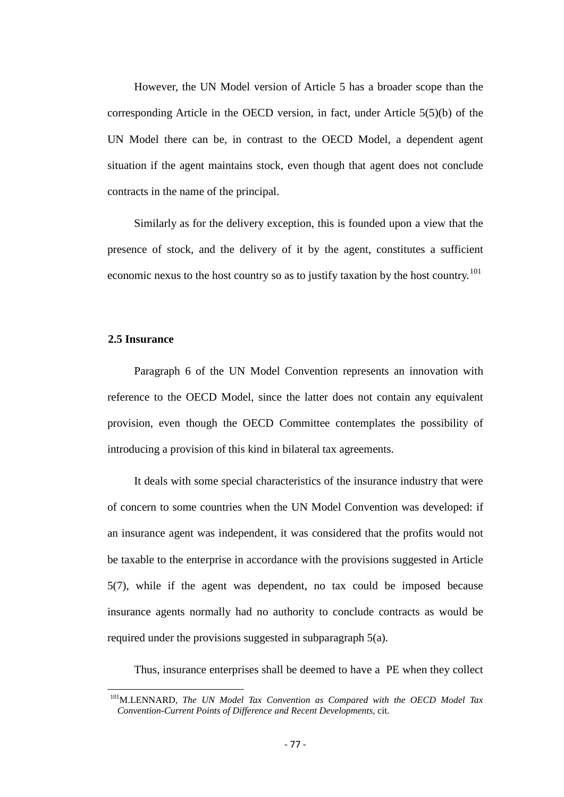However, the UN Model version of Article 5 has a broader scope than the corresponding Article in the OECD version, in fact, under Article 5(5)(b) of the UN Model there can be, in contrast to the OECD Model, a dependent agent situation if the agent maintains stock, even though that agent does not conclude contracts in the name of the principal.

Similarly as for the delivery exception, this is founded upon a view that the presence of stock, and the delivery of it by the agent, constitutes a sufficient economic nexus to the host country so as to justify taxation by the host country.<sup>[101](#page-75-0)</sup>

### **2.5 Insurance**

Paragraph 6 of the UN Model Convention represents an innovation with reference to the OECD Model, since the latter does not contain any equivalent provision, even though the OECD Committee contemplates the possibility of introducing a provision of this kind in bilateral tax agreements.

It deals with some special characteristics of the insurance industry that were of concern to some countries when the UN Model Convention was developed: if an insurance agent was independent, it was considered that the profits would not be taxable to the enterprise in accordance with the provisions suggested in Article 5(7), while if the agent was dependent, no tax could be imposed because insurance agents normally had no authority to conclude contracts as would be required under the provisions suggested in subparagraph 5(a).

Thus, insurance enterprises shall be deemed to have a PE when they collect

<span id="page-76-0"></span><sup>&</sup>lt;sup>101</sup>M.LENNARD, *The UN Model Tax Convention as Compared with the OECD Model Tax Convention-Current Points of Difference and Recent Developments,* cit.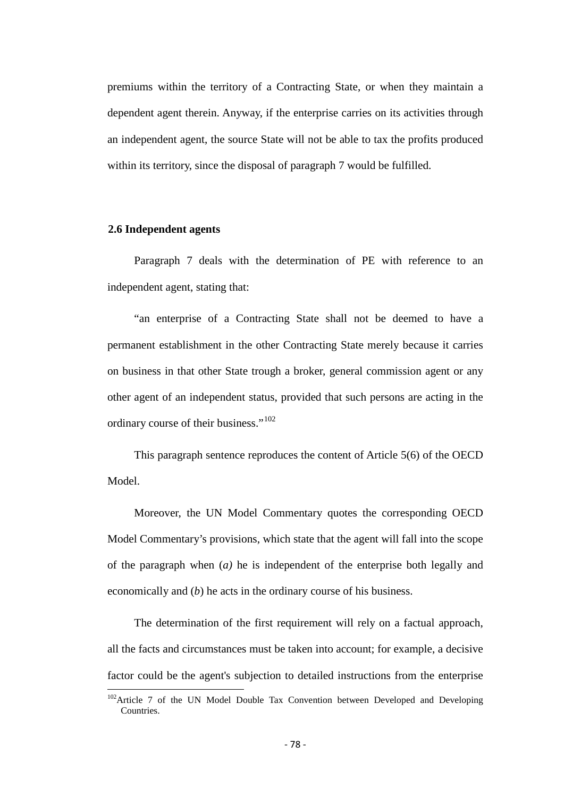premiums within the territory of a Contracting State, or when they maintain a dependent agent therein. Anyway, if the enterprise carries on its activities through an independent agent, the source State will not be able to tax the profits produced within its territory, since the disposal of paragraph 7 would be fulfilled.

### **2.6 Independent agents**

Paragraph 7 deals with the determination of PE with reference to an independent agent, stating that:

"an enterprise of a Contracting State shall not be deemed to have a permanent establishment in the other Contracting State merely because it carries on business in that other State trough a broker, general commission agent or any other agent of an independent status, provided that such persons are acting in the ordinary course of their business."<sup>[102](#page-76-0)</sup>

This paragraph sentence reproduces the content of Article 5(6) of the OECD Model.

Moreover, the UN Model Commentary quotes the corresponding OECD Model Commentary's provisions, which state that the agent will fall into the scope of the paragraph when (*a)* he is independent of the enterprise both legally and economically and (*b*) he acts in the ordinary course of his business.

The determination of the first requirement will rely on a factual approach, all the facts and circumstances must be taken into account; for example, a decisive factor could be the agent's subjection to detailed instructions from the enterprise

<span id="page-77-0"></span> $102$ Article 7 of the UN Model Double Tax Convention between Developed and Developing Countries.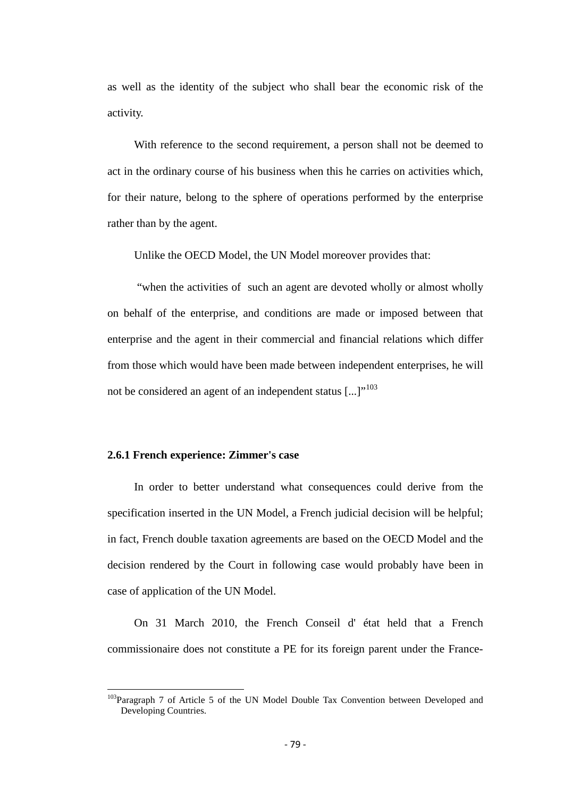as well as the identity of the subject who shall bear the economic risk of the activity.

With reference to the second requirement, a person shall not be deemed to act in the ordinary course of his business when this he carries on activities which, for their nature, belong to the sphere of operations performed by the enterprise rather than by the agent.

Unlike the OECD Model, the UN Model moreover provides that:

"when the activities of such an agent are devoted wholly or almost wholly on behalf of the enterprise, and conditions are made or imposed between that enterprise and the agent in their commercial and financial relations which differ from those which would have been made between independent enterprises, he will not be considered an agent of an independent status  $\left[\ldots\right]^{103}$  $\left[\ldots\right]^{103}$  $\left[\ldots\right]^{103}$ 

### **2.6.1 French experience: Zimmer's case**

In order to better understand what consequences could derive from the specification inserted in the UN Model, a French judicial decision will be helpful; in fact, French double taxation agreements are based on the OECD Model and the decision rendered by the Court in following case would probably have been in case of application of the UN Model.

On 31 March 2010, the French Conseil d' état held that a French commissionaire does not constitute a PE for its foreign parent under the France-

<span id="page-78-0"></span><sup>&</sup>lt;sup>103</sup>Paragraph 7 of Article 5 of the UN Model Double Tax Convention between Developed and Developing Countries.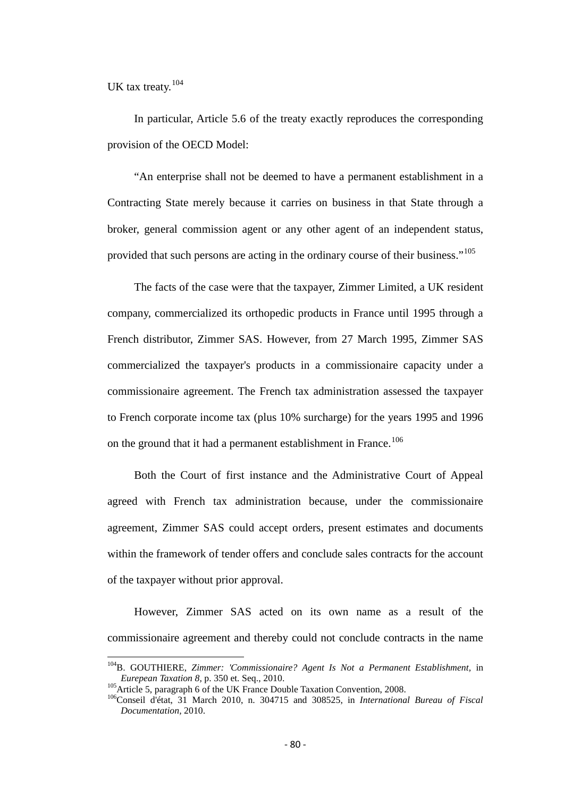UK tax treaty.<sup>[104](#page-78-0)</sup>

In particular, Article 5.6 of the treaty exactly reproduces the corresponding provision of the OECD Model:

"An enterprise shall not be deemed to have a permanent establishment in a Contracting State merely because it carries on business in that State through a broker, general commission agent or any other agent of an independent status, provided that such persons are acting in the ordinary course of their business."[105](#page-79-0)

The facts of the case were that the taxpayer, Zimmer Limited, a UK resident company, commercialized its orthopedic products in France until 1995 through a French distributor, Zimmer SAS. However, from 27 March 1995, Zimmer SAS commercialized the taxpayer's products in a commissionaire capacity under a commissionaire agreement. The French tax administration assessed the taxpayer to French corporate income tax (plus 10% surcharge) for the years 1995 and 1996 on the ground that it had a permanent establishment in France.<sup>[106](#page-79-1)</sup>

Both the Court of first instance and the Administrative Court of Appeal agreed with French tax administration because, under the commissionaire agreement, Zimmer SAS could accept orders, present estimates and documents within the framework of tender offers and conclude sales contracts for the account of the taxpayer without prior approval.

However, Zimmer SAS acted on its own name as a result of the commissionaire agreement and thereby could not conclude contracts in the name

<sup>&</sup>lt;sup>104</sup>B. GOUTHIERE, *Zimmer: 'Commissionaire? Agent Is Not a Permanent Establishment*, in *Eurepean Taxation 8*, p. 350 et. Seq., 2010.

<span id="page-79-1"></span><span id="page-79-0"></span><sup>105&</sup>lt;br>Article 5, paragraph 6 of the UK France Double Taxation Convention, 2008.<br><sup>106</sup>Conseil d'état, 31 March 2010, n. 304715 and 308525, in *International Bureau of Fiscal Documentation,* 2010.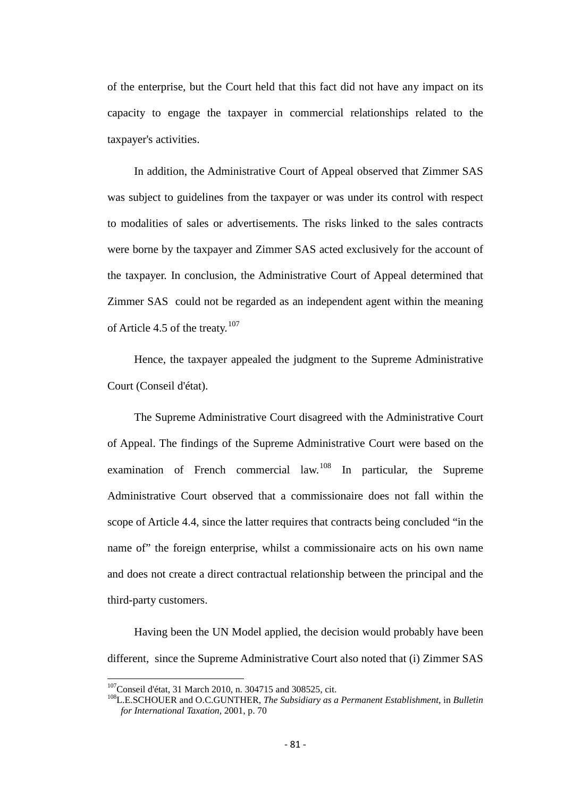of the enterprise, but the Court held that this fact did not have any impact on its capacity to engage the taxpayer in commercial relationships related to the taxpayer's activities.

In addition, the Administrative Court of Appeal observed that Zimmer SAS was subject to guidelines from the taxpayer or was under its control with respect to modalities of sales or advertisements. The risks linked to the sales contracts were borne by the taxpayer and Zimmer SAS acted exclusively for the account of the taxpayer. In conclusion, the Administrative Court of Appeal determined that Zimmer SAS could not be regarded as an independent agent within the meaning of Article 4.5 of the treaty.<sup>[107](#page-79-0)</sup>

Hence, the taxpayer appealed the judgment to the Supreme Administrative Court (Conseil d'état).

The Supreme Administrative Court disagreed with the Administrative Court of Appeal. The findings of the Supreme Administrative Court were based on the examination of French commercial law.<sup>[108](#page-80-0)</sup> In particular, the Supreme Administrative Court observed that a commissionaire does not fall within the scope of Article 4.4, since the latter requires that contracts being concluded "in the name of" the foreign enterprise, whilst a commissionaire acts on his own name and does not create a direct contractual relationship between the principal and the third-party customers.

Having been the UN Model applied, the decision would probably have been different, since the Supreme Administrative Court also noted that (i) Zimmer SAS

<span id="page-80-1"></span><span id="page-80-0"></span><sup>&</sup>lt;sup>107</sup>Conseil d'état, 31 March 2010, n. 304715 and 308525, cit.<br><sup>108</sup>L.E.SCHOUER and O.C.GUNTHER, *The Subsidiary as a Permanent Establishment*, in *Bulletin for International Taxation,* 2001, p. 70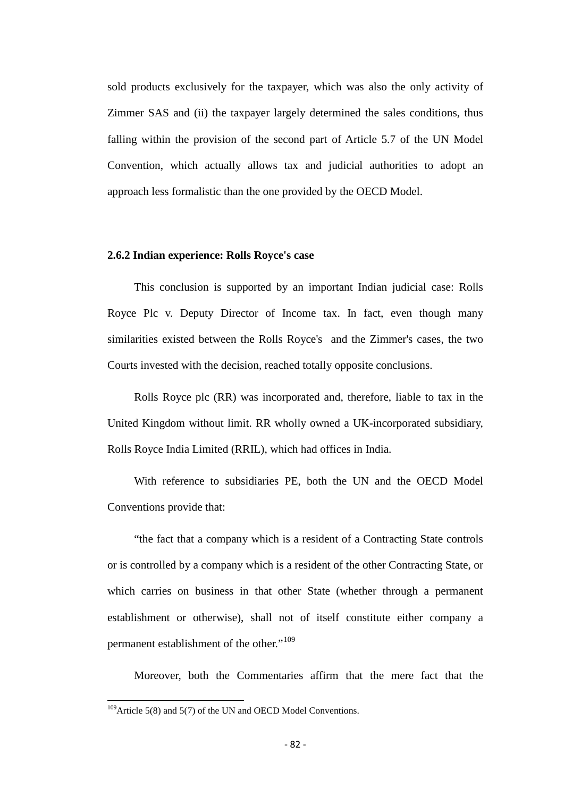sold products exclusively for the taxpayer, which was also the only activity of Zimmer SAS and (ii) the taxpayer largely determined the sales conditions, thus falling within the provision of the second part of Article 5.7 of the UN Model Convention, which actually allows tax and judicial authorities to adopt an approach less formalistic than the one provided by the OECD Model.

### **2.6.2 Indian experience: Rolls Royce's case**

This conclusion is supported by an important Indian judicial case: Rolls Royce Plc v. Deputy Director of Income tax. In fact, even though many similarities existed between the Rolls Royce's and the Zimmer's cases, the two Courts invested with the decision, reached totally opposite conclusions.

Rolls Royce plc (RR) was incorporated and, therefore, liable to tax in the United Kingdom without limit. RR wholly owned a UK-incorporated subsidiary, Rolls Royce India Limited (RRIL), which had offices in India.

With reference to subsidiaries PE, both the UN and the OECD Model Conventions provide that:

"the fact that a company which is a resident of a Contracting State controls or is controlled by a company which is a resident of the other Contracting State, or which carries on business in that other State (whether through a permanent establishment or otherwise), shall not of itself constitute either company a permanent establishment of the other."<sup>[109](#page-80-1)</sup>

Moreover, both the Commentaries affirm that the mere fact that the

<span id="page-81-0"></span> $109$ Article 5(8) and 5(7) of the UN and OECD Model Conventions.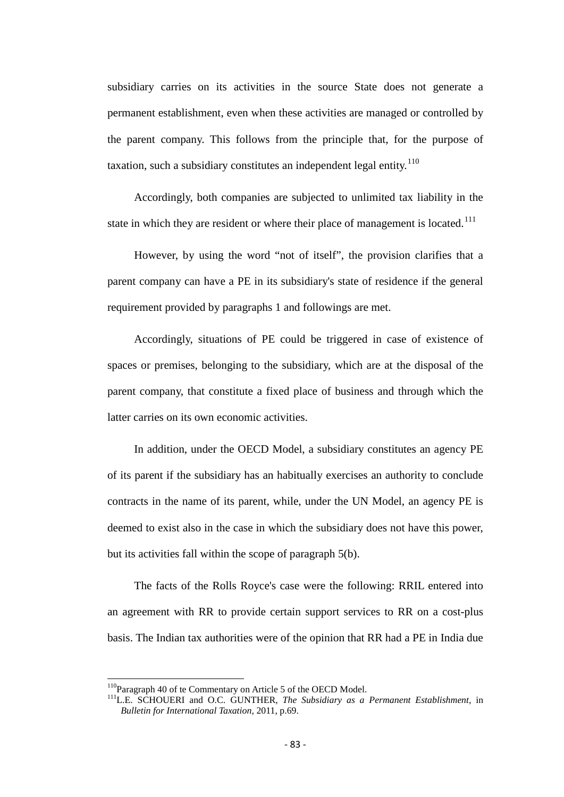subsidiary carries on its activities in the source State does not generate a permanent establishment, even when these activities are managed or controlled by the parent company. This follows from the principle that, for the purpose of taxation, such a subsidiary constitutes an independent legal entity.<sup>[110](#page-81-0)</sup>

Accordingly, both companies are subjected to unlimited tax liability in the state in which they are resident or where their place of management is located.<sup>[111](#page-82-0)</sup>

However, by using the word "not of itself", the provision clarifies that a parent company can have a PE in its subsidiary's state of residence if the general requirement provided by paragraphs 1 and followings are met.

Accordingly, situations of PE could be triggered in case of existence of spaces or premises, belonging to the subsidiary, which are at the disposal of the parent company, that constitute a fixed place of business and through which the latter carries on its own economic activities.

In addition, under the OECD Model, a subsidiary constitutes an agency PE of its parent if the subsidiary has an habitually exercises an authority to conclude contracts in the name of its parent, while, under the UN Model, an agency PE is deemed to exist also in the case in which the subsidiary does not have this power, but its activities fall within the scope of paragraph 5(b).

<span id="page-82-1"></span>The facts of the Rolls Royce's case were the following: RRIL entered into an agreement with RR to provide certain support services to RR on a cost-plus basis. The Indian tax authorities were of the opinion that RR had a PE in India due

<span id="page-82-0"></span><sup>&</sup>lt;sup>110</sup>Paragraph 40 of te Commentary on Article 5 of the OECD Model.<br><sup>111</sup>L.E. SCHOUERI and O.C. GUNTHER, *The Subsidiary as a Permanent Establishment*, in *Bulletin for International Taxation,* 2011, p.69.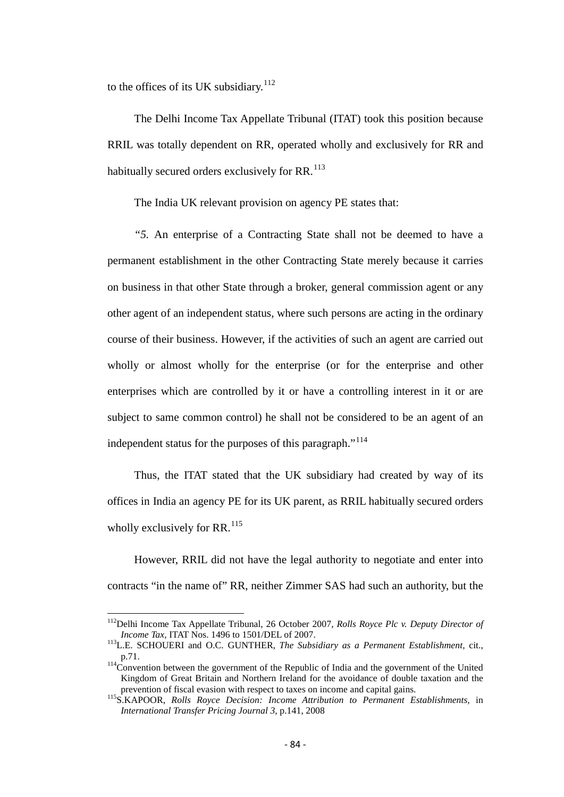to the offices of its UK subsidiary.<sup>[112](#page-82-1)</sup>

The Delhi Income Tax Appellate Tribunal (ITAT) took this position because RRIL was totally dependent on RR, operated wholly and exclusively for RR and habitually secured orders exclusively for  $RR$ <sup>[113](#page-83-0)</sup>

The India UK relevant provision on agency PE states that:

*"5.* An enterprise of a Contracting State shall not be deemed to have a permanent establishment in the other Contracting State merely because it carries on business in that other State through a broker, general commission agent or any other agent of an independent status, where such persons are acting in the ordinary course of their business. However, if the activities of such an agent are carried out wholly or almost wholly for the enterprise (or for the enterprise and other enterprises which are controlled by it or have a controlling interest in it or are subject to same common control) he shall not be considered to be an agent of an independent status for the purposes of this paragraph."<sup>[114](#page-83-1)</sup>

Thus, the ITAT stated that the UK subsidiary had created by way of its offices in India an agency PE for its UK parent, as RRIL habitually secured orders wholly exclusively for RR. $^{115}$  $^{115}$  $^{115}$ 

However, RRIL did not have the legal authority to negotiate and enter into contracts "in the name of" RR, neither Zimmer SAS had such an authority, but the

112Delhi Income Tax Appellate Tribunal, 26 October 2007, *Rolls Royce Plc v. Deputy Director of Income Tax, ITAT Nos. 1496 to 1501/DEL of 2007.*<br><sup>113</sup>L.E. SCHOUERI and O.C. GUNTHER, *The Subsidiary as a Permanent Establishment*, cit.,

<span id="page-83-0"></span>p.71. 114Convention between the government of the Republic of India and the government of the United

<span id="page-83-1"></span>Kingdom of Great Britain and Northern Ireland for the avoidance of double taxation and the prevention of fiscal evasion with respect to taxes on income and capital gains.

<span id="page-83-3"></span><span id="page-83-2"></span><sup>&</sup>lt;sup>115</sup>S.KAPOOR, *Rolls Royce Decision: Income Attribution to Permanent Establishments*, in *International Transfer Pricing Journal 3,* p.141, 2008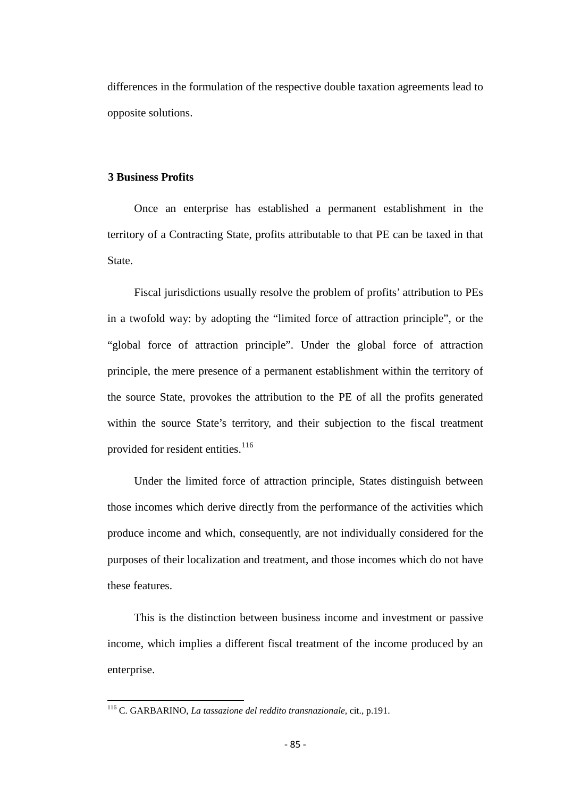differences in the formulation of the respective double taxation agreements lead to opposite solutions.

## **3 Business Profits**

Once an enterprise has established a permanent establishment in the territory of a Contracting State, profits attributable to that PE can be taxed in that State.

Fiscal jurisdictions usually resolve the problem of profits' attribution to PEs in a twofold way: by adopting the "limited force of attraction principle", or the "global force of attraction principle". Under the global force of attraction principle, the mere presence of a permanent establishment within the territory of the source State, provokes the attribution to the PE of all the profits generated within the source State's territory, and their subjection to the fiscal treatment provided for resident entities.<sup>[116](#page-83-3)</sup>

Under the limited force of attraction principle, States distinguish between those incomes which derive directly from the performance of the activities which produce income and which, consequently, are not individually considered for the purposes of their localization and treatment, and those incomes which do not have these features.

<span id="page-84-0"></span>This is the distinction between business income and investment or passive income, which implies a different fiscal treatment of the income produced by an enterprise.

<sup>116</sup> C. GARBARINO, *La tassazione del reddito transnazionale,* cit., p.191.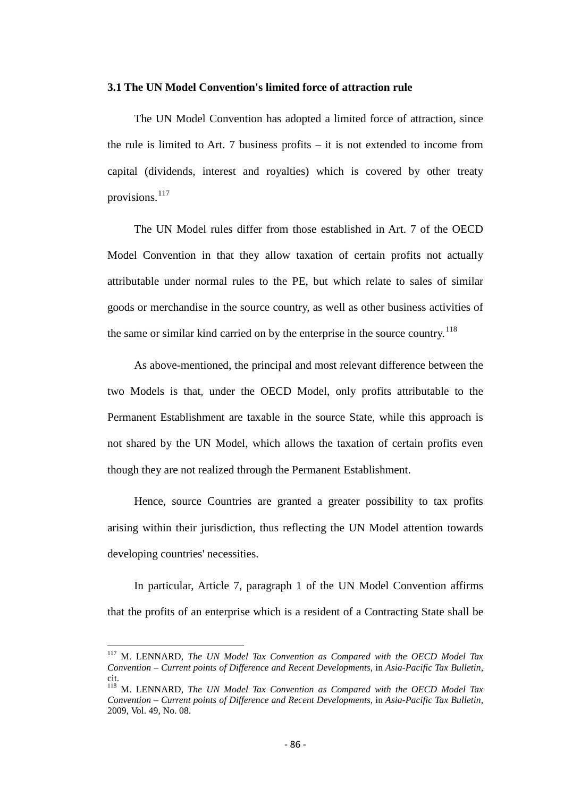### **3.1 The UN Model Convention's limited force of attraction rule**

The UN Model Convention has adopted a limited force of attraction, since the rule is limited to Art. 7 business profits – it is not extended to income from capital (dividends, interest and royalties) which is covered by other treaty provisions.[117](#page-84-0)

The UN Model rules differ from those established in Art. 7 of the OECD Model Convention in that they allow taxation of certain profits not actually attributable under normal rules to the PE, but which relate to sales of similar goods or merchandise in the source country, as well as other business activities of the same or similar kind carried on by the enterprise in the source country.<sup>[118](#page-85-0)</sup>

As above-mentioned, the principal and most relevant difference between the two Models is that, under the OECD Model, only profits attributable to the Permanent Establishment are taxable in the source State, while this approach is not shared by the UN Model, which allows the taxation of certain profits even though they are not realized through the Permanent Establishment.

Hence, source Countries are granted a greater possibility to tax profits arising within their jurisdiction, thus reflecting the UN Model attention towards developing countries' necessities.

In particular, Article 7, paragraph 1 of the UN Model Convention affirms that the profits of an enterprise which is a resident of a Contracting State shall be

<span id="page-85-1"></span><sup>117</sup> M. LENNARD, *The UN Model Tax Convention as Compared with the OECD Model Tax Convention – Current points of Difference and Recent Developments,* in *Asia-Pacific Tax Bulletin,*  cit.

<span id="page-85-0"></span><sup>118</sup> M. LENNARD, *The UN Model Tax Convention as Compared with the OECD Model Tax Convention – Current points of Difference and Recent Developments,* in *Asia-Pacific Tax Bulletin,*  2009, Vol. 49, No. 08.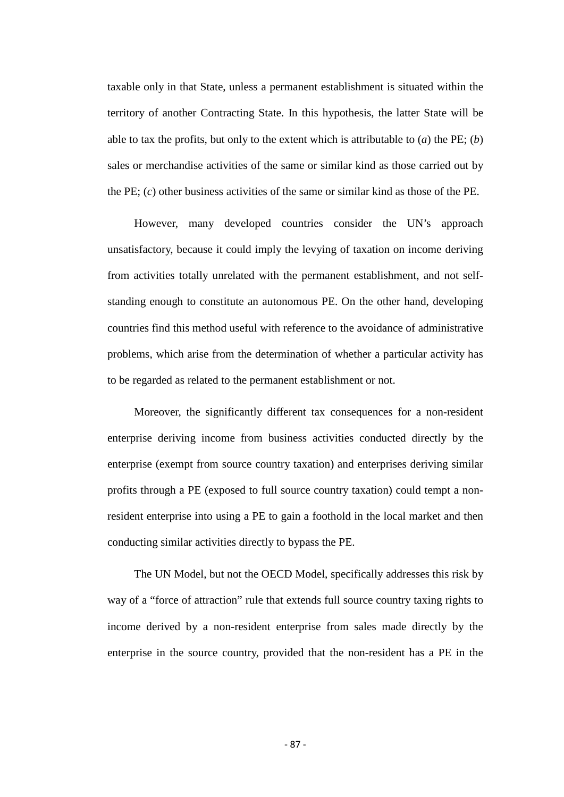taxable only in that State, unless a permanent establishment is situated within the territory of another Contracting State. In this hypothesis, the latter State will be able to tax the profits, but only to the extent which is attributable to (*a*) the PE; (*b*) sales or merchandise activities of the same or similar kind as those carried out by the PE; (*c*) other business activities of the same or similar kind as those of the PE.

However, many developed countries consider the UN's approach unsatisfactory, because it could imply the levying of taxation on income deriving from activities totally unrelated with the permanent establishment, and not selfstanding enough to constitute an autonomous PE. On the other hand, developing countries find this method useful with reference to the avoidance of administrative problems, which arise from the determination of whether a particular activity has to be regarded as related to the permanent establishment or not.

Moreover, the significantly different tax consequences for a non-resident enterprise deriving income from business activities conducted directly by the enterprise (exempt from source country taxation) and enterprises deriving similar profits through a PE (exposed to full source country taxation) could tempt a nonresident enterprise into using a PE to gain a foothold in the local market and then conducting similar activities directly to bypass the PE.

The UN Model, but not the OECD Model, specifically addresses this risk by way of a "force of attraction" rule that extends full source country taxing rights to income derived by a non-resident enterprise from sales made directly by the enterprise in the source country, provided that the non-resident has a PE in the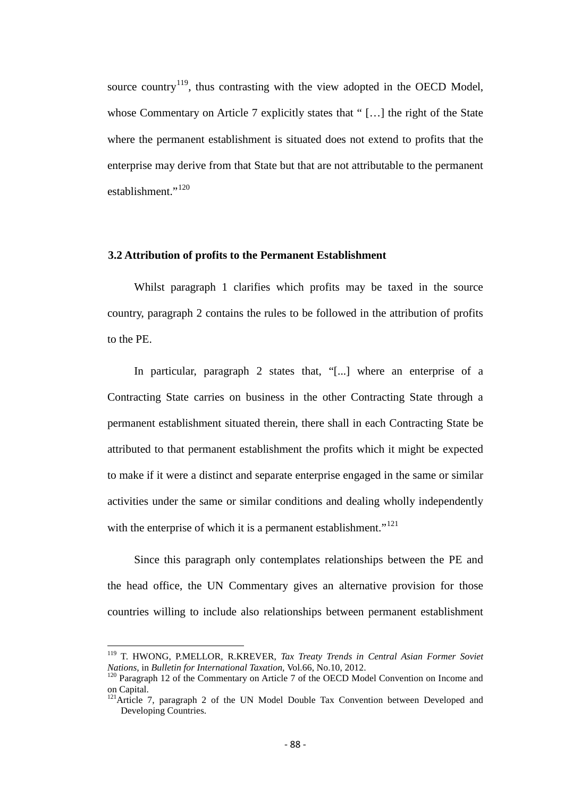source country<sup>119</sup>, thus contrasting with the view adopted in the OECD Model, whose Commentary on Article 7 explicitly states that " [...] the right of the State where the permanent establishment is situated does not extend to profits that the enterprise may derive from that State but that are not attributable to the permanent establishment<sup>"120</sup>

### **3.2 Attribution of profits to the Permanent Establishment**

Whilst paragraph 1 clarifies which profits may be taxed in the source country, paragraph 2 contains the rules to be followed in the attribution of profits to the PE.

In particular, paragraph 2 states that, "[...] where an enterprise of a Contracting State carries on business in the other Contracting State through a permanent establishment situated therein, there shall in each Contracting State be attributed to that permanent establishment the profits which it might be expected to make if it were a distinct and separate enterprise engaged in the same or similar activities under the same or similar conditions and dealing wholly independently with the enterprise of which it is a permanent establishment."<sup>[121](#page-87-1)</sup>

Since this paragraph only contemplates relationships between the PE and the head office, the UN Commentary gives an alternative provision for those countries willing to include also relationships between permanent establishment

<sup>119</sup> T. HWONG, P.MELLOR, R.KREVER, *Tax Treaty Trends in Central Asian Former Soviet Nations, in Bulletin for International Taxation, Vol.66, No.10, 2012.*<br><sup>120</sup> Paragraph 12 of the Commentary on Article 7 of the OECD Model Convention on Income and

<span id="page-87-0"></span>on Capital.

<span id="page-87-1"></span><sup>&</sup>lt;sup>121</sup>Article 7, paragraph 2 of the UN Model Double Tax Convention between Developed and Developing Countries.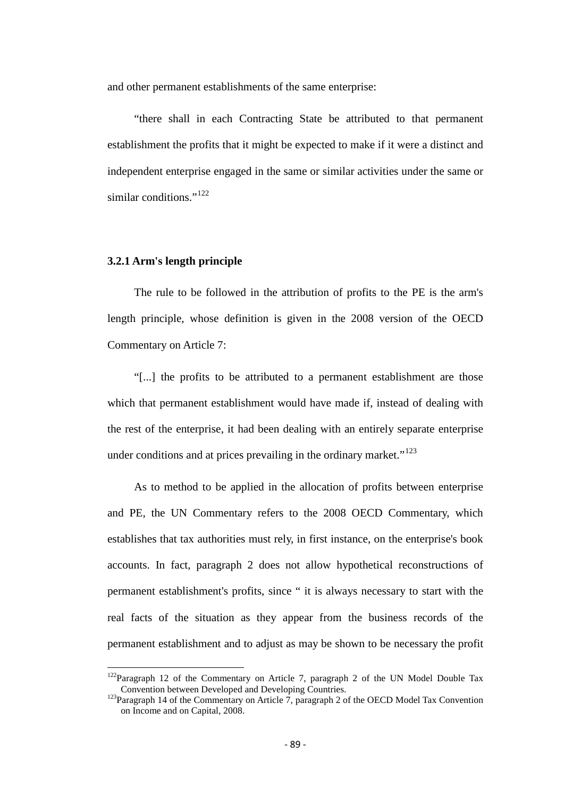and other permanent establishments of the same enterprise:

"there shall in each Contracting State be attributed to that permanent establishment the profits that it might be expected to make if it were a distinct and independent enterprise engaged in the same or similar activities under the same or similar conditions."<sup>[122](#page-87-0)</sup>

### **3.2.1 Arm's length principle**

The rule to be followed in the attribution of profits to the PE is the arm's length principle, whose definition is given in the 2008 version of the OECD Commentary on Article 7:

"[...] the profits to be attributed to a permanent establishment are those which that permanent establishment would have made if, instead of dealing with the rest of the enterprise, it had been dealing with an entirely separate enterprise under conditions and at prices prevailing in the ordinary market." $123$ 

As to method to be applied in the allocation of profits between enterprise and PE, the UN Commentary refers to the 2008 OECD Commentary, which establishes that tax authorities must rely, in first instance, on the enterprise's book accounts. In fact, paragraph 2 does not allow hypothetical reconstructions of permanent establishment's profits, since " it is always necessary to start with the real facts of the situation as they appear from the business records of the permanent establishment and to adjust as may be shown to be necessary the profit

 $122$ Paragraph 12 of the Commentary on Article 7, paragraph 2 of the UN Model Double Tax<br>Convention between Developed and Developing Countries.

<span id="page-88-0"></span><sup>&</sup>lt;sup>123</sup>Paragraph 14 of the Commentary on Article 7, paragraph 2 of the OECD Model Tax Convention on Income and on Capital, 2008.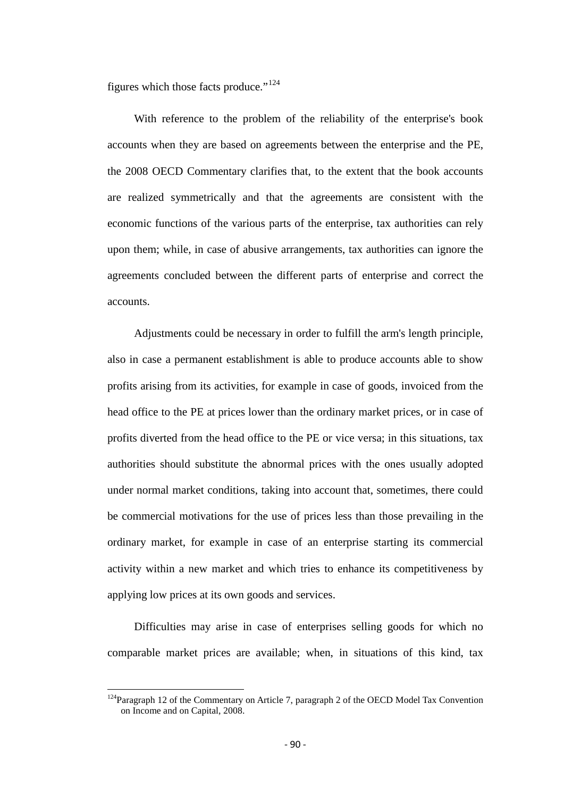figures which those facts produce."<sup>[124](#page-88-0)</sup>

With reference to the problem of the reliability of the enterprise's book accounts when they are based on agreements between the enterprise and the PE, the 2008 OECD Commentary clarifies that, to the extent that the book accounts are realized symmetrically and that the agreements are consistent with the economic functions of the various parts of the enterprise, tax authorities can rely upon them; while, in case of abusive arrangements, tax authorities can ignore the agreements concluded between the different parts of enterprise and correct the accounts.

Adjustments could be necessary in order to fulfill the arm's length principle, also in case a permanent establishment is able to produce accounts able to show profits arising from its activities, for example in case of goods, invoiced from the head office to the PE at prices lower than the ordinary market prices, or in case of profits diverted from the head office to the PE or vice versa; in this situations, tax authorities should substitute the abnormal prices with the ones usually adopted under normal market conditions, taking into account that, sometimes, there could be commercial motivations for the use of prices less than those prevailing in the ordinary market, for example in case of an enterprise starting its commercial activity within a new market and which tries to enhance its competitiveness by applying low prices at its own goods and services.

Difficulties may arise in case of enterprises selling goods for which no comparable market prices are available; when, in situations of this kind, tax

<span id="page-89-0"></span><sup>&</sup>lt;sup>124</sup>Paragraph 12 of the Commentary on Article 7, paragraph 2 of the OECD Model Tax Convention on Income and on Capital, 2008.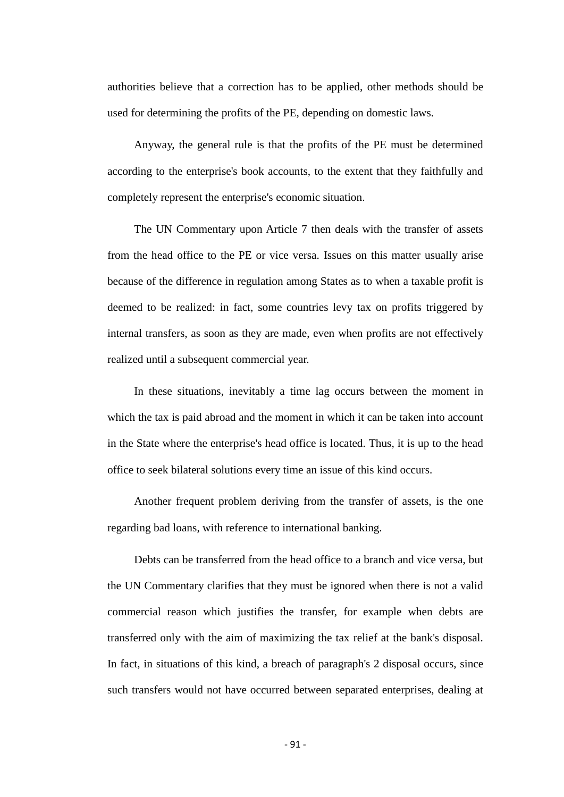authorities believe that a correction has to be applied, other methods should be used for determining the profits of the PE, depending on domestic laws.

Anyway, the general rule is that the profits of the PE must be determined according to the enterprise's book accounts, to the extent that they faithfully and completely represent the enterprise's economic situation.

The UN Commentary upon Article 7 then deals with the transfer of assets from the head office to the PE or vice versa. Issues on this matter usually arise because of the difference in regulation among States as to when a taxable profit is deemed to be realized: in fact, some countries levy tax on profits triggered by internal transfers, as soon as they are made, even when profits are not effectively realized until a subsequent commercial year.

In these situations, inevitably a time lag occurs between the moment in which the tax is paid abroad and the moment in which it can be taken into account in the State where the enterprise's head office is located. Thus, it is up to the head office to seek bilateral solutions every time an issue of this kind occurs.

Another frequent problem deriving from the transfer of assets, is the one regarding bad loans, with reference to international banking.

Debts can be transferred from the head office to a branch and vice versa, but the UN Commentary clarifies that they must be ignored when there is not a valid commercial reason which justifies the transfer, for example when debts are transferred only with the aim of maximizing the tax relief at the bank's disposal. In fact, in situations of this kind, a breach of paragraph's 2 disposal occurs, since such transfers would not have occurred between separated enterprises, dealing at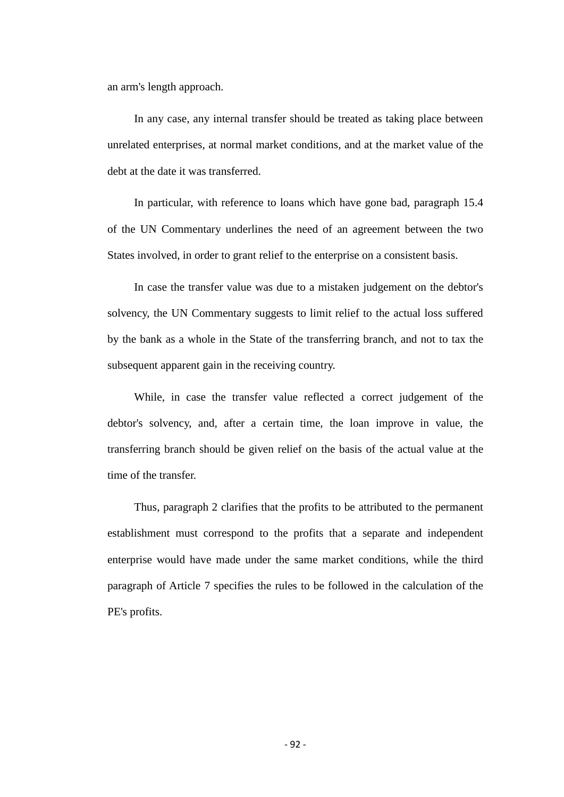an arm's length approach.

In any case, any internal transfer should be treated as taking place between unrelated enterprises, at normal market conditions, and at the market value of the debt at the date it was transferred.

In particular, with reference to loans which have gone bad, paragraph 15.4 of the UN Commentary underlines the need of an agreement between the two States involved, in order to grant relief to the enterprise on a consistent basis.

In case the transfer value was due to a mistaken judgement on the debtor's solvency, the UN Commentary suggests to limit relief to the actual loss suffered by the bank as a whole in the State of the transferring branch, and not to tax the subsequent apparent gain in the receiving country.

While, in case the transfer value reflected a correct judgement of the debtor's solvency, and, after a certain time, the loan improve in value, the transferring branch should be given relief on the basis of the actual value at the time of the transfer.

Thus, paragraph 2 clarifies that the profits to be attributed to the permanent establishment must correspond to the profits that a separate and independent enterprise would have made under the same market conditions, while the third paragraph of Article 7 specifies the rules to be followed in the calculation of the PE's profits.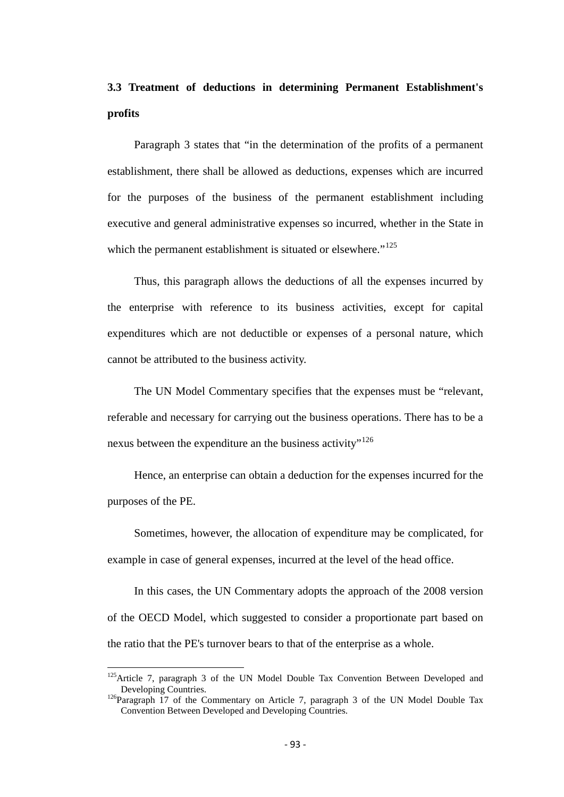# **3.3 Treatment of deductions in determining Permanent Establishment's profits**

Paragraph 3 states that "in the determination of the profits of a permanent establishment, there shall be allowed as deductions, expenses which are incurred for the purposes of the business of the permanent establishment including executive and general administrative expenses so incurred, whether in the State in which the permanent establishment is situated or elsewhere."<sup>[125](#page-89-0)</sup>

Thus, this paragraph allows the deductions of all the expenses incurred by the enterprise with reference to its business activities, except for capital expenditures which are not deductible or expenses of a personal nature, which cannot be attributed to the business activity.

The UN Model Commentary specifies that the expenses must be "relevant, referable and necessary for carrying out the business operations. There has to be a nexus between the expenditure an the business activity"<sup>[126](#page-92-0)</sup>

Hence, an enterprise can obtain a deduction for the expenses incurred for the purposes of the PE.

Sometimes, however, the allocation of expenditure may be complicated, for example in case of general expenses, incurred at the level of the head office.

In this cases, the UN Commentary adopts the approach of the 2008 version of the OECD Model, which suggested to consider a proportionate part based on the ratio that the PE's turnover bears to that of the enterprise as a whole.

 $125$ Article 7, paragraph 3 of the UN Model Double Tax Convention Between Developed and Developing Countries.

<span id="page-92-0"></span> $126$ Paragraph 17 of the Commentary on Article 7, paragraph 3 of the UN Model Double Tax Convention Between Developed and Developing Countries.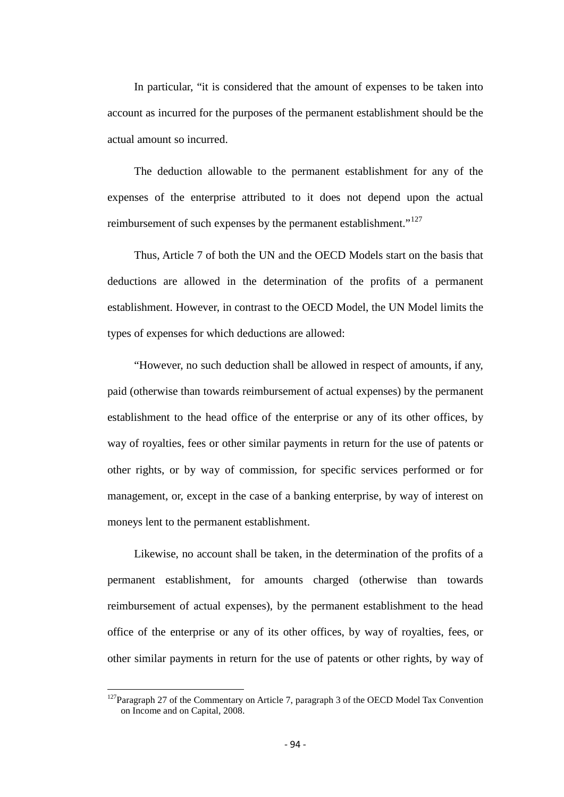In particular, "it is considered that the amount of expenses to be taken into account as incurred for the purposes of the permanent establishment should be the actual amount so incurred.

The deduction allowable to the permanent establishment for any of the expenses of the enterprise attributed to it does not depend upon the actual reimbursement of such expenses by the permanent establishment."<sup>[127](#page-92-0)</sup>

Thus, Article 7 of both the UN and the OECD Models start on the basis that deductions are allowed in the determination of the profits of a permanent establishment. However, in contrast to the OECD Model, the UN Model limits the types of expenses for which deductions are allowed:

"However, no such deduction shall be allowed in respect of amounts, if any, paid (otherwise than towards reimbursement of actual expenses) by the permanent establishment to the head office of the enterprise or any of its other offices, by way of royalties, fees or other similar payments in return for the use of patents or other rights, or by way of commission, for specific services performed or for management, or, except in the case of a banking enterprise, by way of interest on moneys lent to the permanent establishment.

Likewise, no account shall be taken, in the determination of the profits of a permanent establishment, for amounts charged (otherwise than towards reimbursement of actual expenses), by the permanent establishment to the head office of the enterprise or any of its other offices, by way of royalties, fees, or other similar payments in return for the use of patents or other rights, by way of

<span id="page-93-0"></span> $127$ Paragraph 27 of the Commentary on Article 7, paragraph 3 of the OECD Model Tax Convention on Income and on Capital, 2008.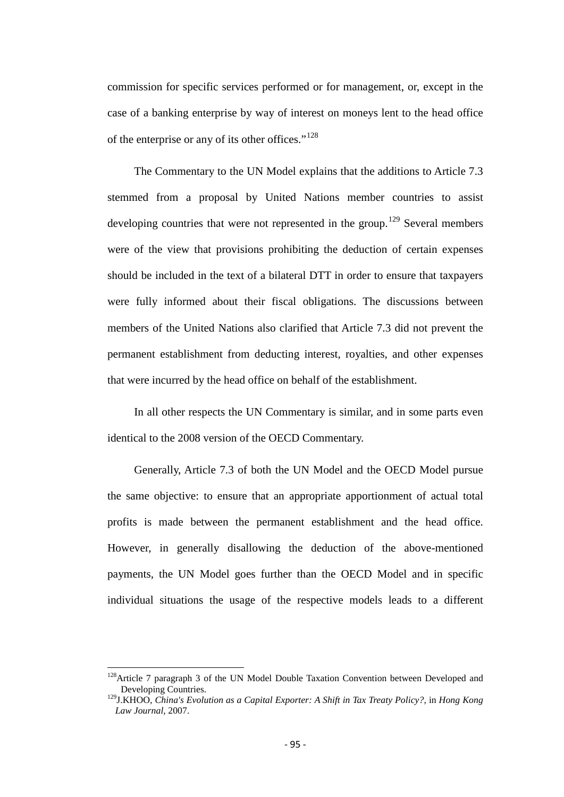commission for specific services performed or for management, or, except in the case of a banking enterprise by way of interest on moneys lent to the head office of the enterprise or any of its other offices."<sup>[128](#page-93-0)</sup>

The Commentary to the UN Model explains that the additions to Article 7.3 stemmed from a proposal by United Nations member countries to assist developing countries that were not represented in the group.<sup>[129](#page-94-0)</sup> Several members were of the view that provisions prohibiting the deduction of certain expenses should be included in the text of a bilateral DTT in order to ensure that taxpayers were fully informed about their fiscal obligations. The discussions between members of the United Nations also clarified that Article 7.3 did not prevent the permanent establishment from deducting interest, royalties, and other expenses that were incurred by the head office on behalf of the establishment.

In all other respects the UN Commentary is similar, and in some parts even identical to the 2008 version of the OECD Commentary.

Generally, Article 7.3 of both the UN Model and the OECD Model pursue the same objective: to ensure that an appropriate apportionment of actual total profits is made between the permanent establishment and the head office. However, in generally disallowing the deduction of the above-mentioned payments, the UN Model goes further than the OECD Model and in specific individual situations the usage of the respective models leads to a different

<span id="page-94-1"></span><sup>&</sup>lt;sup>128</sup>Article 7 paragraph 3 of the UN Model Double Taxation Convention between Developed and Developing Countries.

<span id="page-94-0"></span><sup>129</sup>J.KHOO, *China's Evolution as a Capital Exporter: A Shift in Tax Treaty Policy?,* in *Hong Kong Law Journal,* 2007.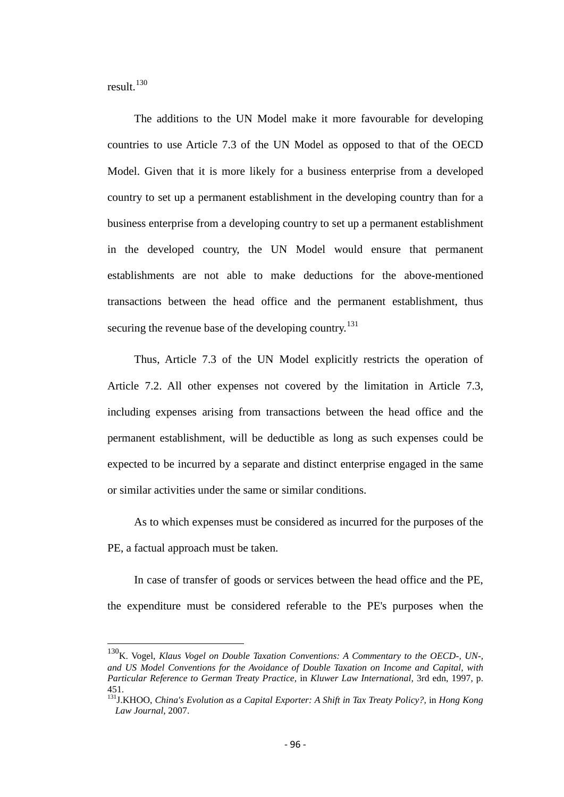result.[130](#page-94-1)

The additions to the UN Model make it more favourable for developing countries to use Article 7.3 of the UN Model as opposed to that of the OECD Model. Given that it is more likely for a business enterprise from a developed country to set up a permanent establishment in the developing country than for a business enterprise from a developing country to set up a permanent establishment in the developed country, the UN Model would ensure that permanent establishments are not able to make deductions for the above-mentioned transactions between the head office and the permanent establishment, thus securing the revenue base of the developing country.<sup>[131](#page-95-0)</sup>

Thus, Article 7.3 of the UN Model explicitly restricts the operation of Article 7.2. All other expenses not covered by the limitation in Article 7.3, including expenses arising from transactions between the head office and the permanent establishment, will be deductible as long as such expenses could be expected to be incurred by a separate and distinct enterprise engaged in the same or similar activities under the same or similar conditions.

As to which expenses must be considered as incurred for the purposes of the PE, a factual approach must be taken.

In case of transfer of goods or services between the head office and the PE, the expenditure must be considered referable to the PE's purposes when the

<span id="page-95-1"></span>130K. Vogel, *Klaus Vogel on Double Taxation Conventions: A Commentary to the OECD-, UN-, and US Model Conventions for the Avoidance of Double Taxation on Income and Capital, with Particular Reference to German Treaty Practice,* in *Kluwer Law International,* 3rd edn, 1997, p. 451.

<span id="page-95-0"></span><sup>131</sup>J.KHOO, *China's Evolution as a Capital Exporter: A Shift in Tax Treaty Policy?,* in *Hong Kong Law Journal,* 2007.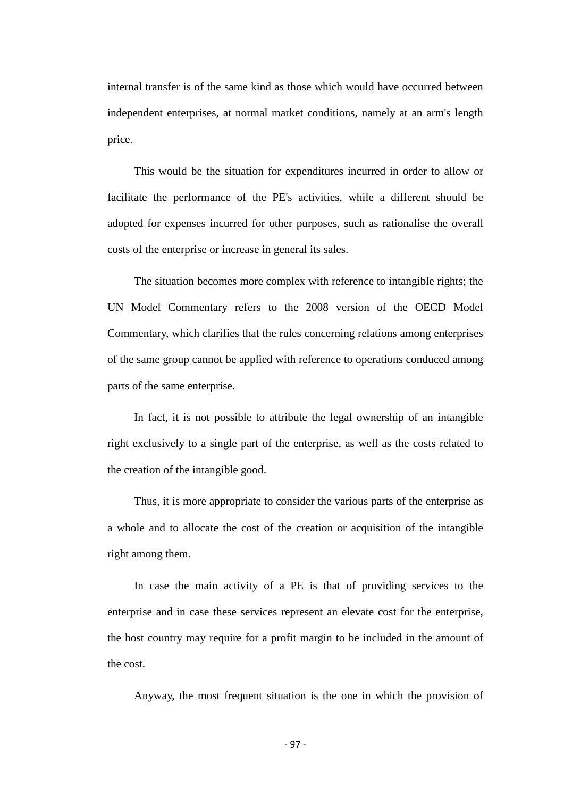internal transfer is of the same kind as those which would have occurred between independent enterprises, at normal market conditions, namely at an arm's length price.

This would be the situation for expenditures incurred in order to allow or facilitate the performance of the PE's activities, while a different should be adopted for expenses incurred for other purposes, such as rationalise the overall costs of the enterprise or increase in general its sales.

The situation becomes more complex with reference to intangible rights; the UN Model Commentary refers to the 2008 version of the OECD Model Commentary, which clarifies that the rules concerning relations among enterprises of the same group cannot be applied with reference to operations conduced among parts of the same enterprise.

In fact, it is not possible to attribute the legal ownership of an intangible right exclusively to a single part of the enterprise, as well as the costs related to the creation of the intangible good.

Thus, it is more appropriate to consider the various parts of the enterprise as a whole and to allocate the cost of the creation or acquisition of the intangible right among them.

In case the main activity of a PE is that of providing services to the enterprise and in case these services represent an elevate cost for the enterprise, the host country may require for a profit margin to be included in the amount of the cost.

Anyway, the most frequent situation is the one in which the provision of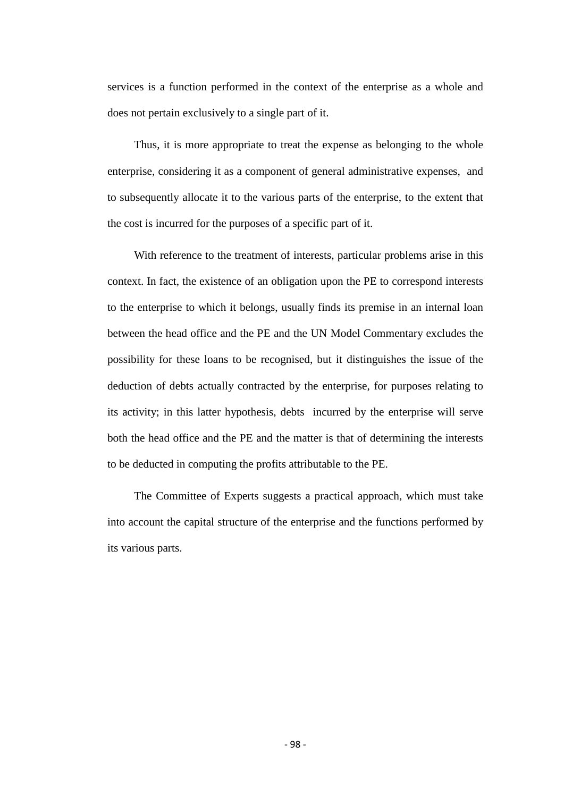services is a function performed in the context of the enterprise as a whole and does not pertain exclusively to a single part of it.

Thus, it is more appropriate to treat the expense as belonging to the whole enterprise, considering it as a component of general administrative expenses, and to subsequently allocate it to the various parts of the enterprise, to the extent that the cost is incurred for the purposes of a specific part of it.

With reference to the treatment of interests, particular problems arise in this context. In fact, the existence of an obligation upon the PE to correspond interests to the enterprise to which it belongs, usually finds its premise in an internal loan between the head office and the PE and the UN Model Commentary excludes the possibility for these loans to be recognised, but it distinguishes the issue of the deduction of debts actually contracted by the enterprise, for purposes relating to its activity; in this latter hypothesis, debts incurred by the enterprise will serve both the head office and the PE and the matter is that of determining the interests to be deducted in computing the profits attributable to the PE.

The Committee of Experts suggests a practical approach, which must take into account the capital structure of the enterprise and the functions performed by its various parts.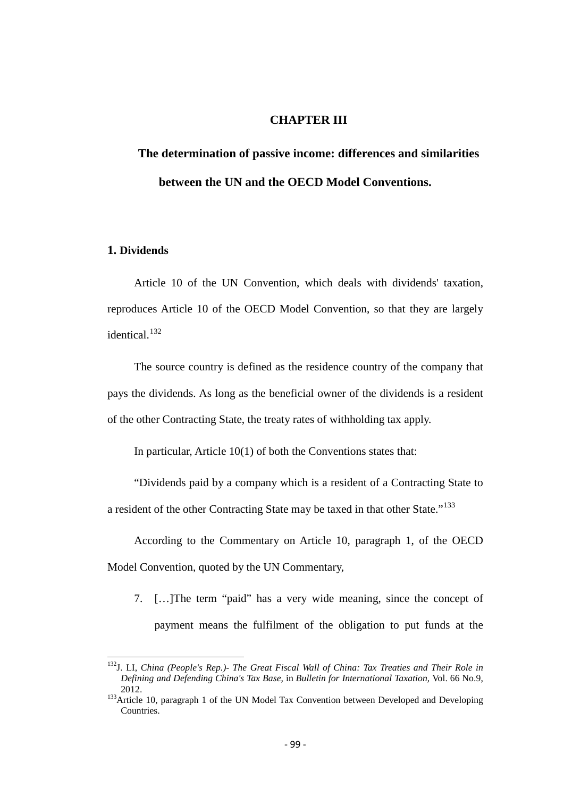# **CHAPTER III**

# **The determination of passive income: differences and similarities between the UN and the OECD Model Conventions.**

# **1. Dividends**

Article 10 of the UN Convention, which deals with dividends' taxation, reproduces Article 10 of the OECD Model Convention, so that they are largely identical.<sup>[132](#page-95-1)</sup>

The source country is defined as the residence country of the company that pays the dividends. As long as the beneficial owner of the dividends is a resident of the other Contracting State, the treaty rates of withholding tax apply.

In particular, Article 10(1) of both the Conventions states that:

"Dividends paid by a company which is a resident of a Contracting State to a resident of the other Contracting State may be taxed in that other State."<sup>[133](#page-98-0)</sup>

According to the Commentary on Article 10, paragraph 1, of the OECD Model Convention, quoted by the UN Commentary,

7. […]The term "paid" has a very wide meaning, since the concept of payment means the fulfilment of the obligation to put funds at the

132J. LI, *China (People's Rep.)- The Great Fiscal Wall of China: Tax Treaties and Their Role in Defining and Defending China's Tax Base,* in *Bulletin for International Taxation,* Vol. 66 No.9, 2012. 133Article 10, paragraph 1 of the UN Model Tax Convention between Developed and Developing

<span id="page-98-0"></span>Countries.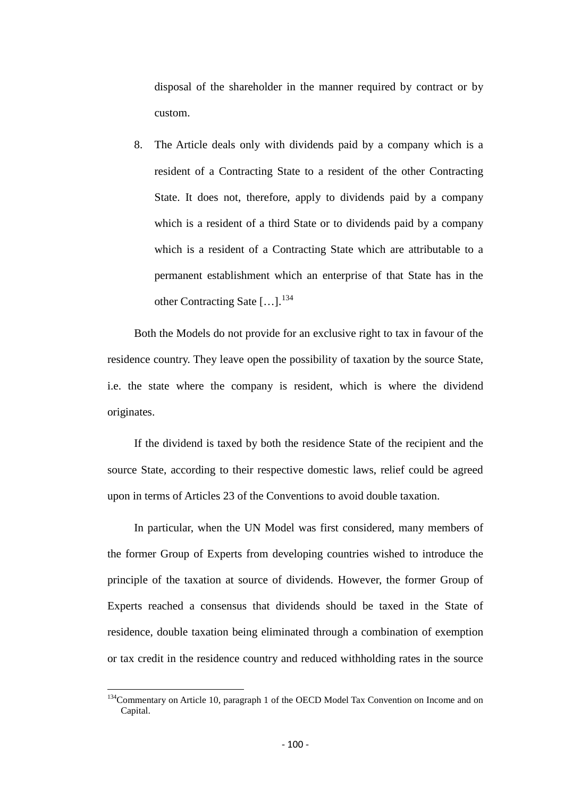disposal of the shareholder in the manner required by contract or by custom.

8. The Article deals only with dividends paid by a company which is a resident of a Contracting State to a resident of the other Contracting State. It does not, therefore, apply to dividends paid by a company which is a resident of a third State or to dividends paid by a company which is a resident of a Contracting State which are attributable to a permanent establishment which an enterprise of that State has in the other Contracting Sate  $[\dots]$ .<sup>[134](#page-98-0)</sup>

Both the Models do not provide for an exclusive right to tax in favour of the residence country. They leave open the possibility of taxation by the source State, i.e. the state where the company is resident, which is where the dividend originates.

If the dividend is taxed by both the residence State of the recipient and the source State, according to their respective domestic laws, relief could be agreed upon in terms of Articles 23 of the Conventions to avoid double taxation.

In particular, when the UN Model was first considered, many members of the former Group of Experts from developing countries wished to introduce the principle of the taxation at source of dividends. However, the former Group of Experts reached a consensus that dividends should be taxed in the State of residence, double taxation being eliminated through a combination of exemption or tax credit in the residence country and reduced withholding rates in the source

<span id="page-99-0"></span><sup>&</sup>lt;sup>134</sup>Commentary on Article 10, paragraph 1 of the OECD Model Tax Convention on Income and on Capital.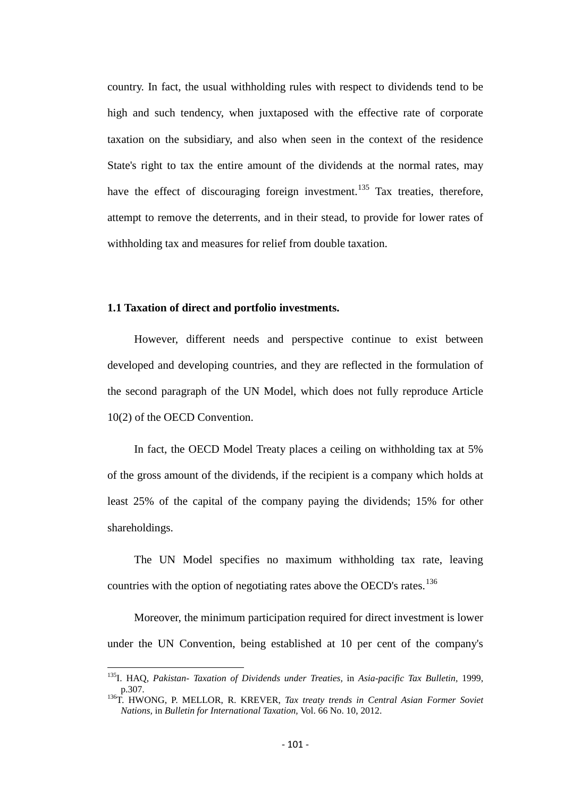country. In fact, the usual withholding rules with respect to dividends tend to be high and such tendency, when juxtaposed with the effective rate of corporate taxation on the subsidiary, and also when seen in the context of the residence State's right to tax the entire amount of the dividends at the normal rates, may have the effect of discouraging foreign investment.<sup>[135](#page-99-0)</sup> Tax treaties, therefore, attempt to remove the deterrents, and in their stead, to provide for lower rates of withholding tax and measures for relief from double taxation.

### **1.1 Taxation of direct and portfolio investments.**

However, different needs and perspective continue to exist between developed and developing countries, and they are reflected in the formulation of the second paragraph of the UN Model, which does not fully reproduce Article 10(2) of the OECD Convention.

In fact, the OECD Model Treaty places a ceiling on withholding tax at 5% of the gross amount of the dividends, if the recipient is a company which holds at least 25% of the capital of the company paying the dividends; 15% for other shareholdings.

The UN Model specifies no maximum withholding tax rate, leaving countries with the option of negotiating rates above the OECD's rates.<sup>[136](#page-100-0)</sup>

Moreover, the minimum participation required for direct investment is lower under the UN Convention, being established at 10 per cent of the company's

135I. HAQ, *Pakistan- Taxation of Dividends under Treaties,* in *Asia-pacific Tax Bulletin,* 1999,

<span id="page-100-1"></span><span id="page-100-0"></span>p.307. 136T. HWONG, P. MELLOR, R. KREVER, *Tax treaty trends in Central Asian Former Soviet Nations,* in *Bulletin for International Taxation,* Vol. 66 No. 10, 2012.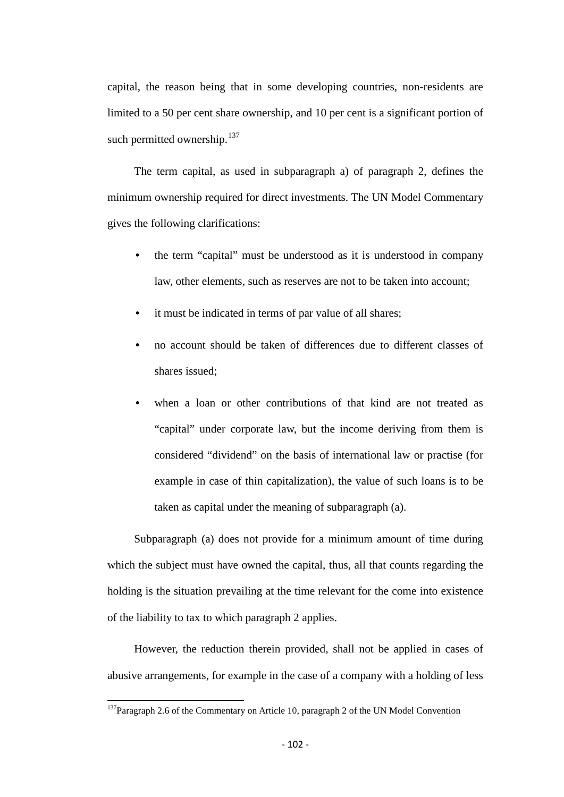capital, the reason being that in some developing countries, non-residents are limited to a 50 per cent share ownership, and 10 per cent is a significant portion of such permitted ownership. $137$ 

The term capital, as used in subparagraph a) of paragraph 2, defines the minimum ownership required for direct investments. The UN Model Commentary gives the following clarifications:

- the term "capital" must be understood as it is understood in company law, other elements, such as reserves are not to be taken into account;
- it must be indicated in terms of par value of all shares;
- no account should be taken of differences due to different classes of shares issued;
- when a loan or other contributions of that kind are not treated as "capital" under corporate law, but the income deriving from them is considered "dividend" on the basis of international law or practise (for example in case of thin capitalization), the value of such loans is to be taken as capital under the meaning of subparagraph (a).

Subparagraph (a) does not provide for a minimum amount of time during which the subject must have owned the capital, thus, all that counts regarding the holding is the situation prevailing at the time relevant for the come into existence of the liability to tax to which paragraph 2 applies.

However, the reduction therein provided, shall not be applied in cases of abusive arrangements, for example in the case of a company with a holding of less

<span id="page-101-0"></span> $137$ Paragraph 2.6 of the Commentary on Article 10, paragraph 2 of the UN Model Convention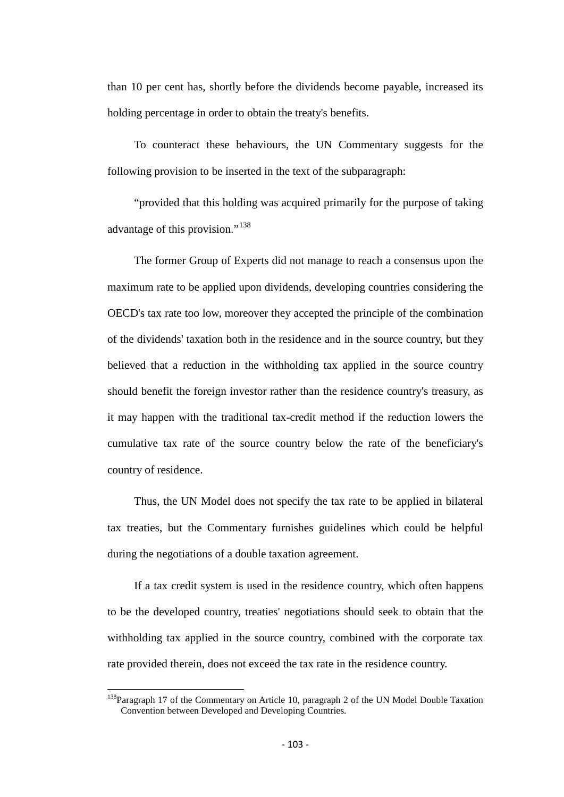than 10 per cent has, shortly before the dividends become payable, increased its holding percentage in order to obtain the treaty's benefits.

To counteract these behaviours, the UN Commentary suggests for the following provision to be inserted in the text of the subparagraph:

"provided that this holding was acquired primarily for the purpose of taking advantage of this provision."<sup>[138](#page-101-0)</sup>

The former Group of Experts did not manage to reach a consensus upon the maximum rate to be applied upon dividends, developing countries considering the OECD's tax rate too low, moreover they accepted the principle of the combination of the dividends' taxation both in the residence and in the source country, but they believed that a reduction in the withholding tax applied in the source country should benefit the foreign investor rather than the residence country's treasury, as it may happen with the traditional tax-credit method if the reduction lowers the cumulative tax rate of the source country below the rate of the beneficiary's country of residence.

Thus, the UN Model does not specify the tax rate to be applied in bilateral tax treaties, but the Commentary furnishes guidelines which could be helpful during the negotiations of a double taxation agreement.

If a tax credit system is used in the residence country, which often happens to be the developed country, treaties' negotiations should seek to obtain that the withholding tax applied in the source country, combined with the corporate tax rate provided therein, does not exceed the tax rate in the residence country.

<span id="page-102-0"></span><sup>&</sup>lt;sup>138</sup>Paragraph 17 of the Commentary on Article 10, paragraph 2 of the UN Model Double Taxation Convention between Developed and Developing Countries.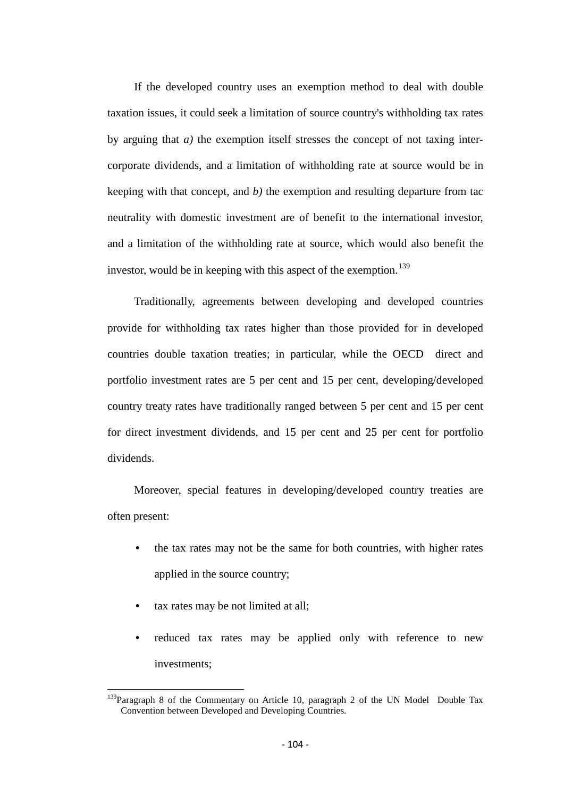If the developed country uses an exemption method to deal with double taxation issues, it could seek a limitation of source country's withholding tax rates by arguing that *a)* the exemption itself stresses the concept of not taxing intercorporate dividends, and a limitation of withholding rate at source would be in keeping with that concept, and *b)* the exemption and resulting departure from tac neutrality with domestic investment are of benefit to the international investor, and a limitation of the withholding rate at source, which would also benefit the investor, would be in keeping with this aspect of the exemption.<sup>[139](#page-102-0)</sup>

Traditionally, agreements between developing and developed countries provide for withholding tax rates higher than those provided for in developed countries double taxation treaties; in particular, while the OECD direct and portfolio investment rates are 5 per cent and 15 per cent, developing/developed country treaty rates have traditionally ranged between 5 per cent and 15 per cent for direct investment dividends, and 15 per cent and 25 per cent for portfolio dividends.

Moreover, special features in developing/developed country treaties are often present:

- the tax rates may not be the same for both countries, with higher rates applied in the source country;
- tax rates may be not limited at all;
- reduced tax rates may be applied only with reference to new investments;

<span id="page-103-0"></span> $139$ Paragraph 8 of the Commentary on Article 10, paragraph 2 of the UN Model Double Tax Convention between Developed and Developing Countries.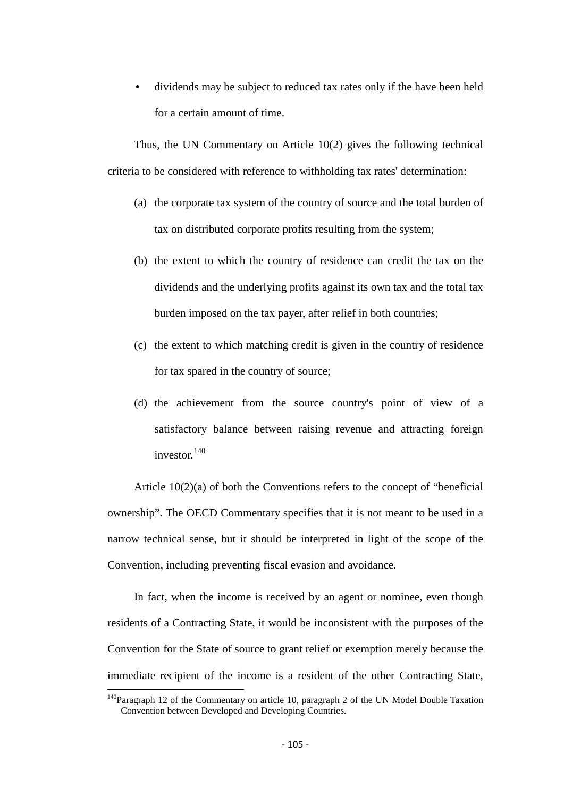• dividends may be subject to reduced tax rates only if the have been held for a certain amount of time.

Thus, the UN Commentary on Article 10(2) gives the following technical criteria to be considered with reference to withholding tax rates' determination:

- (a) the corporate tax system of the country of source and the total burden of tax on distributed corporate profits resulting from the system;
- (b) the extent to which the country of residence can credit the tax on the dividends and the underlying profits against its own tax and the total tax burden imposed on the tax payer, after relief in both countries;
- (c) the extent to which matching credit is given in the country of residence for tax spared in the country of source;
- (d) the achievement from the source country's point of view of a satisfactory balance between raising revenue and attracting foreign investor.<sup>[140](#page-103-0)</sup>

Article 10(2)(a) of both the Conventions refers to the concept of "beneficial ownership". The OECD Commentary specifies that it is not meant to be used in a narrow technical sense, but it should be interpreted in light of the scope of the Convention, including preventing fiscal evasion and avoidance.

In fact, when the income is received by an agent or nominee, even though residents of a Contracting State, it would be inconsistent with the purposes of the Convention for the State of source to grant relief or exemption merely because the immediate recipient of the income is a resident of the other Contracting State,

<span id="page-104-0"></span> $140P$ aragraph 12 of the Commentary on article 10, paragraph 2 of the UN Model Double Taxation Convention between Developed and Developing Countries.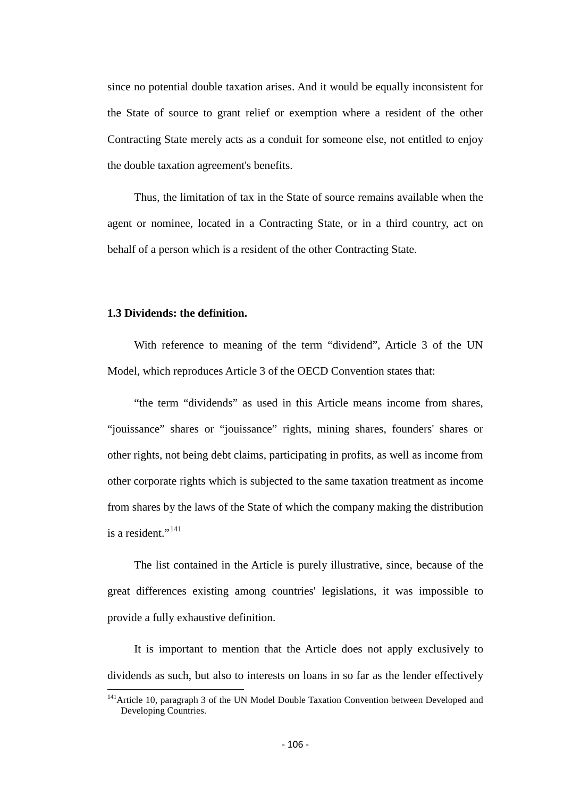since no potential double taxation arises. And it would be equally inconsistent for the State of source to grant relief or exemption where a resident of the other Contracting State merely acts as a conduit for someone else, not entitled to enjoy the double taxation agreement's benefits.

Thus, the limitation of tax in the State of source remains available when the agent or nominee, located in a Contracting State, or in a third country, act on behalf of a person which is a resident of the other Contracting State.

### **1.3 Dividends: the definition.**

With reference to meaning of the term "dividend", Article 3 of the UN Model, which reproduces Article 3 of the OECD Convention states that:

"the term "dividends" as used in this Article means income from shares, "jouissance" shares or "jouissance" rights, mining shares, founders' shares or other rights, not being debt claims, participating in profits, as well as income from other corporate rights which is subjected to the same taxation treatment as income from shares by the laws of the State of which the company making the distribution is a resident." $^{141}$  $^{141}$  $^{141}$ 

The list contained in the Article is purely illustrative, since, because of the great differences existing among countries' legislations, it was impossible to provide a fully exhaustive definition.

It is important to mention that the Article does not apply exclusively to dividends as such, but also to interests on loans in so far as the lender effectively

<span id="page-105-0"></span><sup>&</sup>lt;sup>141</sup> Article 10, paragraph 3 of the UN Model Double Taxation Convention between Developed and Developing Countries.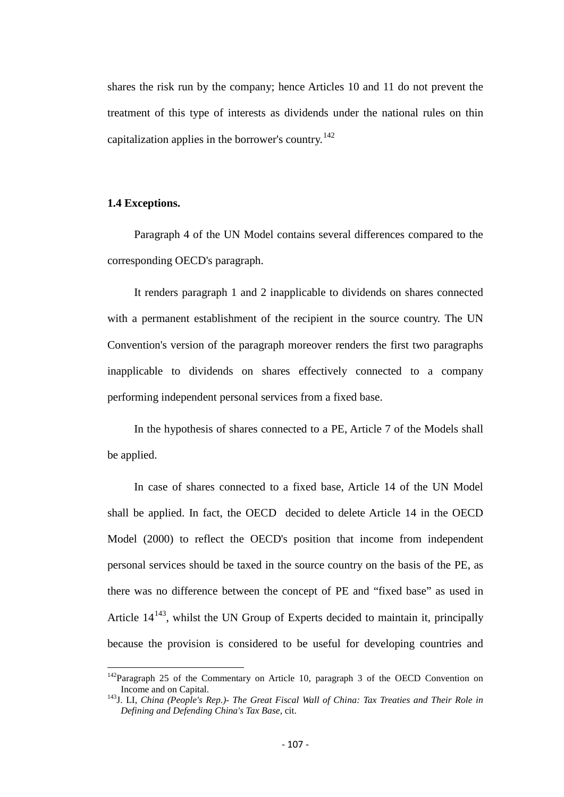shares the risk run by the company; hence Articles 10 and 11 do not prevent the treatment of this type of interests as dividends under the national rules on thin capitalization applies in the borrower's country.<sup>[142](#page-105-0)</sup>

# **1.4 Exceptions.**

Paragraph 4 of the UN Model contains several differences compared to the corresponding OECD's paragraph.

It renders paragraph 1 and 2 inapplicable to dividends on shares connected with a permanent establishment of the recipient in the source country. The UN Convention's version of the paragraph moreover renders the first two paragraphs inapplicable to dividends on shares effectively connected to a company performing independent personal services from a fixed base.

In the hypothesis of shares connected to a PE, Article 7 of the Models shall be applied.

In case of shares connected to a fixed base, Article 14 of the UN Model shall be applied. In fact, the OECD decided to delete Article 14 in the OECD Model (2000) to reflect the OECD's position that income from independent personal services should be taxed in the source country on the basis of the PE, as there was no difference between the concept of PE and "fixed base" as used in Article  $14^{143}$  $14^{143}$  $14^{143}$ , whilst the UN Group of Experts decided to maintain it, principally because the provision is considered to be useful for developing countries and

 $142$ Paragraph 25 of the Commentary on Article 10, paragraph 3 of the OECD Convention on Income and on Capital.

<span id="page-106-0"></span><sup>&</sup>lt;sup>143</sup>J. LI, *China (People's Rep.)- The Great Fiscal Wall of China: Tax Treaties and Their Role in Defining and Defending China's Tax Base,* cit.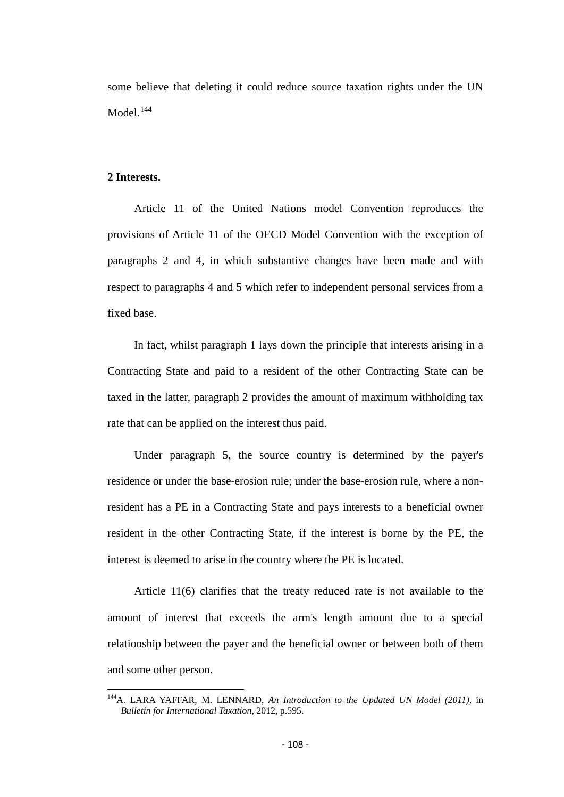some believe that deleting it could reduce source taxation rights under the UN Model. $144$ 

### **2 Interests.**

Article 11 of the United Nations model Convention reproduces the provisions of Article 11 of the OECD Model Convention with the exception of paragraphs 2 and 4, in which substantive changes have been made and with respect to paragraphs 4 and 5 which refer to independent personal services from a fixed base.

In fact, whilst paragraph 1 lays down the principle that interests arising in a Contracting State and paid to a resident of the other Contracting State can be taxed in the latter, paragraph 2 provides the amount of maximum withholding tax rate that can be applied on the interest thus paid.

Under paragraph 5, the source country is determined by the payer's residence or under the base-erosion rule; under the base-erosion rule, where a nonresident has a PE in a Contracting State and pays interests to a beneficial owner resident in the other Contracting State, if the interest is borne by the PE, the interest is deemed to arise in the country where the PE is located.

Article 11(6) clarifies that the treaty reduced rate is not available to the amount of interest that exceeds the arm's length amount due to a special relationship between the payer and the beneficial owner or between both of them and some other person.

144A. LARA YAFFAR, M. LENNARD, *An Introduction to the Updated UN Model (2011),* in *Bulletin for International Taxation,* 2012, p.595.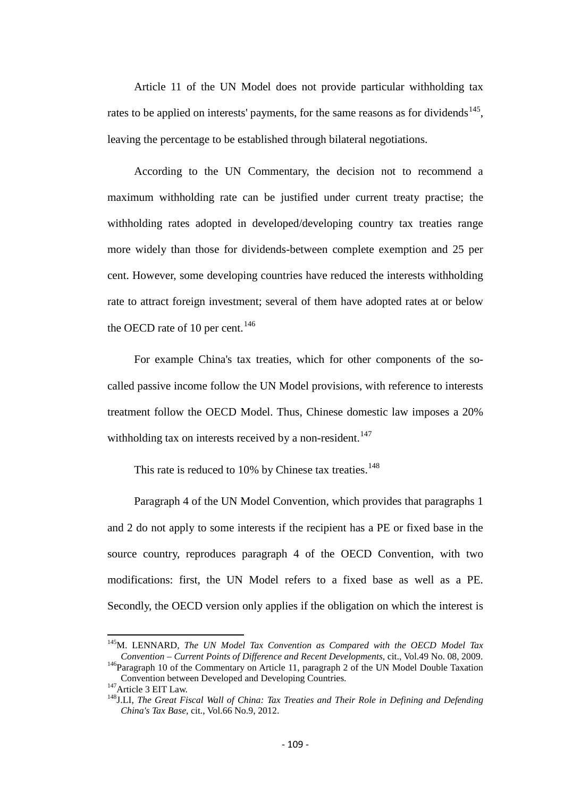Article 11 of the UN Model does not provide particular withholding tax rates to be applied on interests' payments, for the same reasons as for dividends<sup>[145](#page-107-0)</sup>, leaving the percentage to be established through bilateral negotiations.

According to the UN Commentary, the decision not to recommend a maximum withholding rate can be justified under current treaty practise; the withholding rates adopted in developed/developing country tax treaties range more widely than those for dividends-between complete exemption and 25 per cent. However, some developing countries have reduced the interests withholding rate to attract foreign investment; several of them have adopted rates at or below the OECD rate of 10 per cent.<sup>[146](#page-108-0)</sup>

For example China's tax treaties, which for other components of the socalled passive income follow the UN Model provisions, with reference to interests treatment follow the OECD Model. Thus, Chinese domestic law imposes a 20% withholding tax on interests received by a non-resident.<sup>[147](#page-108-1)</sup>

This rate is reduced to 10% by Chinese tax treaties.<sup>[148](#page-108-2)</sup>

Paragraph 4 of the UN Model Convention, which provides that paragraphs 1 and 2 do not apply to some interests if the recipient has a PE or fixed base in the source country, reproduces paragraph 4 of the OECD Convention, with two modifications: first, the UN Model refers to a fixed base as well as a PE. Secondly, the OECD version only applies if the obligation on which the interest is

<sup>&</sup>lt;sup>145</sup>M. LENNARD, *The UN Model Tax Convention as Compared with the OECD Model Tax Convention – Current Points of Difference and Recent Developments, cit., Vol.49 No. 08, 2009.* 

<span id="page-108-0"></span><sup>&</sup>lt;sup>146</sup>Paragraph 10 of the Commentary on Article 11, paragraph 2 of the UN Model Double Taxation<br>Convention between Developed and Developing Countries.

<span id="page-108-2"></span><span id="page-108-1"></span>Convention between Developed and Developing Countries. 147Article 3 EIT Law. 148J.LI, *The Great Fiscal Wall of China: Tax Treaties and Their Role in Defining and Defending China's Tax Base,* cit., Vol.66 No.9, 2012.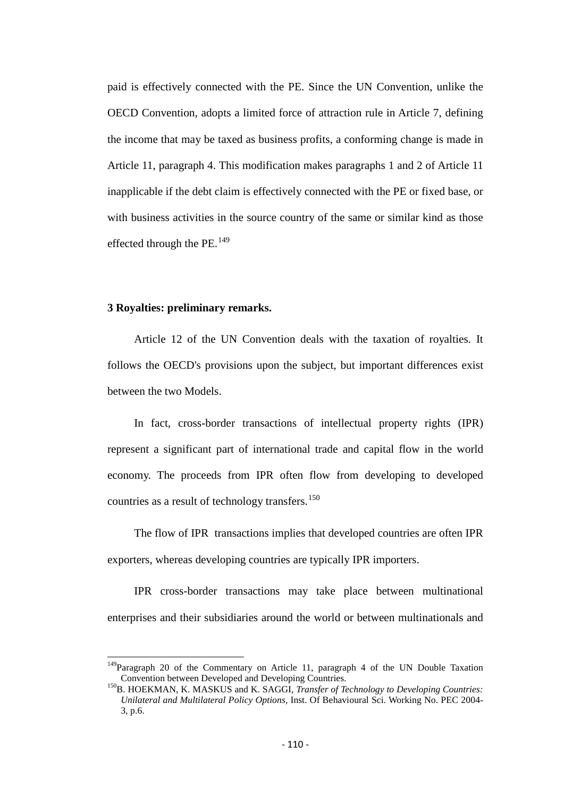paid is effectively connected with the PE. Since the UN Convention, unlike the OECD Convention, adopts a limited force of attraction rule in Article 7, defining the income that may be taxed as business profits, a conforming change is made in Article 11, paragraph 4. This modification makes paragraphs 1 and 2 of Article 11 inapplicable if the debt claim is effectively connected with the PE or fixed base, or with business activities in the source country of the same or similar kind as those effected through the  $PE.<sup>149</sup>$  $PE.<sup>149</sup>$  $PE.<sup>149</sup>$ 

#### **3 Royalties: preliminary remarks.**

Article 12 of the UN Convention deals with the taxation of royalties. It follows the OECD's provisions upon the subject, but important differences exist between the two Models.

In fact, cross-border transactions of intellectual property rights (IPR) represent a significant part of international trade and capital flow in the world economy. The proceeds from IPR often flow from developing to developed countries as a result of technology transfers.<sup>[150](#page-109-0)</sup>

The flow of IPR transactions implies that developed countries are often IPR exporters, whereas developing countries are typically IPR importers.

IPR cross-border transactions may take place between multinational enterprises and their subsidiaries around the world or between multinationals and

<span id="page-109-1"></span> $149$ Paragraph 20 of the Commentary on Article 11, paragraph 4 of the UN Double Taxation<br>Convention between Developed and Developing Countries.

<span id="page-109-0"></span><sup>&</sup>lt;sup>150</sup>B. HOEKMAN, K. MASKUS and K. SAGGI, *Transfer of Technology to Developing Countries: Unilateral and Multilateral Policy Options,* Inst. Of Behavioural Sci. Working No. PEC 2004- 3, p.6.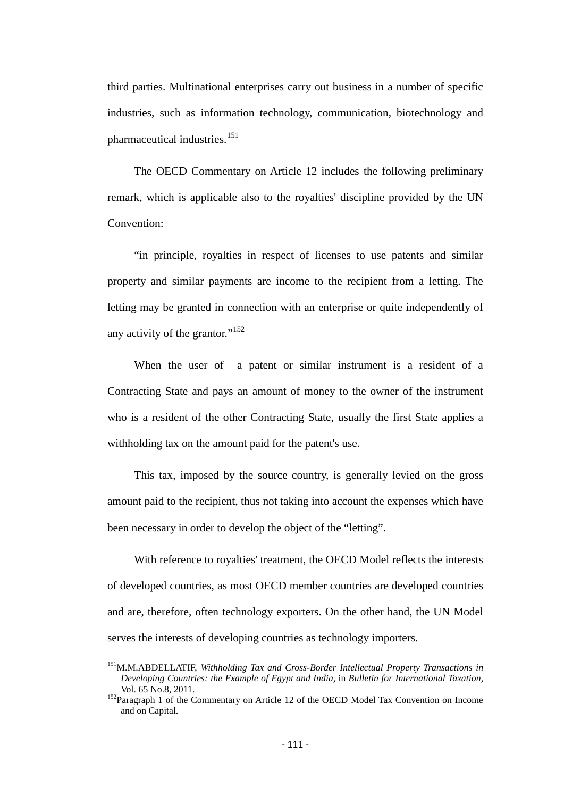third parties. Multinational enterprises carry out business in a number of specific industries, such as information technology, communication, biotechnology and pharmaceutical industries.<sup>[151](#page-109-1)</sup>

The OECD Commentary on Article 12 includes the following preliminary remark, which is applicable also to the royalties' discipline provided by the UN Convention:

"in principle, royalties in respect of licenses to use patents and similar property and similar payments are income to the recipient from a letting. The letting may be granted in connection with an enterprise or quite independently of any activity of the grantor."<sup>[152](#page-110-0)</sup>

When the user of a patent or similar instrument is a resident of a Contracting State and pays an amount of money to the owner of the instrument who is a resident of the other Contracting State, usually the first State applies a withholding tax on the amount paid for the patent's use.

This tax, imposed by the source country, is generally levied on the gross amount paid to the recipient, thus not taking into account the expenses which have been necessary in order to develop the object of the "letting".

With reference to royalties' treatment, the OECD Model reflects the interests of developed countries, as most OECD member countries are developed countries and are, therefore, often technology exporters. On the other hand, the UN Model serves the interests of developing countries as technology importers.

<span id="page-110-1"></span>151M.M.ABDELLATIF, *Withholding Tax and Cross-Border Intellectual Property Transactions in Developing Countries: the Example of Egypt and India,* in *Bulletin for International Taxation,* 

<span id="page-110-0"></span><sup>&</sup>lt;sup>152</sup> Paragraph 1 of the Commentary on Article 12 of the OECD Model Tax Convention on Income and on Capital.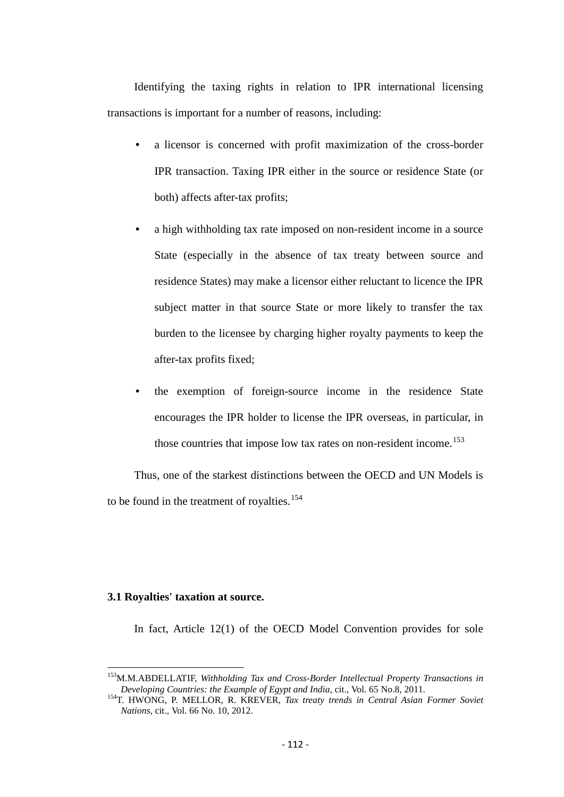Identifying the taxing rights in relation to IPR international licensing transactions is important for a number of reasons, including:

- a licensor is concerned with profit maximization of the cross-border IPR transaction. Taxing IPR either in the source or residence State (or both) affects after-tax profits;
- a high withholding tax rate imposed on non-resident income in a source State (especially in the absence of tax treaty between source and residence States) may make a licensor either reluctant to licence the IPR subject matter in that source State or more likely to transfer the tax burden to the licensee by charging higher royalty payments to keep the after-tax profits fixed;
- the exemption of foreign-source income in the residence State encourages the IPR holder to license the IPR overseas, in particular, in those countries that impose low tax rates on non-resident income.<sup>[153](#page-110-1)</sup>

Thus, one of the starkest distinctions between the OECD and UN Models is to be found in the treatment of royalties.<sup>[154](#page-111-0)</sup>

# **3.1 Royalties' taxation at source.**

In fact, Article 12(1) of the OECD Model Convention provides for sole

<span id="page-111-1"></span><sup>&</sup>lt;sup>153</sup>M.M.ABDELLATIF, *Withholding Tax and Cross-Border Intellectual Property Transactions in*<br>Developing Countries: the Example of Egypt and India, cit., Vol. 65 No.8, 2011.

<span id="page-111-0"></span><sup>&</sup>lt;sup>154</sup>T. HWONG, P. MELLOR, R. KREVER, *Tax treaty trends in Central Asian Former Soviet Nations,* cit.*,* Vol. 66 No. 10, 2012.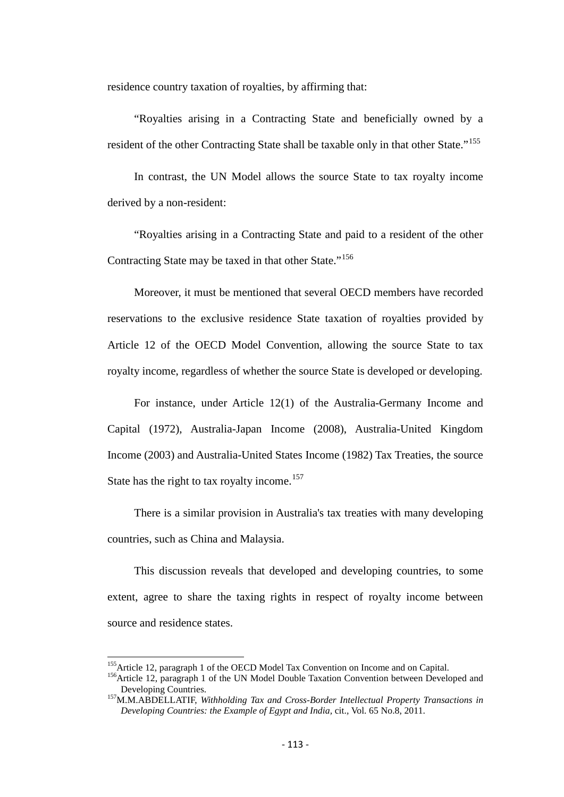residence country taxation of royalties, by affirming that:

"Royalties arising in a Contracting State and beneficially owned by a resident of the other Contracting State shall be taxable only in that other State."<sup>[155](#page-111-1)</sup>

In contrast, the UN Model allows the source State to tax royalty income derived by a non-resident:

"Royalties arising in a Contracting State and paid to a resident of the other Contracting State may be taxed in that other State."<sup>[156](#page-112-0)</sup>

Moreover, it must be mentioned that several OECD members have recorded reservations to the exclusive residence State taxation of royalties provided by Article 12 of the OECD Model Convention, allowing the source State to tax royalty income, regardless of whether the source State is developed or developing.

For instance, under Article 12(1) of the Australia-Germany Income and Capital (1972), Australia-Japan Income (2008), Australia-United Kingdom Income (2003) and Australia-United States Income (1982) Tax Treaties, the source State has the right to tax royalty income.<sup>[157](#page-112-1)</sup>

There is a similar provision in Australia's tax treaties with many developing countries, such as China and Malaysia.

This discussion reveals that developed and developing countries, to some extent, agree to share the taxing rights in respect of royalty income between source and residence states.

<span id="page-112-0"></span><sup>&</sup>lt;sup>155</sup>Article 12, paragraph 1 of the OECD Model Tax Convention on Income and on Capital.<br><sup>156</sup>Article 12, paragraph 1 of the UN Model Double Taxation Convention between Developed and<br>Developing Countries.

<span id="page-112-1"></span><sup>&</sup>lt;sup>157</sup>M.M.ABDELLATIF, *Withholding Tax and Cross-Border Intellectual Property Transactions in Developing Countries: the Example of Egypt and India,* cit.*,* Vol. 65 No.8, 2011.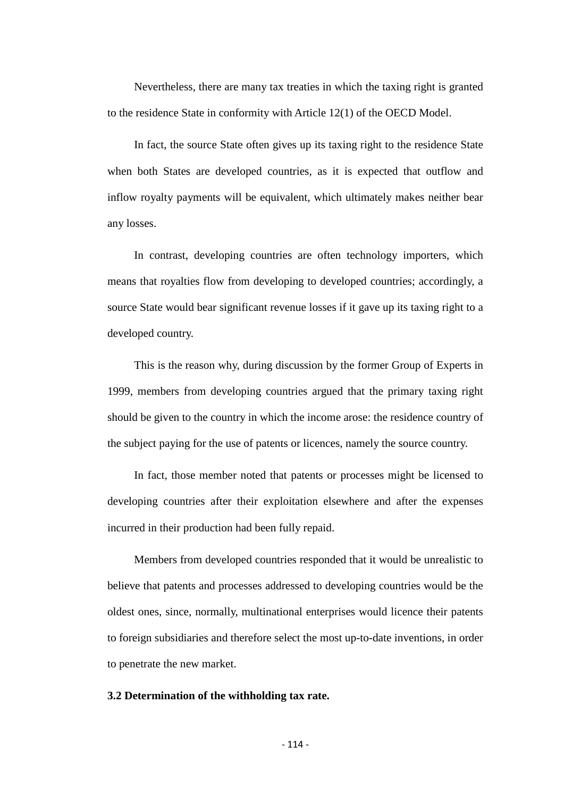Nevertheless, there are many tax treaties in which the taxing right is granted to the residence State in conformity with Article 12(1) of the OECD Model.

In fact, the source State often gives up its taxing right to the residence State when both States are developed countries, as it is expected that outflow and inflow royalty payments will be equivalent, which ultimately makes neither bear any losses.

In contrast, developing countries are often technology importers, which means that royalties flow from developing to developed countries; accordingly, a source State would bear significant revenue losses if it gave up its taxing right to a developed country.

This is the reason why, during discussion by the former Group of Experts in 1999, members from developing countries argued that the primary taxing right should be given to the country in which the income arose: the residence country of the subject paying for the use of patents or licences, namely the source country.

In fact, those member noted that patents or processes might be licensed to developing countries after their exploitation elsewhere and after the expenses incurred in their production had been fully repaid.

Members from developed countries responded that it would be unrealistic to believe that patents and processes addressed to developing countries would be the oldest ones, since, normally, multinational enterprises would licence their patents to foreign subsidiaries and therefore select the most up-to-date inventions, in order to penetrate the new market.

## **3.2 Determination of the withholding tax rate.**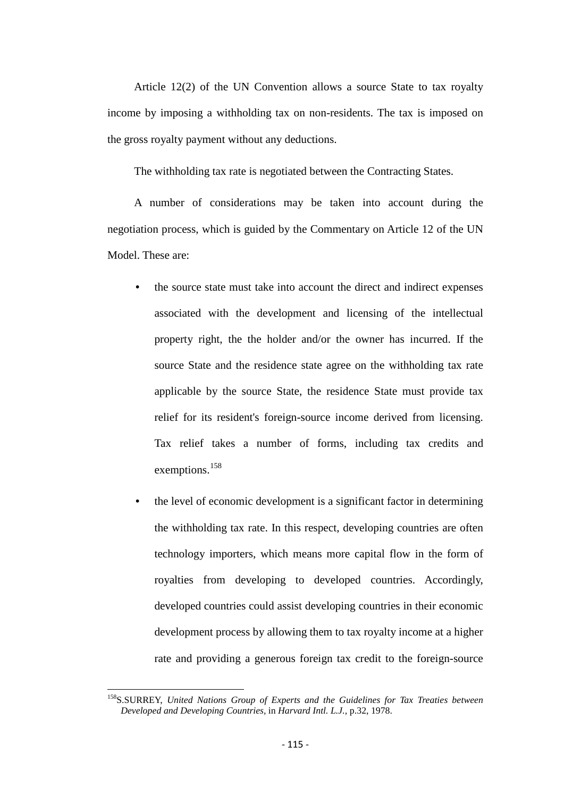Article 12(2) of the UN Convention allows a source State to tax royalty income by imposing a withholding tax on non-residents. The tax is imposed on the gross royalty payment without any deductions.

The withholding tax rate is negotiated between the Contracting States.

A number of considerations may be taken into account during the negotiation process, which is guided by the Commentary on Article 12 of the UN Model. These are:

- the source state must take into account the direct and indirect expenses associated with the development and licensing of the intellectual property right, the the holder and/or the owner has incurred. If the source State and the residence state agree on the withholding tax rate applicable by the source State, the residence State must provide tax relief for its resident's foreign-source income derived from licensing. Tax relief takes a number of forms, including tax credits and exemptions.<sup>[158](#page-112-1)</sup>
- the level of economic development is a significant factor in determining the withholding tax rate. In this respect, developing countries are often technology importers, which means more capital flow in the form of royalties from developing to developed countries. Accordingly, developed countries could assist developing countries in their economic development process by allowing them to tax royalty income at a higher rate and providing a generous foreign tax credit to the foreign-source

<span id="page-114-0"></span>158S.SURREY, *United Nations Group of Experts and the Guidelines for Tax Treaties between Developed and Developing Countries,* in *Harvard Intl. L.J.,* p.32, 1978.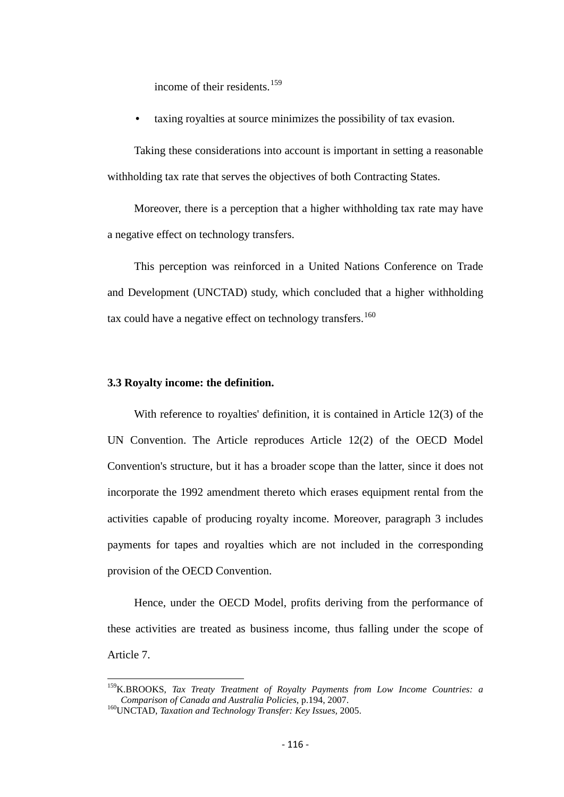income of their residents.<sup>[159](#page-114-0)</sup>

• taxing royalties at source minimizes the possibility of tax evasion.

Taking these considerations into account is important in setting a reasonable withholding tax rate that serves the objectives of both Contracting States.

Moreover, there is a perception that a higher withholding tax rate may have a negative effect on technology transfers.

This perception was reinforced in a United Nations Conference on Trade and Development (UNCTAD) study, which concluded that a higher withholding tax could have a negative effect on technology transfers.<sup>[160](#page-115-0)</sup>

#### **3.3 Royalty income: the definition.**

With reference to royalties' definition, it is contained in Article 12(3) of the UN Convention. The Article reproduces Article 12(2) of the OECD Model Convention's structure, but it has a broader scope than the latter, since it does not incorporate the 1992 amendment thereto which erases equipment rental from the activities capable of producing royalty income. Moreover, paragraph 3 includes payments for tapes and royalties which are not included in the corresponding provision of the OECD Convention.

Hence, under the OECD Model, profits deriving from the performance of these activities are treated as business income, thus falling under the scope of Article 7.

<span id="page-115-1"></span><sup>&</sup>lt;sup>159</sup>K.BROOKS, *Tax Treaty Treatment of Royalty Payments from Low Income Countries: a Comparison of Canada and Australia Policies, p.194, 2007.* 

<span id="page-115-0"></span><sup>&</sup>lt;sup>160</sup>UNCTAD, *Taxation and Technology Transfer: Key Issues, 2005.*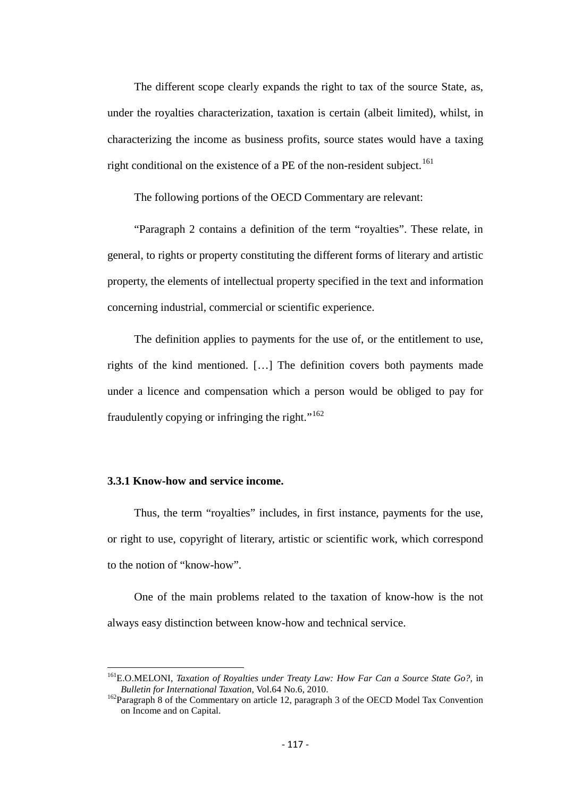The different scope clearly expands the right to tax of the source State, as, under the royalties characterization, taxation is certain (albeit limited), whilst, in characterizing the income as business profits, source states would have a taxing right conditional on the existence of a PE of the non-resident subject.<sup>[161](#page-115-1)</sup>

The following portions of the OECD Commentary are relevant:

"Paragraph 2 contains a definition of the term "royalties". These relate, in general, to rights or property constituting the different forms of literary and artistic property, the elements of intellectual property specified in the text and information concerning industrial, commercial or scientific experience.

The definition applies to payments for the use of, or the entitlement to use, rights of the kind mentioned. […] The definition covers both payments made under a licence and compensation which a person would be obliged to pay for fraudulently copying or infringing the right."<sup>[162](#page-116-0)</sup>

## **3.3.1 Know-how and service income.**

Thus, the term "royalties" includes, in first instance, payments for the use, or right to use, copyright of literary, artistic or scientific work, which correspond to the notion of "know-how".

One of the main problems related to the taxation of know-how is the not always easy distinction between know-how and technical service.

<sup>&</sup>lt;sup>161</sup>E.O.MELONI, *Taxation of Royalties under Treaty Law: How Far Can a Source State Go?*, in *Bulletin for International Taxation*, Vol.64 No.6, 2010.

<span id="page-116-1"></span><span id="page-116-0"></span><sup>&</sup>lt;sup>162</sup>Paragraph 8 of the Commentary on article 12, paragraph 3 of the OECD Model Tax Convention on Income and on Capital.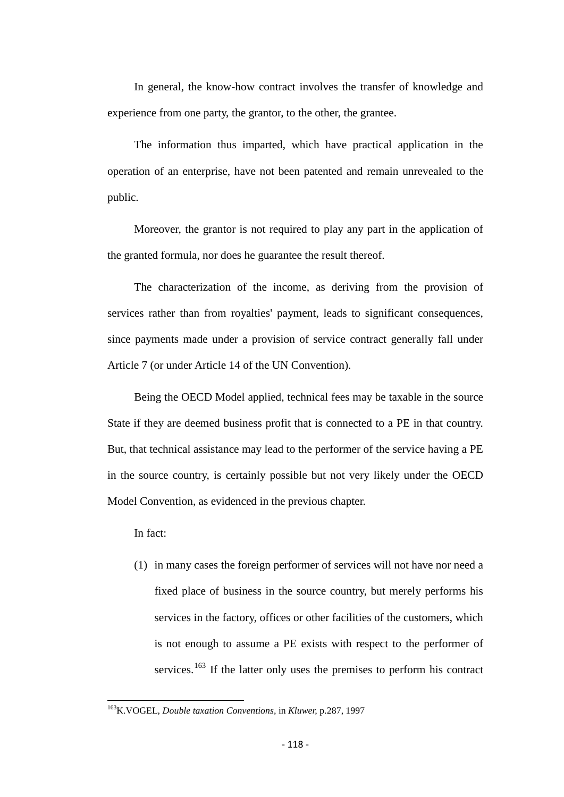In general, the know-how contract involves the transfer of knowledge and experience from one party, the grantor, to the other, the grantee.

The information thus imparted, which have practical application in the operation of an enterprise, have not been patented and remain unrevealed to the public.

Moreover, the grantor is not required to play any part in the application of the granted formula, nor does he guarantee the result thereof.

The characterization of the income, as deriving from the provision of services rather than from royalties' payment, leads to significant consequences, since payments made under a provision of service contract generally fall under Article 7 (or under Article 14 of the UN Convention).

Being the OECD Model applied, technical fees may be taxable in the source State if they are deemed business profit that is connected to a PE in that country. But, that technical assistance may lead to the performer of the service having a PE in the source country, is certainly possible but not very likely under the OECD Model Convention, as evidenced in the previous chapter.

In fact:

(1) in many cases the foreign performer of services will not have nor need a fixed place of business in the source country, but merely performs his services in the factory, offices or other facilities of the customers, which is not enough to assume a PE exists with respect to the performer of services.<sup>[163](#page-116-1)</sup> If the latter only uses the premises to perform his contract

<span id="page-117-0"></span>163K.VOGEL, *Double taxation Conventions,* in *Kluwer,* p.287, 1997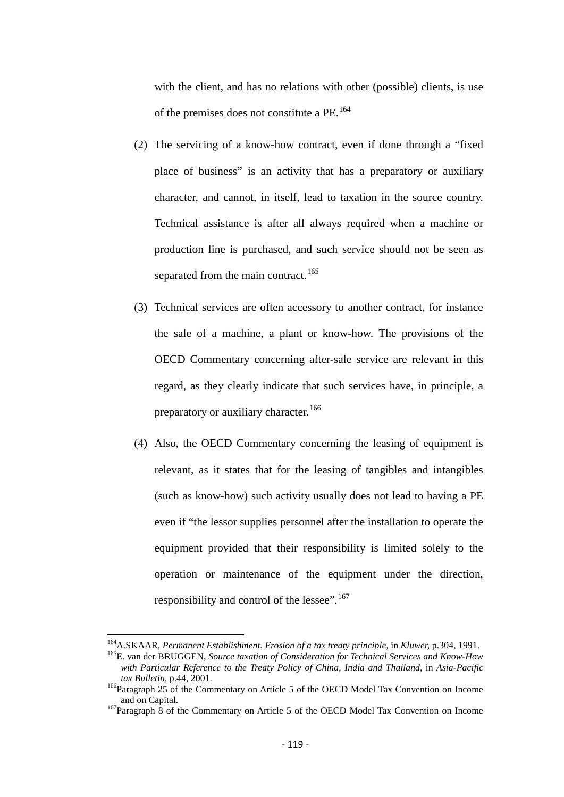with the client, and has no relations with other (possible) clients, is use of the premises does not constitute a PE.[164](#page-117-0)

- (2) The servicing of a know-how contract, even if done through a "fixed place of business" is an activity that has a preparatory or auxiliary character, and cannot, in itself, lead to taxation in the source country. Technical assistance is after all always required when a machine or production line is purchased, and such service should not be seen as separated from the main contract.<sup>[165](#page-118-0)</sup>
- (3) Technical services are often accessory to another contract, for instance the sale of a machine, a plant or know-how. The provisions of the OECD Commentary concerning after-sale service are relevant in this regard, as they clearly indicate that such services have, in principle, a preparatory or auxiliary character.<sup>[166](#page-118-1)</sup>
- (4) Also, the OECD Commentary concerning the leasing of equipment is relevant, as it states that for the leasing of tangibles and intangibles (such as know-how) such activity usually does not lead to having a PE even if "the lessor supplies personnel after the installation to operate the equipment provided that their responsibility is limited solely to the operation or maintenance of the equipment under the direction, responsibility and control of the lessee".<sup>[167](#page-118-2)</sup>

<span id="page-118-0"></span><sup>&</sup>lt;sup>164</sup>A.SKAAR, *Permanent Establishment. Erosion of a tax treaty principle*, in *Kluwer*, p.304, 1991.<br><sup>165</sup>E. van der BRUGGEN, *Source taxation of Consideration for Technical Services and Know-How* 

*with Particular Reference to the Treaty Policy of China, India and Thailand,* in *Asia-Pacific* 

<span id="page-118-1"></span>*tax Bulletin, p.44, 2001.*<br><sup>166</sup>Paragraph 25 of the Commentary on Article 5 of the OECD Model Tax Convention on Income and on Capital.

<span id="page-118-3"></span><span id="page-118-2"></span><sup>&</sup>lt;sup>167</sup>Paragraph 8 of the Commentary on Article 5 of the OECD Model Tax Convention on Income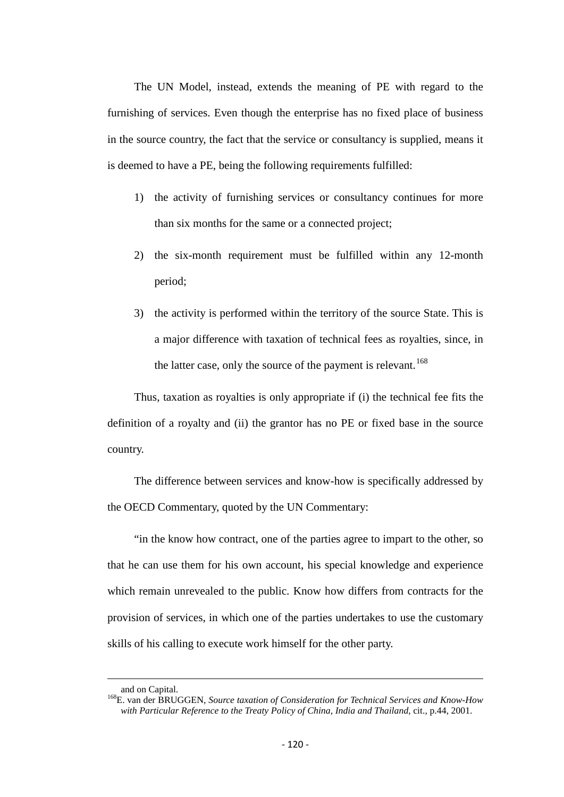The UN Model, instead, extends the meaning of PE with regard to the furnishing of services. Even though the enterprise has no fixed place of business in the source country, the fact that the service or consultancy is supplied, means it is deemed to have a PE, being the following requirements fulfilled:

- 1) the activity of furnishing services or consultancy continues for more than six months for the same or a connected project;
- 2) the six-month requirement must be fulfilled within any 12-month period;
- 3) the activity is performed within the territory of the source State. This is a major difference with taxation of technical fees as royalties, since, in the latter case, only the source of the payment is relevant.<sup>[168](#page-118-3)</sup>

Thus, taxation as royalties is only appropriate if (i) the technical fee fits the definition of a royalty and (ii) the grantor has no PE or fixed base in the source country.

The difference between services and know-how is specifically addressed by the OECD Commentary, quoted by the UN Commentary:

"in the know how contract, one of the parties agree to impart to the other, so that he can use them for his own account, his special knowledge and experience which remain unrevealed to the public. Know how differs from contracts for the provision of services, in which one of the parties undertakes to use the customary skills of his calling to execute work himself for the other party.

 $\overline{\phantom{a}}$ 

<span id="page-119-0"></span>and on Capital. 168E. van der BRUGGEN, *Source taxation of Consideration for Technical Services and Know-How with Particular Reference to the Treaty Policy of China, India and Thailand,* cit.*,* p.44, 2001.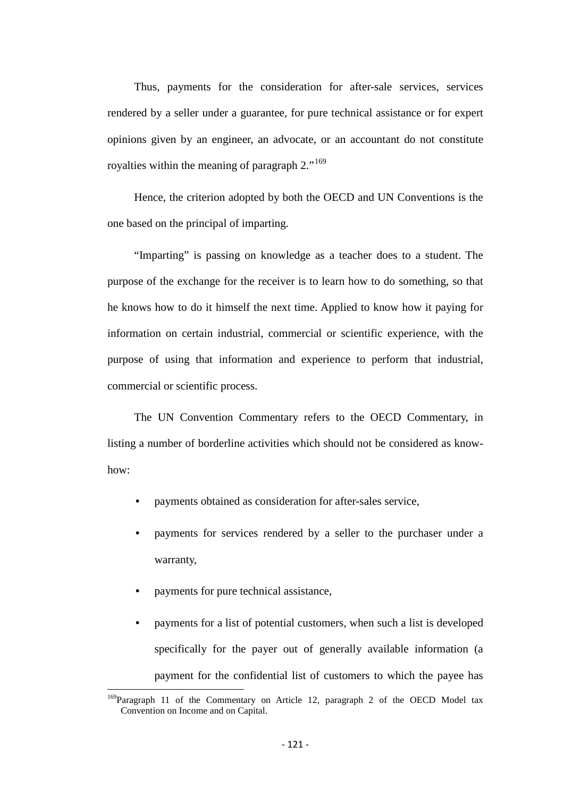Thus, payments for the consideration for after-sale services, services rendered by a seller under a guarantee, for pure technical assistance or for expert opinions given by an engineer, an advocate, or an accountant do not constitute royalties within the meaning of paragraph 2."<sup>[169](#page-119-0)</sup>

Hence, the criterion adopted by both the OECD and UN Conventions is the one based on the principal of imparting.

"Imparting" is passing on knowledge as a teacher does to a student. The purpose of the exchange for the receiver is to learn how to do something, so that he knows how to do it himself the next time. Applied to know how it paying for information on certain industrial, commercial or scientific experience, with the purpose of using that information and experience to perform that industrial, commercial or scientific process.

The UN Convention Commentary refers to the OECD Commentary, in listing a number of borderline activities which should not be considered as knowhow:

- payments obtained as consideration for after-sales service,
- payments for services rendered by a seller to the purchaser under a warranty,
- payments for pure technical assistance,
- payments for a list of potential customers, when such a list is developed specifically for the payer out of generally available information (a payment for the confidential list of customers to which the payee has

<span id="page-120-0"></span><sup>&</sup>lt;sup>169</sup>Paragraph 11 of the Commentary on Article 12, paragraph 2 of the OECD Model tax Convention on Income and on Capital.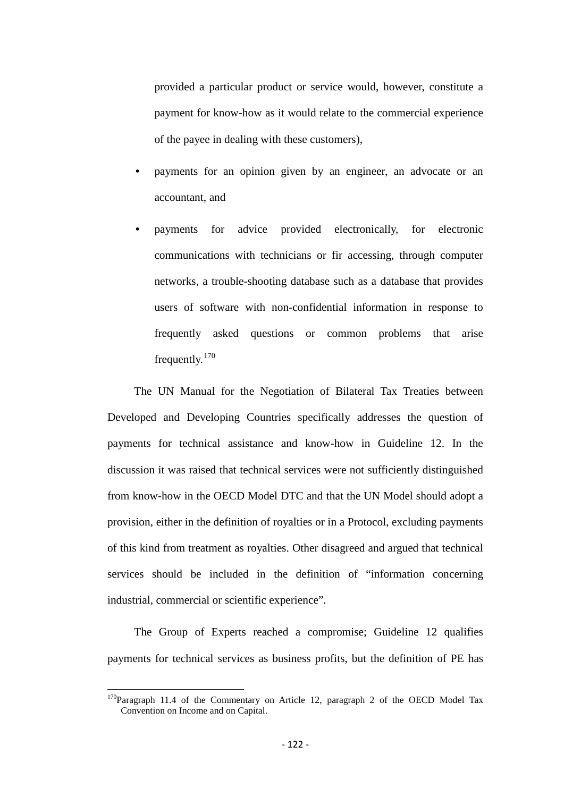provided a particular product or service would, however, constitute a payment for know-how as it would relate to the commercial experience of the payee in dealing with these customers),

- payments for an opinion given by an engineer, an advocate or an accountant, and
- payments for advice provided electronically, for electronic communications with technicians or fir accessing, through computer networks, a trouble-shooting database such as a database that provides users of software with non-confidential information in response to frequently asked questions or common problems that arise frequently.[170](#page-120-0)

The UN Manual for the Negotiation of Bilateral Tax Treaties between Developed and Developing Countries specifically addresses the question of payments for technical assistance and know-how in Guideline 12. In the discussion it was raised that technical services were not sufficiently distinguished from know-how in the OECD Model DTC and that the UN Model should adopt a provision, either in the definition of royalties or in a Protocol, excluding payments of this kind from treatment as royalties. Other disagreed and argued that technical services should be included in the definition of "information concerning industrial, commercial or scientific experience".

The Group of Experts reached a compromise; Guideline 12 qualifies payments for technical services as business profits, but the definition of PE has

<span id="page-121-0"></span> $170$ Paragraph 11.4 of the Commentary on Article 12, paragraph 2 of the OECD Model Tax Convention on Income and on Capital.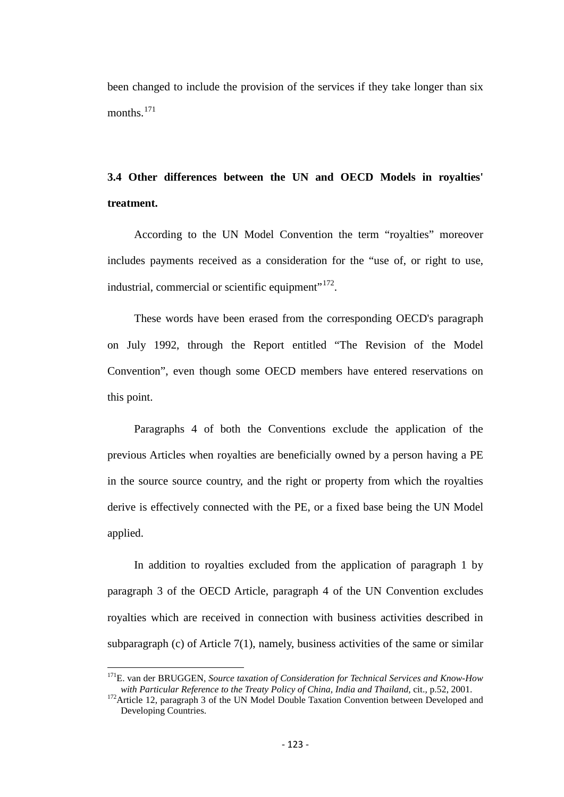been changed to include the provision of the services if they take longer than six months.<sup>171</sup>

# **3.4 Other differences between the UN and OECD Models in royalties' treatment.**

According to the UN Model Convention the term "royalties" moreover includes payments received as a consideration for the "use of, or right to use, industrial, commercial or scientific equipment"<sup>[172](#page-122-0)</sup>.

These words have been erased from the corresponding OECD's paragraph on July 1992, through the Report entitled "The Revision of the Model Convention", even though some OECD members have entered reservations on this point.

Paragraphs 4 of both the Conventions exclude the application of the previous Articles when royalties are beneficially owned by a person having a PE in the source source country, and the right or property from which the royalties derive is effectively connected with the PE, or a fixed base being the UN Model applied.

In addition to royalties excluded from the application of paragraph 1 by paragraph 3 of the OECD Article, paragraph 4 of the UN Convention excludes royalties which are received in connection with business activities described in subparagraph (c) of Article 7(1), namely, business activities of the same or similar

<span id="page-122-1"></span><sup>&</sup>lt;sup>171</sup>E. van der BRUGGEN, *Source taxation of Consideration for Technical Services and Know-How with Particular Reference to the Treaty Policy of China, India and Thailand, cit., p.52, 2001.* 

<span id="page-122-0"></span><sup>&</sup>lt;sup>172</sup>Article 12, paragraph 3 of the UN Model Double Taxation Convention between Developed and Developing Countries.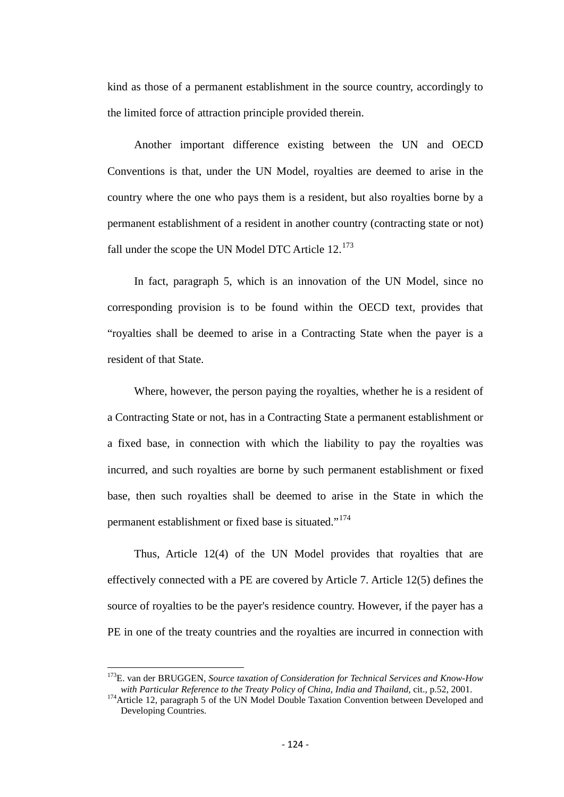kind as those of a permanent establishment in the source country, accordingly to the limited force of attraction principle provided therein.

Another important difference existing between the UN and OECD Conventions is that, under the UN Model, royalties are deemed to arise in the country where the one who pays them is a resident, but also royalties borne by a permanent establishment of a resident in another country (contracting state or not) fall under the scope the UN Model DTC Article  $12.^{173}$  $12.^{173}$  $12.^{173}$ 

In fact, paragraph 5, which is an innovation of the UN Model, since no corresponding provision is to be found within the OECD text, provides that "royalties shall be deemed to arise in a Contracting State when the payer is a resident of that State.

Where, however, the person paying the royalties, whether he is a resident of a Contracting State or not, has in a Contracting State a permanent establishment or a fixed base, in connection with which the liability to pay the royalties was incurred, and such royalties are borne by such permanent establishment or fixed base, then such royalties shall be deemed to arise in the State in which the permanent establishment or fixed base is situated."<sup>[174](#page-123-0)</sup>

Thus, Article 12(4) of the UN Model provides that royalties that are effectively connected with a PE are covered by Article 7. Article 12(5) defines the source of royalties to be the payer's residence country. However, if the payer has a PE in one of the treaty countries and the royalties are incurred in connection with

<span id="page-123-1"></span><sup>&</sup>lt;sup>173</sup>E. van der BRUGGEN, *Source taxation of Consideration for Technical Services and Know-How* with Particular Reference to the Treaty Policy of China, India and Thailand, cit., p.52, 2001.

<span id="page-123-0"></span><sup>&</sup>lt;sup>174</sup> Article 12, paragraph 5 of the UN Model Double Taxation Convention between Developed and Developing Countries.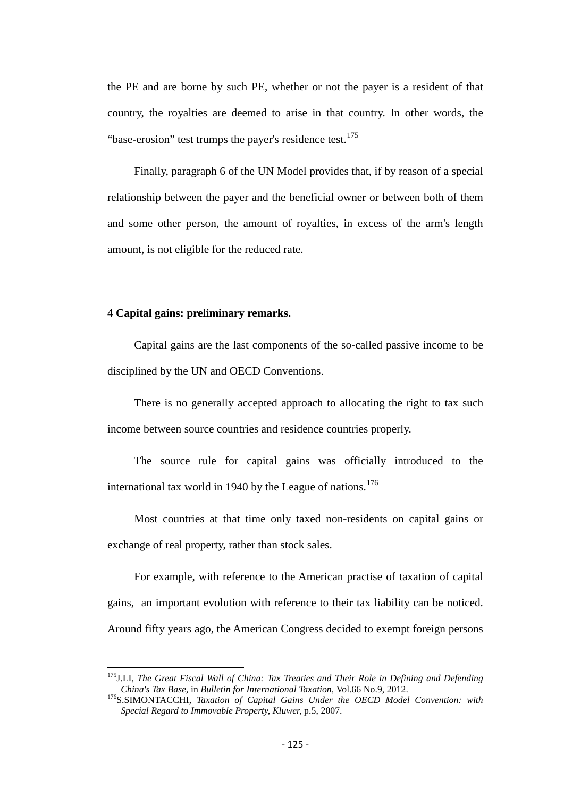the PE and are borne by such PE, whether or not the payer is a resident of that country, the royalties are deemed to arise in that country. In other words, the "base-erosion" test trumps the payer's residence test. $175$ 

Finally, paragraph 6 of the UN Model provides that, if by reason of a special relationship between the payer and the beneficial owner or between both of them and some other person, the amount of royalties, in excess of the arm's length amount, is not eligible for the reduced rate.

## **4 Capital gains: preliminary remarks.**

Capital gains are the last components of the so-called passive income to be disciplined by the UN and OECD Conventions.

There is no generally accepted approach to allocating the right to tax such income between source countries and residence countries properly.

The source rule for capital gains was officially introduced to the international tax world in 1940 by the League of nations.<sup>[176](#page-124-0)</sup>

Most countries at that time only taxed non-residents on capital gains or exchange of real property, rather than stock sales.

For example, with reference to the American practise of taxation of capital gains, an important evolution with reference to their tax liability can be noticed. Around fifty years ago, the American Congress decided to exempt foreign persons

<span id="page-124-1"></span><sup>&</sup>lt;sup>175</sup> J.LI, *The Great Fiscal Wall of China: Tax Treaties and Their Role in Defining and Defending China's Tax Base, in Bulletin for International Taxation, Vol.66 No.9, 2012.* 

<span id="page-124-0"></span><sup>&</sup>lt;sup>176</sup>S.SIMONTACCHI, *Taxation of Capital Gains Under the OECD Model Convention: with Special Regard to Immovable Property, Kluwer,* p.5, 2007.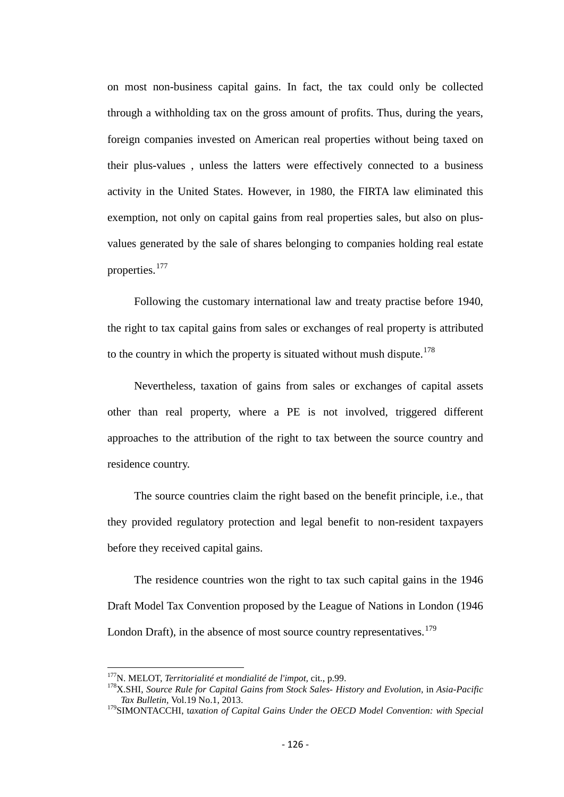on most non-business capital gains. In fact, the tax could only be collected through a withholding tax on the gross amount of profits. Thus, during the years, foreign companies invested on American real properties without being taxed on their plus-values , unless the latters were effectively connected to a business activity in the United States. However, in 1980, the FIRTA law eliminated this exemption, not only on capital gains from real properties sales, but also on plusvalues generated by the sale of shares belonging to companies holding real estate properties.<sup>[177](#page-124-1)</sup>

Following the customary international law and treaty practise before 1940, the right to tax capital gains from sales or exchanges of real property is attributed to the country in which the property is situated without mush dispute.<sup>[178](#page-125-0)</sup>

Nevertheless, taxation of gains from sales or exchanges of capital assets other than real property, where a PE is not involved, triggered different approaches to the attribution of the right to tax between the source country and residence country.

The source countries claim the right based on the benefit principle, i.e., that they provided regulatory protection and legal benefit to non-resident taxpayers before they received capital gains.

The residence countries won the right to tax such capital gains in the 1946 Draft Model Tax Convention proposed by the League of Nations in London (1946 London Draft), in the absence of most source country representatives.<sup>[179](#page-125-1)</sup>

<span id="page-125-0"></span><sup>&</sup>lt;sup>177</sup>N. MELOT, *Territorialité et mondialité de l'impot*, cit., p.99.<br><sup>178</sup>X.SHI, *Source Rule for Capital Gains from Stock Sales- History and Evolution, in Asia-Pacific Tax Bulletin,* Vol.19 No.1, 2013.

<span id="page-125-2"></span><span id="page-125-1"></span><sup>179</sup>SIMONTACCHI, t*axation of Capital Gains Under the OECD Model Convention: with Special*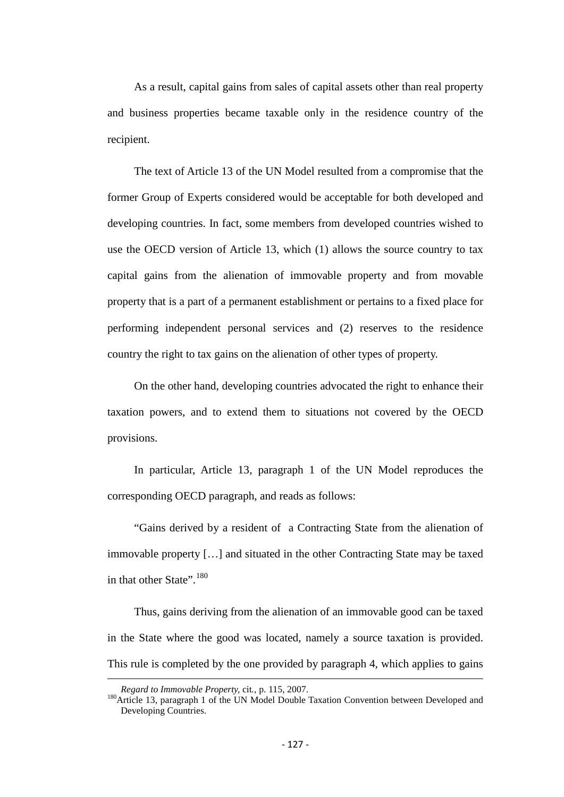As a result, capital gains from sales of capital assets other than real property and business properties became taxable only in the residence country of the recipient.

The text of Article 13 of the UN Model resulted from a compromise that the former Group of Experts considered would be acceptable for both developed and developing countries. In fact, some members from developed countries wished to use the OECD version of Article 13, which (1) allows the source country to tax capital gains from the alienation of immovable property and from movable property that is a part of a permanent establishment or pertains to a fixed place for performing independent personal services and (2) reserves to the residence country the right to tax gains on the alienation of other types of property.

On the other hand, developing countries advocated the right to enhance their taxation powers, and to extend them to situations not covered by the OECD provisions.

In particular, Article 13, paragraph 1 of the UN Model reproduces the corresponding OECD paragraph, and reads as follows:

"Gains derived by a resident of a Contracting State from the alienation of immovable property […] and situated in the other Contracting State may be taxed in that other State".<sup>[180](#page-125-2)</sup>

Thus, gains deriving from the alienation of an immovable good can be taxed in the State where the good was located, namely a source taxation is provided. This rule is completed by the one provided by paragraph 4, which applies to gains

 $\overline{\phantom{a}}$ 

<span id="page-126-0"></span>*Regard to Immovable Property, cit., p. 115, 2007.* <sup>180</sup>Article 13, paragraph 1 of the UN Model Double Taxation Convention between Developed and Developing Countries.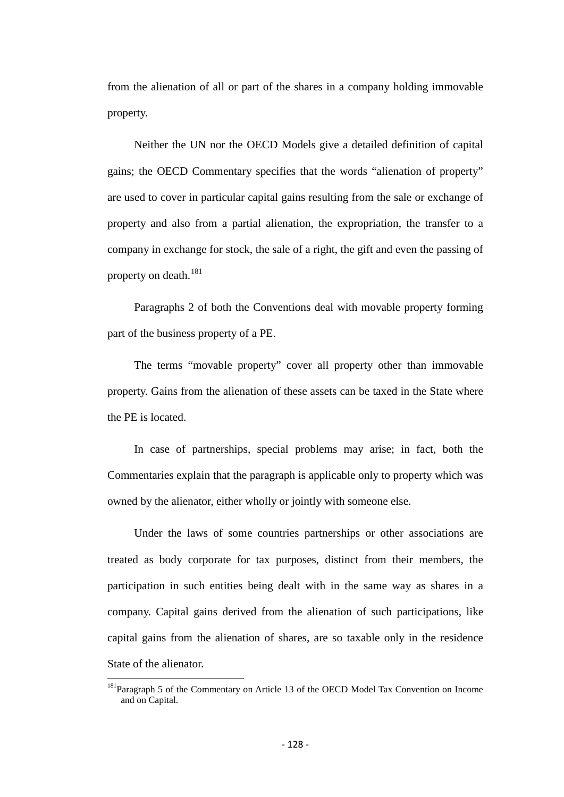from the alienation of all or part of the shares in a company holding immovable property.

Neither the UN nor the OECD Models give a detailed definition of capital gains; the OECD Commentary specifies that the words "alienation of property" are used to cover in particular capital gains resulting from the sale or exchange of property and also from a partial alienation, the expropriation, the transfer to a company in exchange for stock, the sale of a right, the gift and even the passing of property on death.<sup>[181](#page-126-0)</sup>

Paragraphs 2 of both the Conventions deal with movable property forming part of the business property of a PE.

The terms "movable property" cover all property other than immovable property. Gains from the alienation of these assets can be taxed in the State where the PE is located.

In case of partnerships, special problems may arise; in fact, both the Commentaries explain that the paragraph is applicable only to property which was owned by the alienator, either wholly or jointly with someone else.

Under the laws of some countries partnerships or other associations are treated as body corporate for tax purposes, distinct from their members, the participation in such entities being dealt with in the same way as shares in a company. Capital gains derived from the alienation of such participations, like capital gains from the alienation of shares, are so taxable only in the residence State of the alienator.

<span id="page-127-0"></span><sup>&</sup>lt;sup>181</sup>Paragraph 5 of the Commentary on Article 13 of the OECD Model Tax Convention on Income and on Capital.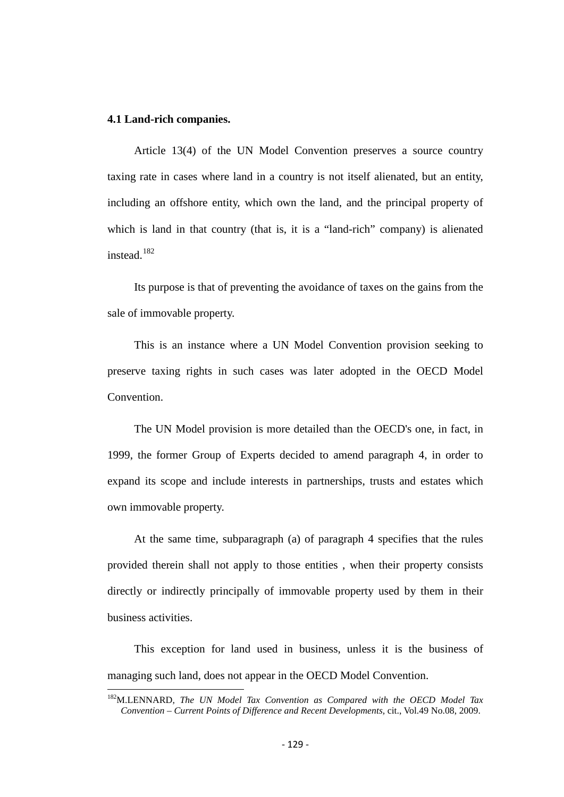## **4.1 Land-rich companies.**

Article 13(4) of the UN Model Convention preserves a source country taxing rate in cases where land in a country is not itself alienated, but an entity, including an offshore entity, which own the land, and the principal property of which is land in that country (that is, it is a "land-rich" company) is alienated instead.[182](#page-127-0)

Its purpose is that of preventing the avoidance of taxes on the gains from the sale of immovable property.

This is an instance where a UN Model Convention provision seeking to preserve taxing rights in such cases was later adopted in the OECD Model Convention.

The UN Model provision is more detailed than the OECD's one, in fact, in 1999, the former Group of Experts decided to amend paragraph 4, in order to expand its scope and include interests in partnerships, trusts and estates which own immovable property.

At the same time, subparagraph (a) of paragraph 4 specifies that the rules provided therein shall not apply to those entities , when their property consists directly or indirectly principally of immovable property used by them in their business activities.

This exception for land used in business, unless it is the business of managing such land, does not appear in the OECD Model Convention.

<span id="page-128-0"></span>182M.LENNARD, *The UN Model Tax Convention as Compared with the OECD Model Tax Convention – Current Points of Difference and Recent Developments,* cit., Vol.49 No.08, 2009.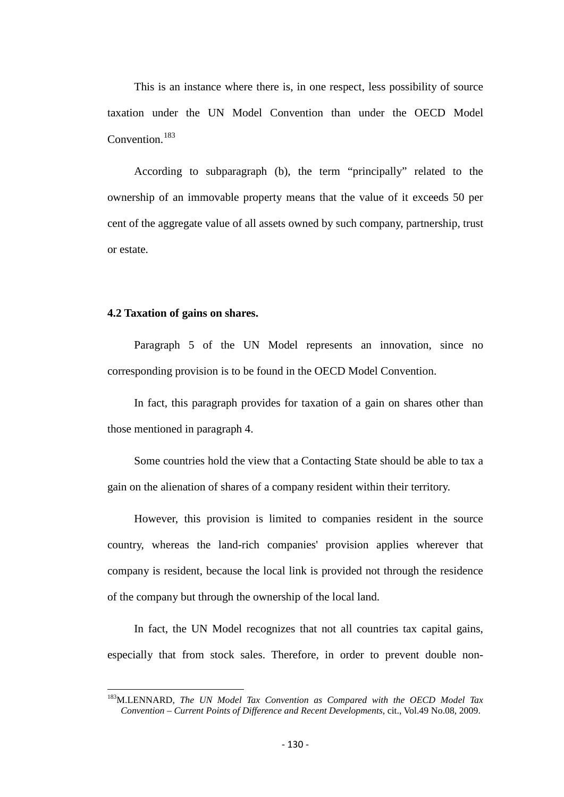This is an instance where there is, in one respect, less possibility of source taxation under the UN Model Convention than under the OECD Model Convention.<sup>[183](#page-128-0)</sup>

According to subparagraph (b)*,* the term "principally" related to the ownership of an immovable property means that the value of it exceeds 50 per cent of the aggregate value of all assets owned by such company, partnership, trust or estate.

#### **4.2 Taxation of gains on shares.**

Paragraph 5 of the UN Model represents an innovation, since no corresponding provision is to be found in the OECD Model Convention.

In fact, this paragraph provides for taxation of a gain on shares other than those mentioned in paragraph 4.

Some countries hold the view that a Contacting State should be able to tax a gain on the alienation of shares of a company resident within their territory.

However, this provision is limited to companies resident in the source country, whereas the land-rich companies' provision applies wherever that company is resident, because the local link is provided not through the residence of the company but through the ownership of the local land.

In fact, the UN Model recognizes that not all countries tax capital gains, especially that from stock sales. Therefore, in order to prevent double non-

<span id="page-129-0"></span>183M.LENNARD, *The UN Model Tax Convention as Compared with the OECD Model Tax Convention – Current Points of Difference and Recent Developments,* cit., Vol.49 No.08, 2009.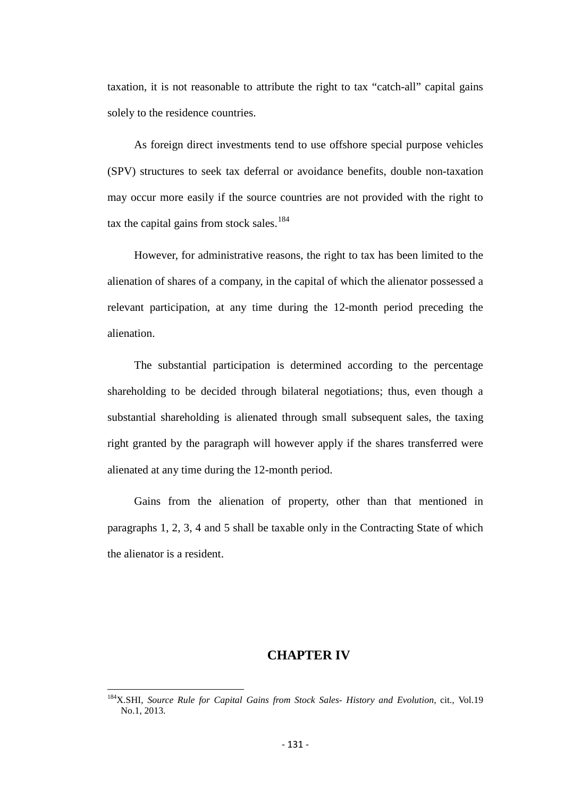taxation, it is not reasonable to attribute the right to tax "catch-all" capital gains solely to the residence countries.

As foreign direct investments tend to use offshore special purpose vehicles (SPV) structures to seek tax deferral or avoidance benefits, double non-taxation may occur more easily if the source countries are not provided with the right to tax the capital gains from stock sales.<sup>[184](#page-129-0)</sup>

However, for administrative reasons, the right to tax has been limited to the alienation of shares of a company, in the capital of which the alienator possessed a relevant participation, at any time during the 12-month period preceding the alienation.

The substantial participation is determined according to the percentage shareholding to be decided through bilateral negotiations; thus, even though a substantial shareholding is alienated through small subsequent sales, the taxing right granted by the paragraph will however apply if the shares transferred were alienated at any time during the 12-month period.

Gains from the alienation of property, other than that mentioned in paragraphs 1, 2, 3, 4 and 5 shall be taxable only in the Contracting State of which the alienator is a resident.

# **CHAPTER IV**

<span id="page-130-0"></span>184X.SHI, *Source Rule for Capital Gains from Stock Sales- History and Evolution,* cit.*,* Vol.19 No.1, 2013.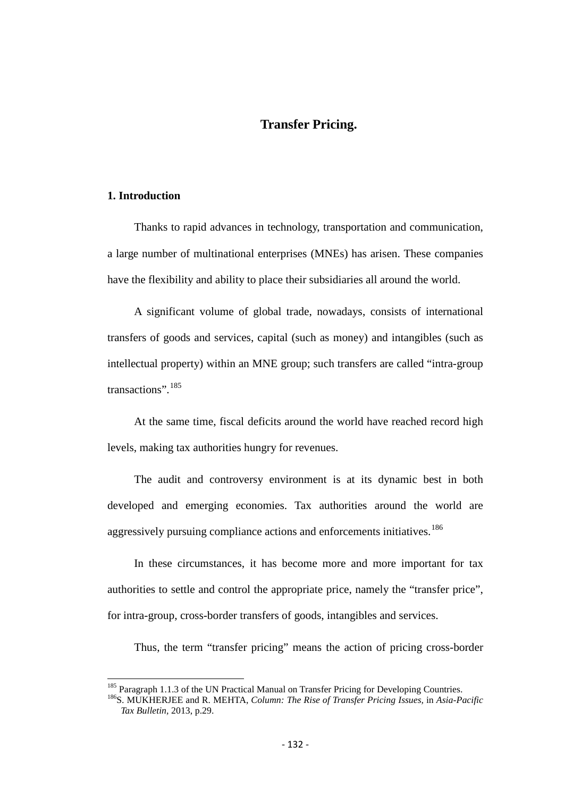# **Transfer Pricing.**

## **1. Introduction**

Thanks to rapid advances in technology, transportation and communication, a large number of multinational enterprises (MNEs) has arisen. These companies have the flexibility and ability to place their subsidiaries all around the world.

A significant volume of global trade, nowadays, consists of international transfers of goods and services, capital (such as money) and intangibles (such as intellectual property) within an MNE group; such transfers are called "intra-group transactions".<sup>[185](#page-130-0)</sup>

At the same time, fiscal deficits around the world have reached record high levels, making tax authorities hungry for revenues.

The audit and controversy environment is at its dynamic best in both developed and emerging economies. Tax authorities around the world are aggressively pursuing compliance actions and enforcements initiatives.<sup>[186](#page-131-0)</sup>

In these circumstances, it has become more and more important for tax authorities to settle and control the appropriate price, namely the "transfer price", for intra-group, cross-border transfers of goods, intangibles and services.

Thus, the term "transfer pricing" means the action of pricing cross-border

<span id="page-131-1"></span><span id="page-131-0"></span><sup>&</sup>lt;sup>185</sup> Paragraph 1.1.3 of the UN Practical Manual on Transfer Pricing for Developing Countries.<br><sup>186</sup>S. MUKHERJEE and R. MEHTA, *Column: The Rise of Transfer Pricing Issues*, in *Asia-Pacific Tax Bulletin,* 2013, p.29.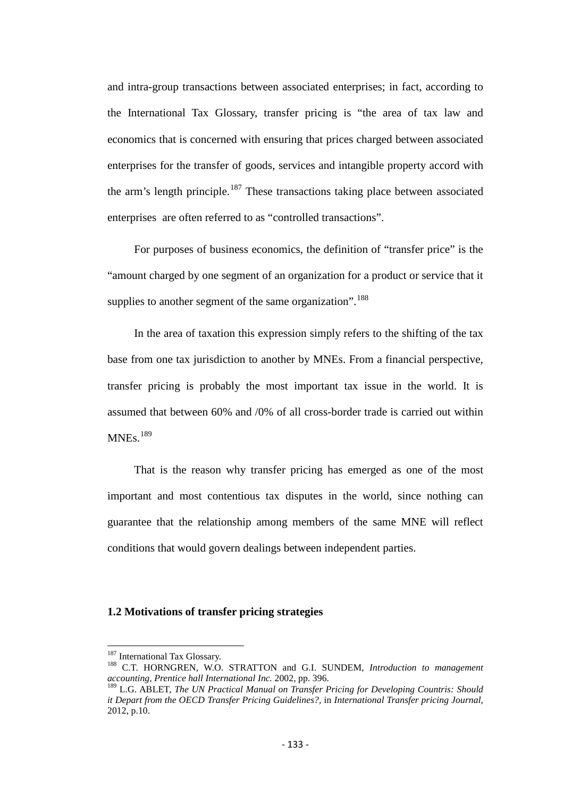and intra-group transactions between associated enterprises; in fact, according to the International Tax Glossary, transfer pricing is "the area of tax law and economics that is concerned with ensuring that prices charged between associated enterprises for the transfer of goods, services and intangible property accord with the arm's length principle.<sup>[187](#page-131-1)</sup> These transactions taking place between associated enterprises are often referred to as "controlled transactions".

For purposes of business economics, the definition of "transfer price" is the "amount charged by one segment of an organization for a product or service that it supplies to another segment of the same organization".<sup>[188](#page-132-0)</sup>

In the area of taxation this expression simply refers to the shifting of the tax base from one tax jurisdiction to another by MNEs. From a financial perspective, transfer pricing is probably the most important tax issue in the world. It is assumed that between 60% and /0% of all cross-border trade is carried out within  $MNEs.$ <sup>[189](#page-132-1)</sup>

That is the reason why transfer pricing has emerged as one of the most important and most contentious tax disputes in the world, since nothing can guarantee that the relationship among members of the same MNE will reflect conditions that would govern dealings between independent parties.

## **1.2 Motivations of transfer pricing strategies**

<span id="page-132-0"></span><sup>&</sup>lt;sup>187</sup> International Tax Glossary.<br><sup>188</sup> C.T. HORNGREN, W.O. STRATTON and G.I. SUNDEM, *Introduction to management accounting, Prentice hall International Inc.* 2002, pp. 396.

<span id="page-132-2"></span><span id="page-132-1"></span><sup>189</sup> L.G. ABLET, *The UN Practical Manual on Transfer Pricing for Developing Countris: Should it Depart from the OECD Transfer Pricing Guidelines?,* in *International Transfer pricing Journal,*  2012, p.10.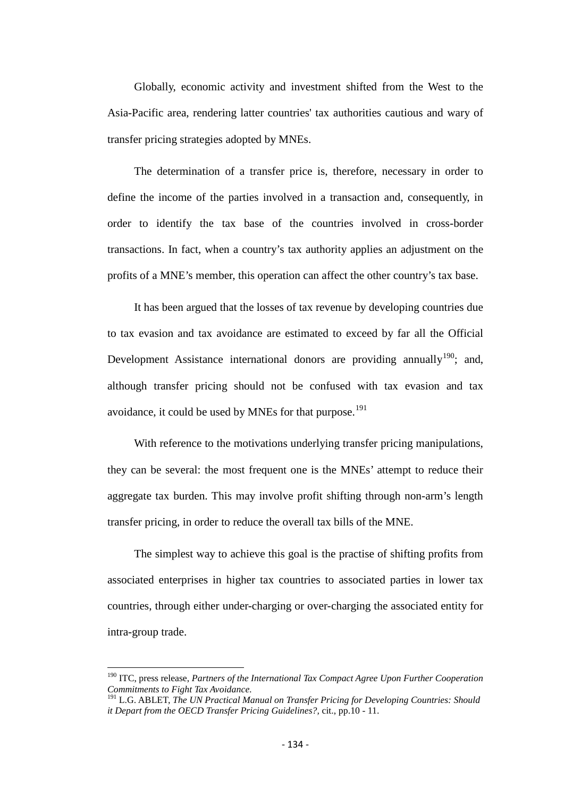Globally, economic activity and investment shifted from the West to the Asia-Pacific area, rendering latter countries' tax authorities cautious and wary of transfer pricing strategies adopted by MNEs.

The determination of a transfer price is, therefore, necessary in order to define the income of the parties involved in a transaction and, consequently, in order to identify the tax base of the countries involved in cross-border transactions. In fact, when a country's tax authority applies an adjustment on the profits of a MNE's member, this operation can affect the other country's tax base.

It has been argued that the losses of tax revenue by developing countries due to tax evasion and tax avoidance are estimated to exceed by far all the Official Development Assistance international donors are providing annually<sup>190</sup>; and, although transfer pricing should not be confused with tax evasion and tax avoidance, it could be used by MNEs for that purpose.<sup>[191](#page-133-0)</sup>

With reference to the motivations underlying transfer pricing manipulations, they can be several: the most frequent one is the MNEs' attempt to reduce their aggregate tax burden. This may involve profit shifting through non-arm's length transfer pricing, in order to reduce the overall tax bills of the MNE.

The simplest way to achieve this goal is the practise of shifting profits from associated enterprises in higher tax countries to associated parties in lower tax countries, through either under-charging or over-charging the associated entity for intra-group trade.

<sup>190</sup> ITC, press release, *Partners of the International Tax Compact Agree Upon Further Cooperation Commitments to Fight Tax Avoidance.* 

<span id="page-133-1"></span><span id="page-133-0"></span><sup>191</sup> L.G. ABLET, *The UN Practical Manual on Transfer Pricing for Developing Countries: Should it Depart from the OECD Transfer Pricing Guidelines?,* cit., pp.10 - 11.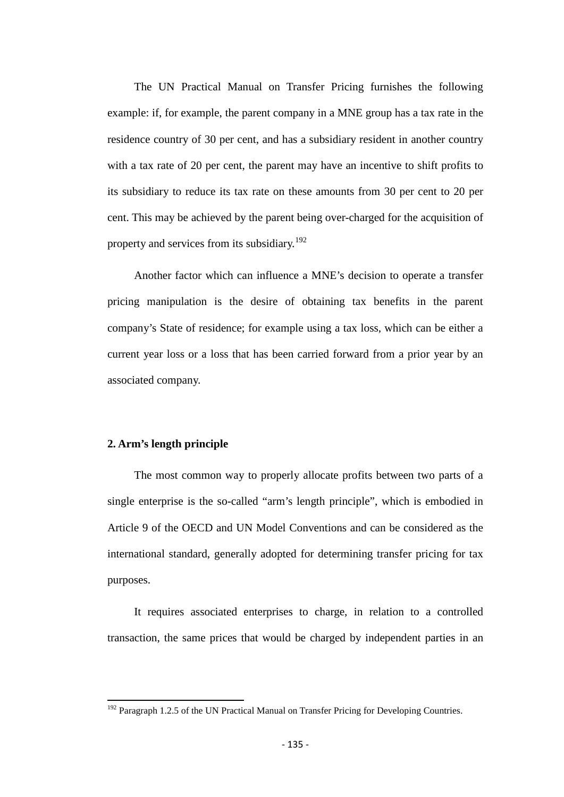The UN Practical Manual on Transfer Pricing furnishes the following example: if, for example, the parent company in a MNE group has a tax rate in the residence country of 30 per cent, and has a subsidiary resident in another country with a tax rate of 20 per cent, the parent may have an incentive to shift profits to its subsidiary to reduce its tax rate on these amounts from 30 per cent to 20 per cent. This may be achieved by the parent being over-charged for the acquisition of property and services from its subsidiary.<sup>[192](#page-133-1)</sup>

Another factor which can influence a MNE's decision to operate a transfer pricing manipulation is the desire of obtaining tax benefits in the parent company's State of residence; for example using a tax loss, which can be either a current year loss or a loss that has been carried forward from a prior year by an associated company.

## **2. Arm's length principle**

The most common way to properly allocate profits between two parts of a single enterprise is the so-called "arm's length principle", which is embodied in Article 9 of the OECD and UN Model Conventions and can be considered as the international standard, generally adopted for determining transfer pricing for tax purposes.

It requires associated enterprises to charge, in relation to a controlled transaction, the same prices that would be charged by independent parties in an

<span id="page-134-0"></span><sup>&</sup>lt;sup>192</sup> Paragraph 1.2.5 of the UN Practical Manual on Transfer Pricing for Developing Countries.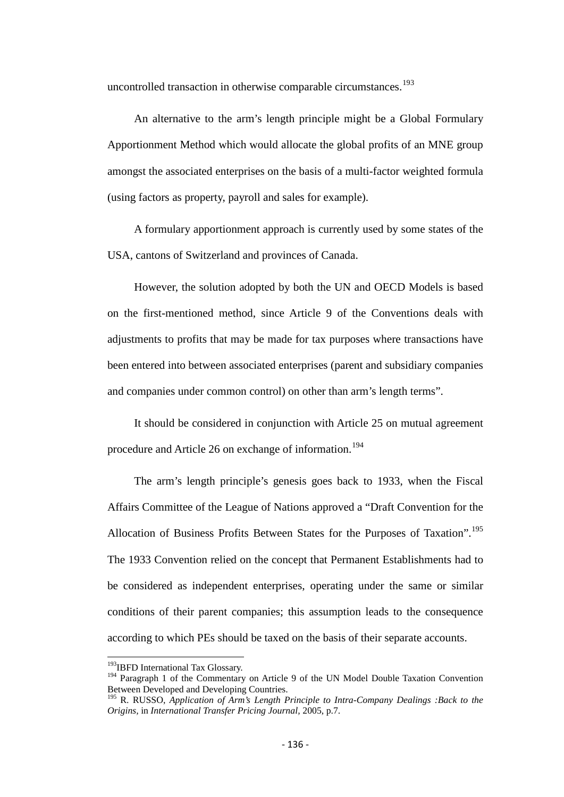uncontrolled transaction in otherwise comparable circumstances.<sup>[193](#page-134-0)</sup>

An alternative to the arm's length principle might be a Global Formulary Apportionment Method which would allocate the global profits of an MNE group amongst the associated enterprises on the basis of a multi-factor weighted formula (using factors as property, payroll and sales for example).

A formulary apportionment approach is currently used by some states of the USA, cantons of Switzerland and provinces of Canada.

However, the solution adopted by both the UN and OECD Models is based on the first-mentioned method, since Article 9 of the Conventions deals with adjustments to profits that may be made for tax purposes where transactions have been entered into between associated enterprises (parent and subsidiary companies and companies under common control) on other than arm's length terms".

It should be considered in conjunction with Article 25 on mutual agreement procedure and Article 26 on exchange of information.<sup>[194](#page-135-0)</sup>

The arm's length principle's genesis goes back to 1933, when the Fiscal Affairs Committee of the League of Nations approved a "Draft Convention for the Allocation of Business Profits Between States for the Purposes of Taxation".<sup>[195](#page-135-1)</sup> The 1933 Convention relied on the concept that Permanent Establishments had to be considered as independent enterprises, operating under the same or similar conditions of their parent companies; this assumption leads to the consequence according to which PEs should be taxed on the basis of their separate accounts.

<sup>&</sup>lt;sup>193</sup>IBFD International Tax Glossary.

<span id="page-135-0"></span><sup>&</sup>lt;sup>194</sup> Paragraph 1 of the Commentary on Article 9 of the UN Model Double Taxation Convention Between Developed and Developing Countries.

<span id="page-135-2"></span><span id="page-135-1"></span><sup>&</sup>lt;sup>195</sup> R. RUSSO, *Application of Arm's Length Principle to Intra-Company Dealings :Back to the Origins,* in *International Transfer Pricing Journal,* 2005, p.7.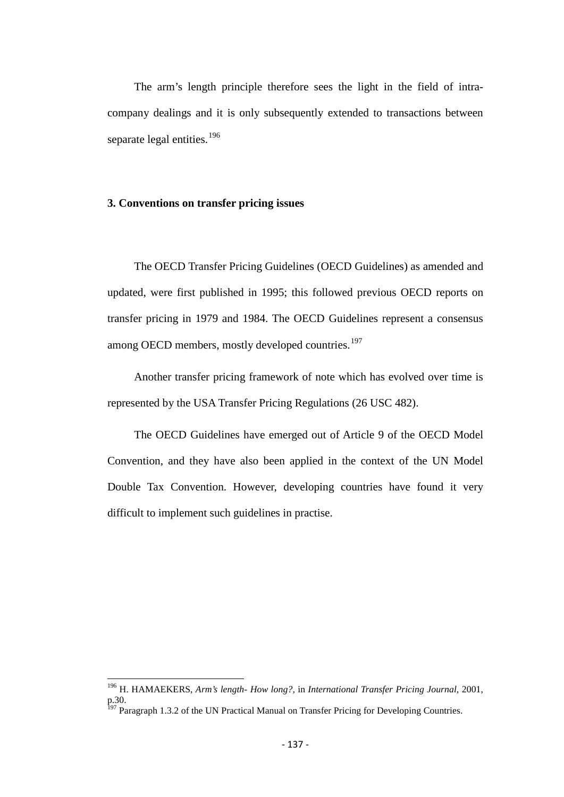The arm's length principle therefore sees the light in the field of intracompany dealings and it is only subsequently extended to transactions between separate legal entities.<sup>[196](#page-135-2)</sup>

## **3. Conventions on transfer pricing issues**

The OECD Transfer Pricing Guidelines (OECD Guidelines) as amended and updated, were first published in 1995; this followed previous OECD reports on transfer pricing in 1979 and 1984. The OECD Guidelines represent a consensus among OECD members, mostly developed countries.<sup>[197](#page-136-0)</sup>

Another transfer pricing framework of note which has evolved over time is represented by the USA Transfer Pricing Regulations (26 USC 482).

The OECD Guidelines have emerged out of Article 9 of the OECD Model Convention, and they have also been applied in the context of the UN Model Double Tax Convention. However, developing countries have found it very difficult to implement such guidelines in practise.

<span id="page-136-1"></span><sup>196</sup> H. HAMAEKERS, *Arm's length- How long?,* in *International Transfer Pricing Journal,* 2001, p.30.

<span id="page-136-0"></span><sup>&</sup>lt;sup>197</sup> Paragraph 1.3.2 of the UN Practical Manual on Transfer Pricing for Developing Countries.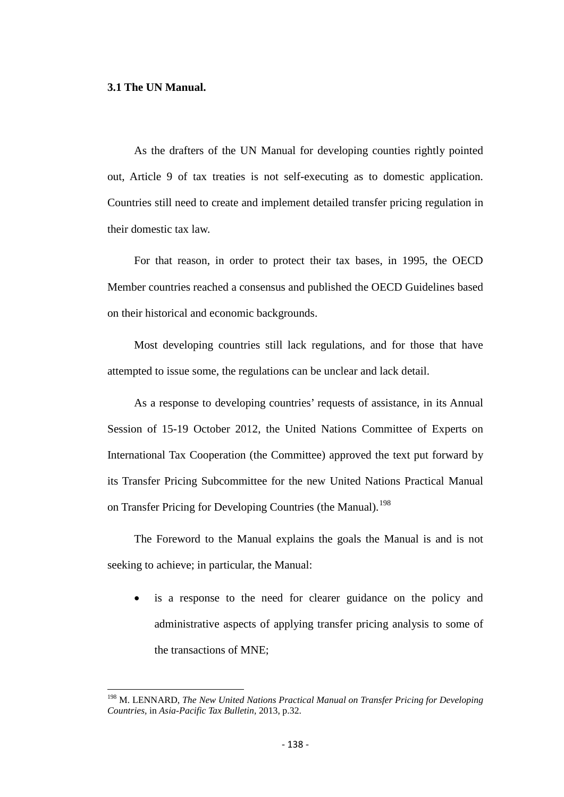#### **3.1 The UN Manual.**

As the drafters of the UN Manual for developing counties rightly pointed out, Article 9 of tax treaties is not self-executing as to domestic application. Countries still need to create and implement detailed transfer pricing regulation in their domestic tax law.

For that reason, in order to protect their tax bases, in 1995, the OECD Member countries reached a consensus and published the OECD Guidelines based on their historical and economic backgrounds.

Most developing countries still lack regulations, and for those that have attempted to issue some, the regulations can be unclear and lack detail.

As a response to developing countries' requests of assistance, in its Annual Session of 15-19 October 2012, the United Nations Committee of Experts on International Tax Cooperation (the Committee) approved the text put forward by its Transfer Pricing Subcommittee for the new United Nations Practical Manual on Transfer Pricing for Developing Countries (the Manual).<sup>[198](#page-136-1)</sup>

The Foreword to the Manual explains the goals the Manual is and is not seeking to achieve; in particular, the Manual:

• is a response to the need for clearer guidance on the policy and administrative aspects of applying transfer pricing analysis to some of the transactions of MNE;

<span id="page-137-0"></span><sup>&</sup>lt;sup>198</sup> M. LENNARD, *The New United Nations Practical Manual on Transfer Pricing for Developing Countries,* in *Asia-Pacific Tax Bulletin,* 2013, p.32.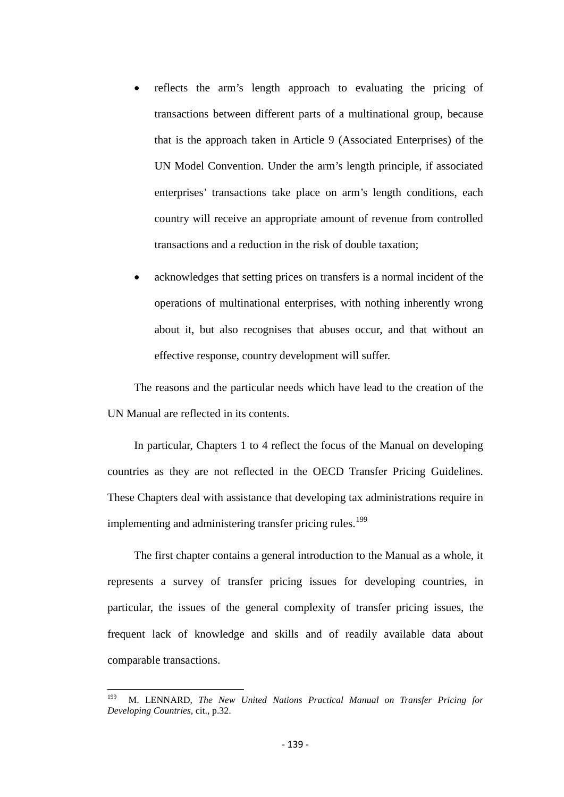- reflects the arm's length approach to evaluating the pricing of transactions between different parts of a multinational group, because that is the approach taken in Article 9 (Associated Enterprises) of the UN Model Convention. Under the arm's length principle, if associated enterprises' transactions take place on arm's length conditions, each country will receive an appropriate amount of revenue from controlled transactions and a reduction in the risk of double taxation;
- acknowledges that setting prices on transfers is a normal incident of the operations of multinational enterprises, with nothing inherently wrong about it, but also recognises that abuses occur, and that without an effective response, country development will suffer.

The reasons and the particular needs which have lead to the creation of the UN Manual are reflected in its contents.

In particular, Chapters 1 to 4 reflect the focus of the Manual on developing countries as they are not reflected in the OECD Transfer Pricing Guidelines. These Chapters deal with assistance that developing tax administrations require in implementing and administering transfer pricing rules.<sup>[199](#page-137-0)</sup>

The first chapter contains a general introduction to the Manual as a whole, it represents a survey of transfer pricing issues for developing countries, in particular, the issues of the general complexity of transfer pricing issues, the frequent lack of knowledge and skills and of readily available data about comparable transactions.

<span id="page-138-0"></span>199 M. LENNARD, *The New United Nations Practical Manual on Transfer Pricing for Developing Countries,* cit., p.32.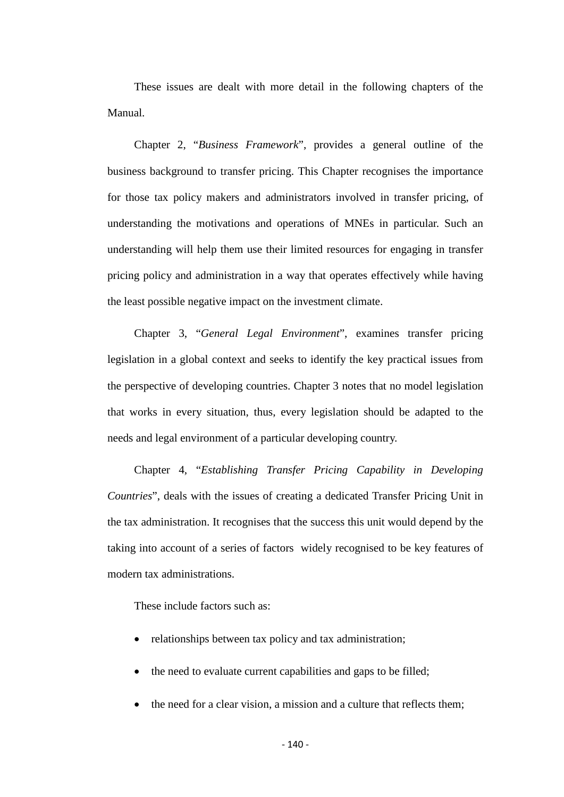These issues are dealt with more detail in the following chapters of the Manual.

Chapter 2, "*Business Framework*", provides a general outline of the business background to transfer pricing. This Chapter recognises the importance for those tax policy makers and administrators involved in transfer pricing, of understanding the motivations and operations of MNEs in particular. Such an understanding will help them use their limited resources for engaging in transfer pricing policy and administration in a way that operates effectively while having the least possible negative impact on the investment climate.

Chapter 3, "*General Legal Environment*", examines transfer pricing legislation in a global context and seeks to identify the key practical issues from the perspective of developing countries. Chapter 3 notes that no model legislation that works in every situation, thus, every legislation should be adapted to the needs and legal environment of a particular developing country.

Chapter 4, "*Establishing Transfer Pricing Capability in Developing Countries*", deals with the issues of creating a dedicated Transfer Pricing Unit in the tax administration. It recognises that the success this unit would depend by the taking into account of a series of factors widely recognised to be key features of modern tax administrations.

These include factors such as:

- relationships between tax policy and tax administration;
- the need to evaluate current capabilities and gaps to be filled;
- the need for a clear vision, a mission and a culture that reflects them;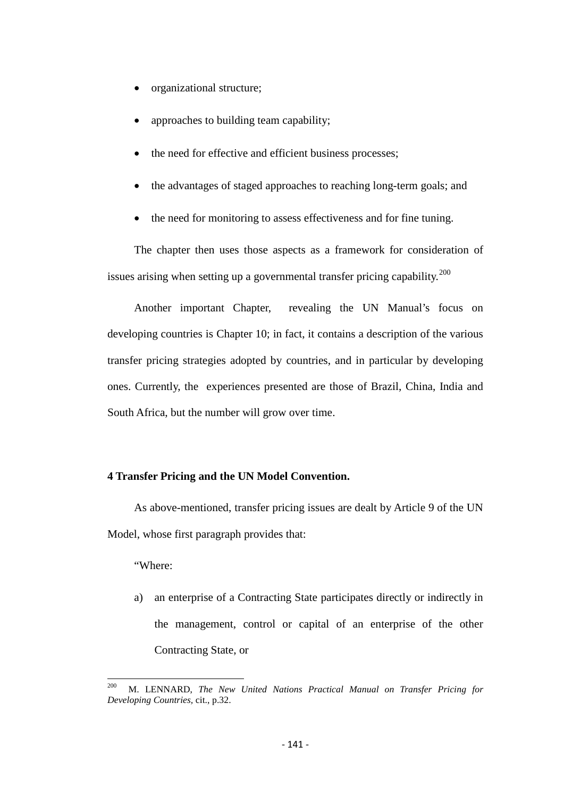- organizational structure;
- approaches to building team capability;
- the need for effective and efficient business processes;
- the advantages of staged approaches to reaching long-term goals; and
- the need for monitoring to assess effectiveness and for fine tuning.

The chapter then uses those aspects as a framework for consideration of issues arising when setting up a governmental transfer pricing capability.<sup>[200](#page-138-0)</sup>

Another important Chapter, revealing the UN Manual's focus on developing countries is Chapter 10; in fact, it contains a description of the various transfer pricing strategies adopted by countries, and in particular by developing ones. Currently, the experiences presented are those of Brazil, China, India and South Africa, but the number will grow over time.

## **4 Transfer Pricing and the UN Model Convention.**

As above-mentioned, transfer pricing issues are dealt by Article 9 of the UN Model, whose first paragraph provides that:

"Where:

a) an enterprise of a Contracting State participates directly or indirectly in the management, control or capital of an enterprise of the other Contracting State, or

<span id="page-140-0"></span>200 M. LENNARD, *The New United Nations Practical Manual on Transfer Pricing for Developing Countries,* cit., p.32.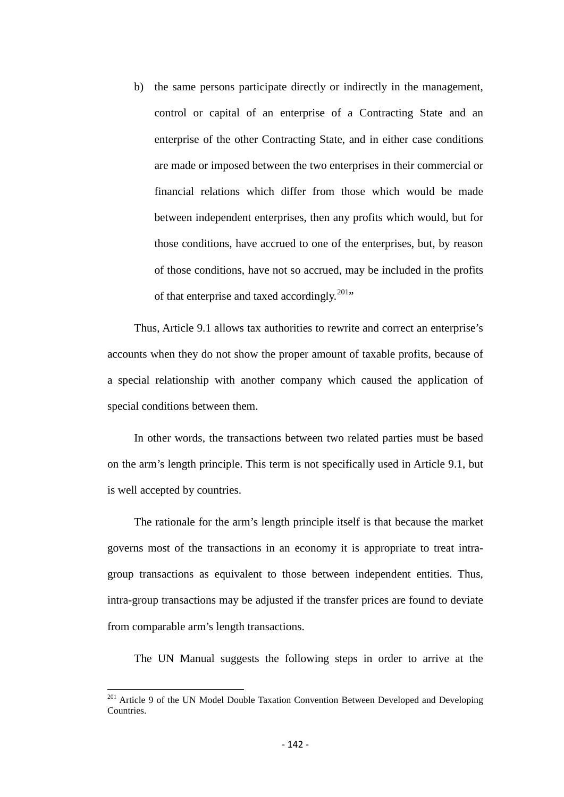b) the same persons participate directly or indirectly in the management, control or capital of an enterprise of a Contracting State and an enterprise of the other Contracting State, and in either case conditions are made or imposed between the two enterprises in their commercial or financial relations which differ from those which would be made between independent enterprises, then any profits which would, but for those conditions, have accrued to one of the enterprises, but, by reason of those conditions, have not so accrued, may be included in the profits of that enterprise and taxed accordingly.<sup>[201](#page-140-0)</sup>"

Thus, Article 9.1 allows tax authorities to rewrite and correct an enterprise's accounts when they do not show the proper amount of taxable profits, because of a special relationship with another company which caused the application of special conditions between them.

In other words, the transactions between two related parties must be based on the arm's length principle. This term is not specifically used in Article 9.1, but is well accepted by countries.

The rationale for the arm's length principle itself is that because the market governs most of the transactions in an economy it is appropriate to treat intragroup transactions as equivalent to those between independent entities. Thus, intra-group transactions may be adjusted if the transfer prices are found to deviate from comparable arm's length transactions.

The UN Manual suggests the following steps in order to arrive at the

<span id="page-141-0"></span><sup>&</sup>lt;sup>201</sup> Article 9 of the UN Model Double Taxation Convention Between Developed and Developing **Countries**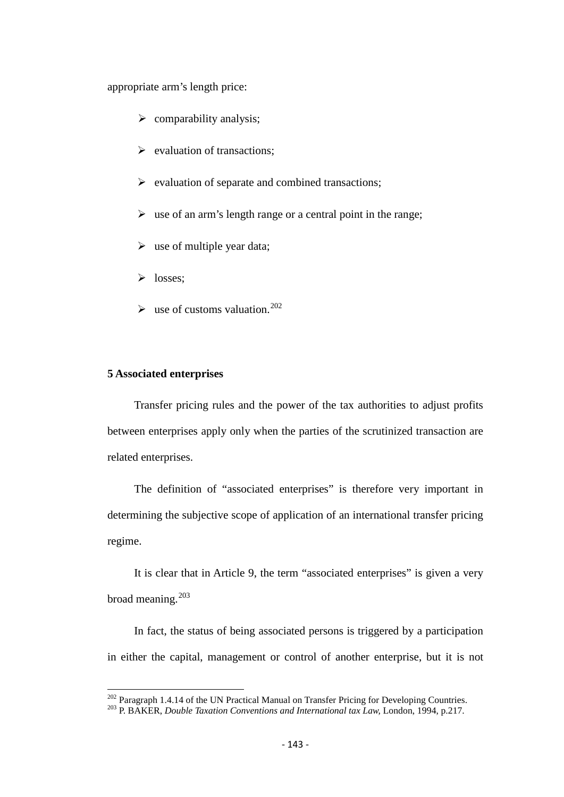appropriate arm's length price:

- $\triangleright$  comparability analysis;
- $\triangleright$  evaluation of transactions;
- $\triangleright$  evaluation of separate and combined transactions;
- $\triangleright$  use of an arm's length range or a central point in the range;
- $\triangleright$  use of multiple year data;
- $\triangleright$  losses:
- $\blacktriangleright$  use of customs valuation.<sup>[202](#page-141-0)</sup>

# **5 Associated enterprises**

Transfer pricing rules and the power of the tax authorities to adjust profits between enterprises apply only when the parties of the scrutinized transaction are related enterprises.

The definition of "associated enterprises" is therefore very important in determining the subjective scope of application of an international transfer pricing regime.

It is clear that in Article 9, the term "associated enterprises" is given a very broad meaning.<sup>[203](#page-142-0)</sup>

In fact, the status of being associated persons is triggered by a participation in either the capital, management or control of another enterprise, but it is not

<span id="page-142-1"></span><span id="page-142-0"></span><sup>&</sup>lt;sup>202</sup> Paragraph 1.4.14 of the UN Practical Manual on Transfer Pricing for Developing Countries.<br><sup>203</sup> P. BAKER, *Double Taxation Conventions and International tax Law*, London, 1994, p.217.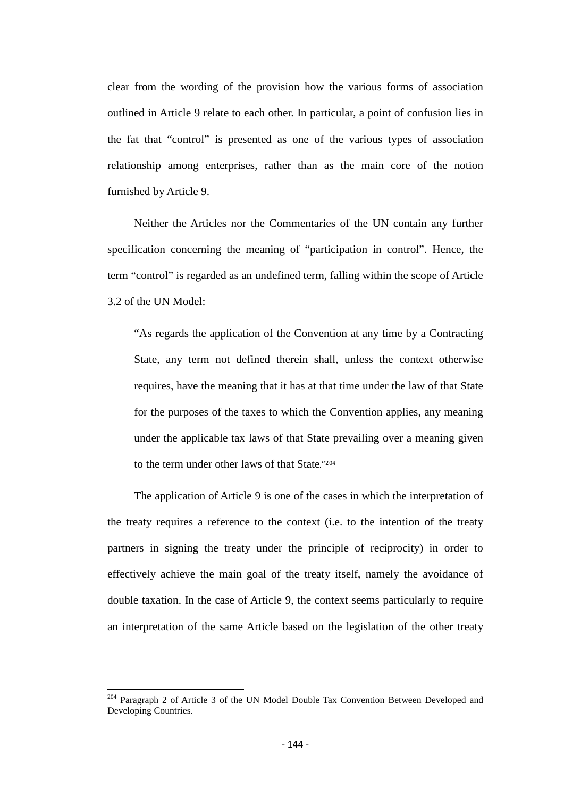clear from the wording of the provision how the various forms of association outlined in Article 9 relate to each other. In particular, a point of confusion lies in the fat that "control" is presented as one of the various types of association relationship among enterprises, rather than as the main core of the notion furnished by Article 9.

Neither the Articles nor the Commentaries of the UN contain any further specification concerning the meaning of "participation in control". Hence, the term "control" is regarded as an undefined term, falling within the scope of Article 3.2 of the UN Model:

"As regards the application of the Convention at any time by a Contracting State, any term not defined therein shall, unless the context otherwise requires, have the meaning that it has at that time under the law of that State for the purposes of the taxes to which the Convention applies, any meaning under the applicable tax laws of that State prevailing over a meaning given to the term under other laws of that State."[204](#page-142-1)

The application of Article 9 is one of the cases in which the interpretation of the treaty requires a reference to the context (i.e. to the intention of the treaty partners in signing the treaty under the principle of reciprocity) in order to effectively achieve the main goal of the treaty itself, namely the avoidance of double taxation. In the case of Article 9, the context seems particularly to require an interpretation of the same Article based on the legislation of the other treaty

<sup>&</sup>lt;sup>204</sup> Paragraph 2 of Article 3 of the UN Model Double Tax Convention Between Developed and Developing Countries.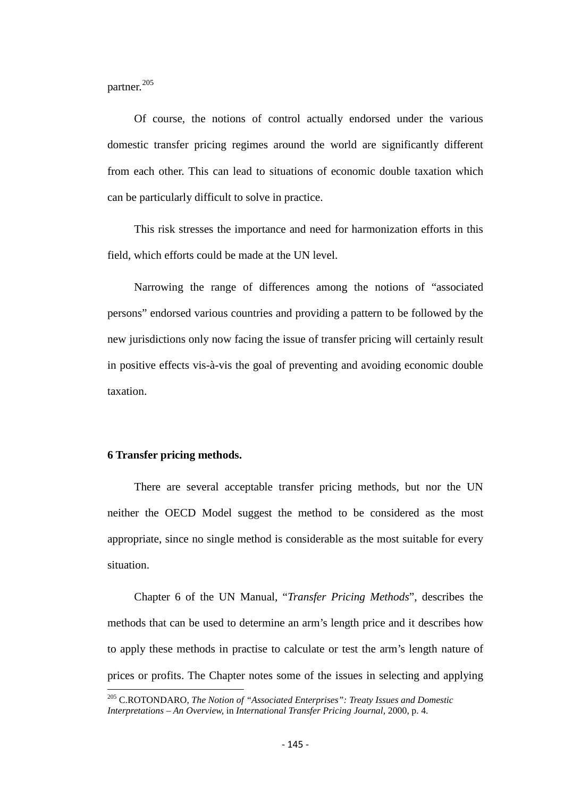partner.<sup>[205](#page-143-0)</sup>

Of course, the notions of control actually endorsed under the various domestic transfer pricing regimes around the world are significantly different from each other. This can lead to situations of economic double taxation which can be particularly difficult to solve in practice.

This risk stresses the importance and need for harmonization efforts in this field, which efforts could be made at the UN level.

Narrowing the range of differences among the notions of "associated persons" endorsed various countries and providing a pattern to be followed by the new jurisdictions only now facing the issue of transfer pricing will certainly result in positive effects vis-à-vis the goal of preventing and avoiding economic double taxation.

#### **6 Transfer pricing methods.**

There are several acceptable transfer pricing methods, but nor the UN neither the OECD Model suggest the method to be considered as the most appropriate, since no single method is considerable as the most suitable for every situation.

Chapter 6 of the UN Manual, "*Transfer Pricing Methods*", describes the methods that can be used to determine an arm's length price and it describes how to apply these methods in practise to calculate or test the arm's length nature of prices or profits. The Chapter notes some of the issues in selecting and applying

<span id="page-144-0"></span><sup>205</sup> C.ROTONDARO, *The Notion of "Associated Enterprises": Treaty Issues and Domestic Interpretations – An Overview,* in *International Transfer Pricing Journal,* 2000, p. 4.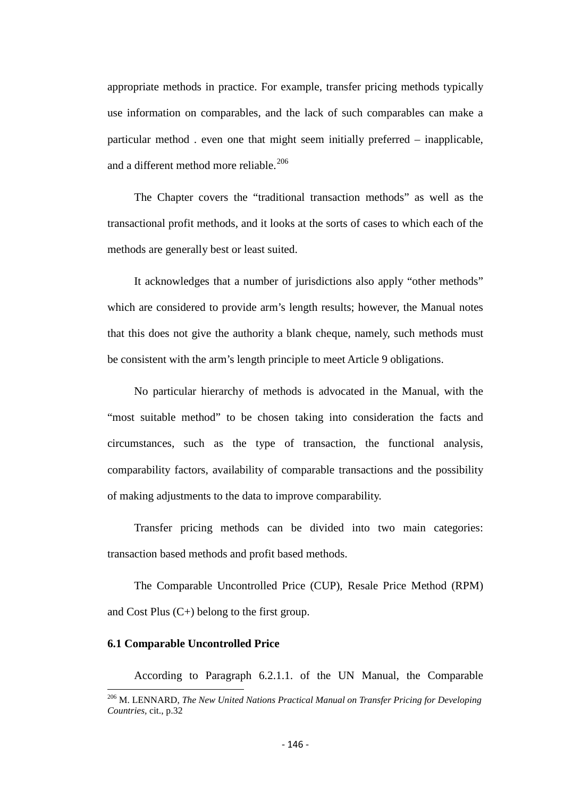appropriate methods in practice. For example, transfer pricing methods typically use information on comparables, and the lack of such comparables can make a particular method . even one that might seem initially preferred – inapplicable, and a different method more reliable.<sup>[206](#page-144-0)</sup>

The Chapter covers the "traditional transaction methods" as well as the transactional profit methods, and it looks at the sorts of cases to which each of the methods are generally best or least suited.

It acknowledges that a number of jurisdictions also apply "other methods" which are considered to provide arm's length results; however, the Manual notes that this does not give the authority a blank cheque, namely, such methods must be consistent with the arm's length principle to meet Article 9 obligations.

No particular hierarchy of methods is advocated in the Manual, with the "most suitable method" to be chosen taking into consideration the facts and circumstances, such as the type of transaction, the functional analysis, comparability factors, availability of comparable transactions and the possibility of making adjustments to the data to improve comparability.

Transfer pricing methods can be divided into two main categories: transaction based methods and profit based methods.

The Comparable Uncontrolled Price (CUP), Resale Price Method (RPM) and Cost Plus (C+) belong to the first group.

#### **6.1 Comparable Uncontrolled Price**

According to Paragraph 6.2.1.1. of the UN Manual, the Comparable

<span id="page-145-0"></span><sup>206</sup> M. LENNARD, *The New United Nations Practical Manual on Transfer Pricing for Developing Countries,* cit., p.32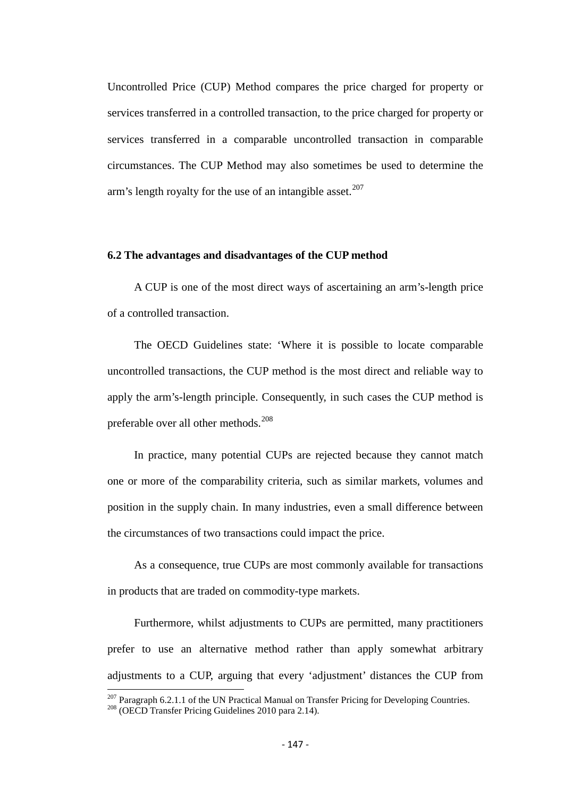Uncontrolled Price (CUP) Method compares the price charged for property or services transferred in a controlled transaction, to the price charged for property or services transferred in a comparable uncontrolled transaction in comparable circumstances. The CUP Method may also sometimes be used to determine the arm's length royalty for the use of an intangible asset.<sup>[207](#page-145-0)</sup>

#### **6.2 The advantages and disadvantages of the CUP method**

A CUP is one of the most direct ways of ascertaining an arm's-length price of a controlled transaction.

The OECD Guidelines state: 'Where it is possible to locate comparable uncontrolled transactions, the CUP method is the most direct and reliable way to apply the arm's-length principle. Consequently, in such cases the CUP method is preferable over all other methods.<sup>[208](#page-146-0)</sup>

In practice, many potential CUPs are rejected because they cannot match one or more of the comparability criteria, such as similar markets, volumes and position in the supply chain. In many industries, even a small difference between the circumstances of two transactions could impact the price.

As a consequence, true CUPs are most commonly available for transactions in products that are traded on commodity-type markets.

Furthermore, whilst adjustments to CUPs are permitted, many practitioners prefer to use an alternative method rather than apply somewhat arbitrary adjustments to a CUP, arguing that every 'adjustment' distances the CUP from

<span id="page-146-1"></span><span id="page-146-0"></span><sup>&</sup>lt;sup>207</sup> Paragraph 6.2.1.1 of the UN Practical Manual on Transfer Pricing for Developing Countries.<br><sup>208</sup> (OECD Transfer Pricing Guidelines 2010 para 2.14).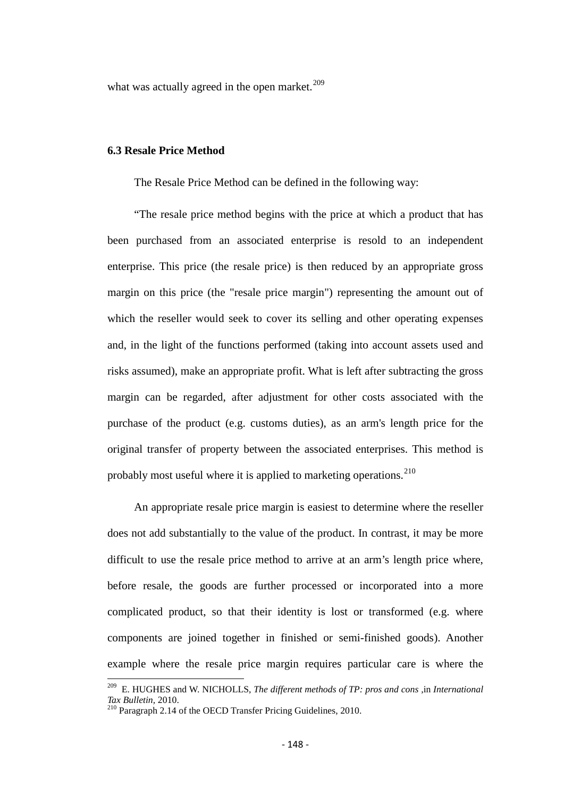what was actually agreed in the open market. $209$ 

## **6.3 Resale Price Method**

The Resale Price Method can be defined in the following way:

"The resale price method begins with the price at which a product that has been purchased from an associated enterprise is resold to an independent enterprise. This price (the resale price) is then reduced by an appropriate gross margin on this price (the "resale price margin") representing the amount out of which the reseller would seek to cover its selling and other operating expenses and, in the light of the functions performed (taking into account assets used and risks assumed), make an appropriate profit. What is left after subtracting the gross margin can be regarded, after adjustment for other costs associated with the purchase of the product (e.g. customs duties), as an arm's length price for the original transfer of property between the associated enterprises. This method is probably most useful where it is applied to marketing operations.  $210$ 

An appropriate resale price margin is easiest to determine where the reseller does not add substantially to the value of the product. In contrast, it may be more difficult to use the resale price method to arrive at an arm's length price where, before resale, the goods are further processed or incorporated into a more complicated product, so that their identity is lost or transformed (e.g. where components are joined together in finished or semi-finished goods). Another example where the resale price margin requires particular care is where the

<span id="page-147-1"></span>209 E. HUGHES and W. NICHOLLS, *The different methods of TP: pros and cons ,*in *International Tax Bulletin,* 2010.<br><sup>210</sup> Paragraph 2.14 of the OECD Transfer Pricing Guidelines, 2010.

<span id="page-147-0"></span>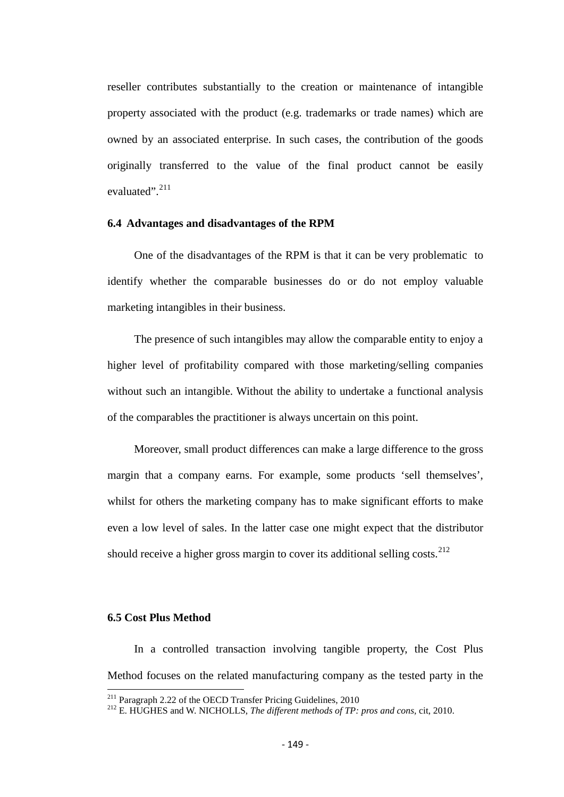reseller contributes substantially to the creation or maintenance of intangible property associated with the product (e.g. trademarks or trade names) which are owned by an associated enterprise. In such cases, the contribution of the goods originally transferred to the value of the final product cannot be easily evaluated".<sup>[211](#page-147-1)</sup>

#### **6.4 Advantages and disadvantages of the RPM**

One of the disadvantages of the RPM is that it can be very problematic to identify whether the comparable businesses do or do not employ valuable marketing intangibles in their business.

The presence of such intangibles may allow the comparable entity to enjoy a higher level of profitability compared with those marketing/selling companies without such an intangible. Without the ability to undertake a functional analysis of the comparables the practitioner is always uncertain on this point.

Moreover, small product differences can make a large difference to the gross margin that a company earns. For example, some products 'sell themselves', whilst for others the marketing company has to make significant efforts to make even a low level of sales. In the latter case one might expect that the distributor should receive a higher gross margin to cover its additional selling costs.<sup>[212](#page-148-0)</sup>

# **6.5 Cost Plus Method**

In a controlled transaction involving tangible property, the Cost Plus Method focuses on the related manufacturing company as the tested party in the

<span id="page-148-0"></span><sup>&</sup>lt;sup>211</sup> Paragraph 2.22 of the OECD Transfer Pricing Guidelines, 2010<br><sup>212</sup> E. HUGHES and W. NICHOLLS, *The different methods of TP: pros and cons*, cit, 2010.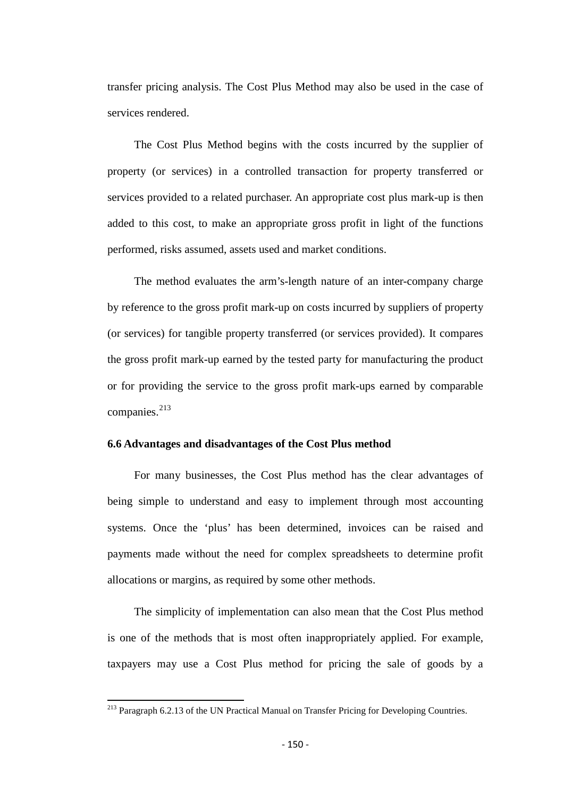transfer pricing analysis. The Cost Plus Method may also be used in the case of services rendered.

The Cost Plus Method begins with the costs incurred by the supplier of property (or services) in a controlled transaction for property transferred or services provided to a related purchaser. An appropriate cost plus mark-up is then added to this cost, to make an appropriate gross profit in light of the functions performed, risks assumed, assets used and market conditions.

The method evaluates the arm's-length nature of an inter-company charge by reference to the gross profit mark-up on costs incurred by suppliers of property (or services) for tangible property transferred (or services provided). It compares the gross profit mark-up earned by the tested party for manufacturing the product or for providing the service to the gross profit mark-ups earned by comparable companies.<sup>[213](#page-148-0)</sup>

#### **6.6 Advantages and disadvantages of the Cost Plus method**

For many businesses, the Cost Plus method has the clear advantages of being simple to understand and easy to implement through most accounting systems. Once the 'plus' has been determined, invoices can be raised and payments made without the need for complex spreadsheets to determine profit allocations or margins, as required by some other methods.

The simplicity of implementation can also mean that the Cost Plus method is one of the methods that is most often inappropriately applied. For example, taxpayers may use a Cost Plus method for pricing the sale of goods by a

<span id="page-149-0"></span><sup>&</sup>lt;sup>213</sup> Paragraph 6.2.13 of the UN Practical Manual on Transfer Pricing for Developing Countries.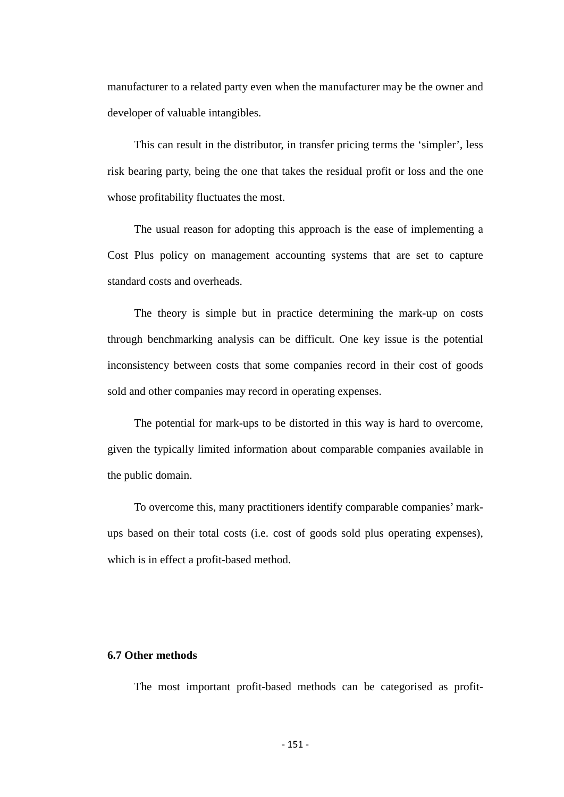manufacturer to a related party even when the manufacturer may be the owner and developer of valuable intangibles.

This can result in the distributor, in transfer pricing terms the 'simpler', less risk bearing party, being the one that takes the residual profit or loss and the one whose profitability fluctuates the most.

The usual reason for adopting this approach is the ease of implementing a Cost Plus policy on management accounting systems that are set to capture standard costs and overheads.

The theory is simple but in practice determining the mark-up on costs through benchmarking analysis can be difficult. One key issue is the potential inconsistency between costs that some companies record in their cost of goods sold and other companies may record in operating expenses.

The potential for mark-ups to be distorted in this way is hard to overcome, given the typically limited information about comparable companies available in the public domain.

To overcome this, many practitioners identify comparable companies' markups based on their total costs (i.e. cost of goods sold plus operating expenses), which is in effect a profit-based method.

#### **6.7 Other methods**

The most important profit-based methods can be categorised as profit-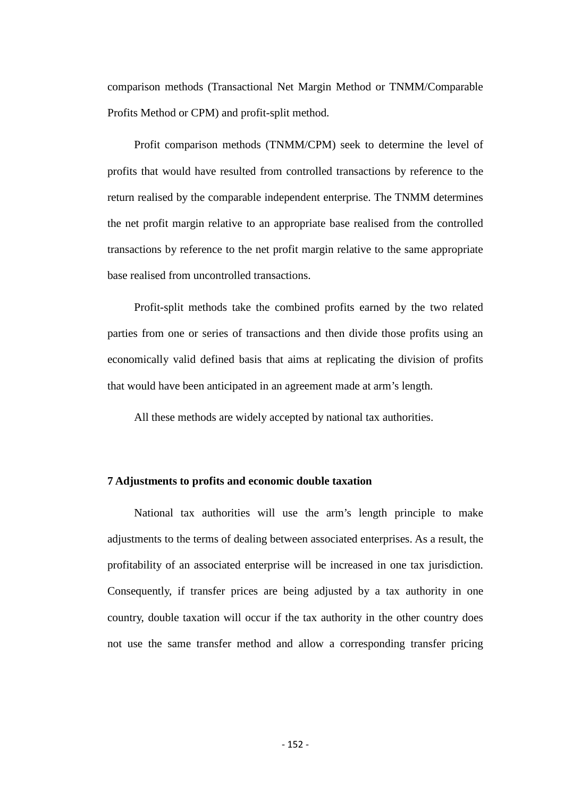comparison methods (Transactional Net Margin Method or TNMM/Comparable Profits Method or CPM) and profit-split method.

Profit comparison methods (TNMM/CPM) seek to determine the level of profits that would have resulted from controlled transactions by reference to the return realised by the comparable independent enterprise. The TNMM determines the net profit margin relative to an appropriate base realised from the controlled transactions by reference to the net profit margin relative to the same appropriate base realised from uncontrolled transactions.

Profit-split methods take the combined profits earned by the two related parties from one or series of transactions and then divide those profits using an economically valid defined basis that aims at replicating the division of profits that would have been anticipated in an agreement made at arm's length.

All these methods are widely accepted by national tax authorities.

#### **7 Adjustments to profits and economic double taxation**

National tax authorities will use the arm's length principle to make adjustments to the terms of dealing between associated enterprises. As a result, the profitability of an associated enterprise will be increased in one tax jurisdiction. Consequently, if transfer prices are being adjusted by a tax authority in one country, double taxation will occur if the tax authority in the other country does not use the same transfer method and allow a corresponding transfer pricing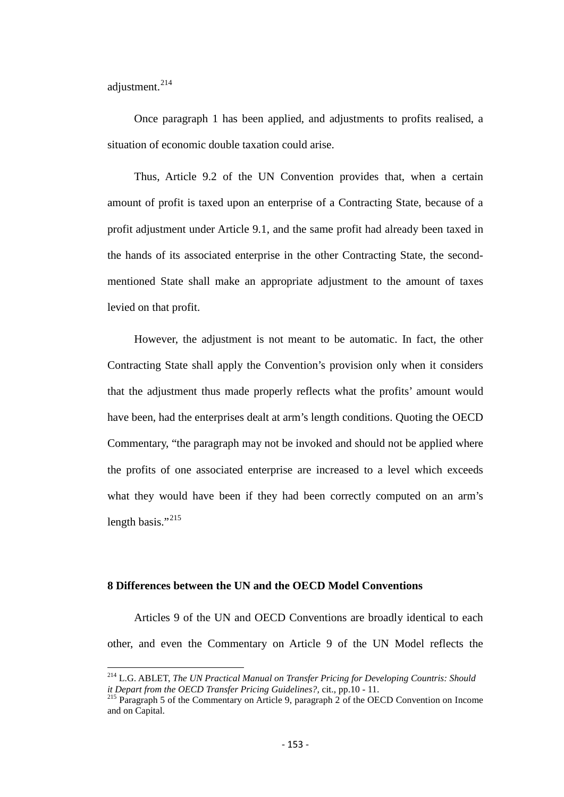adjustment.<sup>[214](#page-149-0)</sup>

Once paragraph 1 has been applied, and adjustments to profits realised, a situation of economic double taxation could arise.

Thus, Article 9.2 of the UN Convention provides that, when a certain amount of profit is taxed upon an enterprise of a Contracting State, because of a profit adjustment under Article 9.1, and the same profit had already been taxed in the hands of its associated enterprise in the other Contracting State, the secondmentioned State shall make an appropriate adjustment to the amount of taxes levied on that profit.

However, the adjustment is not meant to be automatic. In fact, the other Contracting State shall apply the Convention's provision only when it considers that the adjustment thus made properly reflects what the profits' amount would have been, had the enterprises dealt at arm's length conditions. Quoting the OECD Commentary, "the paragraph may not be invoked and should not be applied where the profits of one associated enterprise are increased to a level which exceeds what they would have been if they had been correctly computed on an arm's length basis."<sup>215</sup>

# **8 Differences between the UN and the OECD Model Conventions**

Articles 9 of the UN and OECD Conventions are broadly identical to each other, and even the Commentary on Article 9 of the UN Model reflects the

<span id="page-152-1"></span><sup>&</sup>lt;sup>214</sup> L.G. ABLET, *The UN Practical Manual on Transfer Pricing for Developing Countris: Should it Depart from the OECD Transfer Pricing Guidelines?, cit., pp.10 - 11.* 

<span id="page-152-0"></span><sup>&</sup>lt;sup>215</sup> Paragraph 5 of the Commentary on Article 9, paragraph 2 of the OECD Convention on Income and on Capital.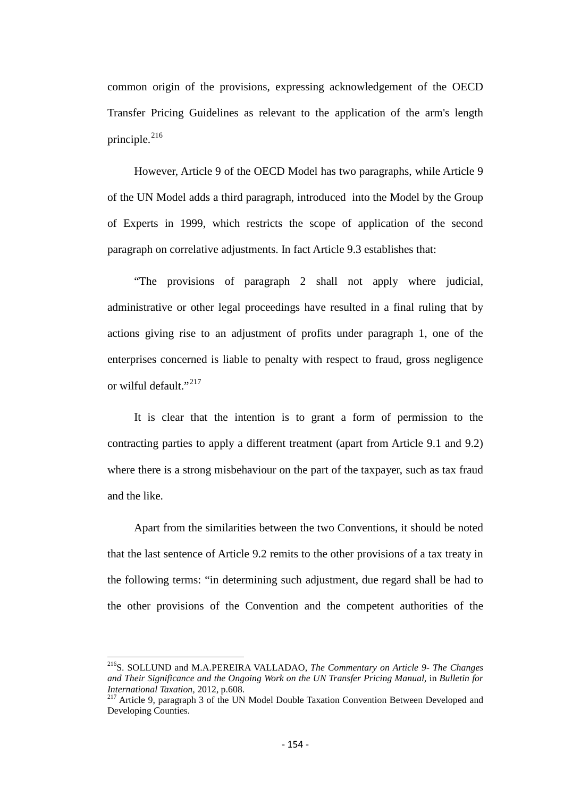common origin of the provisions, expressing acknowledgement of the OECD Transfer Pricing Guidelines as relevant to the application of the arm's length principle.<sup>[216](#page-152-1)</sup>

However, Article 9 of the OECD Model has two paragraphs, while Article 9 of the UN Model adds a third paragraph, introduced into the Model by the Group of Experts in 1999, which restricts the scope of application of the second paragraph on correlative adjustments. In fact Article 9.3 establishes that:

"The provisions of paragraph 2 shall not apply where judicial, administrative or other legal proceedings have resulted in a final ruling that by actions giving rise to an adjustment of profits under paragraph 1, one of the enterprises concerned is liable to penalty with respect to fraud, gross negligence or wilful default."<sup>[217](#page-153-0)</sup>

It is clear that the intention is to grant a form of permission to the contracting parties to apply a different treatment (apart from Article 9.1 and 9.2) where there is a strong misbehaviour on the part of the taxpayer, such as tax fraud and the like.

Apart from the similarities between the two Conventions, it should be noted that the last sentence of Article 9.2 remits to the other provisions of a tax treaty in the following terms: "in determining such adjustment, due regard shall be had to the other provisions of the Convention and the competent authorities of the

<span id="page-153-1"></span>216S. SOLLUND and M.A.PEREIRA VALLADAO, *The Commentary on Article 9- The Changes*  and Their Significance and the Ongoing Work on the UN Transfer Pricing Manual, in Bulletin for<br>International Taxation, 2012, p.608.

<span id="page-153-0"></span><sup>&</sup>lt;sup>217</sup> Article 9, paragraph 3 of the UN Model Double Taxation Convention Between Developed and Developing Counties.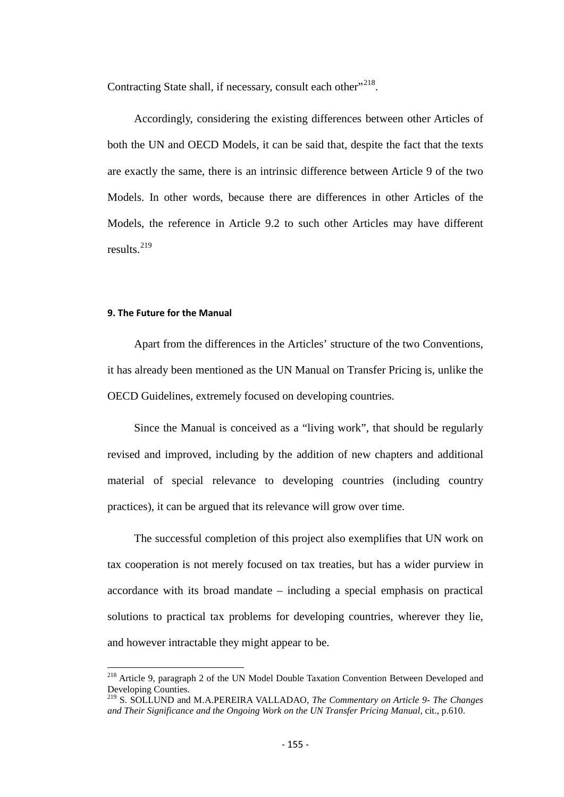Contracting State shall, if necessary, consult each other"<sup>[218](#page-153-1)</sup>.

Accordingly, considering the existing differences between other Articles of both the UN and OECD Models, it can be said that, despite the fact that the texts are exactly the same, there is an intrinsic difference between Article 9 of the two Models. In other words, because there are differences in other Articles of the Models, the reference in Article 9.2 to such other Articles may have different results.[219](#page-154-0)

#### **9. The Future for the Manual**

Apart from the differences in the Articles' structure of the two Conventions, it has already been mentioned as the UN Manual on Transfer Pricing is, unlike the OECD Guidelines, extremely focused on developing countries.

Since the Manual is conceived as a "living work", that should be regularly revised and improved, including by the addition of new chapters and additional material of special relevance to developing countries (including country practices), it can be argued that its relevance will grow over time.

The successful completion of this project also exemplifies that UN work on tax cooperation is not merely focused on tax treaties, but has a wider purview in accordance with its broad mandate – including a special emphasis on practical solutions to practical tax problems for developing countries, wherever they lie, and however intractable they might appear to be.

<sup>218</sup> Article 9, paragraph 2 of the UN Model Double Taxation Convention Between Developed and Developing Counties.

<span id="page-154-0"></span><sup>219</sup> S. SOLLUND and M.A.PEREIRA VALLADAO, *The Commentary on Article 9- The Changes and Their Significance and the Ongoing Work on the UN Transfer Pricing Manual,* cit., p.610.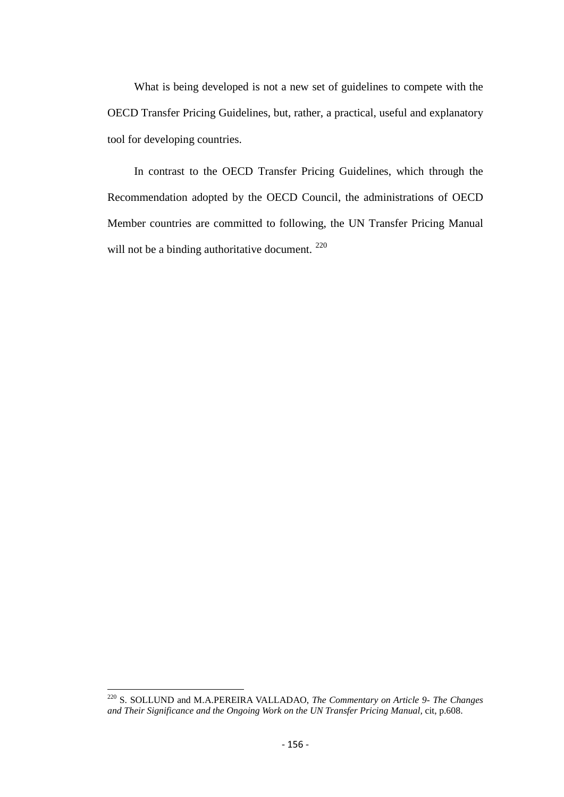What is being developed is not a new set of guidelines to compete with the OECD Transfer Pricing Guidelines, but, rather, a practical, useful and explanatory tool for developing countries.

In contrast to the OECD Transfer Pricing Guidelines, which through the Recommendation adopted by the OECD Council, the administrations of OECD Member countries are committed to following, the UN Transfer Pricing Manual will not be a binding authoritative document.<sup>[220](#page-154-0)</sup>

<span id="page-155-0"></span><sup>220</sup> S. SOLLUND and M.A.PEREIRA VALLADAO, *The Commentary on Article 9- The Changes and Their Significance and the Ongoing Work on the UN Transfer Pricing Manual,* cit, p.608.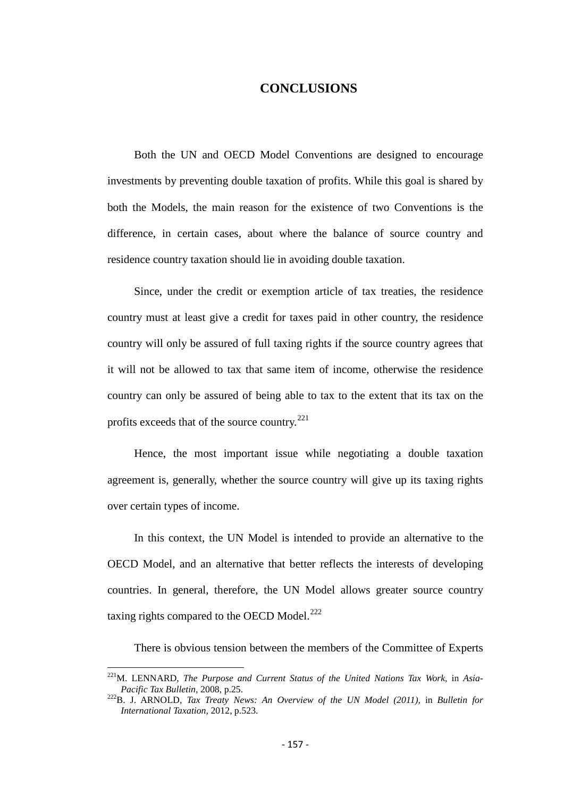# **CONCLUSIONS**

Both the UN and OECD Model Conventions are designed to encourage investments by preventing double taxation of profits. While this goal is shared by both the Models, the main reason for the existence of two Conventions is the difference, in certain cases, about where the balance of source country and residence country taxation should lie in avoiding double taxation.

Since, under the credit or exemption article of tax treaties, the residence country must at least give a credit for taxes paid in other country, the residence country will only be assured of full taxing rights if the source country agrees that it will not be allowed to tax that same item of income, otherwise the residence country can only be assured of being able to tax to the extent that its tax on the profits exceeds that of the source country.<sup>[221](#page-155-0)</sup>

Hence, the most important issue while negotiating a double taxation agreement is, generally, whether the source country will give up its taxing rights over certain types of income.

In this context, the UN Model is intended to provide an alternative to the OECD Model, and an alternative that better reflects the interests of developing countries. In general, therefore, the UN Model allows greater source country taxing rights compared to the OECD Model. $^{222}$  $^{222}$  $^{222}$ 

There is obvious tension between the members of the Committee of Experts

<sup>&</sup>lt;sup>221</sup>M. LENNARD, *The Purpose and Current Status of the United Nations Tax Work, in Asia-Pacific Tax Bulletin, 2008, p.25.* 

<span id="page-156-0"></span>*Pacific Tax Bulletin,* 2008, p.25. 222B. J. ARNOLD, *Tax Treaty News: An Overview of the UN Model (2011),* in *Bulletin for International Taxation,* 2012, p.523.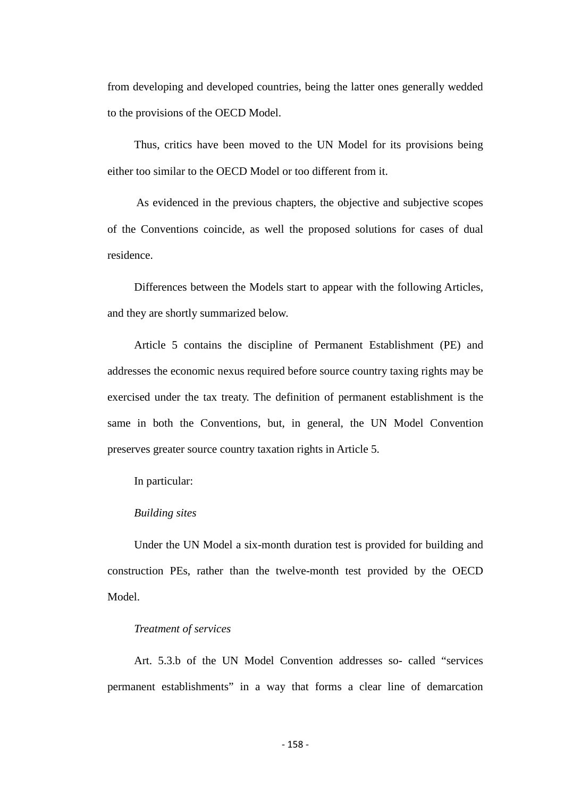from developing and developed countries, being the latter ones generally wedded to the provisions of the OECD Model.

Thus, critics have been moved to the UN Model for its provisions being either too similar to the OECD Model or too different from it.

As evidenced in the previous chapters, the objective and subjective scopes of the Conventions coincide, as well the proposed solutions for cases of dual residence.

Differences between the Models start to appear with the following Articles, and they are shortly summarized below.

Article 5 contains the discipline of Permanent Establishment (PE) and addresses the economic nexus required before source country taxing rights may be exercised under the tax treaty. The definition of permanent establishment is the same in both the Conventions, but, in general, the UN Model Convention preserves greater source country taxation rights in Article 5.

In particular:

#### *Building sites*

Under the UN Model a six-month duration test is provided for building and construction PEs, rather than the twelve-month test provided by the OECD Model.

# *Treatment of services*

Art. 5.3.b of the UN Model Convention addresses so- called "services permanent establishments" in a way that forms a clear line of demarcation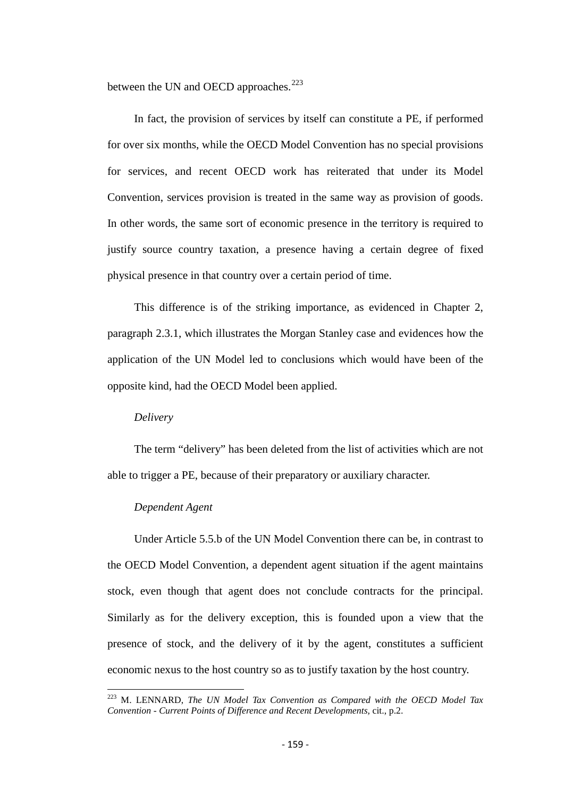between the UN and OECD approaches.<sup>[223](#page-156-0)</sup>

In fact, the provision of services by itself can constitute a PE, if performed for over six months, while the OECD Model Convention has no special provisions for services, and recent OECD work has reiterated that under its Model Convention, services provision is treated in the same way as provision of goods. In other words, the same sort of economic presence in the territory is required to justify source country taxation, a presence having a certain degree of fixed physical presence in that country over a certain period of time.

This difference is of the striking importance, as evidenced in Chapter 2, paragraph 2.3.1, which illustrates the Morgan Stanley case and evidences how the application of the UN Model led to conclusions which would have been of the opposite kind, had the OECD Model been applied.

#### *Delivery*

The term "delivery" has been deleted from the list of activities which are not able to trigger a PE, because of their preparatory or auxiliary character.

#### *Dependent Agent*

Under Article 5.5.b of the UN Model Convention there can be, in contrast to the OECD Model Convention, a dependent agent situation if the agent maintains stock, even though that agent does not conclude contracts for the principal. Similarly as for the delivery exception, this is founded upon a view that the presence of stock, and the delivery of it by the agent, constitutes a sufficient economic nexus to the host country so as to justify taxation by the host country.

<span id="page-158-0"></span><sup>223</sup> M. LENNARD, *The UN Model Tax Convention as Compared with the OECD Model Tax Convention - Current Points of Difference and Recent Developments,* cit., p.2.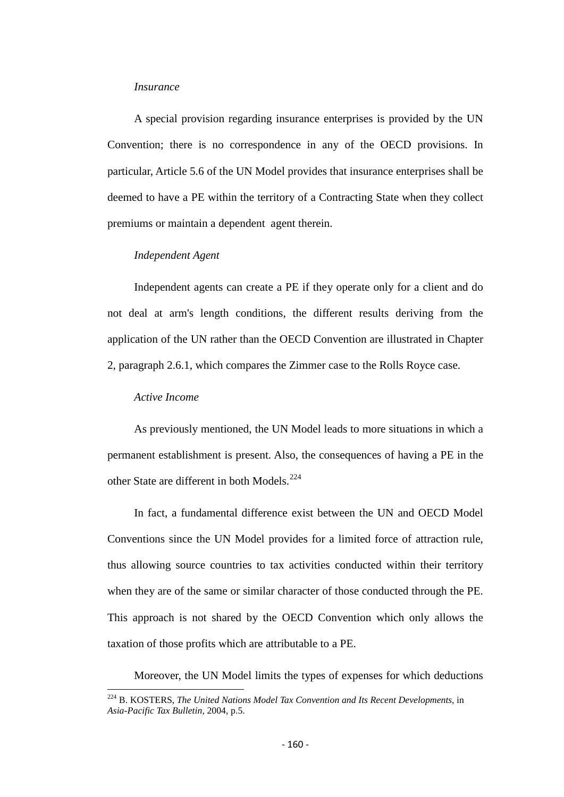#### *Insurance*

A special provision regarding insurance enterprises is provided by the UN Convention; there is no correspondence in any of the OECD provisions. In particular, Article 5.6 of the UN Model provides that insurance enterprises shall be deemed to have a PE within the territory of a Contracting State when they collect premiums or maintain a dependent agent therein.

#### *Independent Agent*

Independent agents can create a PE if they operate only for a client and do not deal at arm's length conditions, the different results deriving from the application of the UN rather than the OECD Convention are illustrated in Chapter 2, paragraph 2.6.1, which compares the Zimmer case to the Rolls Royce case.

#### *Active Income*

As previously mentioned, the UN Model leads to more situations in which a permanent establishment is present. Also, the consequences of having a PE in the other State are different in both Models.[224](#page-158-0)

In fact, a fundamental difference exist between the UN and OECD Model Conventions since the UN Model provides for a limited force of attraction rule, thus allowing source countries to tax activities conducted within their territory when they are of the same or similar character of those conducted through the PE. This approach is not shared by the OECD Convention which only allows the taxation of those profits which are attributable to a PE.

Moreover, the UN Model limits the types of expenses for which deductions

<span id="page-159-0"></span><sup>&</sup>lt;sup>224</sup> B. KOSTERS, *The United Nations Model Tax Convention and Its Recent Developments*, in *Asia-Pacific Tax Bulletin,* 2004, p.5.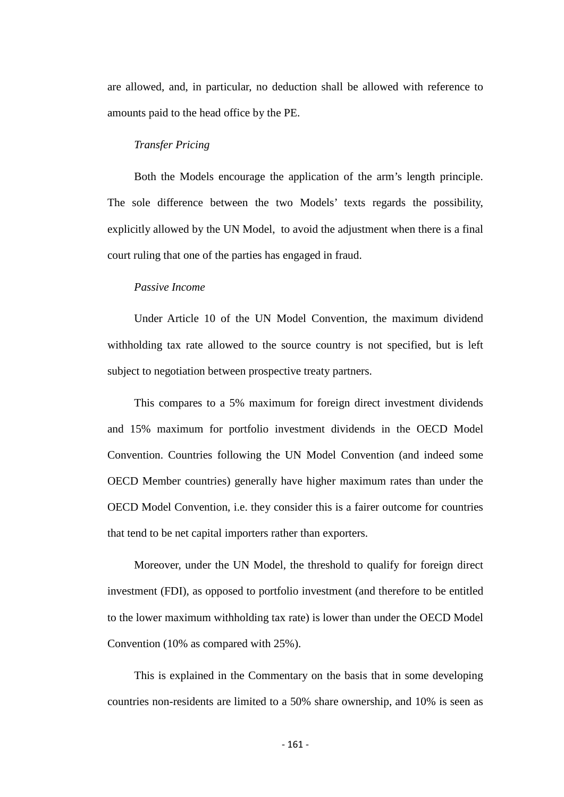are allowed, and, in particular, no deduction shall be allowed with reference to amounts paid to the head office by the PE.

### *Transfer Pricing*

Both the Models encourage the application of the arm's length principle. The sole difference between the two Models' texts regards the possibility, explicitly allowed by the UN Model, to avoid the adjustment when there is a final court ruling that one of the parties has engaged in fraud.

# *Passive Income*

Under Article 10 of the UN Model Convention, the maximum dividend withholding tax rate allowed to the source country is not specified, but is left subject to negotiation between prospective treaty partners.

This compares to a 5% maximum for foreign direct investment dividends and 15% maximum for portfolio investment dividends in the OECD Model Convention. Countries following the UN Model Convention (and indeed some OECD Member countries) generally have higher maximum rates than under the OECD Model Convention, i.e. they consider this is a fairer outcome for countries that tend to be net capital importers rather than exporters.

Moreover, under the UN Model, the threshold to qualify for foreign direct investment (FDI), as opposed to portfolio investment (and therefore to be entitled to the lower maximum withholding tax rate) is lower than under the OECD Model Convention (10% as compared with 25%).

This is explained in the Commentary on the basis that in some developing countries non-residents are limited to a 50% share ownership, and 10% is seen as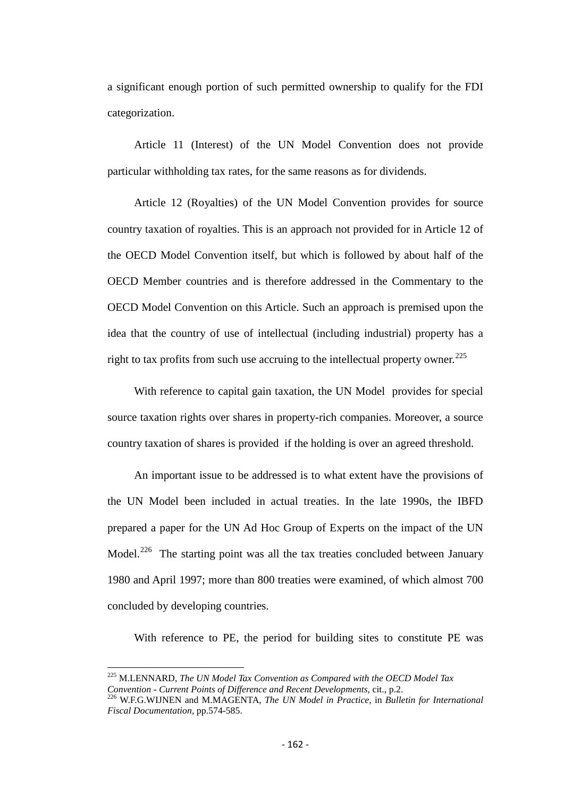a significant enough portion of such permitted ownership to qualify for the FDI categorization.

Article 11 (Interest) of the UN Model Convention does not provide particular withholding tax rates, for the same reasons as for dividends.

Article 12 (Royalties) of the UN Model Convention provides for source country taxation of royalties. This is an approach not provided for in Article 12 of the OECD Model Convention itself, but which is followed by about half of the OECD Member countries and is therefore addressed in the Commentary to the OECD Model Convention on this Article. Such an approach is premised upon the idea that the country of use of intellectual (including industrial) property has a right to tax profits from such use accruing to the intellectual property owner.<sup>[225](#page-159-0)</sup>

With reference to capital gain taxation, the UN Model provides for special source taxation rights over shares in property-rich companies. Moreover, a source country taxation of shares is provided if the holding is over an agreed threshold.

An important issue to be addressed is to what extent have the provisions of the UN Model been included in actual treaties. In the late 1990s, the IBFD prepared a paper for the UN Ad Hoc Group of Experts on the impact of the UN Model.<sup>[226](#page-161-0)</sup> The starting point was all the tax treaties concluded between January 1980 and April 1997; more than 800 treaties were examined, of which almost 700 concluded by developing countries.

With reference to PE, the period for building sites to constitute PE was

<sup>225</sup> M.LENNARD, *The UN Model Tax Convention as Compared with the OECD Model Tax Convention - Current Points of Difference and Recent Developments, cit., p.2.*<br><sup>226</sup> W.F.G.WIJNEN and M.MAGENTA, *The UN Model in Practice,* in *Bulletin for International* 

<span id="page-161-0"></span>*Fiscal Documentation,* pp.574-585.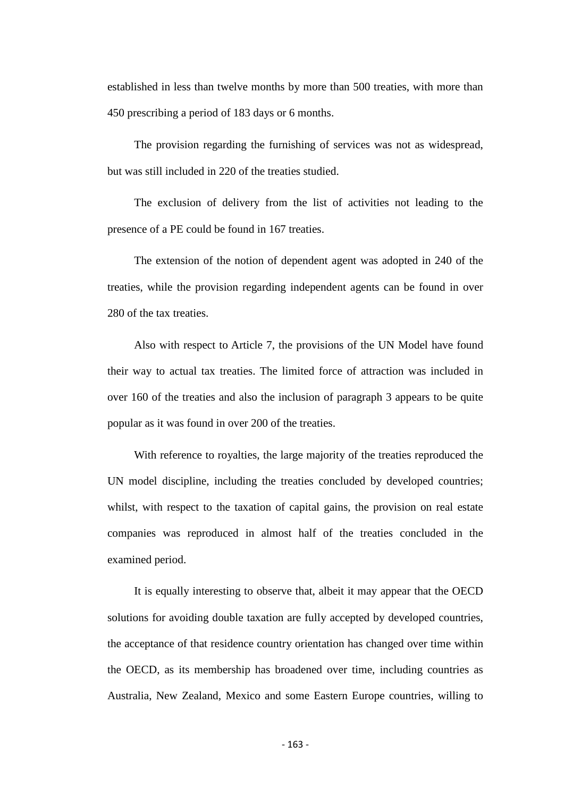established in less than twelve months by more than 500 treaties, with more than 450 prescribing a period of 183 days or 6 months.

The provision regarding the furnishing of services was not as widespread, but was still included in 220 of the treaties studied.

The exclusion of delivery from the list of activities not leading to the presence of a PE could be found in 167 treaties.

The extension of the notion of dependent agent was adopted in 240 of the treaties, while the provision regarding independent agents can be found in over 280 of the tax treaties.

Also with respect to Article 7, the provisions of the UN Model have found their way to actual tax treaties. The limited force of attraction was included in over 160 of the treaties and also the inclusion of paragraph 3 appears to be quite popular as it was found in over 200 of the treaties.

With reference to royalties, the large majority of the treaties reproduced the UN model discipline, including the treaties concluded by developed countries; whilst, with respect to the taxation of capital gains, the provision on real estate companies was reproduced in almost half of the treaties concluded in the examined period.

It is equally interesting to observe that, albeit it may appear that the OECD solutions for avoiding double taxation are fully accepted by developed countries, the acceptance of that residence country orientation has changed over time within the OECD, as its membership has broadened over time, including countries as Australia, New Zealand, Mexico and some Eastern Europe countries, willing to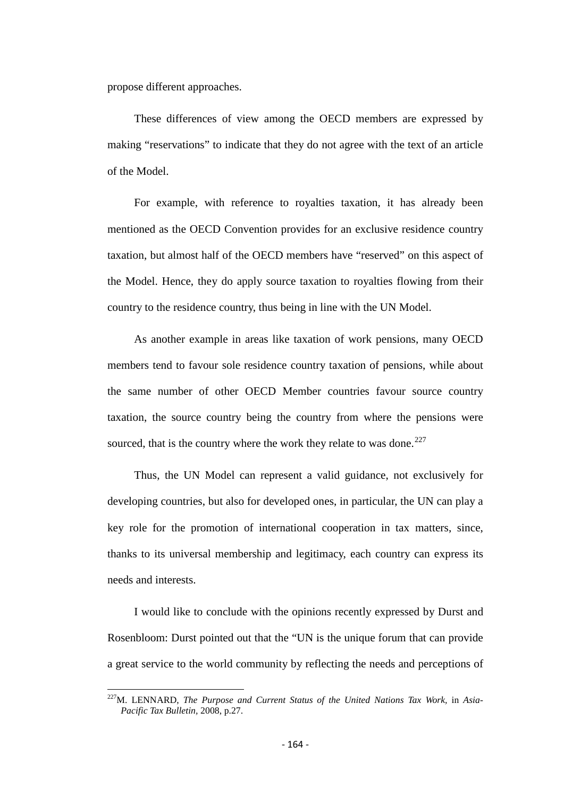propose different approaches.

These differences of view among the OECD members are expressed by making "reservations" to indicate that they do not agree with the text of an article of the Model.

For example, with reference to royalties taxation, it has already been mentioned as the OECD Convention provides for an exclusive residence country taxation, but almost half of the OECD members have "reserved" on this aspect of the Model. Hence, they do apply source taxation to royalties flowing from their country to the residence country, thus being in line with the UN Model.

As another example in areas like taxation of work pensions, many OECD members tend to favour sole residence country taxation of pensions, while about the same number of other OECD Member countries favour source country taxation, the source country being the country from where the pensions were sourced, that is the country where the work they relate to was done. $^{227}$  $^{227}$  $^{227}$ 

Thus, the UN Model can represent a valid guidance, not exclusively for developing countries, but also for developed ones, in particular, the UN can play a key role for the promotion of international cooperation in tax matters, since, thanks to its universal membership and legitimacy, each country can express its needs and interests.

I would like to conclude with the opinions recently expressed by Durst and Rosenbloom: Durst pointed out that the "UN is the unique forum that can provide a great service to the world community by reflecting the needs and perceptions of

<span id="page-163-0"></span>227M. LENNARD, *The Purpose and Current Status of the United Nations Tax Work,* in *Asia-Pacific Tax Bulletin,* 2008, p.27.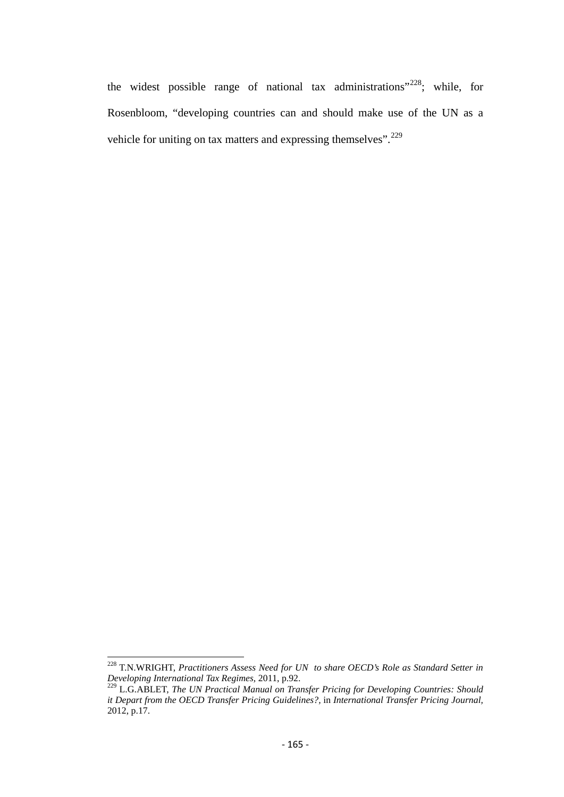the widest possible range of national tax administrations"<sup>[228](#page-163-0)</sup>; while, for Rosenbloom, "developing countries can and should make use of the UN as a vehicle for uniting on tax matters and expressing themselves".<sup>[229](#page-164-0)</sup>

<sup>228</sup> T.N.WRIGHT, *Practitioners Assess Need for UN to share OECD's Role as Standard Setter in Developing International Tax Regimes,* 2011, p.92.

<span id="page-164-0"></span><sup>229</sup> L.G.ABLET, *The UN Practical Manual on Transfer Pricing for Developing Countries: Should it Depart from the OECD Transfer Pricing Guidelines?,* in *International Transfer Pricing Journal,*   $2012, p.17.$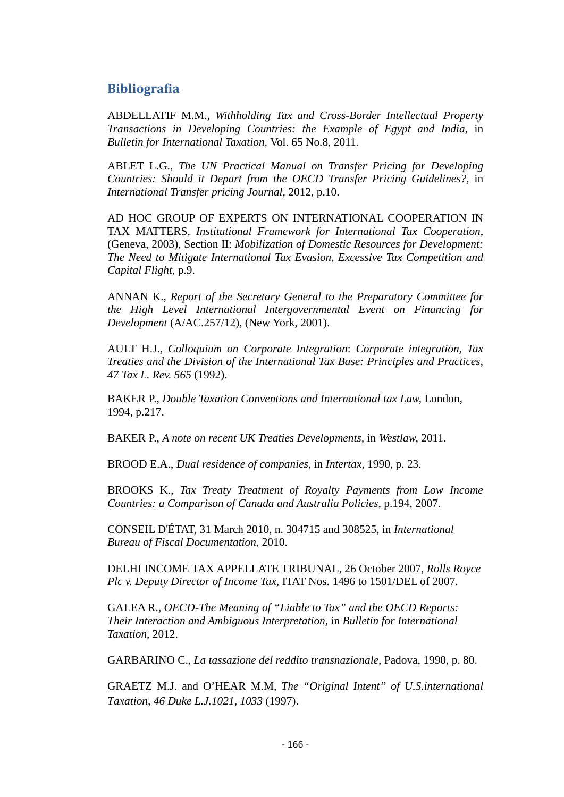# **Bibliografia**

ABDELLATIF M.M., *Withholding Tax and Cross-Border Intellectual Property Transactions in Developing Countries: the Example of Egypt and India,* in *Bulletin for International Taxation,* Vol. 65 No.8, 2011.

ABLET L.G., *The UN Practical Manual on Transfer Pricing for Developing Countries: Should it Depart from the OECD Transfer Pricing Guidelines?,* in *International Transfer pricing Journal,* 2012, p.10.

AD HOC GROUP OF EXPERTS ON INTERNATIONAL COOPERATION IN TAX MATTERS, *Institutional Framework for International Tax Cooperation*, (Geneva, 2003), Section II: *Mobilization of Domestic Resources for Development: The Need to Mitigate International Tax Evasion, Excessive Tax Competition and Capital Flight*, p.9.

ANNAN K., *Report of the Secretary General to the Preparatory Committee for the High Level International Intergovernmental Event on Financing for Development* (A/AC.257/12), (New York, 2001).

AULT H.J., *Colloquium on Corporate Integration*: *Corporate integration, Tax Treaties and the Division of the International Tax Base: Principles and Practices, 47 Tax L. Rev. 565* (1992).

BAKER P., *Double Taxation Conventions and International tax Law,* London, 1994, p.217.

BAKER P., *A note on recent UK Treaties Developments,* in *Westlaw,* 2011.

BROOD E.A., *Dual residence of companies,* in *Intertax,* 1990, p. 23.

BROOKS K., *Tax Treaty Treatment of Royalty Payments from Low Income Countries: a Comparison of Canada and Australia Policies,* p.194, 2007.

CONSEIL D'ÉTAT, 31 March 2010, n. 304715 and 308525, in *International Bureau of Fiscal Documentation,* 2010.

DELHI INCOME TAX APPELLATE TRIBUNAL, 26 October 2007, *Rolls Royce Plc v. Deputy Director of Income Tax,* ITAT Nos. 1496 to 1501/DEL of 2007.

GALEA R., *OECD-The Meaning of "Liable to Tax" and the OECD Reports: Their Interaction and Ambiguous Interpretation,* in *Bulletin for International Taxation,* 2012.

GARBARINO C., *La tassazione del reddito transnazionale,* Padova, 1990, p. 80.

GRAETZ M.J. and O'HEAR M.M, *The "Original Intent" of U.S.international Taxation, 46 Duke L.J.1021, 1033* (1997).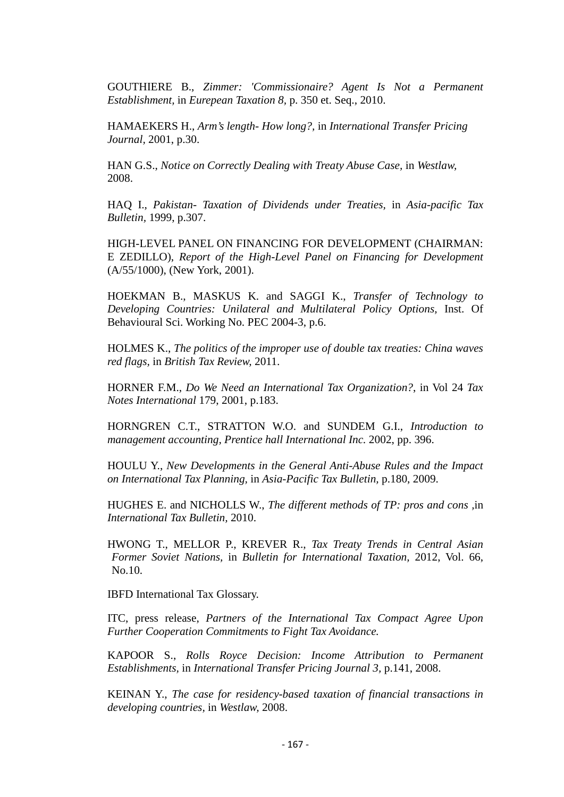GOUTHIERE B., *Zimmer: 'Commissionaire? Agent Is Not a Permanent Establishment,* in *Eurepean Taxation 8,* p. 350 et. Seq., 2010.

HAMAEKERS H., *Arm's length- How long?,* in *International Transfer Pricing Journal,* 2001, p.30.

HAN G.S., *Notice on Correctly Dealing with Treaty Abuse Case,* in *Westlaw,*  2008.

HAQ I., *Pakistan- Taxation of Dividends under Treaties,* in *Asia-pacific Tax Bulletin,* 1999, p.307.

HIGH-LEVEL PANEL ON FINANCING FOR DEVELOPMENT (CHAIRMAN: E ZEDILLO), *Report of the High-Level Panel on Financing for Development* (A/55/1000), (New York, 2001).

HOEKMAN B., MASKUS K. and SAGGI K., *Transfer of Technology to Developing Countries: Unilateral and Multilateral Policy Options,* Inst. Of Behavioural Sci. Working No. PEC 2004-3, p.6.

HOLMES K., *The politics of the improper use of double tax treaties: China waves red flags,* in *British Tax Review,* 2011.

HORNER F.M., *Do We Need an International Tax Organization?*, in Vol 24 *Tax Notes International* 179, 2001, p.183.

HORNGREN C.T., STRATTON W.O. and SUNDEM G.I., *Introduction to management accounting, Prentice hall International Inc.* 2002, pp. 396.

HOULU Y., *New Developments in the General Anti-Abuse Rules and the Impact on International Tax Planning,* in *Asia-Pacific Tax Bulletin,* p.180, 2009.

HUGHES E. and NICHOLLS W., *The different methods of TP: pros and cons ,*in *International Tax Bulletin,* 2010.

HWONG T., MELLOR P., KREVER R., *Tax Treaty Trends in Central Asian Former Soviet Nations,* in *Bulletin for International Taxation,* 2012, Vol. 66, No.10.

IBFD International Tax Glossary.

ITC, press release, *Partners of the International Tax Compact Agree Upon Further Cooperation Commitments to Fight Tax Avoidance.*

KAPOOR S., *Rolls Royce Decision: Income Attribution to Permanent Establishments,* in *International Transfer Pricing Journal 3,* p.141, 2008.

KEINAN Y., *The case for residency-based taxation of financial transactions in developing countries,* in *Westlaw,* 2008.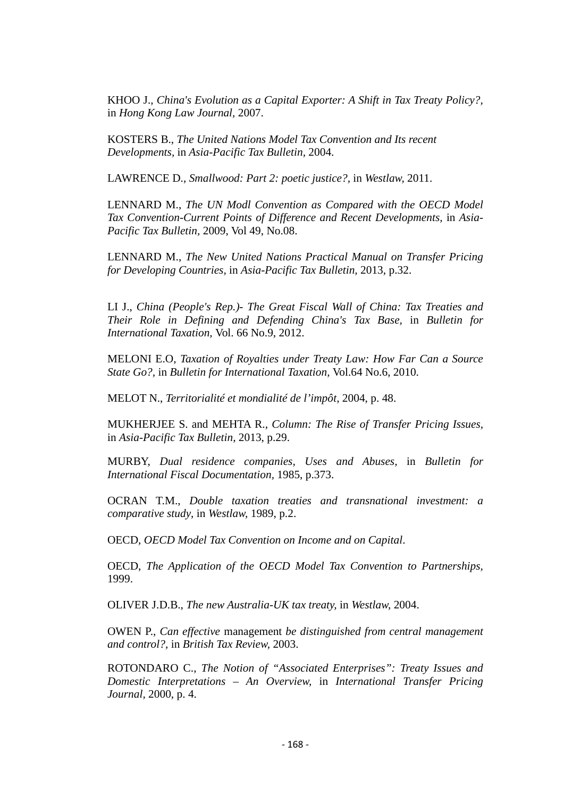KHOO J., *China's Evolution as a Capital Exporter: A Shift in Tax Treaty Policy?,*  in *Hong Kong Law Journal,* 2007.

KOSTERS B., *The United Nations Model Tax Convention and Its recent Developments,* in *Asia-Pacific Tax Bulletin,* 2004.

LAWRENCE D., *Smallwood: Part 2: poetic justice?,* in *Westlaw,* 2011.

LENNARD M., *The UN Modl Convention as Compared with the OECD Model*  Tax Convention-Current Points of Difference and Recent Developments, in Asia-*Pacific Tax Bulletin,* 2009, Vol 49, No.08.

LENNARD M., *The New United Nations Practical Manual on Transfer Pricing for Developing Countries,* in *Asia-Pacific Tax Bulletin,* 2013, p.32.

LI J., *China (People's Rep.)- The Great Fiscal Wall of China: Tax Treaties and Their Role in Defining and Defending China's Tax Base,* in *Bulletin for International Taxation,* Vol. 66 No.9, 2012.

MELONI E.O, *Taxation of Royalties under Treaty Law: How Far Can a Source State Go?,* in *Bulletin for International Taxation,* Vol.64 No.6, 2010.

MELOT N., *Territorialité et mondialité de l'impôt,* 2004, p. 48.

MUKHERJEE S. and MEHTA R., *Column: The Rise of Transfer Pricing Issues,*  in *Asia-Pacific Tax Bulletin,* 2013, p.29.

MURBY, *Dual residence companies, Uses and Abuses,* in *Bulletin for International Fiscal Documentation,* 1985, p.373.

OCRAN T.M., *Double taxation treaties and transnational investment: a comparative study*, in *Westlaw,* 1989, p.2.

OECD, *OECD Model Tax Convention on Income and on Capital*.

OECD, *The Application of the OECD Model Tax Convention to Partnerships,*  1999.

OLIVER J.D.B., *The new Australia-UK tax treaty,* in *Westlaw,* 2004.

OWEN P., *Can effective* management *be distinguished from central management and control?,* in *British Tax Review,* 2003.

ROTONDARO C., *The Notion of "Associated Enterprises": Treaty Issues and Domestic Interpretations – An Overview,* in *International Transfer Pricing Journal,* 2000, p. 4.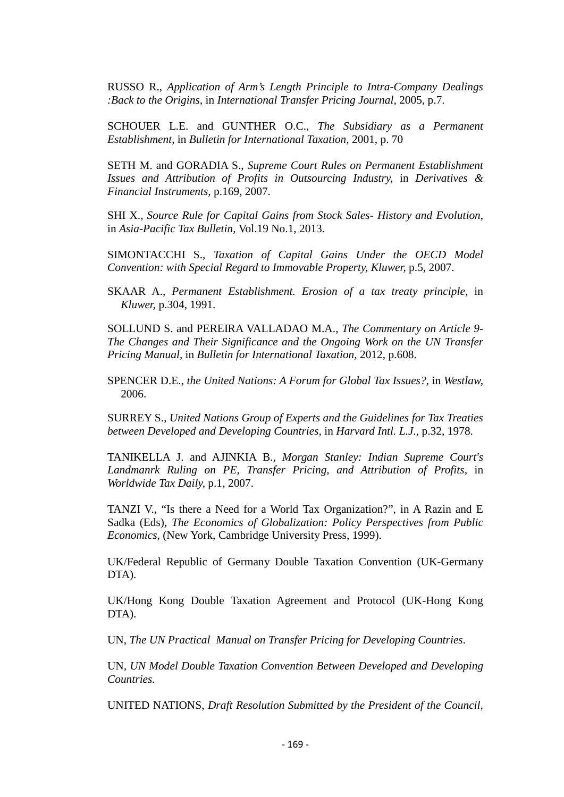RUSSO R., *Application of Arm's Length Principle to Intra-Company Dealings :Back to the Origins,* in *International Transfer Pricing Journal,* 2005, p.7.

SCHOUER L.E. and GUNTHER O.C., *The Subsidiary as a Permanent Establishment,* in *Bulletin for International Taxation,* 2001, p. 70

SETH M. and GORADIA S., *Supreme Court Rules on Permanent Establishment Issues and Attribution of Profits in Outsourcing Industry,* in *Derivatives & Financial Instruments,* p.169, 2007.

SHI X., *Source Rule for Capital Gains from Stock Sales- History and Evolution,*  in *Asia-Pacific Tax Bulletin,* Vol.19 No.1, 2013.

SIMONTACCHI S., *Taxation of Capital Gains Under the OECD Model Convention: with Special Regard to Immovable Property, Kluwer,* p.5, 2007.

SKAAR A., *Permanent Establishment. Erosion of a tax treaty principle,* in *Kluwer,* p.304, 1991.

SOLLUND S. and PEREIRA VALLADAO M.A., *The Commentary on Article 9- The Changes and Their Significance and the Ongoing Work on the UN Transfer Pricing Manual,* in *Bulletin for International Taxation,* 2012, p.608.

SPENCER D.E., *the United Nations: A Forum for Global Tax Issues?,* in *Westlaw,*  2006.

SURREY S., *United Nations Group of Experts and the Guidelines for Tax Treaties between Developed and Developing Countries,* in *Harvard Intl. L.J.,* p.32, 1978.

TANIKELLA J. and AJINKIA B., *Morgan Stanley: Indian Supreme Court's Landmanrk Ruling on PE, Transfer Pricing, and Attribution of Profits,* in *Worldwide Tax Daily,* p.1, 2007.

TANZI V., "Is there a Need for a World Tax Organization?", in A Razin and E Sadka (Eds), *The Economics of Globalization: Policy Perspectives from Public Economics*, (New York, Cambridge University Press, 1999).

UK/Federal Republic of Germany Double Taxation Convention (UK-Germany DTA).

UK/Hong Kong Double Taxation Agreement and Protocol (UK-Hong Kong DTA).

UN, *The UN Practical Manual on Transfer Pricing for Developing Countries*.

UN*, UN Model Double Taxation Convention Between Developed and Developing Countries.* 

UNITED NATIONS, *Draft Resolution Submitted by the President of the Council,*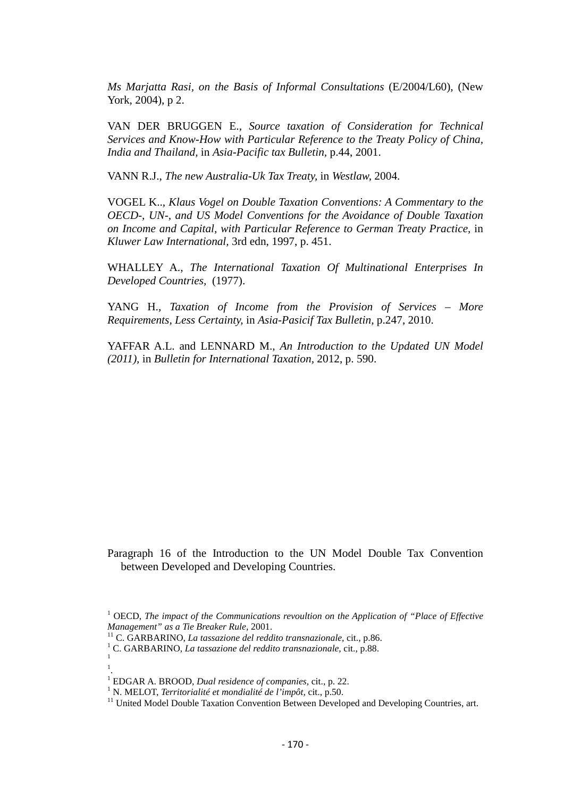*Ms Marjatta Rasi, on the Basis of Informal Consultations* (E/2004/L60), (New York, 2004), p 2.

VAN DER BRUGGEN E., *Source taxation of Consideration for Technical Services and Know-How with Particular Reference to the Treaty Policy of China, India and Thailand,* in *Asia-Pacific tax Bulletin,* p.44, 2001.

VANN R.J., *The new Australia-Uk Tax Treaty,* in *Westlaw,* 2004.

VOGEL K.., *Klaus Vogel on Double Taxation Conventions: A Commentary to the OECD-, UN-, and US Model Conventions for the Avoidance of Double Taxation on Income and Capital, with Particular Reference to German Treaty Practice,* in *Kluwer Law International,* 3rd edn, 1997, p. 451.

WHALLEY A., *The International Taxation Of Multinational Enterprises In Developed Countries,* (1977).

YANG H., *Taxation of Income from the Provision of Services – More Requirements, Less Certainty,* in *Asia-Pasicif Tax Bulletin,* p.247, 2010.

YAFFAR A.L. and LENNARD M., *An Introduction to the Updated UN Model (2011),* in *Bulletin for International Taxation,* 2012, p. 590.

Paragraph 16 of the Introduction to the UN Model Double Tax Convention between Developed and Developing Countries.

1

<sup>&</sup>lt;sup>1</sup> OECD, *The impact of the Communications revoultion on the Application of "Place of Effective Management" as a Tie Breaker Rule, 2001.* 

<sup>&</sup>lt;sup>11</sup> C. GARBARINO, *La tassazione del reddito transnazionale*, cit., p.86. <sup>1</sup> C. GARBARINO, *La tassazione del reddito transnazionale*, cit., p.88.

<sup>.</sup>

<sup>&</sup>lt;sup>1</sup> EDGAR A. BROOD, *Dual residence of companies*, cit., p. 22.<br><sup>1</sup> N. MELOT, *Territorialité et mondialité de l'impôt*, cit., p.50.<br><sup>11</sup> United Model Double Taxation Convention Between Developed and Developing Countries,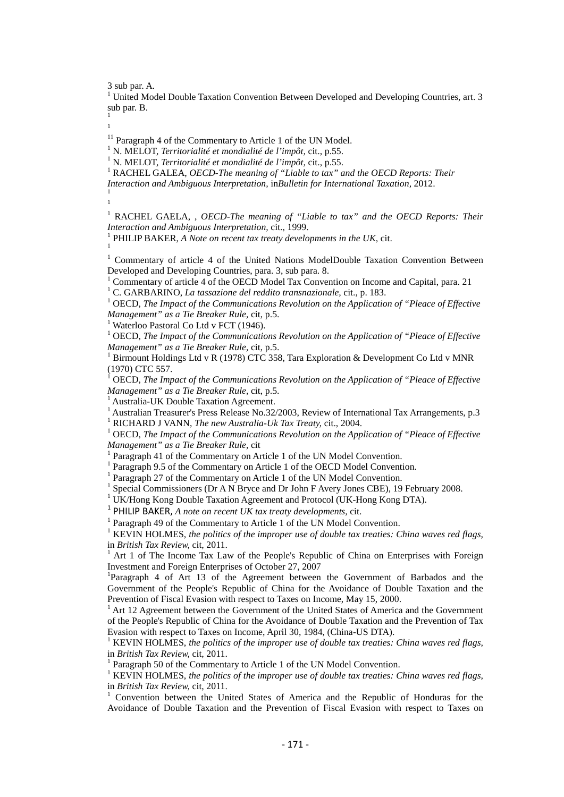3 sub par. A.

<sup>1</sup> United Model Double Taxation Convention Between Developed and Developing Countries, art. 3 sub par. B.

1 1

- 
- 

<sup>11</sup> Paragraph 4 of the Commentary to Article 1 of the UN Model.<br><sup>1</sup> N. MELOT, *Territorialité et mondialité de l'impôt*, cit., p.55.<br><sup>1</sup> N. MELOT, *Territorialité et mondialité de l'impôt*, cit., p.55.<br><sup>1</sup> RACHEL GALEA, *Interaction and Ambiguous Interpretation,* in*Bulletin for International Taxation,* 2012. <sup>1</sup>

1

<sup>1</sup> RACHEL GAELA, , *OECD-The meaning of "Liable to tax" and the OECD Reports: Their Interaction and Ambiguous Interpretation, cit., 1999.* 1 PHILIP BAKER, *A Note on recent tax treaty developments in the UK, cit.* 1

<sup>1</sup> Commentary of article 4 of the United Nations ModelDouble Taxation Convention Between

Developed and Developing Countries, para. 3, sub para. 8.<br><sup>1</sup> Commentary of article 4 of the OECD Model Tax Convention on Income and Capital, para. 21<br><sup>1</sup> C. GARBARINO, *La tassazione del reddito transnazionale*, cit., p.

<sup>1</sup> OECD, *The Impact of the Communications Revolution on the Application of "Pleace of Effective" Management" as a Tie Breaker Rule, cit, p.5.*<br><sup>1</sup> Waterloo Pastoral Co Ltd v FCT (1946). <sup>1</sup> OECD, *The Impact of the Application of "Pleace of Effective* 

*Management" as a Tie Breaker Rule, cit, p.5.* 1 *Birmount Holdings Ltd v R (1978) CTC 358, Tara Exploration & Development Co Ltd v MNR* 

(1970) CTC 557.

<sup>1</sup> OECD, *The Impact of the Communications Revolution on the Application of "Pleace of Effective Management" as a Tie Breaker Rule,* cit, p.5.<br><sup>1</sup> Australia-UK Double Taxation Agreement.<br><sup>1</sup> Australian Treasurer's Press Release No.32/2003, Review of International Tax Arrangements, p.3<br><sup>1</sup> RICHARD J VANN, *The new Aus* 

<sup>1</sup> OECD, *The Impact of the Communications Revolution on the Application of "Pleace of Effective Management" as a Tie Breaker Rule, cit* 

<sup>1</sup> Paragraph 41 of the Commentary on Article 1 of the UN Model Convention.<br><sup>1</sup> Paragraph 9.5 of the Commentary on Article 1 of the OECD Model Convention.

 $1$  Paragraph 27 of the Commentary on Article 1 of the UN Model Convention.

<sup>1</sup> Special Commissioners (Dr A N Bryce and Dr John F Avery Jones CBE), 19 February 2008.

<sup>1</sup> UK/Hong Kong Double Taxation Agreement and Protocol (UK-Hong Kong DTA).

<sup>1</sup> PHILIP BAKER, *A note on recent UK tax treaty developments*, cit.<br><sup>1</sup> Paragraph 49 of the Commentary to Article 1 of the UN Model Convention.

<sup>1</sup> KEVIN HOLMES, *the politics of the improper use of double tax treaties: China waves red flags,* in *British Tax Review, cit.* 2011.

Art 1 of The Income Tax Law of the People's Republic of China on Enterprises with Foreign Investment and Foreign Enterprises of October 27, 2007

Paragraph 4 of Art 13 of the Agreement between the Government of Barbados and the Government of the People's Republic of China for the Avoidance of Double Taxation and the Prevention of Fiscal Evasion with respect to Taxes on Income, May 15, 2000.<br><sup>1</sup> Art 12 Agreement between the Government of the United States of America and the Government

of the People's Republic of China for the Avoidance of Double Taxation and the Prevention of Tax Evasion with respect to Taxes on Income, April 30, 1984, (China-US DTA).<br><sup>1</sup> KEVIN HOLMES, *the politics of the improper use of double tax treaties: China waves red flags,* 

in *British Tax Review,* cit, 2011.<br><sup>1</sup> Paragraph 50 of the Commentary to Article 1 of the UN Model Convention.

<sup>1</sup> KEVIN HOLMES, *the politics of the improper use of double tax treaties: China waves red flags,* in *British Tax Review*, cit, 2011.

Convention between the United States of America and the Republic of Honduras for the Avoidance of Double Taxation and the Prevention of Fiscal Evasion with respect to Taxes on